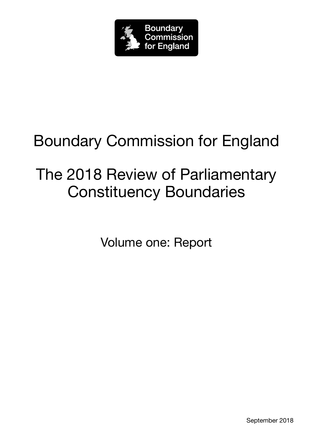

# Boundary Commission for England

# The 2018 Review of Parliamentary Constituency Boundaries

Volume one: Report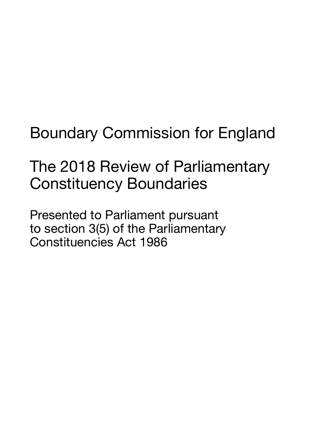Boundary Commission for England

# The 2018 Review of Parliamentary Constituency Boundaries

Presented to Parliament pursuant to section 3(5) of the Parliamentary Constituencies Act 1986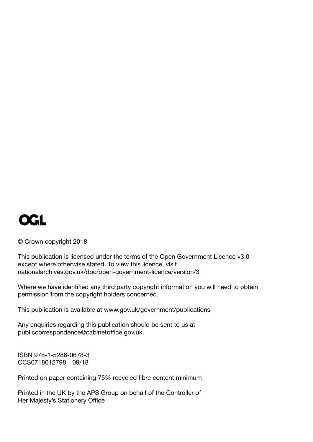

© Crown copyright 2018

This publication is licensed under the terms of the Open Government Licence v3.0 except where otherwise stated. To view this licence, [visit](http://visit nationalarchives.gov.uk/doc/open-government-licence/version/3)  [nationalarchives.gov.uk/doc/open-government-licence/version/3](http://visit nationalarchives.gov.uk/doc/open-government-licence/version/3)

Where we have identified any third party copyright information you will need to obtain permission from the copyright holders concerned.

This publication is available at [www.gov.uk/government/publications](http://www.gov.uk/government/publications)

Any enquiries regarding this publication should be sent to us at [publiccorrespondence@cabinetoffice.gov.uk.](mailto:publiccorrespondence@cabinetoffice.gov.uk)

ISBN 978-1-5286-0678-3 CCS0718012798 09/18

Printed on paper containing 75% recycled fibre content minimum

Printed in the UK by the APS Group on behalf of the Controller of Her Majesty's Stationery Office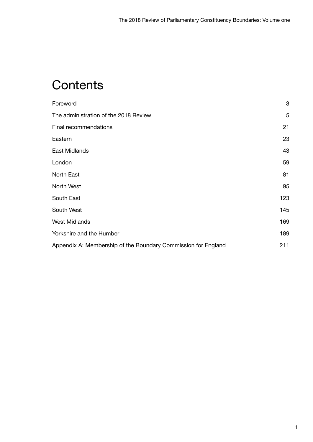# **Contents**

| Foreword                                                      | 3   |
|---------------------------------------------------------------|-----|
| The administration of the 2018 Review                         | 5   |
| Final recommendations                                         | 21  |
| Eastern                                                       | 23  |
| East Midlands                                                 | 43  |
| London                                                        | 59  |
| <b>North East</b>                                             | 81  |
| North West                                                    | 95  |
| South East                                                    | 123 |
| South West                                                    | 145 |
| <b>West Midlands</b>                                          | 169 |
| Yorkshire and the Humber                                      | 189 |
| Appendix A: Membership of the Boundary Commission for England | 211 |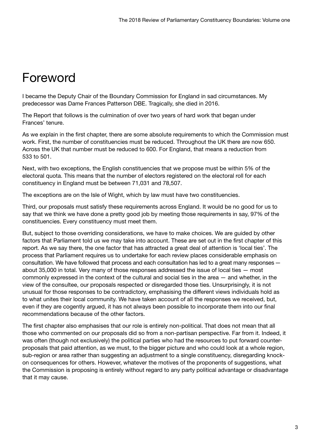# <span id="page-5-0"></span>Foreword

I became the Deputy Chair of the Boundary Commission for England in sad circumstances. My predecessor was Dame Frances Patterson DBE. Tragically, she died in 2016.

The Report that follows is the culmination of over two years of hard work that began under Frances' tenure.

As we explain in the first chapter, there are some absolute requirements to which the Commission must work. First, the number of constituencies must be reduced. Throughout the UK there are now 650. Across the UK that number must be reduced to 600. For England, that means a reduction from 533 to 501.

Next, with two exceptions, the English constituencies that we propose must be within 5% of the electoral quota. This means that the number of electors registered on the electoral roll for each constituency in England must be between 71,031 and 78,507.

The exceptions are on the Isle of Wight, which by law must have two constituencies.

Third, our proposals must satisfy these requirements across England. It would be no good for us to say that we think we have done a pretty good job by meeting those requirements in say, 97% of the constituencies. Every constituency must meet them.

But, subject to those overriding considerations, we have to make choices. We are guided by other factors that Parliament told us we may take into account. These are set out in the first chapter of this report. As we say there, the one factor that has attracted a great deal of attention is 'local ties'. The process that Parliament requires us to undertake for each review places considerable emphasis on consultation. We have followed that process and each consultation has led to a great many responses about 35,000 in total. Very many of those responses addressed the issue of local ties — most commonly expressed in the context of the cultural and social ties in the area — and whether, in the view of the consultee, our proposals respected or disregarded those ties. Unsurprisingly, it is not unusual for those responses to be contradictory, emphasising the different views individuals hold as to what unites their local community. We have taken account of all the responses we received, but, even if they are cogently argued, it has not always been possible to incorporate them into our final recommendations because of the other factors.

The first chapter also emphasises that our role is entirely non-political. That does not mean that all those who commented on our proposals did so from a non-partisan perspective. Far from it. Indeed, it was often (though not exclusively) the political parties who had the resources to put forward counterproposals that paid attention, as we must, to the bigger picture and who could look at a whole region, sub-region or area rather than suggesting an adjustment to a single constituency, disregarding knockon consequences for others. However, whatever the motives of the proponents of suggestions, what the Commission is proposing is entirely without regard to any party political advantage or disadvantage that it may cause.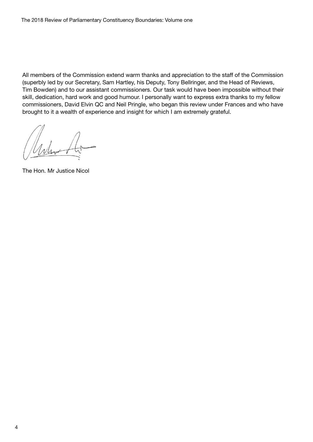All members of the Commission extend warm thanks and appreciation to the staff of the Commission (superbly led by our Secretary, Sam Hartley, his Deputy, Tony Bellringer, and the Head of Reviews, Tim Bowden) and to our assistant commissioners. Our task would have been impossible without their skill, dedication, hard work and good humour. I personally want to express extra thanks to my fellow commissioners, David Elvin QC and Neil Pringle, who began this review under Frances and who have brought to it a wealth of experience and insight for which I am extremely grateful.

The Hon. Mr Justice Nicol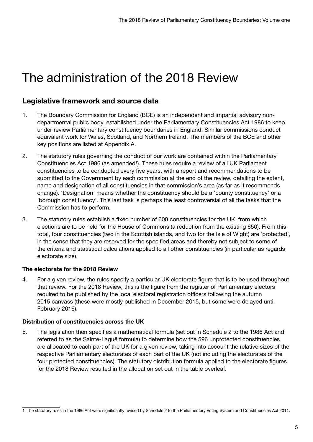# <span id="page-7-0"></span>The administration of the 2018 Review

### Legislative framework and source data

- 1. The Boundary Commission for England (BCE) is an independent and impartial advisory nondepartmental public body, established under the Parliamentary Constituencies Act 1986 to keep under review Parliamentary constituency boundaries in England. Similar commissions conduct equivalent work for Wales, Scotland, and Northern Ireland. The members of the BCE and other key positions are listed at Appendix A.
- 2. The statutory rules governing the conduct of our work are contained within the Parliamentary Constituencies Act 1986 (as amended<sup>1</sup>). These rules require a review of all UK Parliament constituencies to be conducted every five years, with a report and recommendations to be submitted to the Government by each commission at the end of the review, detailing the extent, name and designation of all constituencies in that commission's area (as far as it recommends change). 'Designation' means whether the constituency should be a 'county constituency' or a 'borough constituency'. This last task is perhaps the least controversial of all the tasks that the Commission has to perform.
- 3. The statutory rules establish a fixed number of 600 constituencies for the UK, from which elections are to be held for the House of Commons (a reduction from the existing 650). From this total, four constituencies (two in the Scottish islands, and two for the Isle of Wight) are 'protected', in the sense that they are reserved for the specified areas and thereby not subject to some of the criteria and statistical calculations applied to all other constituencies (in particular as regards electorate size).

#### The electorate for the 2018 Review

4. For a given review, the rules specify a particular UK electorate figure that is to be used throughout that review. For the 2018 Review, this is the figure from the register of Parliamentary electors required to be published by the local electoral registration officers following the autumn 2015 canvass (these were mostly published in December 2015, but some were delayed until February 2016).

#### Distribution of constituencies across the UK

5. The legislation then specifies a mathematical formula (set out in Schedule 2 to the 1986 Act and referred to as the Sainte-Laguë formula) to determine how the 596 unprotected constituencies are allocated to each part of the UK for a given review, taking into account the relative sizes of the respective Parliamentary electorates of each part of the UK (not including the electorates of the four protected constituencies). The statutory distribution formula applied to the electorate figures for the 2018 Review resulted in the allocation set out in the table overleaf.

<sup>1</sup> The statutory rules in the 1986 Act were significantly revised by Schedule 2 to the Parliamentary Voting System and Constituencies Act 2011.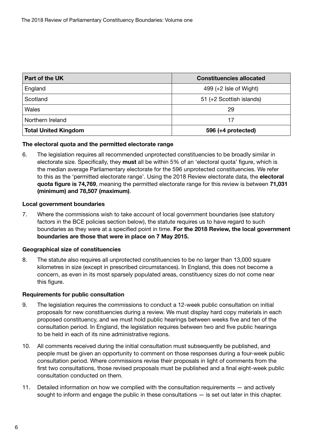| Part of the UK              | <b>Constituencies allocated</b> |  |
|-----------------------------|---------------------------------|--|
| England                     | $499 (+2$ Isle of Wight)        |  |
| Scotland                    | 51 (+2 Scottish islands)        |  |
| Wales                       | 29                              |  |
| Northern Ireland            | 17                              |  |
| <b>Total United Kingdom</b> | 596 $(+4$ protected)            |  |

#### The electoral quota and the permitted electorate range

6. The legislation requires all recommended unprotected constituencies to be broadly similar in electorate size. Specifically, they must all be within 5% of an 'electoral quota' figure, which is the median average Parliamentary electorate for the 596 unprotected constituencies. We refer to this as the 'permitted electorate range'. Using the 2018 Review electorate data, the **electoral** quota figure is 74,769, meaning the permitted electorate range for this review is between 71,031 (minimum) and 78,507 (maximum).

#### Local government boundaries

7. Where the commissions wish to take account of local government boundaries (see statutory factors in the BCE policies section below), the statute requires us to have regard to such boundaries as they were at a specified point in time. For the 2018 Review, the local government boundaries are those that were in place on 7 May 2015.

#### Geographical size of constituencies

8. The statute also requires all unprotected constituencies to be no larger than 13,000 square kilometres in size (except in prescribed circumstances). In England, this does not become a concern, as even in its most sparsely populated areas, constituency sizes do not come near this figure.

#### Requirements for public consultation

- 9. The legislation requires the commissions to conduct a 12-week public consultation on initial proposals for new constituencies during a review. We must display hard copy materials in each proposed constituency, and we must hold public hearings between weeks five and ten of the consultation period. In England, the legislation requires between two and five public hearings to be held in each of its nine administrative regions.
- 10. All comments received during the initial consultation must subsequently be published, and people must be given an opportunity to comment on those responses during a four-week public consultation period. Where commissions revise their proposals in light of comments from the first two consultations, those revised proposals must be published and a final eight-week public consultation conducted on them.
- 11. Detailed information on how we complied with the consultation requirements and actively sought to inform and engage the public in these consultations — is set out later in this chapter.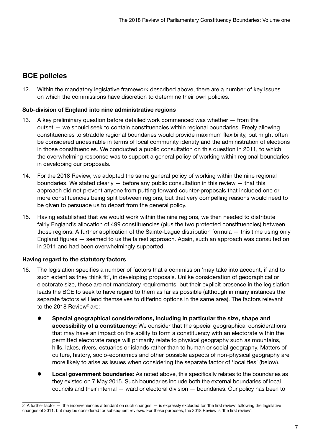## BCE policies

12. Within the mandatory legislative framework described above, there are a number of key issues on which the commissions have discretion to determine their own policies.

#### Sub-division of England into nine administrative regions

- 13. A key preliminary question before detailed work commenced was whether from the outset — we should seek to contain constituencies within regional boundaries. Freely allowing constituencies to straddle regional boundaries would provide maximum flexibility, but might often be considered undesirable in terms of local community identity and the administration of elections in those constituencies. We conducted a public consultation on this question in 2011, to which the overwhelming response was to support a general policy of working within regional boundaries in developing our proposals.
- 14. For the 2018 Review, we adopted the same general policy of working within the nine regional boundaries. We stated clearly  $-$  before any public consultation in this review  $-$  that this approach did not prevent anyone from putting forward counter-proposals that included one or more constituencies being split between regions, but that very compelling reasons would need to be given to persuade us to depart from the general policy.
- 15. Having established that we would work within the nine regions, we then needed to distribute fairly England's allocation of 499 constituencies (plus the two protected constituencies) between those regions. A further application of the Sainte-Laguë distribution formula — this time using only England figures — seemed to us the fairest approach. Again, such an approach was consulted on in 2011 and had been overwhelmingly supported.

#### Having regard to the statutory factors

- 16. The legislation specifies a number of factors that a commission 'may take into account, if and to such extent as they think fit', in developing proposals. Unlike consideration of geographical or electorate size, these are not mandatory requirements, but their explicit presence in the legislation leads the BCE to seek to have regard to them as far as possible (although in many instances the separate factors will lend themselves to differing options in the same area). The factors relevant to the 2018 Review<sup>2</sup> are:
	- Special geographical considerations, including in particular the size, shape and accessibility of a constituency: We consider that the special geographical considerations that may have an impact on the ability to form a constituency with an electorate within the permitted electorate range will primarily relate to physical geography such as mountains, hills, lakes, rivers, estuaries or islands rather than to human or social geography. Matters of culture, history, socio-economics and other possible aspects of non-physical geography are more likely to arise as issues when considering the separate factor of 'local ties' (below).
	- **Local government boundaries:** As noted above, this specifically relates to the boundaries as they existed on 7 May 2015. Such boundaries include both the external boundaries of local councils and their internal — ward or electoral division — boundaries. Our policy has been to

<sup>2</sup> A further factor — 'the inconveniences attendant on such changes' — is expressly excluded for 'the first review' following the legislative changes of 2011, but may be considered for subsequent reviews. For these purposes, the 2018 Review is 'the first review'.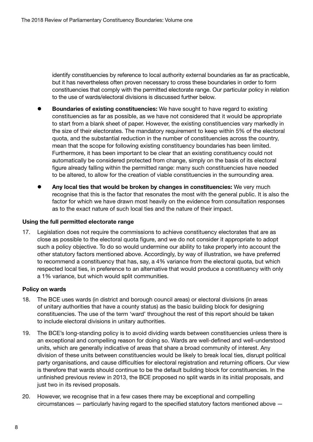identify constituencies by reference to local authority external boundaries as far as practicable, but it has nevertheless often proven necessary to cross these boundaries in order to form constituencies that comply with the permitted electorate range. Our particular policy in relation to the use of wards/electoral divisions is discussed further below.

- **Boundaries of existing constituencies:** We have sought to have regard to existing constituencies as far as possible, as we have not considered that it would be appropriate to start from a blank sheet of paper. However, the existing constituencies vary markedly in the size of their electorates. The mandatory requirement to keep within 5% of the electoral quota, and the substantial reduction in the number of constituencies across the country, mean that the scope for following existing constituency boundaries has been limited. Furthermore, it has been important to be clear that an existing constituency could not automatically be considered protected from change, simply on the basis of its electoral figure already falling within the permitted range: many such constituencies have needed to be altered, to allow for the creation of viable constituencies in the surrounding area.
- Any local ties that would be broken by changes in constituencies: We very much recognise that this is the factor that resonates the most with the general public. It is also the factor for which we have drawn most heavily on the evidence from consultation responses as to the exact nature of such local ties and the nature of their impact.

#### Using the full permitted electorate range

17. Legislation does not require the commissions to achieve constituency electorates that are as close as possible to the electoral quota figure, and we do not consider it appropriate to adopt such a policy objective. To do so would undermine our ability to take properly into account the other statutory factors mentioned above. Accordingly, by way of illustration, we have preferred to recommend a constituency that has, say, a 4% variance from the electoral quota, but which respected local ties, in preference to an alternative that would produce a constituency with only a 1% variance, but which would split communities.

#### Policy on wards

- 18. The BCE uses wards (in district and borough council areas) or electoral divisions (in areas of unitary authorities that have a county status) as the basic building block for designing constituencies. The use of the term 'ward' throughout the rest of this report should be taken to include electoral divisions in unitary authorities.
- 19. The BCE's long-standing policy is to avoid dividing wards between constituencies unless there is an exceptional and compelling reason for doing so. Wards are well-defined and well-understood units, which are generally indicative of areas that share a broad community of interest. Any division of these units between constituencies would be likely to break local ties, disrupt political party organisations, and cause difficulties for electoral registration and returning officers. Our view is therefore that wards should continue to be the default building block for constituencies. In the unfinished previous review in 2013, the BCE proposed no split wards in its initial proposals, and just two in its revised proposals.
- 20. However, we recognise that in a few cases there may be exceptional and compelling circumstances — particularly having regard to the specified statutory factors mentioned above —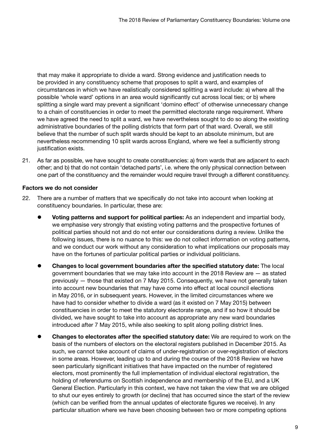that may make it appropriate to divide a ward. Strong evidence and justification needs to be provided in any constituency scheme that proposes to split a ward, and examples of circumstances in which we have realistically considered splitting a ward include: a) where all the possible 'whole ward' options in an area would significantly cut across local ties; or b) where splitting a single ward may prevent a significant 'domino effect' of otherwise unnecessary change to a chain of constituencies in order to meet the permitted electorate range requirement. Where we have agreed the need to split a ward, we have nevertheless sought to do so along the existing administrative boundaries of the polling districts that form part of that ward. Overall, we still believe that the number of such split wards should be kept to an absolute minimum, but are nevertheless recommending 10 split wards across England, where we feel a sufficiently strong justification exists.

21. As far as possible, we have sought to create constituencies: a) from wards that are adjacent to each other; and b) that do not contain 'detached parts', i.e. where the only physical connection between one part of the constituency and the remainder would require travel through a different constituency.

#### Factors we do not consider

- 22. There are a number of matters that we specifically do not take into account when looking at constituency boundaries. In particular, these are:
	- Voting patterns and support for political parties: As an independent and impartial body, we emphasise very strongly that existing voting patterns and the prospective fortunes of political parties should not and do not enter our considerations during a review. Unlike the following issues, there is no nuance to this: we do not collect information on voting patterns, and we conduct our work without any consideration to what implications our proposals may have on the fortunes of particular political parties or individual politicians.
	- Changes to local government boundaries after the specified statutory date: The local government boundaries that we may take into account in the 2018 Review are — as stated previously — those that existed on 7 May 2015. Consequently, we have not generally taken into account new boundaries that may have come into effect at local council elections in May 2016, or in subsequent years. However, in the limited circumstances where we have had to consider whether to divide a ward (as it existed on 7 May 2015) between constituencies in order to meet the statutory electorate range, and if so how it should be divided, we have sought to take into account as appropriate any new ward boundaries introduced after 7 May 2015, while also seeking to split along polling district lines.
	- **Changes to electorates after the specified statutory date:** We are required to work on the basis of the numbers of electors on the electoral registers published in December 2015. As such, we cannot take account of claims of under-registration or over-registration of electors in some areas. However, leading up to and during the course of the 2018 Review we have seen particularly significant initiatives that have impacted on the number of registered electors, most prominently the full implementation of individual electoral registration, the holding of referendums on Scottish independence and membership of the EU, and a UK General Election. Particularly in this context, we have not taken the view that we are obliged to shut our eyes entirely to growth (or decline) that has occurred since the start of the review (which can be verified from the annual updates of electorate figures we receive). In any particular situation where we have been choosing between two or more competing options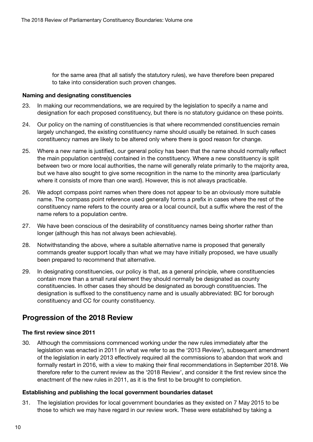for the same area (that all satisfy the statutory rules), we have therefore been prepared to take into consideration such proven changes.

#### Naming and designating constituencies

- 23. In making our recommendations, we are required by the legislation to specify a name and designation for each proposed constituency, but there is no statutory guidance on these points.
- 24. Our policy on the naming of constituencies is that where recommended constituencies remain largely unchanged, the existing constituency name should usually be retained. In such cases constituency names are likely to be altered only where there is good reason for change.
- 25. Where a new name is justified, our general policy has been that the name should normally reflect the main population centre(s) contained in the constituency. Where a new constituency is split between two or more local authorities, the name will generally relate primarily to the majority area, but we have also sought to give some recognition in the name to the minority area (particularly where it consists of more than one ward). However, this is not always practicable.
- 26. We adopt compass point names when there does not appear to be an obviously more suitable name. The compass point reference used generally forms a prefix in cases where the rest of the constituency name refers to the county area or a local council, but a suffix where the rest of the name refers to a population centre.
- 27. We have been conscious of the desirability of constituency names being shorter rather than longer (although this has not always been achievable).
- 28. Notwithstanding the above, where a suitable alternative name is proposed that generally commands greater support locally than what we may have initially proposed, we have usually been prepared to recommend that alternative.
- 29. In designating constituencies, our policy is that, as a general principle, where constituencies contain more than a small rural element they should normally be designated as county constituencies. In other cases they should be designated as borough constituencies. The designation is suffixed to the constituency name and is usually abbreviated: BC for borough constituency and CC for county constituency.

### Progression of the 2018 Review

#### The first review since 2011

30. Although the commissions commenced working under the new rules immediately after the legislation was enacted in 2011 (in what we refer to as the '2013 Review'), subsequent amendment of the legislation in early 2013 effectively required all the commissions to abandon that work and formally restart in 2016, with a view to making their final recommendations in September 2018. We therefore refer to the current review as the '2018 Review', and consider it the first review since the enactment of the new rules in 2011, as it is the first to be brought to completion.

#### Establishing and publishing the local government boundaries dataset

31. The legislation provides for local government boundaries as they existed on 7 May 2015 to be those to which we may have regard in our review work. These were established by taking a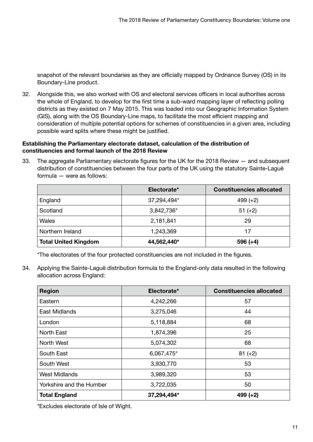snapshot of the relevant boundaries as they are officially mapped by Ordnance Survey (OS) in its Boundary-Line product.

32. Alongside this, we also worked with OS and electoral services officers in local authorities across the whole of England, to develop for the first time a sub-ward mapping layer of reflecting polling districts as they existed on 7 May 2015. This was loaded into our Geographic Information System (GIS), along with the OS Boundary-Line maps, to facilitate the most efficient mapping and consideration of multiple potential options for schemes of constituencies in a given area, including possible ward splits where these might be justified.

#### Establishing the Parliamentary electorate dataset, calculation of the distribution of constituencies and formal launch of the 2018 Review

33. The aggregate Parliamentary electorate figures for the UK for the 2018 Review — and subsequent distribution of constituencies between the four parts of the UK using the statutory Sainte-Laguë formula — were as follows:

|                             | Electorate* | <b>Constituencies allocated</b> |  |
|-----------------------------|-------------|---------------------------------|--|
| England                     | 37,294,494* | $499 (+2)$                      |  |
| Scotland                    | 3,842,736*  | $51 (+2)$                       |  |
| Wales                       | 2,181,841   | 29                              |  |
| Northern Ireland            | 1,243,369   | 17                              |  |
| <b>Total United Kingdom</b> | 44,562,440* | $596 (+4)$                      |  |

\*The electorates of the four protected constituencies are not included in the figures.

34. Applying the Sainte-Laguë distribution formula to the England-only data resulted in the following allocation across England:

| <b>Region</b>            | Electorate* | <b>Constituencies allocated</b> |
|--------------------------|-------------|---------------------------------|
| Eastern                  | 4,242,266   | 57                              |
| <b>East Midlands</b>     | 3,275,046   | 44                              |
| London                   | 5,118,884   | 68                              |
| North East               | 1,874,396   | 25                              |
| North West               | 5,074,302   | 68                              |
| South East               | 6,067,475*  | $81 (+2)$                       |
| South West               | 3,930,770   | 53                              |
| West Midlands            | 3,989,320   | 53                              |
| Yorkshire and the Humber | 3,722,035   | 50                              |
| <b>Total England</b>     | 37,294,494* | $499 (+2)$                      |

\*Excludes electorate of Isle of Wight.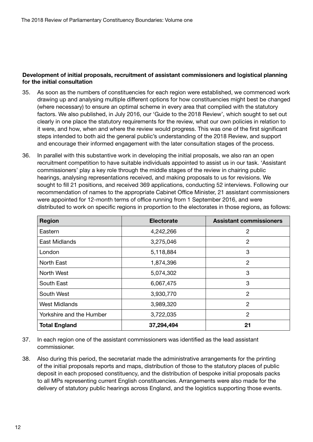#### Development of initial proposals, recruitment of assistant commissioners and logistical planning for the initial consultation

- 35. As soon as the numbers of constituencies for each region were established, we commenced work drawing up and analysing multiple different options for how constituencies might best be changed (where necessary) to ensure an optimal scheme in every area that complied with the statutory factors. We also published, in July 2016, our 'Guide to the 2018 Review', which sought to set out clearly in one place the statutory requirements for the review, what our own policies in relation to it were, and how, when and where the review would progress. This was one of the first significant steps intended to both aid the general public's understanding of the 2018 Review, and support and encourage their informed engagement with the later consultation stages of the process.
- 36. In parallel with this substantive work in developing the initial proposals, we also ran an open recruitment competition to have suitable individuals appointed to assist us in our task. 'Assistant commissioners' play a key role through the middle stages of the review in chairing public hearings, analysing representations received, and making proposals to us for revisions. We sought to fill 21 positions, and received 369 applications, conducting 52 interviews. Following our recommendation of names to the appropriate Cabinet Office Minister, 21 assistant commissioners were appointed for 12-month terms of office running from 1 September 2016, and were distributed to work on specific regions in proportion to the electorates in those regions, as follows:

| <b>Region</b>            | <b>Electorate</b> | <b>Assistant commissioners</b> |
|--------------------------|-------------------|--------------------------------|
| Eastern                  | 4,242,266         | 2                              |
| East Midlands            | 3,275,046         | 2                              |
| London                   | 5,118,884         | 3                              |
| North East               | 1,874,396         | $\overline{2}$                 |
| North West               | 5,074,302         | 3                              |
| South East               | 6,067,475         | 3                              |
| South West               | 3,930,770         | $\overline{2}$                 |
| <b>West Midlands</b>     | 3,989,320         | 2                              |
| Yorkshire and the Humber | 3,722,035         | 2                              |
| <b>Total England</b>     | 37,294,494        | 21                             |

- 37. In each region one of the assistant commissioners was identified as the lead assistant commissioner.
- 38. Also during this period, the secretariat made the administrative arrangements for the printing of the initial proposals reports and maps, distribution of those to the statutory places of public deposit in each proposed constituency, and the distribution of bespoke initial proposals packs to all MPs representing current English constituencies. Arrangements were also made for the delivery of statutory public hearings across England, and the logistics supporting those events.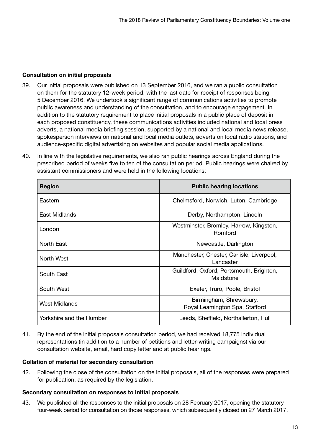#### Consultation on initial proposals

- 39. Our initial proposals were published on 13 September 2016, and we ran a public consultation on them for the statutory 12-week period, with the last date for receipt of responses being 5 December 2016. We undertook a significant range of communications activities to promote public awareness and understanding of the consultation, and to encourage engagement. In addition to the statutory requirement to place initial proposals in a public place of deposit in each proposed constituency, these communications activities included national and local press adverts, a national media briefing session, supported by a national and local media news release, spokesperson interviews on national and local media outlets, adverts on local radio stations, and audience-specific digital advertising on websites and popular social media applications.
- 40. In line with the legislative requirements, we also ran public hearings across England during the prescribed period of weeks five to ten of the consultation period. Public hearings were chaired by assistant commissioners and were held in the following locations:

| <b>Region</b>            | <b>Public hearing locations</b>                           |
|--------------------------|-----------------------------------------------------------|
| Eastern                  | Chelmsford, Norwich, Luton, Cambridge                     |
| East Midlands            | Derby, Northampton, Lincoln                               |
| London                   | Westminster, Bromley, Harrow, Kingston,<br>Romford        |
| North East               | Newcastle, Darlington                                     |
| North West               | Manchester, Chester, Carlisle, Liverpool,<br>Lancaster    |
| South East               | Guildford, Oxford, Portsmouth, Brighton,<br>Maidstone     |
| South West               | Exeter, Truro, Poole, Bristol                             |
| <b>West Midlands</b>     | Birmingham, Shrewsbury,<br>Royal Leamington Spa, Stafford |
| Yorkshire and the Humber | Leeds, Sheffield, Northallerton, Hull                     |

41. By the end of the initial proposals consultation period, we had received 18,775 individual representations (in addition to a number of petitions and letter-writing campaigns) via our consultation website, email, hard copy letter and at public hearings.

#### Collation of material for secondary consultation

42. Following the close of the consultation on the initial proposals, all of the responses were prepared for publication, as required by the legislation.

#### Secondary consultation on responses to initial proposals

43. We published all the responses to the initial proposals on 28 February 2017, opening the statutory four-week period for consultation on those responses, which subsequently closed on 27 March 2017.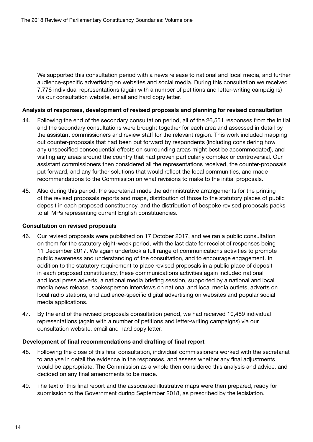We supported this consultation period with a news release to national and local media, and further audience-specific advertising on websites and social media. During this consultation we received 7,776 individual representations (again with a number of petitions and letter-writing campaigns) via our consultation website, email and hard copy letter.

#### Analysis of responses, development of revised proposals and planning for revised consultation

- 44. Following the end of the secondary consultation period, all of the 26,551 responses from the initial and the secondary consultations were brought together for each area and assessed in detail by the assistant commissioners and review staff for the relevant region. This work included mapping out counter-proposals that had been put forward by respondents (including considering how any unspecified consequential effects on surrounding areas might best be accommodated), and visiting any areas around the country that had proven particularly complex or controversial. Our assistant commissioners then considered all the representations received, the counter-proposals put forward, and any further solutions that would reflect the local communities, and made recommendations to the Commission on what revisions to make to the initial proposals.
- 45. Also during this period, the secretariat made the administrative arrangements for the printing of the revised proposals reports and maps, distribution of those to the statutory places of public deposit in each proposed constituency, and the distribution of bespoke revised proposals packs to all MPs representing current English constituencies.

#### Consultation on revised proposals

- 46. Our revised proposals were published on 17 October 2017, and we ran a public consultation on them for the statutory eight-week period, with the last date for receipt of responses being 11 December 2017. We again undertook a full range of communications activities to promote public awareness and understanding of the consultation, and to encourage engagement. In addition to the statutory requirement to place revised proposals in a public place of deposit in each proposed constituency, these communications activities again included national and local press adverts, a national media briefing session, supported by a national and local media news release, spokesperson interviews on national and local media outlets, adverts on local radio stations, and audience-specific digital advertising on websites and popular social media applications.
- 47. By the end of the revised proposals consultation period, we had received 10,489 individual representations (again with a number of petitions and letter-writing campaigns) via our consultation website, email and hard copy letter.

#### Development of final recommendations and drafting of final report

- 48. Following the close of this final consultation, individual commissioners worked with the secretariat to analyse in detail the evidence in the responses, and assess whether any final adjustments would be appropriate. The Commission as a whole then considered this analysis and advice, and decided on any final amendments to be made.
- 49. The text of this final report and the associated illustrative maps were then prepared, ready for submission to the Government during September 2018, as prescribed by the legislation.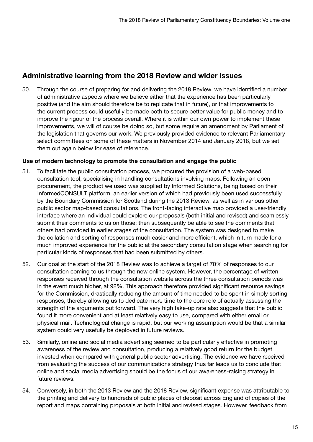### Administrative learning from the 2018 Review and wider issues

50. Through the course of preparing for and delivering the 2018 Review, we have identified a number of administrative aspects where we believe either that the experience has been particularly positive (and the aim should therefore be to replicate that in future), or that improvements to the current process could usefully be made both to secure better value for public money and to improve the rigour of the process overall. Where it is within our own power to implement these improvements, we will of course be doing so, but some require an amendment by Parliament of the legislation that governs our work. We previously provided evidence to relevant Parliamentary select committees on some of these matters in November 2014 and January 2018, but we set them out again below for ease of reference.

#### Use of modern technology to promote the consultation and engage the public

- 51. To facilitate the public consultation process, we procured the provision of a web-based consultation tool, specialising in handling consultations involving maps. Following an open procurement, the product we used was supplied by Informed Solutions, being based on their InformedCONSULT platform, an earlier version of which had previously been used successfully by the Boundary Commission for Scotland during the 2013 Review, as well as in various other public sector map-based consultations. The front-facing interactive map provided a user-friendly interface where an individual could explore our proposals (both initial and revised) and seamlessly submit their comments to us on those; then subsequently be able to see the comments that others had provided in earlier stages of the consultation. The system was designed to make the collation and sorting of responses much easier and more efficient, which in turn made for a much improved experience for the public at the secondary consultation stage when searching for particular kinds of responses that had been submitted by others.
- 52. Our goal at the start of the 2018 Review was to achieve a target of 70% of responses to our consultation coming to us through the new online system. However, the percentage of written responses received through the consultation website across the three consultation periods was in the event much higher, at 92%. This approach therefore provided significant resource savings for the Commission, drastically reducing the amount of time needed to be spent in simply sorting responses, thereby allowing us to dedicate more time to the core role of actually assessing the strength of the arguments put forward. The very high take-up rate also suggests that the public found it more convenient and at least relatively easy to use, compared with either email or physical mail. Technological change is rapid, but our working assumption would be that a similar system could very usefully be deployed in future reviews.
- 53. Similarly, online and social media advertising seemed to be particularly effective in promoting awareness of the review and consultation, producing a relatively good return for the budget invested when compared with general public sector advertising. The evidence we have received from evaluating the success of our communications strategy thus far leads us to conclude that online and social media advertising should be the focus of our awareness-raising strategy in future reviews.
- 54. Conversely, in both the 2013 Review and the 2018 Review, significant expense was attributable to the printing and delivery to hundreds of public places of deposit across England of copies of the report and maps containing proposals at both initial and revised stages. However, feedback from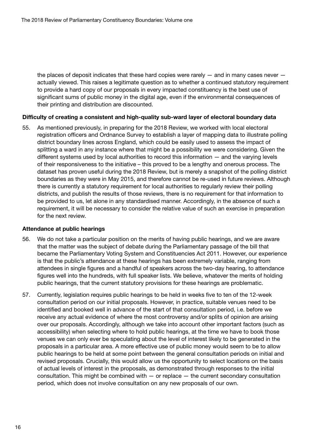the places of deposit indicates that these hard copies were rarely  $-$  and in many cases never  $$ actually viewed. This raises a legitimate question as to whether a continued statutory requirement to provide a hard copy of our proposals in every impacted constituency is the best use of significant sums of public money in the digital age, even if the environmental consequences of their printing and distribution are discounted.

#### Difficulty of creating a consistent and high-quality sub-ward layer of electoral boundary data

55. As mentioned previously, in preparing for the 2018 Review, we worked with local electoral registration officers and Ordnance Survey to establish a layer of mapping data to illustrate polling district boundary lines across England, which could be easily used to assess the impact of splitting a ward in any instance where that might be a possibility we were considering. Given the different systems used by local authorities to record this information — and the varying levels of their responsiveness to the initiative – this proved to be a lengthy and onerous process. The dataset has proven useful during the 2018 Review, but is merely a snapshot of the polling district boundaries as they were in May 2015, and therefore cannot be re-used in future reviews. Although there is currently a statutory requirement for local authorities to regularly review their polling districts, and publish the results of those reviews, there is no requirement for that information to be provided to us, let alone in any standardised manner. Accordingly, in the absence of such a requirement, it will be necessary to consider the relative value of such an exercise in preparation for the next review.

#### Attendance at public hearings

- 56. We do not take a particular position on the merits of having public hearings, and we are aware that the matter was the subject of debate during the Parliamentary passage of the bill that became the Parliamentary Voting System and Constituencies Act 2011. However, our experience is that the public's attendance at these hearings has been extremely variable, ranging from attendees in single figures and a handful of speakers across the two-day hearing, to attendance figures well into the hundreds, with full speaker lists. We believe, whatever the merits of holding public hearings, that the current statutory provisions for these hearings are problematic.
- 57. Currently, legislation requires public hearings to be held in weeks five to ten of the 12-week consultation period on our initial proposals. However, in practice, suitable venues need to be identified and booked well in advance of the start of that consultation period, i.e. before we receive any actual evidence of where the most controversy and/or splits of opinion are arising over our proposals. Accordingly, although we take into account other important factors (such as accessibility) when selecting where to hold public hearings, at the time we have to book those venues we can only ever be speculating about the level of interest likely to be generated in the proposals in a particular area. A more effective use of public money would seem to be to allow public hearings to be held at some point between the general consultation periods on initial and revised proposals. Crucially, this would allow us the opportunity to select locations on the basis of actual levels of interest in the proposals, as demonstrated through responses to the initial consultation. This might be combined with  $-$  or replace  $-$  the current secondary consultation period, which does not involve consultation on any new proposals of our own.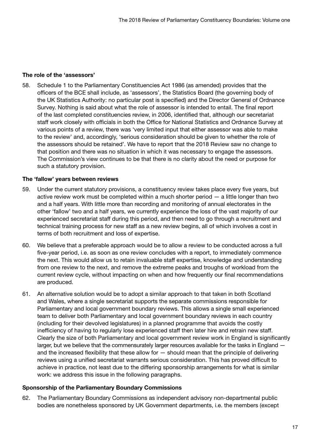#### The role of the 'assessors'

58. Schedule 1 to the Parliamentary Constituencies Act 1986 (as amended) provides that the officers of the BCE shall include, as 'assessors', the Statistics Board (the governing body of the UK Statistics Authority: no particular post is specified) and the Director General of Ordnance Survey. Nothing is said about what the role of assessor is intended to entail. The final report of the last completed constituencies review, in 2006, identified that, although our secretariat staff work closely with officials in both the Office for National Statistics and Ordnance Survey at various points of a review, there was 'very limited input that either assessor was able to make to the review' and, accordingly, 'serious consideration should be given to whether the role of the assessors should be retained'. We have to report that the 2018 Review saw no change to that position and there was no situation in which it was necessary to engage the assessors. The Commission's view continues to be that there is no clarity about the need or purpose for such a statutory provision.

#### The 'fallow' years between reviews

- 59. Under the current statutory provisions, a constituency review takes place every five years, but active review work must be completed within a much shorter period — a little longer than two and a half years. With little more than recording and monitoring of annual electorates in the other 'fallow' two and a half years, we currently experience the loss of the vast majority of our experienced secretariat staff during this period, and then need to go through a recruitment and technical training process for new staff as a new review begins, all of which involves a cost in terms of both recruitment and loss of expertise.
- 60. We believe that a preferable approach would be to allow a review to be conducted across a full five-year period, i.e. as soon as one review concludes with a report, to immediately commence the next. This would allow us to retain invaluable staff expertise, knowledge and understanding from one review to the next, and remove the extreme peaks and troughs of workload from the current review cycle, without impacting on when and how frequently our final recommendations are produced.
- 61. An alternative solution would be to adopt a similar approach to that taken in both Scotland and Wales, where a single secretariat supports the separate commissions responsible for Parliamentary and local government boundary reviews. This allows a single small experienced team to deliver both Parliamentary and local government boundary reviews in each country (including for their devolved legislatures) in a planned programme that avoids the costly inefficiency of having to regularly lose experienced staff then later hire and retrain new staff. Clearly the size of both Parliamentary and local government review work in England is significantly larger, but we believe that the commensurately larger resources available for the tasks in England and the increased flexibility that these allow for — should mean that the principle of delivering reviews using a unified secretariat warrants serious consideration. This has proved difficult to achieve in practice, not least due to the differing sponsorship arrangements for what is similar work: we address this issue in the following paragraphs.

#### Sponsorship of the Parliamentary Boundary Commissions

62. The Parliamentary Boundary Commissions as independent advisory non-departmental public bodies are nonetheless sponsored by UK Government departments, i.e. the members (except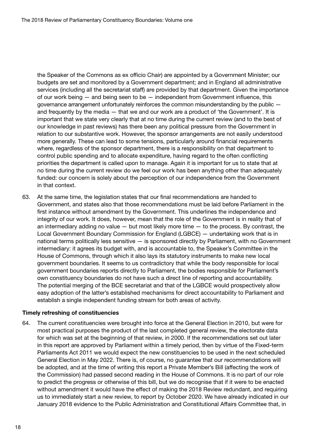the Speaker of the Commons as ex officio Chair) are appointed by a Government Minister; our budgets are set and monitored by a Government department; and in England all administrative services (including all the secretariat staff) are provided by that department. Given the importance of our work being — and being seen to be — independent from Government influence, this governance arrangement unfortunately reinforces the common misunderstanding by the public and frequently by the media — that we and our work are a product of 'the Government'. It is important that we state very clearly that at no time during the current review (and to the best of our knowledge in past reviews) has there been any political pressure from the Government in relation to our substantive work. However, the sponsor arrangements are not easily understood more generally. These can lead to some tensions, particularly around financial requirements where, regardless of the sponsor department, there is a responsibility on that department to control public spending and to allocate expenditure, having regard to the often conflicting priorities the department is called upon to manage. Again it is important for us to state that at no time during the current review do we feel our work has been anything other than adequately funded: our concern is solely about the perception of our independence from the Government in that context.

63. At the same time, the legislation states that our final recommendations are handed to Government, and states also that those recommendations must be laid before Parliament in the first instance without amendment by the Government. This underlines the independence and integrity of our work. It does, however, mean that the role of the Government is in reality that of an intermediary adding no value  $-$  but most likely more time  $-$  to the process. By contrast, the Local Government Boundary Commission for England (LGBCE) — undertaking work that is in national terms politically less sensitive — is sponsored directly by Parliament, with no Government intermediary: it agrees its budget with, and is accountable to, the Speaker's Committee in the House of Commons, through which it also lays its statutory instruments to make new local government boundaries. It seems to us contradictory that while the body responsible for local government boundaries reports directly to Parliament, the bodies responsible for Parliament's own constituency boundaries do not have such a direct line of reporting and accountability. The potential merging of the BCE secretariat and that of the LGBCE would prospectively allow easy adoption of the latter's established mechanisms for direct accountability to Parliament and establish a single independent funding stream for both areas of activity.

#### Timely refreshing of constituencies

64. The current constituencies were brought into force at the General Election in 2010, but were for most practical purposes the product of the last completed general review, the electorate data for which was set at the beginning of that review, in 2000. If the recommendations set out later in this report are approved by Parliament within a timely period, then by virtue of the Fixed-term Parliaments Act 2011 we would expect the new constituencies to be used in the next scheduled General Election in May 2022. There is, of course, no guarantee that our recommendations will be adopted, and at the time of writing this report a Private Member's Bill (affecting the work of the Commission) had passed second reading in the House of Commons. It is no part of our role to predict the progress or otherwise of this bill, but we do recognise that if it were to be enacted without amendment it would have the effect of making the 2018 Review redundant, and requiring us to immediately start a new review, to report by October 2020. We have already indicated in our January 2018 evidence to the Public Administration and Constitutional Affairs Committee that, in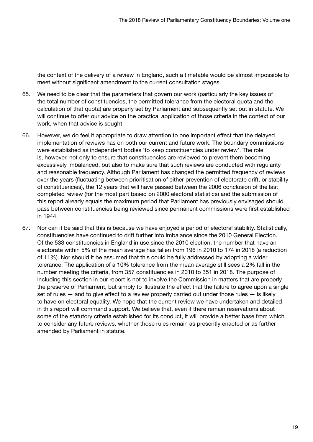the context of the delivery of a review in England, such a timetable would be almost impossible to meet without significant amendment to the current consultation stages.

- 65. We need to be clear that the parameters that govern our work (particularly the key issues of the total number of constituencies, the permitted tolerance from the electoral quota and the calculation of that quota) are properly set by Parliament and subsequently set out in statute. We will continue to offer our advice on the practical application of those criteria in the context of our work, when that advice is sought.
- 66. However, we do feel it appropriate to draw attention to one important effect that the delayed implementation of reviews has on both our current and future work. The boundary commissions were established as independent bodies 'to keep constituencies under review'. The role is, however, not only to ensure that constituencies are reviewed to prevent them becoming excessively imbalanced, but also to make sure that such reviews are conducted with regularity and reasonable frequency. Although Parliament has changed the permitted frequency of reviews over the years (fluctuating between prioritisation of either prevention of electorate drift, or stability of constituencies), the 12 years that will have passed between the 2006 conclusion of the last completed review (for the most part based on 2000 electoral statistics) and the submission of this report already equals the maximum period that Parliament has previously envisaged should pass between constituencies being reviewed since permanent commissions were first established in 1944.
- 67. Nor can it be said that this is because we have enjoyed a period of electoral stability. Statistically, constituencies have continued to drift further into imbalance since the 2010 General Election. Of the 533 constituencies in England in use since the 2010 election, the number that have an electorate within 5% of the mean average has fallen from 196 in 2010 to 174 in 2018 (a reduction of 11%). Nor should it be assumed that this could be fully addressed by adopting a wider tolerance. The application of a 10% tolerance from the mean average still sees a 2% fall in the number meeting the criteria, from 357 constituencies in 2010 to 351 in 2018. The purpose of including this section in our report is not to involve the Commission in matters that are properly the preserve of Parliament, but simply to illustrate the effect that the failure to agree upon a single set of rules — and to give effect to a review properly carried out under those rules — is likely to have on electoral equality. We hope that the current review we have undertaken and detailed in this report will command support. We believe that, even if there remain reservations about some of the statutory criteria established for its conduct, it will provide a better base from which to consider any future reviews, whether those rules remain as presently enacted or as further amended by Parliament in statute.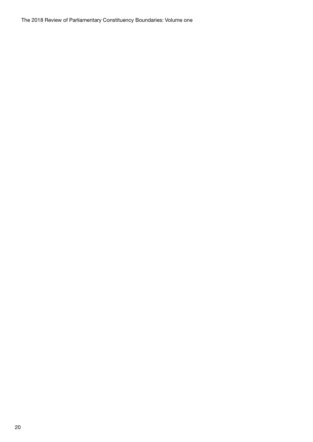The 2018 Review of Parliamentary Constituency Boundaries: Volume one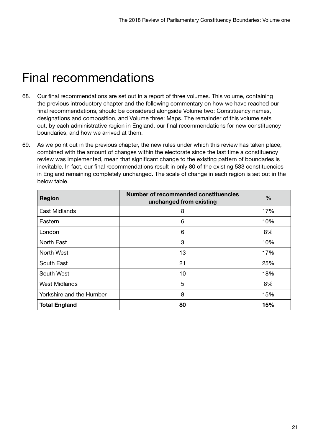# <span id="page-23-0"></span>Final recommendations

- 68. Our final recommendations are set out in a report of three volumes. This volume, containing the previous introductory chapter and the following commentary on how we have reached our final recommendations, should be considered alongside Volume two: Constituency names, designations and composition, and Volume three: Maps. The remainder of this volume sets out, by each administrative region in England, our final recommendations for new constituency boundaries, and how we arrived at them.
- 69. As we point out in the previous chapter, the new rules under which this review has taken place, combined with the amount of changes within the electorate since the last time a constituency review was implemented, mean that significant change to the existing pattern of boundaries is inevitable. In fact, our final recommendations result in only 80 of the existing 533 constituencies in England remaining completely unchanged. The scale of change in each region is set out in the below table.

| Region                   | <b>Number of recommended constituencies</b><br>unchanged from existing | $\frac{0}{0}$ |
|--------------------------|------------------------------------------------------------------------|---------------|
| <b>East Midlands</b>     | 8                                                                      | 17%           |
| Eastern                  | 6                                                                      | 10%           |
| London                   | 6                                                                      | 8%            |
| North East               | 3                                                                      | 10%           |
| North West               | 13                                                                     | 17%           |
| South East               | 21                                                                     | 25%           |
| South West               | 10                                                                     | 18%           |
| <b>West Midlands</b>     | 5                                                                      | 8%            |
| Yorkshire and the Humber | 8                                                                      | 15%           |
| <b>Total England</b>     | 80                                                                     | 15%           |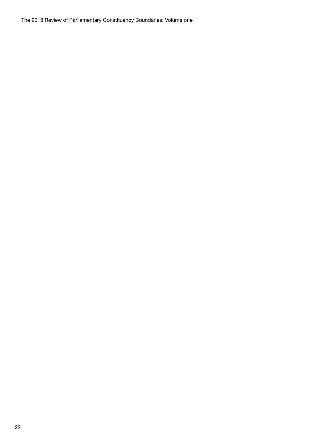The 2018 Review of Parliamentary Constituency Boundaries: Volume one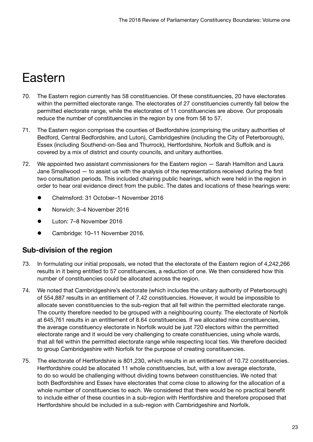# <span id="page-25-0"></span>Eastern

- 70. The Eastern region currently has 58 constituencies. Of these constituencies, 20 have electorates within the permitted electorate range. The electorates of 27 constituencies currently fall below the permitted electorate range, while the electorates of 11 constituencies are above. Our proposals reduce the number of constituencies in the region by one from 58 to 57.
- 71. The Eastern region comprises the counties of Bedfordshire (comprising the unitary authorities of Bedford, Central Bedfordshire, and Luton), Cambridgeshire (including the City of Peterborough), Essex (including Southend-on-Sea and Thurrock), Hertfordshire, Norfolk and Suffolk and is covered by a mix of district and county councils, and unitary authorities.
- 72. We appointed two assistant commissioners for the Eastern region Sarah Hamilton and Laura Jane Smallwood — to assist us with the analysis of the representations received during the first two consultation periods. This included chairing public hearings, which were held in the region in order to hear oral evidence direct from the public. The dates and locations of these hearings were:
	- z Chelmsford: 31 October–1 November 2016
	- Norwich: 3–4 November 2016
	- Luton: 7–8 November 2016
	- Cambridge: 10-11 November 2016.

### Sub-division of the region

- 73. In formulating our initial proposals, we noted that the electorate of the Eastern region of 4,242,266 results in it being entitled to 57 constituencies, a reduction of one. We then considered how this number of constituencies could be allocated across the region.
- 74. We noted that Cambridgeshire's electorate (which includes the unitary authority of Peterborough) of 554,887 results in an entitlement of 7.42 constituencies. However, it would be impossible to allocate seven constituencies to the sub-region that all fell within the permitted electorate range. The county therefore needed to be grouped with a neighbouring county. The electorate of Norfolk at 645,761 results in an entitlement of 8.64 constituencies. If we allocated nine constituencies, the average constituency electorate in Norfolk would be just 720 electors within the permitted electorate range and it would be very challenging to create constituencies, using whole wards, that all fell within the permitted electorate range while respecting local ties. We therefore decided to group Cambridgeshire with Norfolk for the purpose of creating constituencies.
- 75. The electorate of Hertfordshire is 801,230, which results in an entitlement of 10.72 constituencies. Hertfordshire could be allocated 11 whole constituencies, but, with a low average electorate, to do so would be challenging without dividing towns between constituencies. We noted that both Bedfordshire and Essex have electorates that come close to allowing for the allocation of a whole number of constituencies to each. We considered that there would be no practical benefit to include either of these counties in a sub-region with Hertfordshire and therefore proposed that Hertfordshire should be included in a sub-region with Cambridgeshire and Norfolk.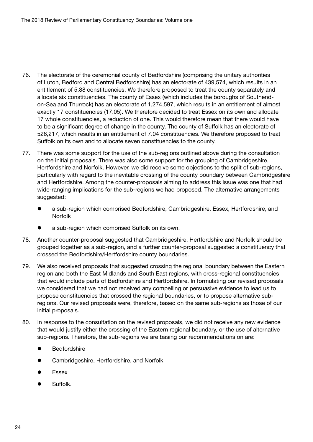- 76. The electorate of the ceremonial county of Bedfordshire (comprising the unitary authorities of Luton, Bedford and Central Bedfordshire) has an electorate of 439,574, which results in an entitlement of 5.88 constituencies. We therefore proposed to treat the county separately and allocate six constituencies. The county of Essex (which includes the boroughs of Southendon-Sea and Thurrock) has an electorate of 1,274,597, which results in an entitlement of almost exactly 17 constituencies (17.05). We therefore decided to treat Essex on its own and allocate 17 whole constituencies, a reduction of one. This would therefore mean that there would have to be a significant degree of change in the county. The county of Suffolk has an electorate of 526,217, which results in an entitlement of 7.04 constituencies. We therefore proposed to treat Suffolk on its own and to allocate seven constituencies to the county.
- 77. There was some support for the use of the sub-regions outlined above during the consultation on the initial proposals. There was also some support for the grouping of Cambridgeshire, Hertfordshire and Norfolk. However, we did receive some objections to the split of sub-regions, particularly with regard to the inevitable crossing of the county boundary between Cambridgeshire and Hertfordshire. Among the counter-proposals aiming to address this issue was one that had wide-ranging implications for the sub-regions we had proposed. The alternative arrangements suggested:
	- a sub-region which comprised Bedfordshire, Cambridgeshire, Essex, Hertfordshire, and Norfolk
	- a sub-region which comprised Suffolk on its own.
- 78. Another counter-proposal suggested that Cambridgeshire, Hertfordshire and Norfolk should be grouped together as a sub-region, and a further counter-proposal suggested a constituency that crossed the Bedfordshire/Hertfordshire county boundaries.
- 79. We also received proposals that suggested crossing the regional boundary between the Eastern region and both the East Midlands and South East regions, with cross-regional constituencies that would include parts of Bedfordshire and Hertfordshire. In formulating our revised proposals we considered that we had not received any compelling or persuasive evidence to lead us to propose constituencies that crossed the regional boundaries, or to propose alternative subregions. Our revised proposals were, therefore, based on the same sub-regions as those of our initial proposals.
- 80. In response to the consultation on the revised proposals, we did not receive any new evidence that would justify either the crossing of the Eastern regional boundary, or the use of alternative sub-regions. Therefore, the sub-regions we are basing our recommendations on are:
	- **Bedfordshire**
	- Cambridgeshire, Hertfordshire, and Norfolk
	- **Essex**
	- Suffolk.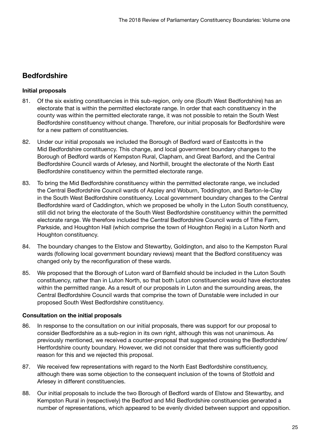## **Bedfordshire**

#### Initial proposals

- 81. Of the six existing constituencies in this sub-region, only one (South West Bedfordshire) has an electorate that is within the permitted electorate range. In order that each constituency in the county was within the permitted electorate range, it was not possible to retain the South West Bedfordshire constituency without change. Therefore, our initial proposals for Bedfordshire were for a new pattern of constituencies.
- 82. Under our initial proposals we included the Borough of Bedford ward of Eastcotts in the Mid Bedfordshire constituency. This change, and local government boundary changes to the Borough of Bedford wards of Kempston Rural, Clapham, and Great Barford, and the Central Bedfordshire Council wards of Arlesey, and Northill, brought the electorate of the North East Bedfordshire constituency within the permitted electorate range.
- 83. To bring the Mid Bedfordshire constituency within the permitted electorate range, we included the Central Bedfordshire Council wards of Aspley and Woburn, Toddington, and Barton-le-Clay in the South West Bedfordshire constituency. Local government boundary changes to the Central Bedfordshire ward of Caddington, which we proposed be wholly in the Luton South constituency, still did not bring the electorate of the South West Bedfordshire constituency within the permitted electorate range. We therefore included the Central Bedfordshire Council wards of Tithe Farm, Parkside, and Houghton Hall (which comprise the town of Houghton Regis) in a Luton North and Houghton constituency.
- 84. The boundary changes to the Elstow and Stewartby, Goldington, and also to the Kempston Rural wards (following local government boundary reviews) meant that the Bedford constituency was changed only by the reconfiguration of these wards.
- 85. We proposed that the Borough of Luton ward of Barnfield should be included in the Luton South constituency, rather than in Luton North, so that both Luton constituencies would have electorates within the permitted range. As a result of our proposals in Luton and the surrounding areas, the Central Bedfordshire Council wards that comprise the town of Dunstable were included in our proposed South West Bedfordshire constituency.

#### Consultation on the initial proposals

- 86. In response to the consultation on our initial proposals, there was support for our proposal to consider Bedfordshire as a sub-region in its own right, although this was not unanimous. As previously mentioned, we received a counter-proposal that suggested crossing the Bedfordshire/ Hertfordshire county boundary. However, we did not consider that there was sufficiently good reason for this and we rejected this proposal.
- 87. We received few representations with regard to the North East Bedfordshire constituency, although there was some objection to the consequent inclusion of the towns of Stotfold and Arlesey in different constituencies.
- 88. Our initial proposals to include the two Borough of Bedford wards of Elstow and Stewartby, and Kempston Rural in (respectively) the Bedford and Mid Bedfordshire constituencies generated a number of representations, which appeared to be evenly divided between support and opposition.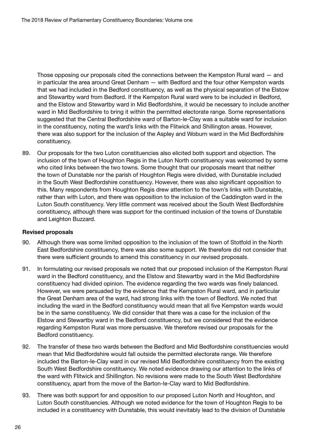Those opposing our proposals cited the connections between the Kempston Rural ward — and in particular the area around Great Denham — with Bedford and the four other Kempston wards that we had included in the Bedford constituency, as well as the physical separation of the Elstow and Stewartby ward from Bedford. If the Kempston Rural ward were to be included in Bedford, and the Elstow and Stewartby ward in Mid Bedfordshire, it would be necessary to include another ward in Mid Bedfordshire to bring it within the permitted electorate range. Some representations suggested that the Central Bedfordshire ward of Barton-le-Clay was a suitable ward for inclusion in the constituency, noting the ward's links with the Flitwick and Shillington areas. However, there was also support for the inclusion of the Aspley and Woburn ward in the Mid Bedfordshire constituency.

89. Our proposals for the two Luton constituencies also elicited both support and objection. The inclusion of the town of Houghton Regis in the Luton North constituency was welcomed by some who cited links between the two towns. Some thought that our proposals meant that neither the town of Dunstable nor the parish of Houghton Regis were divided, with Dunstable included in the South West Bedfordshire constituency. However, there was also significant opposition to this. Many respondents from Houghton Regis drew attention to the town's links with Dunstable, rather than with Luton, and there was opposition to the inclusion of the Caddington ward in the Luton South constituency. Very little comment was received about the South West Bedfordshire constituency, although there was support for the continued inclusion of the towns of Dunstable and Leighton Buzzard.

#### Revised proposals

- 90. Although there was some limited opposition to the inclusion of the town of Stotfold in the North East Bedfordshire constituency, there was also some support. We therefore did not consider that there were sufficient grounds to amend this constituency in our revised proposals.
- 91. In formulating our revised proposals we noted that our proposed inclusion of the Kempston Rural ward in the Bedford constituency, and the Elstow and Stewartby ward in the Mid Bedfordshire constituency had divided opinion. The evidence regarding the two wards was finely balanced. However, we were persuaded by the evidence that the Kempston Rural ward, and in particular the Great Denham area of the ward, had strong links with the town of Bedford. We noted that including the ward in the Bedford constituency would mean that all five Kempston wards would be in the same constituency. We did consider that there was a case for the inclusion of the Elstow and Stewartby ward in the Bedford constituency, but we considered that the evidence regarding Kempston Rural was more persuasive. We therefore revised our proposals for the Bedford constituency.
- 92. The transfer of these two wards between the Bedford and Mid Bedfordshire constituencies would mean that Mid Bedfordshire would fall outside the permitted electorate range. We therefore included the Barton-le-Clay ward in our revised Mid Bedfordshire constituency from the existing South West Bedfordshire constituency. We noted evidence drawing our attention to the links of the ward with Flitwick and Shillington. No revisions were made to the South West Bedfordshire constituency, apart from the move of the Barton-le-Clay ward to Mid Bedfordshire.
- 93. There was both support for and opposition to our proposed Luton North and Houghton, and Luton South constituencies. Although we noted evidence for the town of Houghton Regis to be included in a constituency with Dunstable, this would inevitably lead to the division of Dunstable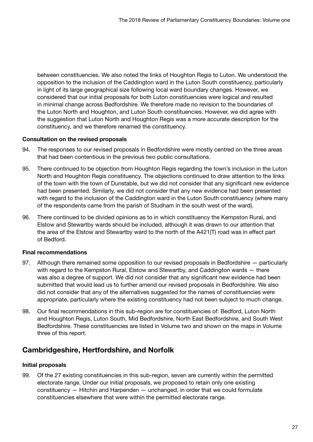between constituencies. We also noted the links of Houghton Regis to Luton. We understood the opposition to the inclusion of the Caddington ward in the Luton South constituency, particularly in light of its large geographical size following local ward boundary changes. However, we considered that our initial proposals for both Luton constituencies were logical and resulted in minimal change across Bedfordshire. We therefore made no revision to the boundaries of the Luton North and Houghton, and Luton South constituencies. However, we did agree with the suggestion that Luton North and Houghton Regis was a more accurate description for the constituency, and we therefore renamed the constituency.

#### Consultation on the revised proposals

- 94. The responses to our revised proposals in Bedfordshire were mostly centred on the three areas that had been contentious in the previous two public consultations.
- 95. There continued to be objection from Houghton Regis regarding the town's inclusion in the Luton North and Houghton Regis constituency. The objections continued to draw attention to the links of the town with the town of Dunstable, but we did not consider that any significant new evidence had been presented. Similarly, we did not consider that any new evidence had been presented with regard to the inclusion of the Caddington ward in the Luton South constituency (where many of the respondents came from the parish of Studham in the south west of the ward).
- 96. There continued to be divided opinions as to in which constituency the Kempston Rural, and Elstow and Stewartby wards should be included, although it was drawn to our attention that the area of the Elstow and Stewartby ward to the north of the A421(T) road was in effect part of Bedford.

#### Final recommendations

- 97. Although there remained some opposition to our revised proposals in Bedfordshire particularly with regard to the Kempston Rural, Elstow and Stewartby, and Caddington wards — there was also a degree of support. We did not consider that any significant new evidence had been submitted that would lead us to further amend our revised proposals in Bedfordshire. We also did not consider that any of the alternatives suggested for the names of constituencies were appropriate, particularly where the existing constituency had not been subject to much change.
- 98. Our final recommendations in this sub-region are for constituencies of: Bedford, Luton North and Houghton Regis, Luton South, Mid Bedfordshire, North East Bedfordshire, and South West Bedfordshire. These constituencies are listed in Volume two and shown on the maps in Volume three of this report.

### Cambridgeshire, Hertfordshire, and Norfolk

#### Initial proposals

99. Of the 27 existing constituencies in this sub-region, seven are currently within the permitted electorate range. Under our initial proposals, we proposed to retain only one existing constituency — Hitchin and Harpenden — unchanged, in order that we could formulate constituencies elsewhere that were within the permitted electorate range.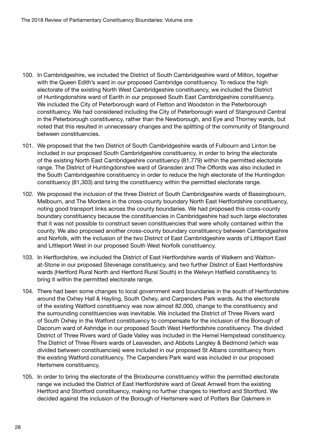- 100. In Cambridgeshire, we included the District of South Cambridgeshire ward of Milton, together with the Queen Edith's ward in our proposed Cambridge constituency. To reduce the high electorate of the existing North West Cambridgeshire constituency, we included the District of Huntingdonshire ward of Earith in our proposed South East Cambridgeshire constituency. We included the City of Peterborough ward of Fletton and Woodston in the Peterborough constituency. We had considered including the City of Peterborough ward of Stanground Central in the Peterborough constituency, rather than the Newborough, and Eye and Thorney wards, but noted that this resulted in unnecessary changes and the splitting of the community of Stanground between constituencies.
- 101. We proposed that the two District of South Cambridgeshire wards of Fulbourn and Linton be included in our proposed South Cambridgeshire constituency, in order to bring the electorate of the existing North East Cambridgeshire constituency (81,779) within the permitted electorate range. The District of Huntingdonshire ward of Gransden and The Offords was also included in the South Cambridgeshire constituency in order to reduce the high electorate of the Huntingdon constituency (81,303) and bring the constituency within the permitted electorate range.
- 102. We proposed the inclusion of the three District of South Cambridgeshire wards of Bassingbourn, Melbourn, and The Mordens in the cross-county boundary North East Hertfordshire constituency, noting good transport links across the county boundaries. We had proposed this cross-county boundary constituency because the constituencies in Cambridgeshire had such large electorates that it was not possible to construct seven constituencies that were wholly contained within the county. We also proposed another cross-county boundary constituency between Cambridgeshire and Norfolk, with the inclusion of the two District of East Cambridgeshire wards of Littleport East and Littleport West in our proposed South West Norfolk constituency.
- 103. In Hertfordshire, we included the District of East Hertfordshire wards of Walkern and Wattonat-Stone in our proposed Stevenage constituency, and two further District of East Hertfordshire wards (Hertford Rural North and Hertford Rural South) in the Welwyn Hatfield constituency to bring it within the permitted electorate range.
- 104. There had been some changes to local government ward boundaries in the south of Hertfordshire around the Oxhey Hall & Hayling, South Oxhey, and Carpenders Park wards. As the electorate of the existing Watford constituency was now almost 82,000, change to the constituency and the surrounding constituencies was inevitable. We included the District of Three Rivers ward of South Oxhey in the Watford constituency to compensate for the inclusion of the Borough of Dacorum ward of Ashridge in our proposed South West Hertfordshire constituency. The divided District of Three Rivers ward of Gade Valley was included in the Hemel Hempstead constituency. The District of Three Rivers wards of Leavesden, and Abbots Langley & Bedmond (which was divided between constituencies) were included in our proposed St Albans constituency from the existing Watford constituency. The Carpenders Park ward was included in our proposed Hertsmere constituency.
- 105. In order to bring the electorate of the Broxbourne constituency within the permitted electorate range we included the District of East Hertfordshire ward of Great Amwell from the existing Hertford and Stortford constituency, making no further changes to Hertford and Stortford. We decided against the inclusion of the Borough of Hertsmere ward of Potters Bar Oakmere in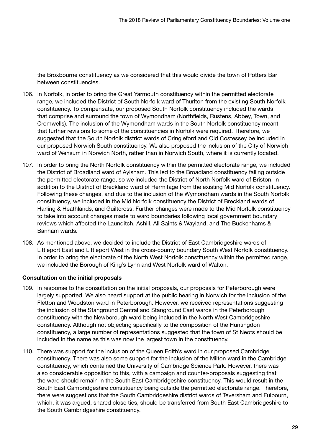the Broxbourne constituency as we considered that this would divide the town of Potters Bar between constituencies.

- 106. In Norfolk, in order to bring the Great Yarmouth constituency within the permitted electorate range, we included the District of South Norfolk ward of Thurlton from the existing South Norfolk constituency. To compensate, our proposed South Norfolk constituency included the wards that comprise and surround the town of Wymondham (Northfields, Rustens, Abbey, Town, and Cromwells). The inclusion of the Wymondham wards in the South Norfolk constituency meant that further revisions to some of the constituencies in Norfolk were required. Therefore, we suggested that the South Norfolk district wards of Cringleford and Old Costessey be included in our proposed Norwich South constituency. We also proposed the inclusion of the City of Norwich ward of Wensum in Norwich North, rather than in Norwich South, where it is currently located.
- 107. In order to bring the North Norfolk constituency within the permitted electorate range, we included the District of Broadland ward of Aylsham. This led to the Broadland constituency falling outside the permitted electorate range, so we included the District of North Norfolk ward of Briston, in addition to the District of Breckland ward of Hermitage from the existing Mid Norfolk constituency. Following these changes, and due to the inclusion of the Wymondham wards in the South Norfolk constituency, we included in the Mid Norfolk constituency the District of Breckland wards of Harling & Heathlands, and Guiltcross. Further changes were made to the Mid Norfolk constituency to take into account changes made to ward boundaries following local government boundary reviews which affected the Launditch, Ashill, All Saints & Wayland, and The Buckenhams & Banham wards.
- 108. As mentioned above, we decided to include the District of East Cambridgeshire wards of Littleport East and Littleport West in the cross-county boundary South West Norfolk constituency. In order to bring the electorate of the North West Norfolk constituency within the permitted range, we included the Borough of King's Lynn and West Norfolk ward of Walton.

#### Consultation on the initial proposals

- 109. In response to the consultation on the initial proposals, our proposals for Peterborough were largely supported. We also heard support at the public hearing in Norwich for the inclusion of the Fletton and Woodston ward in Peterborough. However, we received representations suggesting the inclusion of the Stanground Central and Stanground East wards in the Peterborough constituency with the Newborough ward being included in the North West Cambridgeshire constituency. Although not objecting specifically to the composition of the Huntingdon constituency, a large number of representations suggested that the town of St Neots should be included in the name as this was now the largest town in the constituency.
- 110. There was support for the inclusion of the Queen Edith's ward in our proposed Cambridge constituency. There was also some support for the inclusion of the Milton ward in the Cambridge constituency, which contained the University of Cambridge Science Park. However, there was also considerable opposition to this, with a campaign and counter-proposals suggesting that the ward should remain in the South East Cambridgeshire constituency. This would result in the South East Cambridgeshire constituency being outside the permitted electorate range. Therefore, there were suggestions that the South Cambridgeshire district wards of Teversham and Fulbourn, which, it was argued, shared close ties, should be transferred from South East Cambridgeshire to the South Cambridgeshire constituency.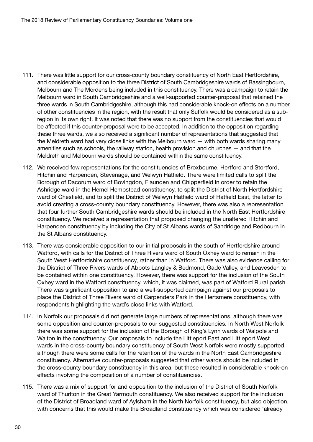- 111. There was little support for our cross-county boundary constituency of North East Hertfordshire, and considerable opposition to the three District of South Cambridgeshire wards of Bassingbourn, Melbourn and The Mordens being included in this constituency. There was a campaign to retain the Melbourn ward in South Cambridgeshire and a well-supported counter-proposal that retained the three wards in South Cambridgeshire, although this had considerable knock-on effects on a number of other constituencies in the region, with the result that only Suffolk would be considered as a subregion in its own right. It was noted that there was no support from the constituencies that would be affected if this counter-proposal were to be accepted. In addition to the opposition regarding these three wards, we also received a significant number of representations that suggested that the Meldreth ward had very close links with the Melbourn ward — with both wards sharing many amenities such as schools, the railway station, health provision and churches — and that the Meldreth and Melbourn wards should be contained within the same constituency.
- 112. We received few representations for the constituencies of Broxbourne, Hertford and Stortford, Hitchin and Harpenden, Stevenage, and Welwyn Hatfield. There were limited calls to split the Borough of Dacorum ward of Bovingdon, Flaunden and Chipperfield in order to retain the Ashridge ward in the Hemel Hempstead constituency, to split the District of North Hertfordshire ward of Chesfield, and to split the District of Welwyn Hatfield ward of Hatfield East, the latter to avoid creating a cross-county boundary constituency. However, there was also a representation that four further South Cambridgeshire wards should be included in the North East Hertfordshire constituency. We received a representation that proposed changing the unaltered Hitchin and Harpenden constituency by including the City of St Albans wards of Sandridge and Redbourn in the St Albans constituency.
- 113. There was considerable opposition to our initial proposals in the south of Hertfordshire around Watford, with calls for the District of Three Rivers ward of South Oxhey ward to remain in the South West Hertfordshire constituency, rather than in Watford. There was also evidence calling for the District of Three Rivers wards of Abbots Langley & Bedmond, Gade Valley, and Leavesden to be contained within one constituency. However, there was support for the inclusion of the South Oxhey ward in the Watford constituency, which, it was claimed, was part of Watford Rural parish. There was significant opposition to and a well-supported campaign against our proposals to place the District of Three Rivers ward of Carpenders Park in the Hertsmere constituency, with respondents highlighting the ward's close links with Watford.
- 114. In Norfolk our proposals did not generate large numbers of representations, although there was some opposition and counter-proposals to our suggested constituencies. In North West Norfolk there was some support for the inclusion of the Borough of King's Lynn wards of Walpole and Walton in the constituency. Our proposals to include the Littleport East and Littleport West wards in the cross-county boundary constituency of South West Norfolk were mostly supported, although there were some calls for the retention of the wards in the North East Cambridgeshire constituency. Alternative counter-proposals suggested that other wards should be included in the cross-county boundary constituency in this area, but these resulted in considerable knock-on effects involving the composition of a number of constituencies.
- 115. There was a mix of support for and opposition to the inclusion of the District of South Norfolk ward of Thurlton in the Great Yarmouth constituency. We also received support for the inclusion of the District of Broadland ward of Aylsham in the North Norfolk constituency, but also objection, with concerns that this would make the Broadland constituency which was considered 'already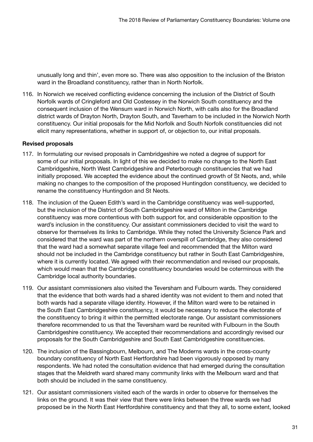unusually long and thin', even more so. There was also opposition to the inclusion of the Briston ward in the Broadland constituency, rather than in North Norfolk.

116. In Norwich we received conflicting evidence concerning the inclusion of the District of South Norfolk wards of Cringleford and Old Costessey in the Norwich South constituency and the consequent inclusion of the Wensum ward in Norwich North, with calls also for the Broadland district wards of Drayton North, Drayton South, and Taverham to be included in the Norwich North constituency. Our initial proposals for the Mid Norfolk and South Norfolk constituencies did not elicit many representations, whether in support of, or objection to, our initial proposals.

#### Revised proposals

- 117. In formulating our revised proposals in Cambridgeshire we noted a degree of support for some of our initial proposals. In light of this we decided to make no change to the North East Cambridgeshire, North West Cambridgeshire and Peterborough constituencies that we had initially proposed. We accepted the evidence about the continued growth of St Neots, and, while making no changes to the composition of the proposed Huntingdon constituency, we decided to rename the constituency Huntingdon and St Neots.
- 118. The inclusion of the Queen Edith's ward in the Cambridge constituency was well-supported, but the inclusion of the District of South Cambridgeshire ward of Milton in the Cambridge constituency was more contentious with both support for, and considerable opposition to the ward's inclusion in the constituency. Our assistant commissioners decided to visit the ward to observe for themselves its links to Cambridge. While they noted the University Science Park and considered that the ward was part of the northern overspill of Cambridge, they also considered that the ward had a somewhat separate village feel and recommended that the Milton ward should not be included in the Cambridge constituency but rather in South East Cambridgeshire, where it is currently located. We agreed with their recommendation and revised our proposals, which would mean that the Cambridge constituency boundaries would be coterminous with the Cambridge local authority boundaries.
- 119. Our assistant commissioners also visited the Teversham and Fulbourn wards. They considered that the evidence that both wards had a shared identity was not evident to them and noted that both wards had a separate village identity. However, if the Milton ward were to be retained in the South East Cambridgeshire constituency, it would be necessary to reduce the electorate of the constituency to bring it within the permitted electorate range. Our assistant commissioners therefore recommended to us that the Teversham ward be reunited with Fulbourn in the South Cambridgeshire constituency. We accepted their recommendations and accordingly revised our proposals for the South Cambridgeshire and South East Cambridgeshire constituencies.
- 120. The inclusion of the Bassingbourn, Melbourn, and The Moderns wards in the cross-county boundary constituency of North East Hertfordshire had been vigorously opposed by many respondents. We had noted the consultation evidence that had emerged during the consultation stages that the Meldreth ward shared many community links with the Melbourn ward and that both should be included in the same constituency.
- 121. Our assistant commissioners visited each of the wards in order to observe for themselves the links on the ground. It was their view that there were links between the three wards we had proposed be in the North East Hertfordshire constituency and that they all, to some extent, looked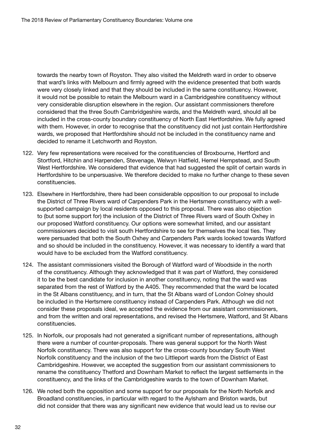towards the nearby town of Royston. They also visited the Meldreth ward in order to observe that ward's links with Melbourn and firmly agreed with the evidence presented that both wards were very closely linked and that they should be included in the same constituency. However, it would not be possible to retain the Melbourn ward in a Cambridgeshire constituency without very considerable disruption elsewhere in the region. Our assistant commissioners therefore considered that the three South Cambridgeshire wards, and the Meldreth ward, should all be included in the cross-county boundary constituency of North East Hertfordshire. We fully agreed with them. However, in order to recognise that the constituency did not just contain Hertfordshire wards, we proposed that Hertfordshire should not be included in the constituency name and decided to rename it Letchworth and Royston.

- 122. Very few representations were received for the constituencies of Broxbourne, Hertford and Stortford, Hitchin and Harpenden, Stevenage, Welwyn Hatfield, Hemel Hempstead, and South West Hertfordshire. We considered that evidence that had suggested the split of certain wards in Hertfordshire to be unpersuasive. We therefore decided to make no further change to these seven constituencies.
- 123. Elsewhere in Hertfordshire, there had been considerable opposition to our proposal to include the District of Three Rivers ward of Carpenders Park in the Hertsmere constituency with a wellsupported campaign by local residents opposed to this proposal. There was also objection to (but some support for) the inclusion of the District of Three Rivers ward of South Oxhey in our proposed Watford constituency. Our options were somewhat limited, and our assistant commissioners decided to visit south Hertfordshire to see for themselves the local ties. They were persuaded that both the South Oxhey and Carpenders Park wards looked towards Watford and so should be included in the constituency. However, it was necessary to identify a ward that would have to be excluded from the Watford constituency.
- 124. The assistant commissioners visited the Borough of Watford ward of Woodside in the north of the constituency. Although they acknowledged that it was part of Watford, they considered it to be the best candidate for inclusion in another constituency, noting that the ward was separated from the rest of Watford by the A405. They recommended that the ward be located in the St Albans constituency, and in turn, that the St Albans ward of London Colney should be included in the Hertsmere constituency instead of Carpenders Park. Although we did not consider these proposals ideal, we accepted the evidence from our assistant commissioners, and from the written and oral representations, and revised the Hertsmere, Watford, and St Albans constituencies.
- 125. In Norfolk, our proposals had not generated a significant number of representations, although there were a number of counter-proposals. There was general support for the North West Norfolk constituency. There was also support for the cross-county boundary South West Norfolk constituency and the inclusion of the two Littleport wards from the District of East Cambridgeshire. However, we accepted the suggestion from our assistant commissioners to rename the constituency Thetford and Downham Market to reflect the largest settlements in the constituency, and the links of the Cambridgeshire wards to the town of Downham Market.
- 126. We noted both the opposition and some support for our proposals for the North Norfolk and Broadland constituencies, in particular with regard to the Aylsham and Briston wards, but did not consider that there was any significant new evidence that would lead us to revise our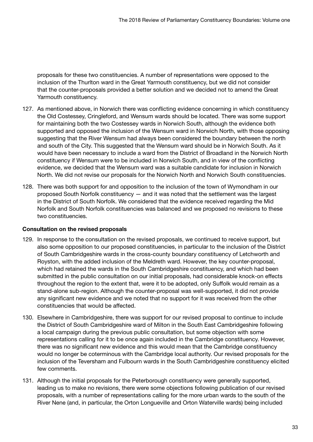proposals for these two constituencies. A number of representations were opposed to the inclusion of the Thurlton ward in the Great Yarmouth constituency, but we did not consider that the counter-proposals provided a better solution and we decided not to amend the Great Yarmouth constituency.

- 127. As mentioned above, in Norwich there was conflicting evidence concerning in which constituency the Old Costessey, Cringleford, and Wensum wards should be located. There was some support for maintaining both the two Costessey wards in Norwich South, although the evidence both supported and opposed the inclusion of the Wensum ward in Norwich North, with those opposing suggesting that the River Wensum had always been considered the boundary between the north and south of the City. This suggested that the Wensum ward should be in Norwich South. As it would have been necessary to include a ward from the District of Broadland in the Norwich North constituency if Wensum were to be included in Norwich South, and in view of the conflicting evidence, we decided that the Wensum ward was a suitable candidate for inclusion in Norwich North. We did not revise our proposals for the Norwich North and Norwich South constituencies.
- 128. There was both support for and opposition to the inclusion of the town of Wymondham in our proposed South Norfolk constituency — and it was noted that the settlement was the largest in the District of South Norfolk. We considered that the evidence received regarding the Mid Norfolk and South Norfolk constituencies was balanced and we proposed no revisions to these two constituencies.

#### Consultation on the revised proposals

- 129. In response to the consultation on the revised proposals, we continued to receive support, but also some opposition to our proposed constituencies, in particular to the inclusion of the District of South Cambridgeshire wards in the cross-county boundary constituency of Letchworth and Royston, with the added inclusion of the Meldreth ward. However, the key counter-proposal, which had retained the wards in the South Cambridgeshire constituency, and which had been submitted in the public consultation on our initial proposals, had considerable knock-on effects throughout the region to the extent that, were it to be adopted, only Suffolk would remain as a stand-alone sub-region. Although the counter-proposal was well-supported, it did not provide any significant new evidence and we noted that no support for it was received from the other constituencies that would be affected.
- 130. Elsewhere in Cambridgeshire, there was support for our revised proposal to continue to include the District of South Cambridgeshire ward of Milton in the South East Cambridgeshire following a local campaign during the previous public consultation, but some objection with some representations calling for it to be once again included in the Cambridge constituency. However, there was no significant new evidence and this would mean that the Cambridge constituency would no longer be coterminous with the Cambridge local authority. Our revised proposals for the inclusion of the Teversham and Fulbourn wards in the South Cambridgeshire constituency elicited few comments.
- 131. Although the initial proposals for the Peterborough constituency were generally supported, leading us to make no revisions, there were some objections following publication of our revised proposals, with a number of representations calling for the more urban wards to the south of the River Nene (and, in particular, the Orton Longueville and Orton Waterville wards) being included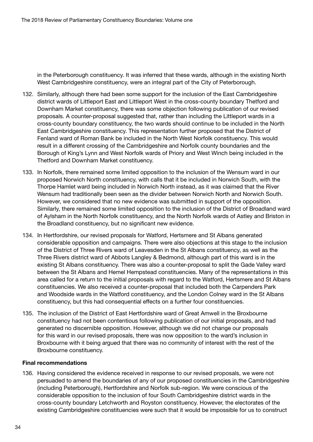in the Peterborough constituency. It was inferred that these wards, although in the existing North West Cambridgeshire constituency, were an integral part of the City of Peterborough.

- 132. Similarly, although there had been some support for the inclusion of the East Cambridgeshire district wards of Littleport East and Littleport West in the cross-county boundary Thetford and Downham Market constituency, there was some objection following publication of our revised proposals. A counter-proposal suggested that, rather than including the Littleport wards in a cross-county boundary constituency, the two wards should continue to be included in the North East Cambridgeshire constituency. This representation further proposed that the District of Fenland ward of Roman Bank be included in the North West Norfolk constituency. This would result in a different crossing of the Cambridgeshire and Norfolk county boundaries and the Borough of King's Lynn and West Norfolk wards of Priory and West Winch being included in the Thetford and Downham Market constituency.
- 133. In Norfolk, there remained some limited opposition to the inclusion of the Wensum ward in our proposed Norwich North constituency, with calls that it be included in Norwich South, with the Thorpe Hamlet ward being included in Norwich North instead, as it was claimed that the River Wensum had traditionally been seen as the divider between Norwich North and Norwich South. However, we considered that no new evidence was submitted in support of the opposition. Similarly, there remained some limited opposition to the inclusion of the District of Broadland ward of Aylsham in the North Norfolk constituency, and the North Norfolk wards of Astley and Briston in the Broadland constituency, but no significant new evidence.
- 134. In Hertfordshire, our revised proposals for Watford, Hertsmere and St Albans generated considerable opposition and campaigns. There were also objections at this stage to the inclusion of the District of Three Rivers ward of Leavesden in the St Albans constituency, as well as the Three Rivers district ward of Abbots Langley & Bedmond, although part of this ward is in the existing St Albans constituency. There was also a counter-proposal to split the Gade Valley ward between the St Albans and Hemel Hempstead constituencies. Many of the representations in this area called for a return to the initial proposals with regard to the Watford, Hertsmere and St Albans constituencies. We also received a counter-proposal that included both the Carpenders Park and Woodside wards in the Watford constituency, and the London Colney ward in the St Albans constituency, but this had consequential effects on a further four constituencies.
- 135. The inclusion of the District of East Hertfordshire ward of Great Amwell in the Broxbourne constituency had not been contentious following publication of our initial proposals, and had generated no discernible opposition. However, although we did not change our proposals for this ward in our revised proposals, there was now opposition to the ward's inclusion in Broxbourne with it being argued that there was no community of interest with the rest of the Broxbourne constituency.

#### Final recommendations

136. Having considered the evidence received in response to our revised proposals, we were not persuaded to amend the boundaries of any of our proposed constituencies in the Cambridgeshire (including Peterborough), Hertfordshire and Norfolk sub-region. We were conscious of the considerable opposition to the inclusion of four South Cambridgeshire district wards in the cross-county boundary Letchworth and Royston constituency. However, the electorates of the existing Cambridgeshire constituencies were such that it would be impossible for us to construct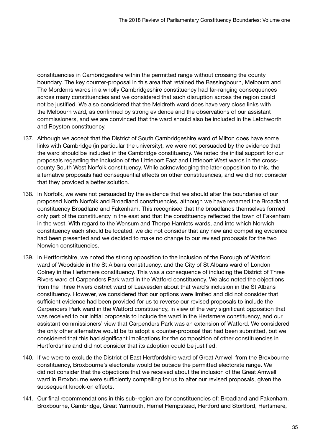constituencies in Cambridgeshire within the permitted range without crossing the county boundary. The key counter-proposal in this area that retained the Bassingbourn, Melbourn and The Morderns wards in a wholly Cambridgeshire constituency had far-ranging consequences across many constituencies and we considered that such disruption across the region could not be justified. We also considered that the Meldreth ward does have very close links with the Melbourn ward, as confirmed by strong evidence and the observations of our assistant commissioners, and we are convinced that the ward should also be included in the Letchworth and Royston constituency.

- 137. Although we accept that the District of South Cambridgeshire ward of Milton does have some links with Cambridge (in particular the university), we were not persuaded by the evidence that the ward should be included in the Cambridge constituency. We noted the initial support for our proposals regarding the inclusion of the Littleport East and Littleport West wards in the crosscounty South West Norfolk constituency. While acknowledging the later opposition to this, the alternative proposals had consequential effects on other constituencies, and we did not consider that they provided a better solution.
- 138. In Norfolk, we were not persuaded by the evidence that we should alter the boundaries of our proposed North Norfolk and Broadland constituencies, although we have renamed the Broadland constituency Broadland and Fakenham. This recognised that the broadlands themselves formed only part of the constituency in the east and that the constituency reflected the town of Fakenham in the west. With regard to the Wensum and Thorpe Hamlets wards, and into which Norwich constituency each should be located, we did not consider that any new and compelling evidence had been presented and we decided to make no change to our revised proposals for the two Norwich constituencies.
- 139. In Hertfordshire, we noted the strong opposition to the inclusion of the Borough of Watford ward of Woodside in the St Albans constituency, and the City of St Albans ward of London Colney in the Hertsmere constituency. This was a consequence of including the District of Three Rivers ward of Carpenders Park ward in the Watford constituency. We also noted the objections from the Three Rivers district ward of Leavesden about that ward's inclusion in the St Albans constituency. However, we considered that our options were limited and did not consider that sufficient evidence had been provided for us to reverse our revised proposals to include the Carpenders Park ward in the Watford constituency, in view of the very significant opposition that was received to our initial proposals to include the ward in the Hertsmere constituency, and our assistant commissioners' view that Carpenders Park was an extension of Watford. We considered the only other alternative would be to adopt a counter-proposal that had been submitted, but we considered that this had significant implications for the composition of other constituencies in Hertfordshire and did not consider that its adoption could be justified.
- 140. If we were to exclude the District of East Hertfordshire ward of Great Amwell from the Broxbourne constituency, Broxbourne's electorate would be outside the permitted electorate range. We did not consider that the objections that we received about the inclusion of the Great Amwell ward in Broxbourne were sufficiently compelling for us to alter our revised proposals, given the subsequent knock-on effects.
- 141. Our final recommendations in this sub-region are for constituencies of: Broadland and Fakenham, Broxbourne, Cambridge, Great Yarmouth, Hemel Hempstead, Hertford and Stortford, Hertsmere,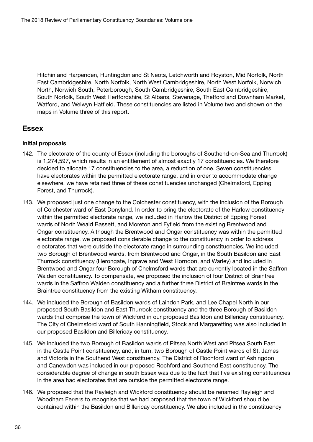Hitchin and Harpenden, Huntingdon and St Neots, Letchworth and Royston, Mid Norfolk, North East Cambridgeshire, North Norfolk, North West Cambridgeshire, North West Norfolk, Norwich North, Norwich South, Peterborough, South Cambridgeshire, South East Cambridgeshire, South Norfolk, South West Hertfordshire, St Albans, Stevenage, Thetford and Downham Market, Watford, and Welwyn Hatfield. These constituencies are listed in Volume two and shown on the maps in Volume three of this report.

# Essex

#### Initial proposals

- 142. The electorate of the county of Essex (including the boroughs of Southend-on-Sea and Thurrock) is 1,274,597, which results in an entitlement of almost exactly 17 constituencies. We therefore decided to allocate 17 constituencies to the area, a reduction of one. Seven constituencies have electorates within the permitted electorate range, and in order to accommodate change elsewhere, we have retained three of these constituencies unchanged (Chelmsford, Epping Forest, and Thurrock).
- 143. We proposed just one change to the Colchester constituency, with the inclusion of the Borough of Colchester ward of East Donyland. In order to bring the electorate of the Harlow constituency within the permitted electorate range, we included in Harlow the District of Epping Forest wards of North Weald Bassett, and Moreton and Fyfield from the existing Brentwood and Ongar constituency. Although the Brentwood and Ongar constituency was within the permitted electorate range, we proposed considerable change to the constituency in order to address electorates that were outside the electorate range in surrounding constituencies. We included two Borough of Brentwood wards, from Brentwood and Ongar, in the South Basildon and East Thurrock constituency (Herongate, Ingrave and West Horndon, and Warley) and included in Brentwood and Ongar four Borough of Chelmsford wards that are currently located in the Saffron Walden constituency. To compensate, we proposed the inclusion of four District of Braintree wards in the Saffron Walden constituency and a further three District of Braintree wards in the Braintree constituency from the existing Witham constituency.
- 144. We included the Borough of Basildon wards of Laindon Park, and Lee Chapel North in our proposed South Basildon and East Thurrock constituency and the three Borough of Basildon wards that comprise the town of Wickford in our proposed Basildon and Billericay constituency. The City of Chelmsford ward of South Hanningfield, Stock and Margaretting was also included in our proposed Basildon and Billericay constituency.
- 145. We included the two Borough of Basildon wards of Pitsea North West and Pitsea South East in the Castle Point constituency, and, in turn, two Borough of Castle Point wards of St. James and Victoria in the Southend West constituency. The District of Rochford ward of Ashingdon and Canewdon was included in our proposed Rochford and Southend East constituency. The considerable degree of change in south Essex was due to the fact that five existing constituencies in the area had electorates that are outside the permitted electorate range.
- 146. We proposed that the Rayleigh and Wickford constituency should be renamed Rayleigh and Woodham Ferrers to recognise that we had proposed that the town of Wickford should be contained within the Basildon and Billericay constituency. We also included in the constituency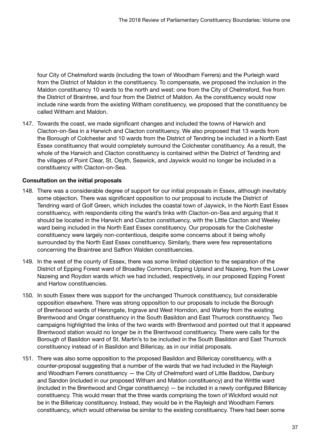four City of Chelmsford wards (including the town of Woodham Ferrers) and the Purleigh ward from the District of Maldon in the constituency. To compensate, we proposed the inclusion in the Maldon constituency 10 wards to the north and west: one from the City of Chelmsford, five from the District of Braintree, and four from the District of Maldon. As the constituency would now include nine wards from the existing Witham constituency, we proposed that the constituency be called Witham and Maldon.

147. Towards the coast, we made significant changes and included the towns of Harwich and Clacton-on-Sea in a Harwich and Clacton constituency. We also proposed that 13 wards from the Borough of Colchester and 10 wards from the District of Tendring be included in a North East Essex constituency that would completely surround the Colchester constituency. As a result, the whole of the Harwich and Clacton constituency is contained within the District of Tendring and the villages of Point Clear, St. Osyth, Seawick, and Jaywick would no longer be included in a constituency with Clacton-on-Sea.

# Consultation on the initial proposals

- 148. There was a considerable degree of support for our initial proposals in Essex, although inevitably some objection. There was significant opposition to our proposal to include the District of Tendring ward of Golf Green, which includes the coastal town of Jaywick, in the North East Essex constituency, with respondents citing the ward's links with Clacton-on-Sea and arguing that it should be located in the Harwich and Clacton constituency, with the Little Clacton and Weeley ward being included in the North East Essex constituency. Our proposals for the Colchester constituency were largely non-contentious, despite some concerns about it being wholly surrounded by the North East Essex constituency. Similarly, there were few representations concerning the Braintree and Saffron Walden constituencies.
- 149. In the west of the county of Essex, there was some limited objection to the separation of the District of Epping Forest ward of Broadley Common, Epping Upland and Nazeing, from the Lower Nazeing and Roydon wards which we had included, respectively, in our proposed Epping Forest and Harlow constituencies.
- 150. In south Essex there was support for the unchanged Thurrock constituency, but considerable opposition elsewhere. There was strong opposition to our proposals to include the Borough of Brentwood wards of Herongate, Ingrave and West Horndon, and Warley from the existing Brentwood and Ongar constituency in the South Basildon and East Thurrock constituency. Two campaigns highlighted the links of the two wards with Brentwood and pointed out that it appeared Brentwood station would no longer be in the Brentwood constituency. There were calls for the Borough of Basildon ward of St. Martin's to be included in the South Basildon and East Thurrock constituency instead of in Basildon and Billericay, as in our initial proposals.
- 151. There was also some opposition to the proposed Basildon and Billericay constituency, with a counter-proposal suggesting that a number of the wards that we had included in the Rayleigh and Woodham Ferrers constituency — the City of Chelmsford ward of Little Baddow, Danbury and Sandon (included in our proposed Witham and Maldon constituency) and the Writtle ward (included in the Brentwood and Ongar constituency) — be included in a newly configured Billericay constituency. This would mean that the three wards comprising the town of Wickford would not be in the Billericay constituency. Instead, they would be in the Rayleigh and Woodham Ferrers constituency, which would otherwise be similar to the existing constituency. There had been some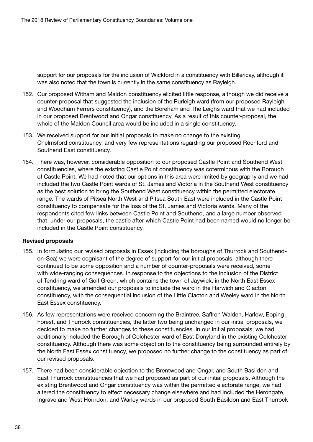support for our proposals for the inclusion of Wickford in a constituency with Billericay, although it was also noted that the town is currently in the same constituency as Rayleigh.

- 152. Our proposed Witham and Maldon constituency elicited little response, although we did receive a counter-proposal that suggested the inclusion of the Purleigh ward (from our proposed Rayleigh and Woodham Ferrers constituency), and the Boreham and The Leighs ward that we had included in our proposed Brentwood and Ongar constituency. As a result of this counter-proposal, the whole of the Maldon Council area would be included in a single constituency.
- 153. We received support for our initial proposals to make no change to the existing Chelmsford constituency, and very few representations regarding our proposed Rochford and Southend East constituency.
- 154. There was, however, considerable opposition to our proposed Castle Point and Southend West constituencies, where the existing Castle Point constituency was coterminous with the Borough of Castle Point. We had noted that our options in this area were limited by geography and we had included the two Castle Point wards of St. James and Victoria in the Southend West constituency as the best solution to bring the Southend West constituency within the permitted electorate range. The wards of Pitsea North West and Pitsea South East were included in the Castle Point constituency to compensate for the loss of the St. James and Victoria wards. Many of the respondents cited few links between Castle Point and Southend, and a large number observed that, under our proposals, the castle after which Castle Point had been named would no longer be included in the Castle Point constituency.

#### Revised proposals

- 155. In formulating our revised proposals in Essex (including the boroughs of Thurrock and Southendon-Sea) we were cognisant of the degree of support for our initial proposals, although there continued to be some opposition and a number of counter-proposals were received, some with wide-ranging consequences. In response to the objections to the inclusion of the District of Tendring ward of Golf Green, which contains the town of Jaywick, in the North East Essex constituency, we amended our proposals to include the ward in the Harwich and Clacton constituency, with the consequential inclusion of the Little Clacton and Weeley ward in the North East Essex constituency.
- 156. As few representations were received concerning the Braintree, Saffron Walden, Harlow, Epping Forest, and Thurrock constituencies, the latter two being unchanged in our initial proposals, we decided to make no further changes to these constituencies. In our initial proposals, we had additionally included the Borough of Colchester ward of East Donyland in the existing Colchester constituency. Although there was some objection to the constituency being surrounded entirely by the North East Essex constituency, we proposed no further change to the constituency as part of our revised proposals.
- 157. There had been considerable objection to the Brentwood and Ongar, and South Basildon and East Thurrock constituencies that we had proposed as part of our initial proposals. Although the existing Brentwood and Ongar constituency was within the permitted electorate range, we had altered the constituency to effect necessary change elsewhere and had included the Herongate, Ingrave and West Horndon, and Warley wards in our proposed South Basildon and East Thurrock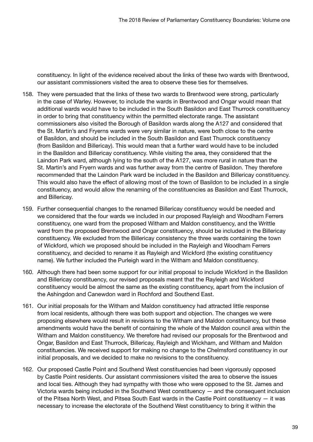constituency. In light of the evidence received about the links of these two wards with Brentwood, our assistant commissioners visited the area to observe these ties for themselves.

- 158. They were persuaded that the links of these two wards to Brentwood were strong, particularly in the case of Warley. However, to include the wards in Brentwood and Ongar would mean that additional wards would have to be included in the South Basildon and East Thurrock constituency in order to bring that constituency within the permitted electorate range. The assistant commissioners also visited the Borough of Basildon wards along the A127 and considered that the St. Martin's and Fryerns wards were very similar in nature, were both close to the centre of Basildon, and should be included in the South Basildon and East Thurrock constituency (from Basildon and Billericay). This would mean that a further ward would have to be included in the Basildon and Billericay constituency. While visiting the area, they considered that the Laindon Park ward, although lying to the south of the A127, was more rural in nature than the St. Martin's and Fryern wards and was further away from the centre of Basildon. They therefore recommended that the Laindon Park ward be included in the Basildon and Billericay constituency. This would also have the effect of allowing most of the town of Basildon to be included in a single constituency, and would allow the renaming of the constituencies as Basildon and East Thurrock, and Billericay.
- 159. Further consequential changes to the renamed Billericay constituency would be needed and we considered that the four wards we included in our proposed Rayleigh and Woodham Ferrers constituency, one ward from the proposed Witham and Maldon constituency, and the Writtle ward from the proposed Brentwood and Ongar constituency, should be included in the Billericay constituency. We excluded from the Billericay consistency the three wards containing the town of Wickford, which we proposed should be included in the Rayleigh and Woodham Ferrers constituency, and decided to rename it as Rayleigh and Wickford (the existing constituency name). We further included the Purleigh ward in the Witham and Maldon constituency.
- 160. Although there had been some support for our initial proposal to include Wickford in the Basildon and Billericay constituency, our revised proposals meant that the Rayleigh and Wickford constituency would be almost the same as the existing constituency, apart from the inclusion of the Ashingdon and Canewdon ward in Rochford and Southend East.
- 161. Our initial proposals for the Witham and Maldon constituency had attracted little response from local residents, although there was both support and objection. The changes we were proposing elsewhere would result in revisions to the Witham and Maldon constituency, but these amendments would have the benefit of containing the whole of the Maldon council area within the Witham and Maldon constituency. We therefore had revised our proposals for the Brentwood and Ongar, Basildon and East Thurrock, Billericay, Rayleigh and Wickham, and Witham and Maldon constituencies. We received support for making no change to the Chelmsford constituency in our initial proposals, and we decided to make no revisions to the constituency.
- 162. Our proposed Castle Point and Southend West constituencies had been vigorously opposed by Castle Point residents. Our assistant commissioners visited the area to observe the issues and local ties. Although they had sympathy with those who were opposed to the St. James and Victoria wards being included in the Southend West constituency — and the consequent inclusion of the Pitsea North West, and Pitsea South East wards in the Castle Point constituency — it was necessary to increase the electorate of the Southend West constituency to bring it within the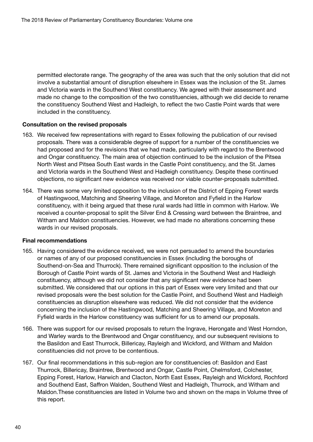permitted electorate range. The geography of the area was such that the only solution that did not involve a substantial amount of disruption elsewhere in Essex was the inclusion of the St. James and Victoria wards in the Southend West constituency. We agreed with their assessment and made no change to the composition of the two constituencies, although we did decide to rename the constituency Southend West and Hadleigh, to reflect the two Castle Point wards that were included in the constituency.

#### Consultation on the revised proposals

- 163. We received few representations with regard to Essex following the publication of our revised proposals. There was a considerable degree of support for a number of the constituencies we had proposed and for the revisions that we had made, particularly with regard to the Brentwood and Ongar constituency. The main area of objection continued to be the inclusion of the Pitsea North West and Pitsea South East wards in the Castle Point constituency, and the St. James and Victoria wards in the Southend West and Hadleigh constituency. Despite these continued objections, no significant new evidence was received nor viable counter-proposals submitted.
- 164. There was some very limited opposition to the inclusion of the District of Epping Forest wards of Hastingwood, Matching and Sheering Village, and Moreton and Fyfield in the Harlow constituency, with it being argued that these rural wards had little in common with Harlow. We received a counter-proposal to split the Silver End & Cressing ward between the Braintree, and Witham and Maldon constituencies. However, we had made no alterations concerning these wards in our revised proposals.

#### Final recommendations

- 165. Having considered the evidence received, we were not persuaded to amend the boundaries or names of any of our proposed constituencies in Essex (including the boroughs of Southend-on-Sea and Thurrock). There remained significant opposition to the inclusion of the Borough of Castle Point wards of St. James and Victoria in the Southend West and Hadleigh constituency, although we did not consider that any significant new evidence had been submitted. We considered that our options in this part of Essex were very limited and that our revised proposals were the best solution for the Castle Point, and Southend West and Hadleigh constituencies as disruption elsewhere was reduced. We did not consider that the evidence concerning the inclusion of the Hastingwood, Matching and Sheering Village, and Moreton and Fyfield wards in the Harlow constituency was sufficient for us to amend our proposals.
- 166. There was support for our revised proposals to return the Ingrave, Herongate and West Horndon, and Warley wards to the Brentwood and Ongar constituency, and our subsequent revisions to the Basildon and East Thurrock, Billericay, Rayleigh and Wickford, and Witham and Maldon constituencies did not prove to be contentious.
- 167. Our final recommendations in this sub-region are for constituencies of: Basildon and East Thurrock, Billericay, Braintree, Brentwood and Ongar, Castle Point, Chelmsford, Colchester, Epping Forest, Harlow, Harwich and Clacton, North East Essex, Rayleigh and Wickford, Rochford and Southend East, Saffron Walden, Southend West and Hadleigh, Thurrock, and Witham and Maldon.These constituencies are listed in Volume two and shown on the maps in Volume three of this report.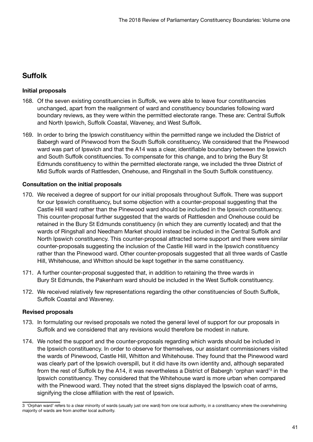# Suffolk

# Initial proposals

- 168. Of the seven existing constituencies in Suffolk, we were able to leave four constituencies unchanged, apart from the realignment of ward and constituency boundaries following ward boundary reviews, as they were within the permitted electorate range. These are: Central Suffolk and North Ipswich, Suffolk Coastal, Waveney, and West Suffolk.
- 169. In order to bring the Ipswich constituency within the permitted range we included the District of Babergh ward of Pinewood from the South Suffolk constituency. We considered that the Pinewood ward was part of Ipswich and that the A14 was a clear, identifiable boundary between the Ipswich and South Suffolk constituencies. To compensate for this change, and to bring the Bury St Edmunds constituency to within the permitted electorate range, we included the three District of Mid Suffolk wards of Rattlesden, Onehouse, and Ringshall in the South Suffolk constituency.

# Consultation on the initial proposals

- 170. We received a degree of support for our initial proposals throughout Suffolk. There was support for our Ipswich constituency, but some objection with a counter-proposal suggesting that the Castle Hill ward rather than the Pinewood ward should be included in the Ipswich constituency. This counter-proposal further suggested that the wards of Rattlesden and Onehouse could be retained in the Bury St Edmunds constituency (in which they are currently located) and that the wards of Ringshall and Needham Market should instead be included in the Central Suffolk and North Ipswich constituency. This counter-proposal attracted some support and there were similar counter-proposals suggesting the inclusion of the Castle Hill ward in the Ipswich constituency rather than the Pinewood ward. Other counter-proposals suggested that all three wards of Castle Hill, Whitehouse, and Whitton should be kept together in the same constituency.
- 171. A further counter-proposal suggested that, in addition to retaining the three wards in Bury St Edmunds, the Pakenham ward should be included in the West Suffolk constituency.
- 172. We received relatively few representations regarding the other constituencies of South Suffolk, Suffolk Coastal and Waveney.

# Revised proposals

- 173. In formulating our revised proposals we noted the general level of support for our proposals in Suffolk and we considered that any revisions would therefore be modest in nature.
- 174. We noted the support and the counter-proposals regarding which wards should be included in the Ipswich constituency. In order to observe for themselves, our assistant commissioners visited the wards of Pinewood, Castle Hill, Whitton and Whitehouse. They found that the Pinewood ward was clearly part of the Ipswich overspill, but it did have its own identity and, although separated from the rest of Suffolk by the A14, it was nevertheless a District of Babergh 'orphan ward'<sup>3</sup> in the Ipswich constituency. They considered that the Whitehouse ward is more urban when compared with the Pinewood ward. They noted that the street signs displayed the Ipswich coat of arms, signifying the close affiliation with the rest of Ipswich.

<sup>3 &#</sup>x27;Orphan ward' refers to a clear minority of wards (usually just one ward) from one local authority, in a constituency where the overwhelming majority of wards are from another local authority.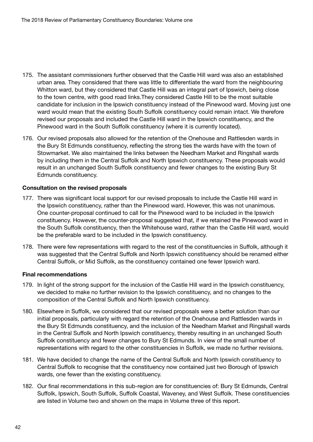- 175. The assistant commissioners further observed that the Castle Hill ward was also an established urban area. They considered that there was little to differentiate the ward from the neighbouring Whitton ward, but they considered that Castle Hill was an integral part of Ipswich, being close to the town centre, with good road links.They considered Castle Hill to be the most suitable candidate for inclusion in the Ipswich constituency instead of the Pinewood ward. Moving just one ward would mean that the existing South Suffolk constituency could remain intact. We therefore revised our proposals and included the Castle Hill ward in the Ipswich constituency, and the Pinewood ward in the South Suffolk constituency (where it is currently located).
- 176. Our revised proposals also allowed for the retention of the Onehouse and Rattlesden wards in the Bury St Edmunds constituency, reflecting the strong ties the wards have with the town of Stowmarket. We also maintained the links between the Needham Market and Ringshall wards by including them in the Central Suffolk and North Ipswich constituency. These proposals would result in an unchanged South Suffolk constituency and fewer changes to the existing Bury St Edmunds constituency.

#### Consultation on the revised proposals

- 177. There was significant local support for our revised proposals to include the Castle Hill ward in the Ipswich constituency, rather than the Pinewood ward. However, this was not unanimous. One counter-proposal continued to call for the Pinewood ward to be included in the Ipswich constituency. However, the counter-proposal suggested that, if we retained the Pinewood ward in the South Suffolk constituency, then the Whitehouse ward, rather than the Castle Hill ward, would be the preferable ward to be included in the Ipswich constituency.
- 178. There were few representations with regard to the rest of the constituencies in Suffolk, although it was suggested that the Central Suffolk and North Ipswich constituency should be renamed either Central Suffolk, or Mid Suffolk, as the constituency contained one fewer Ipswich ward.

#### Final recommendations

- 179. In light of the strong support for the inclusion of the Castle Hill ward in the Ipswich constituency, we decided to make no further revision to the Ipswich constituency, and no changes to the composition of the Central Suffolk and North Ipswich constituency.
- 180. Elsewhere in Suffolk, we considered that our revised proposals were a better solution than our initial proposals, particularly with regard the retention of the Onehouse and Rattlesden wards in the Bury St Edmunds constituency, and the inclusion of the Needham Market and Ringshall wards in the Central Suffolk and North Ipswich constituency, thereby resulting in an unchanged South Suffolk constituency and fewer changes to Bury St Edmunds. In view of the small number of representations with regard to the other constituencies in Suffolk, we made no further revisions.
- 181. We have decided to change the name of the Central Suffolk and North Ipswich constituency to Central Suffolk to recognise that the constituency now contained just two Borough of Ipswich wards, one fewer than the existing constituency.
- 182. Our final recommendations in this sub-region are for constituencies of: Bury St Edmunds, Central Suffolk, Ipswich, South Suffolk, Suffolk Coastal, Waveney, and West Suffolk. These constituencies are listed in Volume two and shown on the maps in Volume three of this report.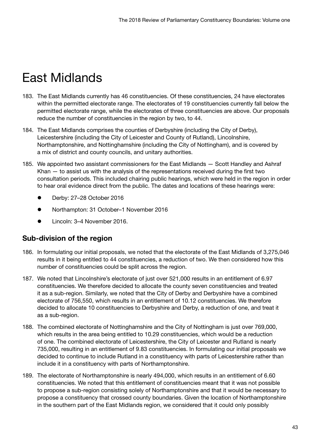# East Midlands

- 183. The East Midlands currently has 46 constituencies. Of these constituencies, 24 have electorates within the permitted electorate range. The electorates of 19 constituencies currently fall below the permitted electorate range, while the electorates of three constituencies are above. Our proposals reduce the number of constituencies in the region by two, to 44.
- 184. The East Midlands comprises the counties of Derbyshire (including the City of Derby), Leicestershire (including the City of Leicester and County of Rutland), Lincolnshire, Northamptonshire, and Nottinghamshire (including the City of Nottingham), and is covered by a mix of district and county councils, and unitary authorities.
- 185. We appointed two assistant commissioners for the East Midlands Scott Handley and Ashraf Khan — to assist us with the analysis of the representations received during the first two consultation periods. This included chairing public hearings, which were held in the region in order to hear oral evidence direct from the public. The dates and locations of these hearings were:
	- Derby: 27-28 October 2016
	- Northampton: 31 October–1 November 2016
	- Lincoln: 3–4 November 2016.

# Sub-division of the region

- 186. In formulating our initial proposals, we noted that the electorate of the East Midlands of 3,275,046 results in it being entitled to 44 constituencies, a reduction of two. We then considered how this number of constituencies could be split across the region.
- 187. We noted that Lincolnshire's electorate of just over 521,000 results in an entitlement of 6.97 constituencies. We therefore decided to allocate the county seven constituencies and treated it as a sub-region. Similarly, we noted that the City of Derby and Derbyshire have a combined electorate of 756,550, which results in an entitlement of 10.12 constituencies. We therefore decided to allocate 10 constituencies to Derbyshire and Derby, a reduction of one, and treat it as a sub-region.
- 188. The combined electorate of Nottinghamshire and the City of Nottingham is just over 769,000, which results in the area being entitled to 10.29 constituencies, which would be a reduction of one. The combined electorate of Leicestershire, the City of Leicester and Rutland is nearly 735,000, resulting in an entitlement of 9.83 constituencies. In formulating our initial proposals we decided to continue to include Rutland in a constituency with parts of Leicestershire rather than include it in a constituency with parts of Northamptonshire.
- 189. The electorate of Northamptonshire is nearly 494,000, which results in an entitlement of 6.60 constituencies. We noted that this entitlement of constituencies meant that it was not possible to propose a sub-region consisting solely of Northamptonshire and that it would be necessary to propose a constituency that crossed county boundaries. Given the location of Northamptonshire in the southern part of the East Midlands region, we considered that it could only possibly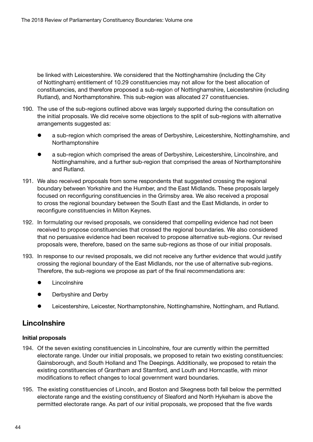be linked with Leicestershire. We considered that the Nottinghamshire (including the City of Nottingham) entitlement of 10.29 constituencies may not allow for the best allocation of constituencies, and therefore proposed a sub-region of Nottinghamshire, Leicestershire (including Rutland), and Northamptonshire. This sub-region was allocated 27 constituencies.

- 190. The use of the sub-regions outlined above was largely supported during the consultation on the initial proposals. We did receive some objections to the split of sub-regions with alternative arrangements suggested as:
	- a sub-region which comprised the areas of Derbyshire, Leicestershire, Nottinghamshire, and Northamptonshire
	- a sub-region which comprised the areas of Derbyshire, Leicestershire, Lincolnshire, and Nottinghamshire, and a further sub-region that comprised the areas of Northamptonshire and Rutland.
- 191. We also received proposals from some respondents that suggested crossing the regional boundary between Yorkshire and the Humber, and the East Midlands. These proposals largely focused on reconfiguring constituencies in the Grimsby area. We also received a proposal to cross the regional boundary between the South East and the East Midlands, in order to reconfigure constituencies in Milton Keynes.
- 192. In formulating our revised proposals, we considered that compelling evidence had not been received to propose constituencies that crossed the regional boundaries. We also considered that no persuasive evidence had been received to propose alternative sub-regions. Our revised proposals were, therefore, based on the same sub-regions as those of our initial proposals.
- 193. In response to our revised proposals, we did not receive any further evidence that would justify crossing the regional boundary of the East Midlands, nor the use of alternative sub-regions. Therefore, the sub-regions we propose as part of the final recommendations are:
	- Lincolnshire
	- Derbyshire and Derby
	- Leicestershire, Leicester, Northamptonshire, Nottinghamshire, Nottingham, and Rutland.

# **Lincolnshire**

# Initial proposals

- 194. Of the seven existing constituencies in Lincolnshire, four are currently within the permitted electorate range. Under our initial proposals, we proposed to retain two existing constituencies: Gainsborough, and South Holland and The Deepings. Additionally, we proposed to retain the existing constituencies of Grantham and Stamford, and Louth and Horncastle, with minor modifications to reflect changes to local government ward boundaries.
- 195. The existing constituencies of Lincoln, and Boston and Skegness both fall below the permitted electorate range and the existing constituency of Sleaford and North Hykeham is above the permitted electorate range. As part of our initial proposals, we proposed that the five wards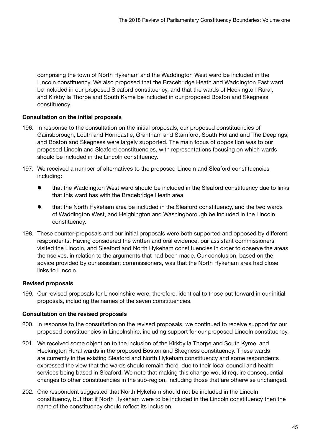comprising the town of North Hykeham and the Waddington West ward be included in the Lincoln constituency. We also proposed that the Bracebridge Heath and Waddington East ward be included in our proposed Sleaford constituency, and that the wards of Heckington Rural, and Kirkby la Thorpe and South Kyme be included in our proposed Boston and Skegness constituency.

# Consultation on the initial proposals

- 196. In response to the consultation on the initial proposals, our proposed constituencies of Gainsborough, Louth and Horncastle, Grantham and Stamford, South Holland and The Deepings, and Boston and Skegness were largely supported. The main focus of opposition was to our proposed Lincoln and Sleaford constituencies, with representations focusing on which wards should be included in the Lincoln constituency.
- 197. We received a number of alternatives to the proposed Lincoln and Sleaford constituencies including:
	- that the Waddington West ward should be included in the Sleaford constituency due to links that this ward has with the Bracebridge Heath area
	- that the North Hykeham area be included in the Sleaford constituency, and the two wards of Waddington West, and Heighington and Washingborough be included in the Lincoln constituency.
- 198. These counter-proposals and our initial proposals were both supported and opposed by different respondents. Having considered the written and oral evidence, our assistant commissioners visited the Lincoln, and Sleaford and North Hykeham constituencies in order to observe the areas themselves, in relation to the arguments that had been made. Our conclusion, based on the advice provided by our assistant commissioners, was that the North Hykeham area had close links to Lincoln.

# Revised proposals

199. Our revised proposals for Lincolnshire were, therefore, identical to those put forward in our initial proposals, including the names of the seven constituencies.

# Consultation on the revised proposals

- 200. In response to the consultation on the revised proposals, we continued to receive support for our proposed constituencies in Lincolnshire, including support for our proposed Lincoln constituency.
- 201. We received some objection to the inclusion of the Kirkby la Thorpe and South Kyme, and Heckington Rural wards in the proposed Boston and Skegness constituency. These wards are currently in the existing Sleaford and North Hykeham constituency and some respondents expressed the view that the wards should remain there, due to their local council and health services being based in Sleaford. We note that making this change would require consequential changes to other constituencies in the sub-region, including those that are otherwise unchanged.
- 202. One respondent suggested that North Hykeham should not be included in the Lincoln constituency, but that if North Hykeham were to be included in the Lincoln constituency then the name of the constituency should reflect its inclusion.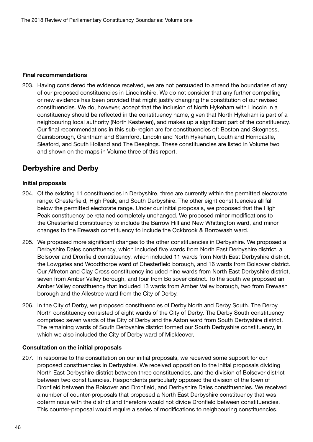#### Final recommendations

203. Having considered the evidence received, we are not persuaded to amend the boundaries of any of our proposed constituencies in Lincolnshire. We do not consider that any further compelling or new evidence has been provided that might justify changing the constitution of our revised constituencies. We do, however, accept that the inclusion of North Hykeham with Lincoln in a constituency should be reflected in the constituency name, given that North Hykeham is part of a neighbouring local authority (North Kesteven), and makes up a significant part of the constituency. Our final recommendations in this sub-region are for constituencies of: Boston and Skegness, Gainsborough, Grantham and Stamford, Lincoln and North Hykeham, Louth and Horncastle, Sleaford, and South Holland and The Deepings. These constituencies are listed in Volume two and shown on the maps in Volume three of this report.

# Derbyshire and Derby

#### Initial proposals

- 204. Of the existing 11 constituencies in Derbyshire, three are currently within the permitted electorate range: Chesterfield, High Peak, and South Derbyshire. The other eight constituencies all fall below the permitted electorate range. Under our initial proposals, we proposed that the High Peak constituency be retained completely unchanged. We proposed minor modifications to the Chesterfield constituency to include the Barrow Hill and New Whittington ward, and minor changes to the Erewash constituency to include the Ockbrook & Borrowash ward.
- 205. We proposed more significant changes to the other constituencies in Derbyshire. We proposed a Derbyshire Dales constituency, which included five wards from North East Derbyshire district, a Bolsover and Dronfield constituency, which included 11 wards from North East Derbyshire district, the Lowgates and Woodthorpe ward of Chesterfield borough, and 16 wards from Bolsover district. Our Alfreton and Clay Cross constituency included nine wards from North East Derbyshire district, seven from Amber Valley borough, and four from Bolsover district. To the south we proposed an Amber Valley constituency that included 13 wards from Amber Valley borough, two from Erewash borough and the Allestree ward from the City of Derby.
- 206. In the City of Derby, we proposed constituencies of Derby North and Derby South. The Derby North constituency consisted of eight wards of the City of Derby. The Derby South constituency comprised seven wards of the City of Derby and the Aston ward from South Derbyshire district. The remaining wards of South Derbyshire district formed our South Derbyshire constituency, in which we also included the City of Derby ward of Mickleover.

#### Consultation on the initial proposals

207. In response to the consultation on our initial proposals, we received some support for our proposed constituencies in Derbyshire. We received opposition to the initial proposals dividing North East Derbyshire district between three constituencies, and the division of Bolsover district between two constituencies. Respondents particularly opposed the division of the town of Dronfield between the Bolsover and Dronfield, and Derbyshire Dales constituencies. We received a number of counter-proposals that proposed a North East Derbyshire constituency that was coterminous with the district and therefore would not divide Dronfield between constituencies. This counter-proposal would require a series of modifications to neighbouring constituencies.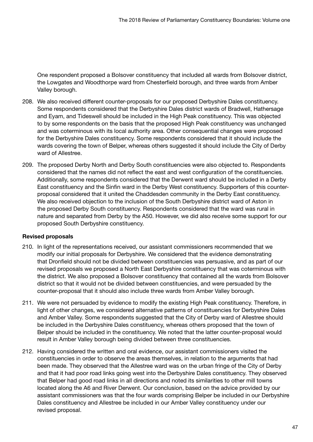One respondent proposed a Bolsover constituency that included all wards from Bolsover district, the Lowgates and Woodthorpe ward from Chesterfield borough, and three wards from Amber Valley borough.

- 208. We also received different counter-proposals for our proposed Derbyshire Dales constituency. Some respondents considered that the Derbyshire Dales district wards of Bradwell, Hathersage and Eyam, and Tideswell should be included in the High Peak constituency. This was objected to by some respondents on the basis that the proposed High Peak constituency was unchanged and was coterminous with its local authority area. Other consequential changes were proposed for the Derbyshire Dales constituency. Some respondents considered that it should include the wards covering the town of Belper, whereas others suggested it should include the City of Derby ward of Allestree.
- 209. The proposed Derby North and Derby South constituencies were also objected to. Respondents considered that the names did not reflect the east and west configuration of the constituencies. Additionally, some respondents considered that the Derwent ward should be included in a Derby East constituency and the Sinfin ward in the Derby West constituency. Supporters of this counterproposal considered that it united the Chaddesden community in the Derby East constituency. We also received objection to the inclusion of the South Derbyshire district ward of Aston in the proposed Derby South constituency. Respondents considered that the ward was rural in nature and separated from Derby by the A50. However, we did also receive some support for our proposed South Derbyshire constituency.

# Revised proposals

- 210. In light of the representations received, our assistant commissioners recommended that we modify our initial proposals for Derbyshire. We considered that the evidence demonstrating that Dronfield should not be divided between constituencies was persuasive, and as part of our revised proposals we proposed a North East Derbyshire constituency that was coterminous with the district. We also proposed a Bolsover constituency that contained all the wards from Bolsover district so that it would not be divided between constituencies, and were persuaded by the counter-proposal that it should also include three wards from Amber Valley borough.
- 211. We were not persuaded by evidence to modify the existing High Peak constituency. Therefore, in light of other changes, we considered alternative patterns of constituencies for Derbyshire Dales and Amber Valley. Some respondents suggested that the City of Derby ward of Allestree should be included in the Derbyshire Dales constituency, whereas others proposed that the town of Belper should be included in the constituency. We noted that the latter counter-proposal would result in Amber Valley borough being divided between three constituencies.
- 212. Having considered the written and oral evidence, our assistant commissioners visited the constituencies in order to observe the areas themselves, in relation to the arguments that had been made. They observed that the Allestree ward was on the urban fringe of the City of Derby and that it had poor road links going west into the Derbyshire Dales constituency. They observed that Belper had good road links in all directions and noted its similarities to other mill towns located along the A6 and River Derwent. Our conclusion, based on the advice provided by our assistant commissioners was that the four wards comprising Belper be included in our Derbyshire Dales constituency and Allestree be included in our Amber Valley constituency under our revised proposal.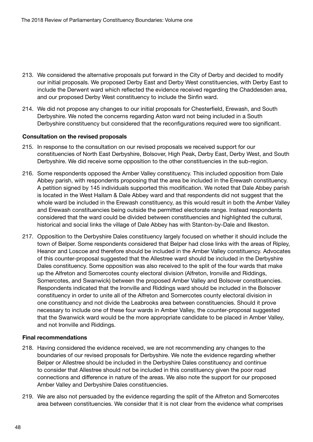- 213. We considered the alternative proposals put forward in the City of Derby and decided to modify our initial proposals. We proposed Derby East and Derby West constituencies, with Derby East to include the Derwent ward which reflected the evidence received regarding the Chaddesden area, and our proposed Derby West constituency to include the Sinfin ward.
- 214. We did not propose any changes to our initial proposals for Chesterfield, Erewash, and South Derbyshire. We noted the concerns regarding Aston ward not being included in a South Derbyshire constituency but considered that the reconfigurations required were too significant.

#### Consultation on the revised proposals

- 215. In response to the consultation on our revised proposals we received support for our constituencies of North East Derbyshire, Bolsover, High Peak, Derby East, Derby West, and South Derbyshire. We did receive some opposition to the other constituencies in the sub-region.
- 216. Some respondents opposed the Amber Valley constituency. This included opposition from Dale Abbey parish, with respondents proposing that the area be included in the Erewash constituency. A petition signed by 145 individuals supported this modification. We noted that Dale Abbey parish is located in the West Hallam & Dale Abbey ward and that respondents did not suggest that the whole ward be included in the Erewash constituency, as this would result in both the Amber Valley and Erewash constituencies being outside the permitted electorate range. Instead respondents considered that the ward could be divided between constituencies and highlighted the cultural, historical and social links the village of Dale Abbey has with Stanton-by-Dale and Ilkeston.
- 217. Opposition to the Derbyshire Dales constituency largely focused on whether it should include the town of Belper. Some respondents considered that Belper had close links with the areas of Ripley, Heanor and Loscoe and therefore should be included in the Amber Valley constituency. Advocates of this counter-proposal suggested that the Allestree ward should be included in the Derbyshire Dales constituency. Some opposition was also received to the split of the four wards that make up the Alfreton and Somercotes county electoral division (Alfreton, Ironville and Riddings, Somercotes, and Swanwick) between the proposed Amber Valley and Bolsover constituencies. Respondents indicated that the Ironville and Riddings ward should be included in the Bolsover constituency in order to unite all of the Alfreton and Somercotes county electoral division in one constituency and not divide the Leabrooks area between constituencies. Should it prove necessary to include one of these four wards in Amber Valley, the counter-proposal suggested that the Swanwick ward would be the more appropriate candidate to be placed in Amber Valley, and not Ironville and Riddings.

#### Final recommendations

- 218. Having considered the evidence received, we are not recommending any changes to the boundaries of our revised proposals for Derbyshire. We note the evidence regarding whether Belper or Allestree should be included in the Derbyshire Dales constituency and continue to consider that Allestree should not be included in this constituency given the poor road connections and difference in nature of the areas. We also note the support for our proposed Amber Valley and Derbyshire Dales constituencies.
- 219. We are also not persuaded by the evidence regarding the split of the Alfreton and Somercotes area between constituencies. We consider that it is not clear from the evidence what comprises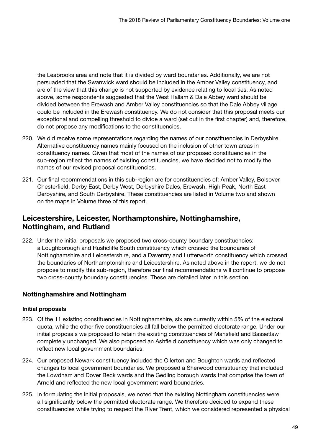the Leabrooks area and note that it is divided by ward boundaries. Additionally, we are not persuaded that the Swanwick ward should be included in the Amber Valley constituency, and are of the view that this change is not supported by evidence relating to local ties. As noted above, some respondents suggested that the West Hallam & Dale Abbey ward should be divided between the Erewash and Amber Valley constituencies so that the Dale Abbey village could be included in the Erewash constituency. We do not consider that this proposal meets our exceptional and compelling threshold to divide a ward (set out in the first chapter) and, therefore, do not propose any modifications to the constituencies.

- 220. We did receive some representations regarding the names of our constituencies in Derbyshire. Alternative constituency names mainly focused on the inclusion of other town areas in constituency names. Given that most of the names of our proposed constituencies in the sub-region reflect the names of existing constituencies, we have decided not to modify the names of our revised proposal constituencies.
- 221. Our final recommendations in this sub-region are for constituencies of: Amber Valley, Bolsover, Chesterfield, Derby East, Derby West, Derbyshire Dales, Erewash, High Peak, North East Derbyshire, and South Derbyshire. These constituencies are listed in Volume two and shown on the maps in Volume three of this report.

# Leicestershire, Leicester, Northamptonshire, Nottinghamshire, Nottingham, and Rutland

222. Under the initial proposals we proposed two cross-county boundary constituencies: a Loughborough and Rushcliffe South constituency which crossed the boundaries of Nottinghamshire and Leicestershire, and a Daventry and Lutterworth constituency which crossed the boundaries of Northamptonshire and Leicestershire. As noted above in the report, we do not propose to modify this sub-region, therefore our final recommendations will continue to propose two cross-county boundary constituencies. These are detailed later in this section.

# Nottinghamshire and Nottingham

# Initial proposals

- 223. Of the 11 existing constituencies in Nottinghamshire, six are currently within 5% of the electoral quota, while the other five constituencies all fall below the permitted electorate range. Under our initial proposals we proposed to retain the existing constituencies of Mansfield and Bassetlaw completely unchanged. We also proposed an Ashfield constituency which was only changed to reflect new local government boundaries.
- 224. Our proposed Newark constituency included the Ollerton and Boughton wards and reflected changes to local government boundaries. We proposed a Sherwood constituency that included the Lowdham and Dover Beck wards and the Gedling borough wards that comprise the town of Arnold and reflected the new local government ward boundaries.
- 225. In formulating the initial proposals, we noted that the existing Nottingham constituencies were all significantly below the permitted electorate range. We therefore decided to expand these constituencies while trying to respect the River Trent, which we considered represented a physical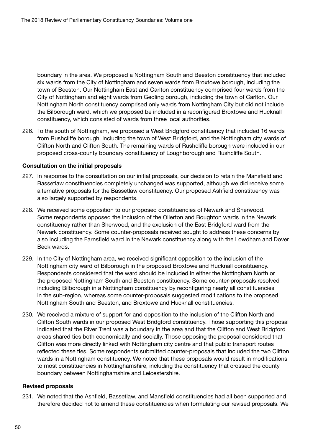boundary in the area. We proposed a Nottingham South and Beeston constituency that included six wards from the City of Nottingham and seven wards from Broxtowe borough, including the town of Beeston. Our Nottingham East and Carlton constituency comprised four wards from the City of Nottingham and eight wards from Gedling borough, including the town of Carlton. Our Nottingham North constituency comprised only wards from Nottingham City but did not include the Bilborough ward, which we proposed be included in a reconfigured Broxtowe and Hucknall constituency, which consisted of wards from three local authorities.

226. To the south of Nottingham, we proposed a West Bridgford constituency that included 16 wards from Rushcliffe borough, including the town of West Bridgford, and the Nottingham city wards of Clifton North and Clifton South. The remaining wards of Rushcliffe borough were included in our proposed cross-county boundary constituency of Loughborough and Rushcliffe South.

#### Consultation on the initial proposals

- 227. In response to the consultation on our initial proposals, our decision to retain the Mansfield and Bassetlaw constituencies completely unchanged was supported, although we did receive some alternative proposals for the Bassetlaw constituency. Our proposed Ashfield constituency was also largely supported by respondents.
- 228. We received some opposition to our proposed constituencies of Newark and Sherwood. Some respondents opposed the inclusion of the Ollerton and Boughton wards in the Newark constituency rather than Sherwood, and the exclusion of the East Bridgford ward from the Newark constituency. Some counter-proposals received sought to address these concerns by also including the Farnsfield ward in the Newark constituency along with the Lowdham and Dover Beck wards.
- 229. In the City of Nottingham area, we received significant opposition to the inclusion of the Nottingham city ward of Bilborough in the proposed Broxtowe and Hucknall constituency. Respondents considered that the ward should be included in either the Nottingham North or the proposed Nottingham South and Beeston constituency. Some counter-proposals resolved including Bilborough in a Nottingham constituency by reconfiguring nearly all constituencies in the sub-region, whereas some counter-proposals suggested modifications to the proposed Nottingham South and Beeston, and Broxtowe and Hucknall constituencies.
- 230. We received a mixture of support for and opposition to the inclusion of the Clifton North and Clifton South wards in our proposed West Bridgford constituency. Those supporting this proposal indicated that the River Trent was a boundary in the area and that the Clifton and West Bridgford areas shared ties both economically and socially. Those opposing the proposal considered that Clifton was more directly linked with Nottingham city centre and that public transport routes reflected these ties. Some respondents submitted counter-proposals that included the two Clifton wards in a Nottingham constituency. We noted that these proposals would result in modifications to most constituencies in Nottinghamshire, including the constituency that crossed the county boundary between Nottinghamshire and Leicestershire.

#### Revised proposals

231. We noted that the Ashfield, Bassetlaw, and Mansfield constituencies had all been supported and therefore decided not to amend these constituencies when formulating our revised proposals. We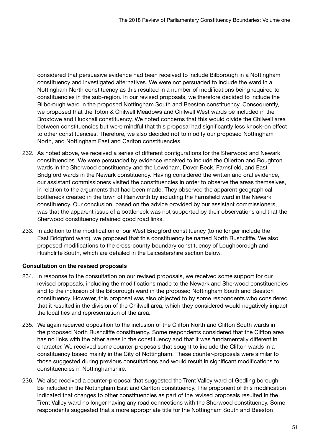considered that persuasive evidence had been received to include Bilborough in a Nottingham constituency and investigated alternatives. We were not persuaded to include the ward in a Nottingham North constituency as this resulted in a number of modifications being required to constituencies in the sub-region. In our revised proposals, we therefore decided to include the Bilborough ward in the proposed Nottingham South and Beeston constituency. Consequently, we proposed that the Toton & Chilwell Meadows and Chilwell West wards be included in the Broxtowe and Hucknall constituency. We noted concerns that this would divide the Chilwell area between constituencies but were mindful that this proposal had significantly less knock-on effect to other constituencies. Therefore, we also decided not to modify our proposed Nottingham North, and Nottingham East and Carlton constituencies.

- 232. As noted above, we received a series of different configurations for the Sherwood and Newark constituencies. We were persuaded by evidence received to include the Ollerton and Boughton wards in the Sherwood constituency and the Lowdham, Dover Beck, Farnsfield, and East Bridgford wards in the Newark constituency. Having considered the written and oral evidence, our assistant commissioners visited the constituencies in order to observe the areas themselves, in relation to the arguments that had been made. They observed the apparent geographical bottleneck created in the town of Rainworth by including the Farnsfield ward in the Newark constituency. Our conclusion, based on the advice provided by our assistant commissioners, was that the apparent issue of a bottleneck was not supported by their observations and that the Sherwood constituency retained good road links.
- 233. In addition to the modification of our West Bridgford constituency (to no longer include the East Bridgford ward), we proposed that this constituency be named North Rushcliffe. We also proposed modifications to the cross-county boundary constituency of Loughborough and Rushcliffe South, which are detailed in the Leicestershire section below.

# Consultation on the revised proposals

- 234. In response to the consultation on our revised proposals, we received some support for our revised proposals, including the modifications made to the Newark and Sherwood constituencies and to the inclusion of the Bilborough ward in the proposed Nottingham South and Beeston constituency. However, this proposal was also objected to by some respondents who considered that it resulted in the division of the Chilwell area, which they considered would negatively impact the local ties and representation of the area.
- 235. We again received opposition to the inclusion of the Clifton North and Clifton South wards in the proposed North Rushcliffe constituency. Some respondents considered that the Clifton area has no links with the other areas in the constituency and that it was fundamentally different in character. We received some counter-proposals that sought to include the Clifton wards in a constituency based mainly in the City of Nottingham. These counter-proposals were similar to those suggested during previous consultations and would result in significant modifications to constituencies in Nottinghamshire.
- 236. We also received a counter-proposal that suggested the Trent Valley ward of Gedling borough be included in the Nottingham East and Carlton constituency. The proponent of this modification indicated that changes to other constituencies as part of the revised proposals resulted in the Trent Valley ward no longer having any road connections with the Sherwood constituency. Some respondents suggested that a more appropriate title for the Nottingham South and Beeston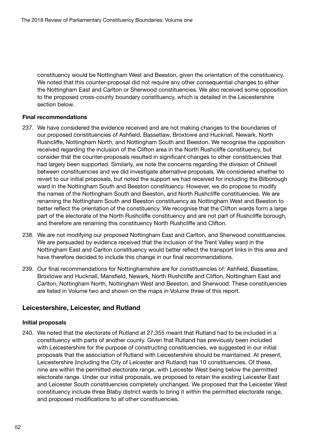constituency would be Nottingham West and Beeston, given the orientation of the constituency. We noted that this counter-proposal did not require any other consequential changes to either the Nottingham East and Carlton or Sherwood constituencies. We also received some opposition to the proposed cross-county boundary constituency, which is detailed in the Leicestershire section below.

#### Final recommendations

- 237. We have considered the evidence received and are not making changes to the boundaries of our proposed constituencies of Ashfield, Bassetlaw, Broxtowe and Hucknall, Newark, North Rushcliffe, Nottingham North, and Nottingham South and Beeston. We recognise the opposition received regarding the inclusion of the Clifton area in the North Rushcliffe constituency, but consider that the counter-proposals resulted in significant changes to other constituencies that had largely been supported. Similarly, we note the concerns regarding the division of Chilwell between constituencies and we did investigate alternative proposals. We considered whether to revert to our initial proposals, but noted the support we had received for including the Bilborough ward in the Nottingham South and Beeston constituency. However, we do propose to modify the names of the Nottingham South and Beeston, and North Rushcliffe constituencies. We are renaming the Nottingham South and Beeston constituency as Nottingham West and Beeston to better reflect the orientation of the constituency. We recognise that the Clifton wards form a large part of the electorate of the North Rushcliffe constituency and are not part of Rushcliffe borough, and therefore are renaming this constituency North Rushcliffe and Clifton.
- 238. We are not modifying our proposed Nottingham East and Carlton, and Sherwood constituencies. We are persuaded by evidence received that the inclusion of the Trent Valley ward in the Nottingham East and Carlton constituency would better reflect the transport links in this area and have therefore decided to include this change in our final recommendations.
- 239. Our final recommendations for Nottinghamshire are for constituencies of: Ashfield, Bassetlaw, Broxtowe and Hucknall, Mansfield, Newark, North Rushcliffe and Clifton, Nottingham East and Carlton, Nottingham North, Nottingham West and Beeston, and Sherwood. These constituencies are listed in Volume two and shown on the maps in Volume three of this report.

# Leicestershire, Leicester, and Rutland

#### Initial proposals

240. We noted that the electorate of Rutland at 27,355 meant that Rutland had to be included in a constituency with parts of another county. Given that Rutland has previously been included with Leicestershire for the purpose of constructing constituencies, we suggested in our initial proposals that the association of Rutland with Leicestershire should be maintained. At present, Leicestershire (including the City of Leicester and Rutland) has 10 constituencies. Of these, nine are within the permitted electorate range, with Leicester West being below the permitted electorate range. Under our initial proposals, we proposed to retain the existing Leicester East and Leicester South constituencies completely unchanged. We proposed that the Leicester West constituency include three Blaby district wards to bring it within the permitted electorate range, and proposed modifications to all other constituencies.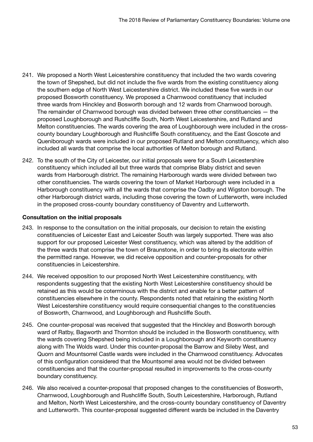- 241. We proposed a North West Leicestershire constituency that included the two wards covering the town of Shepshed, but did not include the five wards from the existing constituency along the southern edge of North West Leicestershire district. We included these five wards in our proposed Bosworth constituency. We proposed a Charnwood constituency that included three wards from Hinckley and Bosworth borough and 12 wards from Charnwood borough. The remainder of Charnwood borough was divided between three other constituencies — the proposed Loughborough and Rushcliffe South, North West Leicestershire, and Rutland and Melton constituencies. The wards covering the area of Loughborough were included in the crosscounty boundary Loughborough and Rushcliffe South constituency, and the East Goscote and Queniborough wards were included in our proposed Rutland and Melton constituency, which also included all wards that comprise the local authorities of Melton borough and Rutland.
- 242. To the south of the City of Leicester, our initial proposals were for a South Leicestershire constituency which included all but three wards that comprise Blaby district and seven wards from Harborough district. The remaining Harborough wards were divided between two other constituencies. The wards covering the town of Market Harborough were included in a Harborough constituency with all the wards that comprise the Oadby and Wigston borough. The other Harborough district wards, including those covering the town of Lutterworth, were included in the proposed cross-county boundary constituency of Daventry and Lutterworth.

# Consultation on the initial proposals

- 243. In response to the consultation on the initial proposals, our decision to retain the existing constituencies of Leicester East and Leicester South was largely supported. There was also support for our proposed Leicester West constituency, which was altered by the addition of the three wards that comprise the town of Braunstone, in order to bring its electorate within the permitted range. However, we did receive opposition and counter-proposals for other constituencies in Leicestershire.
- 244. We received opposition to our proposed North West Leicestershire constituency, with respondents suggesting that the existing North West Leicestershire constituency should be retained as this would be coterminous with the district and enable for a better pattern of constituencies elsewhere in the county. Respondents noted that retaining the existing North West Leicestershire constituency would require consequential changes to the constituencies of Bosworth, Charnwood, and Loughborough and Rushcliffe South.
- 245. One counter-proposal was received that suggested that the Hinckley and Bosworth borough ward of Ratby, Bagworth and Thornton should be included in the Bosworth constituency, with the wards covering Shepshed being included in a Loughborough and Keyworth constituency along with The Wolds ward. Under this counter-proposal the Barrow and Sileby West, and Quorn and Mountsorrel Castle wards were included in the Charnwood constituency. Advocates of this configuration considered that the Mountsorrel area would not be divided between constituencies and that the counter-proposal resulted in improvements to the cross-county boundary constituency.
- 246. We also received a counter-proposal that proposed changes to the constituencies of Bosworth, Charnwood, Loughborough and Rushcliffe South, South Leicestershire, Harborough, Rutland and Melton, North West Leicestershire, and the cross-county boundary constituency of Daventry and Lutterworth. This counter-proposal suggested different wards be included in the Daventry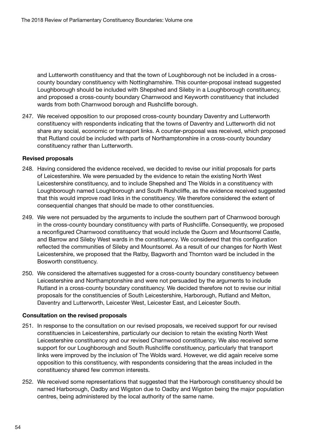and Lutterworth constituency and that the town of Loughborough not be included in a crosscounty boundary constituency with Nottinghamshire. This counter-proposal instead suggested Loughborough should be included with Shepshed and Sileby in a Loughborough constituency, and proposed a cross-county boundary Charnwood and Keyworth constituency that included wards from both Charnwood borough and Rushcliffe borough.

247. We received opposition to our proposed cross-county boundary Daventry and Lutterworth constituency with respondents indicating that the towns of Daventry and Lutterworth did not share any social, economic or transport links. A counter-proposal was received, which proposed that Rutland could be included with parts of Northamptonshire in a cross-county boundary constituency rather than Lutterworth.

#### Revised proposals

- 248. Having considered the evidence received, we decided to revise our initial proposals for parts of Leicestershire. We were persuaded by the evidence to retain the existing North West Leicestershire constituency, and to include Shepshed and The Wolds in a constituency with Loughborough named Loughborough and South Rushcliffe, as the evidence received suggested that this would improve road links in the constituency. We therefore considered the extent of consequential changes that should be made to other constituencies.
- 249. We were not persuaded by the arguments to include the southern part of Charnwood borough in the cross-county boundary constituency with parts of Rushcliffe. Consequently, we proposed a reconfigured Charnwood constituency that would include the Quorn and Mountsorrel Castle, and Barrow and Sileby West wards in the constituency. We considered that this configuration reflected the communities of Sileby and Mountsorrel. As a result of our changes for North West Leicestershire, we proposed that the Ratby, Bagworth and Thornton ward be included in the Bosworth constituency.
- 250. We considered the alternatives suggested for a cross-county boundary constituency between Leicestershire and Northamptonshire and were not persuaded by the arguments to include Rutland in a cross-county boundary constituency. We decided therefore not to revise our initial proposals for the constituencies of South Leicestershire, Harborough, Rutland and Melton, Daventry and Lutterworth, Leicester West, Leicester East, and Leicester South.

#### Consultation on the revised proposals

- 251. In response to the consultation on our revised proposals, we received support for our revised constituencies in Leicestershire, particularly our decision to retain the existing North West Leicestershire constituency and our revised Charnwood constituency. We also received some support for our Loughborough and South Rushcliffe constituency, particularly that transport links were improved by the inclusion of The Wolds ward. However, we did again receive some opposition to this constituency, with respondents considering that the areas included in the constituency shared few common interests.
- 252. We received some representations that suggested that the Harborough constituency should be named Harborough, Oadby and Wigston due to Oadby and Wigston being the major population centres, being administered by the local authority of the same name.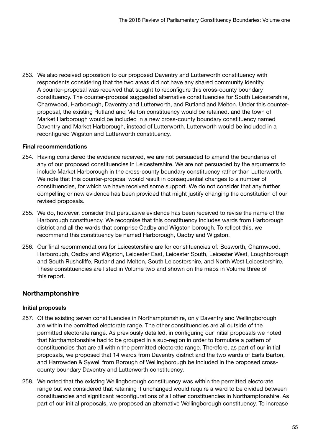253. We also received opposition to our proposed Daventry and Lutterworth constituency with respondents considering that the two areas did not have any shared community identity. A counter-proposal was received that sought to reconfigure this cross-county boundary constituency. The counter-proposal suggested alternative constituencies for South Leicestershire, Charnwood, Harborough, Daventry and Lutterworth, and Rutland and Melton. Under this counterproposal, the existing Rutland and Melton constituency would be retained, and the town of Market Harborough would be included in a new cross-county boundary constituency named Daventry and Market Harborough, instead of Lutterworth. Lutterworth would be included in a reconfigured Wigston and Lutterworth constituency.

# Final recommendations

- 254. Having considered the evidence received, we are not persuaded to amend the boundaries of any of our proposed constituencies in Leicestershire. We are not persuaded by the arguments to include Market Harborough in the cross-county boundary constituency rather than Lutterworth. We note that this counter-proposal would result in consequential changes to a number of constituencies, for which we have received some support. We do not consider that any further compelling or new evidence has been provided that might justify changing the constitution of our revised proposals.
- 255. We do, however, consider that persuasive evidence has been received to revise the name of the Harborough constituency. We recognise that this constituency includes wards from Harborough district and all the wards that comprise Oadby and Wigston borough. To reflect this, we recommend this constituency be named Harborough, Oadby and Wigston.
- 256. Our final recommendations for Leicestershire are for constituencies of: Bosworth, Charnwood, Harborough, Oadby and Wigston, Leicester East, Leicester South, Leicester West, Loughborough and South Rushcliffe, Rutland and Melton, South Leicestershire, and North West Leicestershire. These constituencies are listed in Volume two and shown on the maps in Volume three of this report.

# Northamptonshire

# Initial proposals

- 257. Of the existing seven constituencies in Northamptonshire, only Daventry and Wellingborough are within the permitted electorate range. The other constituencies are all outside of the permitted electorate range. As previously detailed, in configuring our initial proposals we noted that Northamptonshire had to be grouped in a sub-region in order to formulate a pattern of constituencies that are all within the permitted electorate range. Therefore, as part of our initial proposals, we proposed that 14 wards from Daventry district and the two wards of Earls Barton, and Harrowden & Sywell from Borough of Wellingborough be included in the proposed crosscounty boundary Daventry and Lutterworth constituency.
- 258. We noted that the existing Wellingborough constituency was within the permitted electorate range but we considered that retaining it unchanged would require a ward to be divided between constituencies and significant reconfigurations of all other constituencies in Northamptonshire. As part of our initial proposals, we proposed an alternative Wellingborough constituency. To increase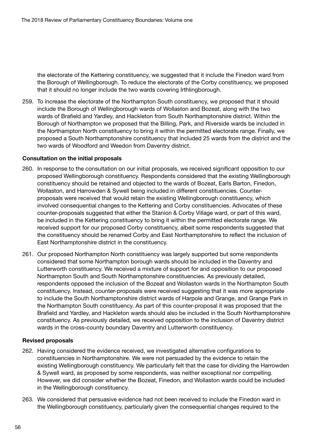the electorate of the Kettering constituency, we suggested that it include the Finedon ward from the Borough of Wellingborough. To reduce the electorate of the Corby constituency, we proposed that it should no longer include the two wards covering Irthlingborough.

259. To increase the electorate of the Northampton South constituency, we proposed that it should include the Borough of Wellingborough wards of Wollaston and Bozeat, along with the two wards of Brafield and Yardley, and Hackleton from South Northamptonshire district. Within the Borough of Northampton we proposed that the Billing, Park, and Riverside wards be included in the Northampton North constituency to bring it within the permitted electorate range. Finally, we proposed a South Northamptonshire constituency that included 25 wards from the district and the two wards of Woodford and Weedon from Daventry district.

#### Consultation on the initial proposals

- 260. In response to the consultation on our initial proposals, we received significant opposition to our proposed Wellingborough constituency. Respondents considered that the existing Wellingborough constituency should be retained and objected to the wards of Bozeat, Earls Barton, Finedon, Wollaston, and Harrowden & Sywell being included in different constituencies. Counterproposals were received that would retain the existing Wellingborough constituency, which involved consequential changes to the Kettering and Corby constituencies. Advocates of these counter-proposals suggested that either the Stanion & Corby Village ward, or part of this ward, be included in the Kettering constituency to bring it within the permitted electorate range. We received support for our proposed Corby constituency, albeit some respondents suggested that the constituency should be renamed Corby and East Northamptonshire to reflect the inclusion of East Northamptonshire district in the constituency.
- 261. Our proposed Northampton North constituency was largely supported but some respondents considered that some Northampton borough wards should be included in the Daventry and Lutterworth constituency. We received a mixture of support for and opposition to our proposed Northampton South and South Northamptonshire constituencies. As previously detailed, respondents opposed the inclusion of the Bozeat and Wollaston wards in the Northampton South constituency. Instead, counter-proposals were received suggesting that it was more appropriate to include the South Northamptonshire district wards of Harpole and Grange, and Grange Park in the Northampton South constituency. As part of this counter-proposal it was proposed that the Brafield and Yardley, and Hackleton wards should also be included in the South Northamptonshire constituency. As previously detailed, we received opposition to the inclusion of Daventry district wards in the cross-county boundary Daventry and Lutterworth constituency.

#### Revised proposals

- 262. Having considered the evidence received, we investigated alternative configurations to constituencies in Northamptonshire. We were not persuaded by the evidence to retain the existing Wellingborough constituency. We particularly felt that the case for dividing the Harrowden & Sywell ward, as proposed by some respondents, was neither exceptional nor compelling. However, we did consider whether the Bozeat, Finedon, and Wollaston wards could be included in the Wellingborough constituency.
- 263. We considered that persuasive evidence had not been received to include the Finedon ward in the Wellingborough constituency, particularly given the consequential changes required to the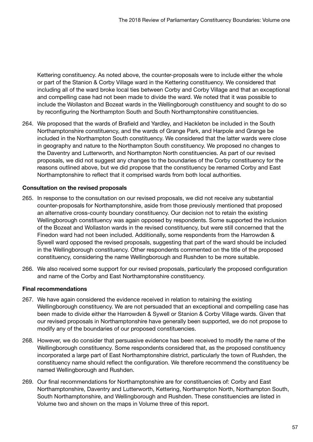Kettering constituency. As noted above, the counter-proposals were to include either the whole or part of the Stanion & Corby Village ward in the Kettering constituency. We considered that including all of the ward broke local ties between Corby and Corby Village and that an exceptional and compelling case had not been made to divide the ward. We noted that it was possible to include the Wollaston and Bozeat wards in the Wellingborough constituency and sought to do so by reconfiguring the Northampton South and South Northamptonshire constituencies.

264. We proposed that the wards of Brafield and Yardley, and Hackleton be included in the South Northamptonshire constituency, and the wards of Grange Park, and Harpole and Grange be included in the Northampton South constituency. We considered that the latter wards were close in geography and nature to the Northampton South constituency. We proposed no changes to the Daventry and Lutterworth, and Northampton North constituencies. As part of our revised proposals, we did not suggest any changes to the boundaries of the Corby constituency for the reasons outlined above, but we did propose that the constituency be renamed Corby and East Northamptonshire to reflect that it comprised wards from both local authorities.

# Consultation on the revised proposals

- 265. In response to the consultation on our revised proposals, we did not receive any substantial counter-proposals for Northamptonshire, aside from those previously mentioned that proposed an alternative cross-county boundary constituency. Our decision not to retain the existing Wellingborough constituency was again opposed by respondents. Some supported the inclusion of the Bozeat and Wollaston wards in the revised constituency, but were still concerned that the Finedon ward had not been included. Additionally, some respondents from the Harrowden & Sywell ward opposed the revised proposals, suggesting that part of the ward should be included in the Wellingborough constituency. Other respondents commented on the title of the proposed constituency, considering the name Wellingborough and Rushden to be more suitable.
- 266. We also received some support for our revised proposals, particularly the proposed configuration and name of the Corby and East Northamptonshire constituency.

# Final recommendations

- 267. We have again considered the evidence received in relation to retaining the existing Wellingborough constituency. We are not persuaded that an exceptional and compelling case has been made to divide either the Harrowden & Sywell or Stanion & Corby Village wards. Given that our revised proposals in Northamptonshire have generally been supported, we do not propose to modify any of the boundaries of our proposed constituencies.
- 268. However, we do consider that persuasive evidence has been received to modify the name of the Wellingborough constituency. Some respondents considered that, as the proposed constituency incorporated a large part of East Northamptonshire district, particularly the town of Rushden, the constituency name should reflect the configuration. We therefore recommend the constituency be named Wellingborough and Rushden.
- 269. Our final recommendations for Northamptonshire are for constituencies of: Corby and East Northamptonshire, Daventry and Lutterworth, Kettering, Northampton North, Northampton South, South Northamptonshire, and Wellingborough and Rushden. These constituencies are listed in Volume two and shown on the maps in Volume three of this report.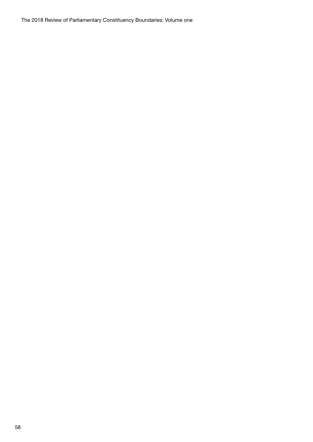The 2018 Review of Parliamentary Constituency Boundaries: Volume one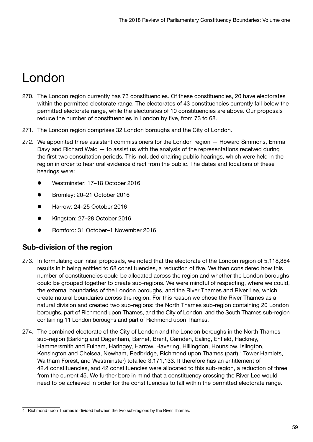# London

- 270. The London region currently has 73 constituencies. Of these constituencies, 20 have electorates within the permitted electorate range. The electorates of 43 constituencies currently fall below the permitted electorate range, while the electorates of 10 constituencies are above. Our proposals reduce the number of constituencies in London by five, from 73 to 68.
- 271. The London region comprises 32 London boroughs and the City of London.
- 272. We appointed three assistant commissioners for the London region Howard Simmons, Emma Davy and Richard Wald — to assist us with the analysis of the representations received during the first two consultation periods. This included chairing public hearings, which were held in the region in order to hear oral evidence direct from the public. The dates and locations of these hearings were:
	- Westminster: 17–18 October 2016
	- Bromley: 20–21 October 2016
	- $\bullet$  Harrow: 24–25 October 2016
	- Kingston: 27–28 October 2016
	- Romford: 31 October–1 November 2016

# Sub-division of the region

- 273. In formulating our initial proposals, we noted that the electorate of the London region of 5,118,884 results in it being entitled to 68 constituencies, a reduction of five. We then considered how this number of constituencies could be allocated across the region and whether the London boroughs could be grouped together to create sub-regions. We were mindful of respecting, where we could, the external boundaries of the London boroughs, and the River Thames and River Lee, which create natural boundaries across the region. For this reason we chose the River Thames as a natural division and created two sub-regions: the North Thames sub-region containing 20 London boroughs, part of Richmond upon Thames, and the City of London, and the South Thames sub-region containing 11 London boroughs and part of Richmond upon Thames.
- 274. The combined electorate of the City of London and the London boroughs in the North Thames sub-region (Barking and Dagenham, Barnet, Brent, Camden, Ealing, Enfield, Hackney, Hammersmith and Fulham, Haringey, Harrow, Havering, Hillingdon, Hounslow, Islington, Kensington and Chelsea, Newham, Redbridge, Richmond upon Thames (part),<sup>4</sup> Tower Hamlets, Waltham Forest, and Westminster) totalled 3,171,133. It therefore has an entitlement of 42.4 constituencies, and 42 constituencies were allocated to this sub-region, a reduction of three from the current 45. We further bore in mind that a constituency crossing the River Lee would need to be achieved in order for the constituencies to fall within the permitted electorate range.

<sup>4</sup> Richmond upon Thames is divided between the two sub-regions by the River Thames.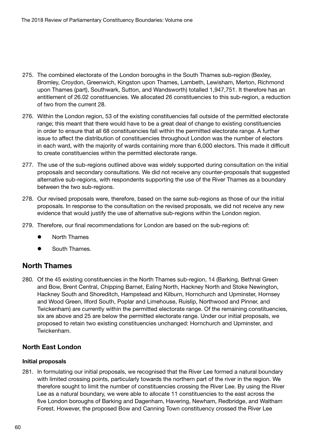- 275. The combined electorate of the London boroughs in the South Thames sub-region (Bexley, Bromley, Croydon, Greenwich, Kingston upon Thames, Lambeth, Lewisham, Merton, Richmond upon Thames (part), Southwark, Sutton, and Wandsworth) totalled 1,947,751. It therefore has an entitlement of 26.02 constituencies. We allocated 26 constituencies to this sub-region, a reduction of two from the current 28.
- 276. Within the London region, 53 of the existing constituencies fall outside of the permitted electorate range; this meant that there would have to be a great deal of change to existing constituencies in order to ensure that all 68 constituencies fall within the permitted electorate range. A further issue to affect the distribution of constituencies throughout London was the number of electors in each ward, with the majority of wards containing more than 6,000 electors. This made it difficult to create constituencies within the permitted electorate range.
- 277. The use of the sub-regions outlined above was widely supported during consultation on the initial proposals and secondary consultations. We did not receive any counter-proposals that suggested alternative sub-regions, with respondents supporting the use of the River Thames as a boundary between the two sub-regions.
- 278. Our revised proposals were, therefore, based on the same sub-regions as those of our the initial proposals. In response to the consultation on the revised proposals, we did not receive any new evidence that would justify the use of alternative sub-regions within the London region.
- 279. Therefore, our final recommendations for London are based on the sub-regions of:
	- North Thames
	- South Thames.

# North Thames

280. Of the 45 existing constituencies in the North Thames sub-region, 14 (Barking, Bethnal Green and Bow, Brent Central, Chipping Barnet, Ealing North, Hackney North and Stoke Newington, Hackney South and Shoreditch, Hampstead and Kilburn, Hornchurch and Upminster, Hornsey and Wood Green, Ilford South, Poplar and Limehouse, Ruislip, Northwood and Pinner, and Twickenham) are currently within the permitted electorate range. Of the remaining constituencies, six are above and 25 are below the permitted electorate range. Under our initial proposals, we proposed to retain two existing constituencies unchanged: Hornchurch and Upminster, and Twickenham.

# North East London

# Initial proposals

281. In formulating our initial proposals, we recognised that the River Lee formed a natural boundary with limited crossing points, particularly towards the northern part of the river in the region. We therefore sought to limit the number of constituencies crossing the River Lee. By using the River Lee as a natural boundary, we were able to allocate 11 constituencies to the east across the five London boroughs of Barking and Dagenham, Havering, Newham, Redbridge, and Waltham Forest. However, the proposed Bow and Canning Town constituency crossed the River Lee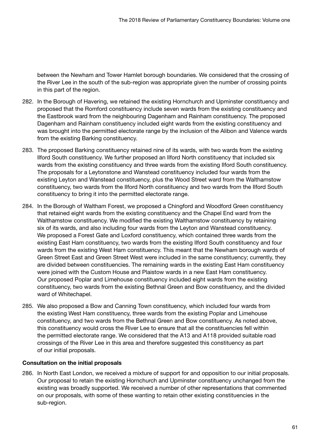between the Newham and Tower Hamlet borough boundaries. We considered that the crossing of the River Lee in the south of the sub-region was appropriate given the number of crossing points in this part of the region.

- 282. In the Borough of Havering, we retained the existing Hornchurch and Upminster constituency and proposed that the Romford constituency include seven wards from the existing constituency and the Eastbrook ward from the neighbouring Dagenham and Rainham constituency. The proposed Dagenham and Rainham constituency included eight wards from the existing constituency and was brought into the permitted electorate range by the inclusion of the Alibon and Valence wards from the existing Barking constituency.
- 283. The proposed Barking constituency retained nine of its wards, with two wards from the existing Ilford South constituency. We further proposed an Ilford North constituency that included six wards from the existing constituency and three wards from the existing Ilford South constituency. The proposals for a Leytonstone and Wanstead constituency included four wards from the existing Leyton and Wanstead constituency, plus the Wood Street ward from the Walthamstow constituency, two wards from the Ilford North constituency and two wards from the Ilford South constituency to bring it into the permitted electorate range.
- 284. In the Borough of Waltham Forest, we proposed a Chingford and Woodford Green constituency that retained eight wards from the existing constituency and the Chapel End ward from the Walthamstow constituency. We modified the existing Walthamstow constituency by retaining six of its wards, and also including four wards from the Leyton and Wanstead constituency. We proposed a Forest Gate and Loxford constituency, which contained three wards from the existing East Ham constituency, two wards from the existing Ilford South constituency and four wards from the existing West Ham constituency. This meant that the Newham borough wards of Green Street East and Green Street West were included in the same constituency; currently, they are divided between constituencies. The remaining wards in the existing East Ham constituency were joined with the Custom House and Plaistow wards in a new East Ham constituency. Our proposed Poplar and Limehouse constituency included eight wards from the existing constituency, two wards from the existing Bethnal Green and Bow constituency, and the divided ward of Whitechapel.
- 285. We also proposed a Bow and Canning Town constituency, which included four wards from the existing West Ham constituency, three wards from the existing Poplar and Limehouse constituency, and two wards from the Bethnal Green and Bow constituency. As noted above, this constituency would cross the River Lee to ensure that all the constituencies fell within the permitted electorate range. We considered that the A13 and A118 provided suitable road crossings of the River Lee in this area and therefore suggested this constituency as part of our initial proposals.

# Consultation on the initial proposals

286. In North East London, we received a mixture of support for and opposition to our initial proposals. Our proposal to retain the existing Hornchurch and Upminster constituency unchanged from the existing was broadly supported. We received a number of other representations that commented on our proposals, with some of these wanting to retain other existing constituencies in the sub-region.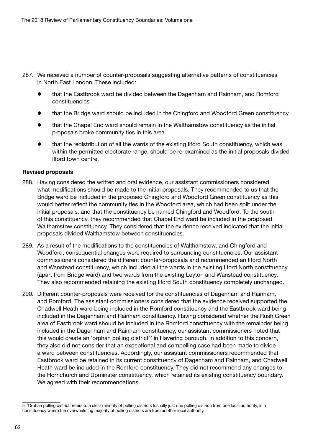- 287. We received a number of counter-proposals suggesting alternative patterns of constituencies in North East London. These included:
	- that the Eastbrook ward be divided between the Dagenham and Rainham, and Romford constituencies
	- that the Bridge ward should be included in the Chingford and Woodford Green constituency
	- that the Chapel End ward should remain in the Walthamstow constituency as the initial proposals broke community ties in this area
	- that the redistribution of all the wards of the existing Ilford South constituency, which was within the permitted electorate range, should be re-examined as the initial proposals divided Ilford town centre.

#### Revised proposals

- 288. Having considered the written and oral evidence, our assistant commissioners considered what modifications should be made to the initial proposals. They recommended to us that the Bridge ward be included in the proposed Chingford and Woodford Green constituency as this would better reflect the community ties in the Woodford area, which had been split under the initial proposals, and that the constituency be named Chingford and Woodford. To the south of this constituency, they recommended that Chapel End ward be included in the proposed Walthamstow constituency. They considered that the evidence received indicated that the initial proposals divided Walthamstow between constituencies.
- 289. As a result of the modifications to the constituencies of Walthamstow, and Chingford and Woodford, consequential changes were required to surrounding constituencies. Our assistant commissioners considered the different counter-proposals and recommended an Ilford North and Wanstead constituency, which included all the wards in the existing Ilford North constituency (apart from Bridge ward) and two wards from the existing Leyton and Wanstead constituency. They also recommended retaining the existing Ilford South constituency completely unchanged.
- 290. Different counter-proposals were received for the constituencies of Dagenham and Rainham, and Romford. The assistant commissioners considered that the evidence received supported the Chadwell Heath ward being included in the Romford constituency and the Eastbrook ward being included in the Dagenham and Rainham constituency. Having considered whether the Rush Green area of Eastbrook ward should be included in the Romford constituency with the remainder being included in the Dagenham and Rainham constituency, our assistant commissioners noted that this would create an 'orphan polling district<sup>5</sup>' in Havering borough. In addition to this concern, they also did not consider that an exceptional and compelling case had been made to divide a ward between constituencies. Accordingly, our assistant commissioners recommended that Eastbrook ward be retained in its current constituency of Dagenham and Rainham, and Chadwell Heath ward be included in the Romford constituency. They did not recommend any changes to the Hornchurch and Upminster constituency, which retained its existing constituency boundary. We agreed with their recommendations.

<sup>5</sup> 'Orphan polling district' refers to a clear minority of polling districts (usually just one polling district) from one local authority, in a constituency where the overwhelming majority of polling districts are from another local authority.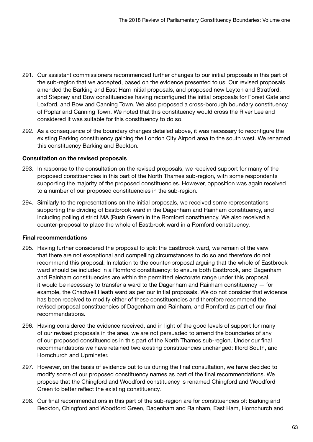- 291. Our assistant commissioners recommended further changes to our initial proposals in this part of the sub-region that we accepted, based on the evidence presented to us. Our revised proposals amended the Barking and East Ham initial proposals, and proposed new Leyton and Stratford, and Stepney and Bow constituencies having reconfigured the initial proposals for Forest Gate and Loxford, and Bow and Canning Town. We also proposed a cross-borough boundary constituency of Poplar and Canning Town. We noted that this constituency would cross the River Lee and considered it was suitable for this constituency to do so.
- 292. As a consequence of the boundary changes detailed above, it was necessary to reconfigure the existing Barking constituency gaining the London City Airport area to the south west. We renamed this constituency Barking and Beckton.

# Consultation on the revised proposals

- 293. In response to the consultation on the revised proposals, we received support for many of the proposed constituencies in this part of the North Thames sub-region, with some respondents supporting the majority of the proposed constituencies. However, opposition was again received to a number of our proposed constituencies in the sub-region.
- 294. Similarly to the representations on the initial proposals, we received some representations supporting the dividing of Eastbrook ward in the Dagenham and Rainham constituency, and including polling district MA (Rush Green) in the Romford constituency. We also received a counter-proposal to place the whole of Eastbrook ward in a Romford constituency.

# Final recommendations

- 295. Having further considered the proposal to split the Eastbrook ward, we remain of the view that there are not exceptional and compelling circumstances to do so and therefore do not recommend this proposal. In relation to the counter-proposal arguing that the whole of Eastbrook ward should be included in a Romford constituency: to ensure both Eastbrook, and Dagenham and Rainham constituencies are within the permitted electorate range under this proposal, it would be necessary to transfer a ward to the Dagenham and Rainham constituency — for example, the Chadwell Heath ward as per our initial proposals. We do not consider that evidence has been received to modify either of these constituencies and therefore recommend the revised proposal constituencies of Dagenham and Rainham, and Romford as part of our final recommendations.
- 296. Having considered the evidence received, and in light of the good levels of support for many of our revised proposals in the area, we are not persuaded to amend the boundaries of any of our proposed constituencies in this part of the North Thames sub-region. Under our final recommendations we have retained two existing constituencies unchanged: Ilford South, and Hornchurch and Upminster.
- 297. However, on the basis of evidence put to us during the final consultation, we have decided to modify some of our proposed constituency names as part of the final recommendations. We propose that the Chingford and Woodford constituency is renamed Chingford and Woodford Green to better reflect the existing constituency.
- 298. Our final recommendations in this part of the sub-region are for constituencies of: Barking and Beckton, Chingford and Woodford Green, Dagenham and Rainham, East Ham, Hornchurch and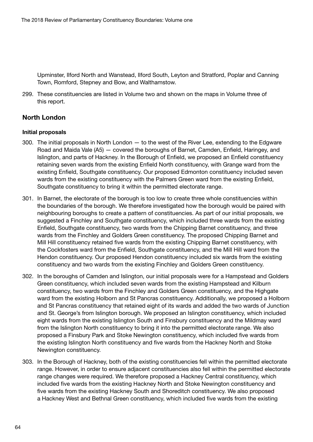Upminster, Ilford North and Wanstead, Ilford South, Leyton and Stratford, Poplar and Canning Town, Romford, Stepney and Bow, and Walthamstow.

299. These constituencies are listed in Volume two and shown on the maps in Volume three of this report.

# North London

#### Initial proposals

- 300. The initial proposals in North London to the west of the River Lee, extending to the Edgware Road and Maida Vale (A5) — covered the boroughs of Barnet, Camden, Enfield, Haringey, and Islington, and parts of Hackney. In the Borough of Enfield, we proposed an Enfield constituency retaining seven wards from the existing Enfield North constituency, with Grange ward from the existing Enfield, Southgate constituency. Our proposed Edmonton constituency included seven wards from the existing constituency with the Palmers Green ward from the existing Enfield, Southgate constituency to bring it within the permitted electorate range.
- 301. In Barnet, the electorate of the borough is too low to create three whole constituencies within the boundaries of the borough. We therefore investigated how the borough would be paired with neighbouring boroughs to create a pattern of constituencies. As part of our initial proposals, we suggested a Finchley and Southgate constituency, which included three wards from the existing Enfield, Southgate constituency, two wards from the Chipping Barnet constituency, and three wards from the Finchley and Golders Green constituency. The proposed Chipping Barnet and Mill Hill constituency retained five wards from the existing Chipping Barnet constituency, with the Cockfosters ward from the Enfield, Southgate constituency, and the Mill Hill ward from the Hendon constituency. Our proposed Hendon constituency included six wards from the existing constituency and two wards from the existing Finchley and Golders Green constituency.
- 302. In the boroughs of Camden and Islington, our initial proposals were for a Hampstead and Golders Green constituency, which included seven wards from the existing Hampstead and Kilburn constituency, two wards from the Finchley and Golders Green constituency, and the Highgate ward from the existing Holborn and St Pancras constituency. Additionally, we proposed a Holborn and St Pancras constituency that retained eight of its wards and added the two wards of Junction and St. George's from Islington borough. We proposed an Islington constituency, which included eight wards from the existing Islington South and Finsbury constituency and the Mildmay ward from the Islington North constituency to bring it into the permitted electorate range. We also proposed a Finsbury Park and Stoke Newington constituency, which included five wards from the existing Islington North constituency and five wards from the Hackney North and Stoke Newington constituency.
- 303. In the Borough of Hackney, both of the existing constituencies fell within the permitted electorate range. However, in order to ensure adjacent constituencies also fell within the permitted electorate range changes were required. We therefore proposed a Hackney Central constituency, which included five wards from the existing Hackney North and Stoke Newington constituency and five wards from the existing Hackney South and Shoreditch constituency. We also proposed a Hackney West and Bethnal Green constituency, which included five wards from the existing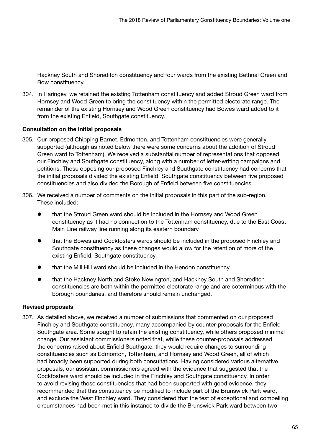Hackney South and Shoreditch constituency and four wards from the existing Bethnal Green and Bow constituency.

304. In Haringey, we retained the existing Tottenham constituency and added Stroud Green ward from Hornsey and Wood Green to bring the constituency within the permitted electorate range. The remainder of the existing Hornsey and Wood Green constituency had Bowes ward added to it from the existing Enfield, Southgate constituency.

# Consultation on the initial proposals

- 305. Our proposed Chipping Barnet, Edmonton, and Tottenham constituencies were generally supported (although as noted below there were some concerns about the addition of Stroud Green ward to Tottenham). We received a substantial number of representations that opposed our Finchley and Southgate constituency, along with a number of letter-writing campaigns and petitions. Those opposing our proposed Finchley and Southgate constituency had concerns that the initial proposals divided the existing Enfield, Southgate constituency between five proposed constituencies and also divided the Borough of Enfield between five constituencies.
- 306. We received a number of comments on the initial proposals in this part of the sub-region. These included:
	- that the Stroud Green ward should be included in the Hornsey and Wood Green constituency as it had no connection to the Tottenham constituency, due to the East Coast Main Line railway line running along its eastern boundary
	- that the Bowes and Cockfosters wards should be included in the proposed Finchley and Southgate constituency as these changes would allow for the retention of more of the existing Enfield, Southgate constituency
	- that the Mill Hill ward should be included in the Hendon constituency
	- that the Hackney North and Stoke Newington, and Hackney South and Shoreditch constituencies are both within the permitted electorate range and are coterminous with the borough boundaries, and therefore should remain unchanged.

# Revised proposals

307. As detailed above, we received a number of submissions that commented on our proposed Finchley and Southgate constituency, many accompanied by counter-proposals for the Enfield Southgate area. Some sought to retain the existing constituency, while others proposed minimal change. Our assistant commissioners noted that, while these counter-proposals addressed the concerns raised about Enfield Southgate, they would require changes to surrounding constituencies such as Edmonton, Tottenham, and Hornsey and Wood Green, all of which had broadly been supported during both consultations. Having considered various alternative proposals, our assistant commissioners agreed with the evidence that suggested that the Cockfosters ward should be included in the Finchley and Southgate constituency. In order to avoid revising those constituencies that had been supported with good evidence, they recommended that this constituency be modified to include part of the Brunswick Park ward, and exclude the West Finchley ward. They considered that the test of exceptional and compelling circumstances had been met in this instance to divide the Brunswick Park ward between two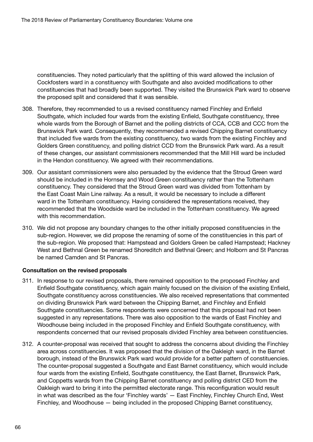constituencies. They noted particularly that the splitting of this ward allowed the inclusion of Cockfosters ward in a constituency with Southgate and also avoided modifications to other constituencies that had broadly been supported. They visited the Brunswick Park ward to observe the proposed split and considered that it was sensible.

- 308. Therefore, they recommended to us a revised constituency named Finchley and Enfield Southgate, which included four wards from the existing Enfield, Southgate constituency, three whole wards from the Borough of Barnet and the polling districts of CCA, CCB and CCC from the Brunswick Park ward. Consequently, they recommended a revised Chipping Barnet constituency that included five wards from the existing constituency, two wards from the existing Finchley and Golders Green constituency, and polling district CCD from the Brunswick Park ward. As a result of these changes, our assistant commissioners recommended that the Mill Hill ward be included in the Hendon constituency. We agreed with their recommendations.
- 309. Our assistant commissioners were also persuaded by the evidence that the Stroud Green ward should be included in the Hornsey and Wood Green constituency rather than the Tottenham constituency. They considered that the Stroud Green ward was divided from Tottenham by the East Coast Main Line railway. As a result, it would be necessary to include a different ward in the Tottenham constituency. Having considered the representations received, they recommended that the Woodside ward be included in the Tottenham constituency. We agreed with this recommendation.
- 310. We did not propose any boundary changes to the other initially proposed constituencies in the sub-region. However, we did propose the renaming of some of the constituencies in this part of the sub-region. We proposed that: Hampstead and Golders Green be called Hampstead; Hackney West and Bethnal Green be renamed Shoreditch and Bethnal Green; and Holborn and St Pancras be named Camden and St Pancras.

#### Consultation on the revised proposals

- 311. In response to our revised proposals, there remained opposition to the proposed Finchley and Enfield Southgate constituency, which again mainly focused on the division of the existing Enfield, Southgate constituency across constituencies. We also received representations that commented on dividing Brunswick Park ward between the Chipping Barnet, and Finchley and Enfield Southgate constituencies. Some respondents were concerned that this proposal had not been suggested in any representations. There was also opposition to the wards of East Finchley and Woodhouse being included in the proposed Finchley and Enfield Southgate constituency, with respondents concerned that our revised proposals divided Finchley area between constituencies.
- 312. A counter-proposal was received that sought to address the concerns about dividing the Finchley area across constituencies. It was proposed that the division of the Oakleigh ward, in the Barnet borough, instead of the Brunswick Park ward would provide for a better pattern of constituencies. The counter-proposal suggested a Southgate and East Barnet constituency, which would include four wards from the existing Enfield, Southgate constituency, the East Barnet, Brunswick Park, and Coppetts wards from the Chipping Barnet constituency and polling district CED from the Oakleigh ward to bring it into the permitted electorate range. This reconfiguration would result in what was described as the four 'Finchley wards' — East Finchley, Finchley Church End, West Finchley, and Woodhouse — being included in the proposed Chipping Barnet constituency,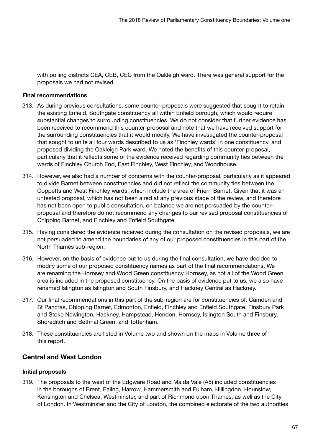with polling districts CEA, CEB, CEC from the Oakleigh ward. There was general support for the proposals we had not revised.

### Final recommendations

- 313. As during previous consultations, some counter-proposals were suggested that sought to retain the existing Enfield, Southgate constituency all within Enfield borough, which would require substantial changes to surrounding constituencies. We do not consider that further evidence has been received to recommend this counter-proposal and note that we have received support for the surrounding constituencies that it would modify. We have investigated the counter-proposal that sought to unite all four wards described to us as 'Finchley wards' in one constituency, and proposed dividing the Oakleigh Park ward. We noted the benefits of this counter-proposal, particularly that it reflects some of the evidence received regarding community ties between the wards of Finchley Church End, East Finchley, West Finchley, and Woodhouse.
- 314. However, we also had a number of concerns with the counter-proposal, particularly as it appeared to divide Barnet between constituencies and did not reflect the community ties between the Coppetts and West Finchley wards, which include the area of Friern Barnet. Given that it was an untested proposal, which has not been aired at any previous stage of the review, and therefore has not been open to public consultation, on balance we are not persuaded by the counterproposal and therefore do not recommend any changes to our revised proposal constituencies of Chipping Barnet, and Finchley and Enfield Southgate.
- 315. Having considered the evidence received during the consultation on the revised proposals, we are not persuaded to amend the boundaries of any of our proposed constituencies in this part of the North Thames sub-region.
- 316. However, on the basis of evidence put to us during the final consultation, we have decided to modify some of our proposed constituency names as part of the final recommendations. We are renaming the Hornsey and Wood Green constituency Hornsey, as not all of the Wood Green area is included in the proposed constituency. On the basis of evidence put to us, we also have renamed Islington as Islington and South Finsbury, and Hackney Central as Hackney.
- 317. Our final recommendations in this part of the sub-region are for constituencies of: Camden and St Pancras, Chipping Barnet, Edmonton, Enfield, Finchley and Enfield Southgate, Finsbury Park and Stoke Newington, Hackney, Hampstead, Hendon, Hornsey, Islington South and Finsbury, Shoreditch and Bethnal Green, and Tottenham.
- 318. These constituencies are listed in Volume two and shown on the maps in Volume three of this report.

# Central and West London

# Initial proposals

319. The proposals to the west of the Edgware Road and Maida Vale (A5) included constituencies in the boroughs of Brent, Ealing, Harrow, Hammersmith and Fulham, Hillingdon, Hounslow, Kensington and Chelsea, Westminster, and part of Richmond upon Thames, as well as the City of London. In Westminster and the City of London, the combined electorate of the two authorities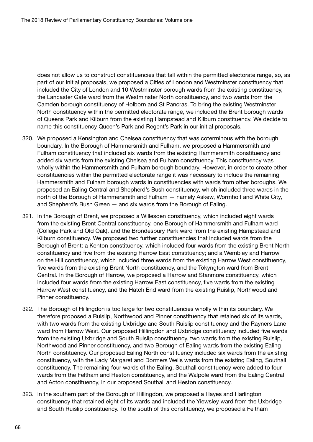does not allow us to construct constituencies that fall within the permitted electorate range, so, as part of our initial proposals, we proposed a Cities of London and Westminster constituency that included the City of London and 10 Westminster borough wards from the existing constituency, the Lancaster Gate ward from the Westminster North constituency, and two wards from the Camden borough constituency of Holborn and St Pancras. To bring the existing Westminster North constituency within the permitted electorate range, we included the Brent borough wards of Queens Park and Kilburn from the existing Hampstead and Kilburn constituency. We decide to name this constituency Queen's Park and Regent's Park in our initial proposals.

- 320. We proposed a Kensington and Chelsea constituency that was coterminous with the borough boundary. In the Borough of Hammersmith and Fulham, we proposed a Hammersmith and Fulham constituency that included six wards from the existing Hammersmith constituency and added six wards from the existing Chelsea and Fulham constituency. This constituency was wholly within the Hammersmith and Fulham borough boundary. However, in order to create other constituencies within the permitted electorate range it was necessary to include the remaining Hammersmith and Fulham borough wards in constituencies with wards from other boroughs. We proposed an Ealing Central and Shepherd's Bush constituency, which included three wards in the north of the Borough of Hammersmith and Fulham — namely Askew, Wormholt and White City, and Shepherd's Bush Green — and six wards from the Borough of Ealing.
- 321. In the Borough of Brent, we proposed a Willesden constituency, which included eight wards from the existing Brent Central constituency, one Borough of Hammersmith and Fulham ward (College Park and Old Oak), and the Brondesbury Park ward from the existing Hampstead and Kilburn constituency. We proposed two further constituencies that included wards from the Borough of Brent: a Kenton constituency, which included four wards from the existing Brent North constituency and five from the existing Harrow East constituency; and a Wembley and Harrow on the Hill constituency, which included three wards from the existing Harrow West constituency, five wards from the existing Brent North constituency, and the Tokyngton ward from Brent Central. In the Borough of Harrow, we proposed a Harrow and Stanmore constituency, which included four wards from the existing Harrow East constituency, five wards from the existing Harrow West constituency, and the Hatch End ward from the existing Ruislip, Northwood and Pinner constituency.
- 322. The Borough of Hillingdon is too large for two constituencies wholly within its boundary. We therefore proposed a Ruislip, Northwood and Pinner constituency that retained six of its wards, with two wards from the existing Uxbridge and South Ruislip constituency and the Rayners Lane ward from Harrow West. Our proposed Hillingdon and Uxbridge constituency included five wards from the existing Uxbridge and South Ruislip constituency, two wards from the existing Ruislip, Northwood and Pinner constituency, and two Borough of Ealing wards from the existing Ealing North constituency. Our proposed Ealing North constituency included six wards from the existing constituency, with the Lady Margaret and Dormers Wells wards from the existing Ealing, Southall constituency. The remaining four wards of the Ealing, Southall constituency were added to four wards from the Feltham and Heston constituency, and the Walpole ward from the Ealing Central and Acton constituency, in our proposed Southall and Heston constituency.
- 323. In the southern part of the Borough of Hillingdon, we proposed a Hayes and Harlington constituency that retained eight of its wards and included the Yiewsley ward from the Uxbridge and South Ruislip constituency. To the south of this constituency, we proposed a Feltham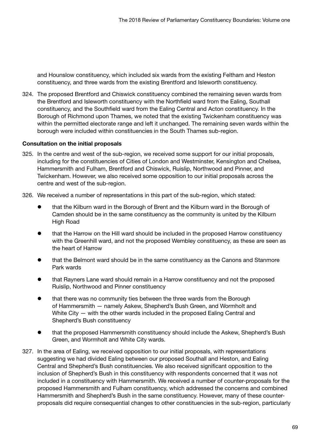and Hounslow constituency, which included six wards from the existing Feltham and Heston constituency, and three wards from the existing Brentford and Isleworth constituency.

324. The proposed Brentford and Chiswick constituency combined the remaining seven wards from the Brentford and Isleworth constituency with the Northfield ward from the Ealing, Southall constituency, and the Southfield ward from the Ealing Central and Acton constituency. In the Borough of Richmond upon Thames, we noted that the existing Twickenham constituency was within the permitted electorate range and left it unchanged. The remaining seven wards within the borough were included within constituencies in the South Thames sub-region.

# Consultation on the initial proposals

- 325. In the centre and west of the sub-region, we received some support for our initial proposals, including for the constituencies of Cities of London and Westminster, Kensington and Chelsea, Hammersmith and Fulham, Brentford and Chiswick, Ruislip, Northwood and Pinner, and Twickenham. However, we also received some opposition to our initial proposals across the centre and west of the sub-region.
- 326. We received a number of representations in this part of the sub-region, which stated:
	- that the Kilburn ward in the Borough of Brent and the Kilburn ward in the Borough of Camden should be in the same constituency as the community is united by the Kilburn High Road
	- that the Harrow on the Hill ward should be included in the proposed Harrow constituency with the Greenhill ward, and not the proposed Wembley constituency, as these are seen as the heart of Harrow
	- that the Belmont ward should be in the same constituency as the Canons and Stanmore Park wards
	- that Rayners Lane ward should remain in a Harrow constituency and not the proposed Ruislip, Northwood and Pinner constituency
	- that there was no community ties between the three wards from the Borough of Hammersmith — namely Askew, Shepherd's Bush Green, and Wormholt and White City  $-$  with the other wards included in the proposed Ealing Central and Shepherd's Bush constituency
	- that the proposed Hammersmith constituency should include the Askew, Shepherd's Bush Green, and Wormholt and White City wards.
- 327. In the area of Ealing, we received opposition to our initial proposals, with representations suggesting we had divided Ealing between our proposed Southall and Heston, and Ealing Central and Shepherd's Bush constituencies. We also received significant opposition to the inclusion of Shepherd's Bush in this constituency with respondents concerned that it was not included in a constituency with Hammersmith. We received a number of counter-proposals for the proposed Hammersmith and Fulham constituency, which addressed the concerns and combined Hammersmith and Shepherd's Bush in the same constituency. However, many of these counterproposals did require consequential changes to other constituencies in the sub-region, particularly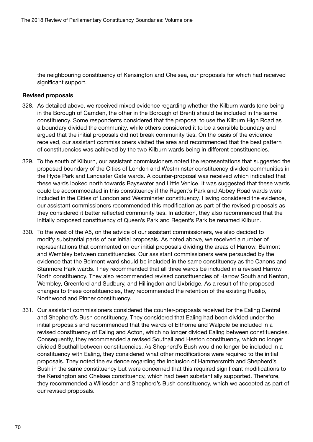the neighbouring constituency of Kensington and Chelsea, our proposals for which had received significant support.

#### Revised proposals

- 328. As detailed above, we received mixed evidence regarding whether the Kilburn wards (one being in the Borough of Camden, the other in the Borough of Brent) should be included in the same constituency. Some respondents considered that the proposal to use the Kilburn High Road as a boundary divided the community, while others considered it to be a sensible boundary and argued that the initial proposals did not break community ties. On the basis of the evidence received, our assistant commissioners visited the area and recommended that the best pattern of constituencies was achieved by the two Kilburn wards being in different constituencies.
- 329. To the south of Kilburn, our assistant commissioners noted the representations that suggested the proposed boundary of the Cities of London and Westminster constituency divided communities in the Hyde Park and Lancaster Gate wards. A counter-proposal was received which indicated that these wards looked north towards Bayswater and Little Venice. It was suggested that these wards could be accommodated in this constituency if the Regent's Park and Abbey Road wards were included in the Cities of London and Westminster constituency. Having considered the evidence, our assistant commissioners recommended this modification as part of the revised proposals as they considered it better reflected community ties. In addition, they also recommended that the initially proposed constituency of Queen's Park and Regent's Park be renamed Kilburn.
- 330. To the west of the A5, on the advice of our assistant commissioners, we also decided to modify substantial parts of our initial proposals. As noted above, we received a number of representations that commented on our initial proposals dividing the areas of Harrow, Belmont and Wembley between constituencies. Our assistant commissioners were persuaded by the evidence that the Belmont ward should be included in the same constituency as the Canons and Stanmore Park wards. They recommended that all three wards be included in a revised Harrow North constituency. They also recommended revised constituencies of Harrow South and Kenton, Wembley, Greenford and Sudbury, and Hillingdon and Uxbridge. As a result of the proposed changes to these constituencies, they recommended the retention of the existing Ruislip, Northwood and Pinner constituency.
- 331. Our assistant commissioners considered the counter-proposals received for the Ealing Central and Shepherd's Bush constituency. They considered that Ealing had been divided under the initial proposals and recommended that the wards of Elthorne and Walpole be included in a revised constituency of Ealing and Acton, which no longer divided Ealing between constituencies. Consequently, they recommended a revised Southall and Heston constituency, which no longer divided Southall between constituencies. As Shepherd's Bush would no longer be included in a constituency with Ealing, they considered what other modifications were required to the initial proposals. They noted the evidence regarding the inclusion of Hammersmith and Shepherd's Bush in the same constituency but were concerned that this required significant modifications to the Kensington and Chelsea constituency, which had been substantially supported. Therefore, they recommended a Willesden and Shepherd's Bush constituency, which we accepted as part of our revised proposals.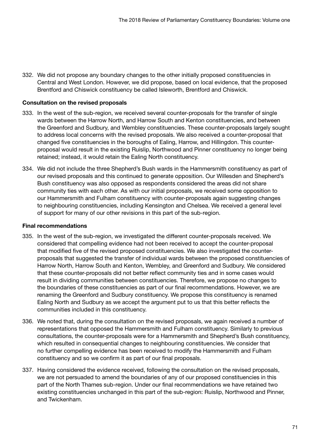332. We did not propose any boundary changes to the other initially proposed constituencies in Central and West London. However, we did propose, based on local evidence, that the proposed Brentford and Chiswick constituency be called Isleworth, Brentford and Chiswick.

## Consultation on the revised proposals

- 333. In the west of the sub-region, we received several counter-proposals for the transfer of single wards between the Harrow North, and Harrow South and Kenton constituencies, and between the Greenford and Sudbury, and Wembley constituencies. These counter-proposals largely sought to address local concerns with the revised proposals. We also received a counter-proposal that changed five constituencies in the boroughs of Ealing, Harrow, and Hillingdon. This counterproposal would result in the existing Ruislip, Northwood and Pinner constituency no longer being retained; instead, it would retain the Ealing North constituency.
- 334. We did not include the three Shepherd's Bush wards in the Hammersmith constituency as part of our revised proposals and this continued to generate opposition. Our Willesden and Shepherd's Bush constituency was also opposed as respondents considered the areas did not share community ties with each other. As with our initial proposals, we received some opposition to our Hammersmith and Fulham constituency with counter-proposals again suggesting changes to neighbouring constituencies, including Kensington and Chelsea. We received a general level of support for many of our other revisions in this part of the sub-region.

#### Final recommendations

- 335. In the west of the sub-region, we investigated the different counter-proposals received. We considered that compelling evidence had not been received to accept the counter-proposal that modified five of the revised proposed constituencies. We also investigated the counterproposals that suggested the transfer of individual wards between the proposed constituencies of Harrow North, Harrow South and Kenton, Wembley, and Greenford and Sudbury. We considered that these counter-proposals did not better reflect community ties and in some cases would result in dividing communities between constituencies. Therefore, we propose no changes to the boundaries of these constituencies as part of our final recommendations. However, we are renaming the Greenford and Sudbury constituency. We propose this constituency is renamed Ealing North and Sudbury as we accept the argument put to us that this better reflects the communities included in this constituency.
- 336. We noted that, during the consultation on the revised proposals, we again received a number of representations that opposed the Hammersmith and Fulham constituency. Similarly to previous consultations, the counter-proposals were for a Hammersmith and Shepherd's Bush constituency, which resulted in consequential changes to neighbouring constituencies. We consider that no further compelling evidence has been received to modify the Hammersmith and Fulham constituency and so we confirm it as part of our final proposals.
- 337. Having considered the evidence received, following the consultation on the revised proposals, we are not persuaded to amend the boundaries of any of our proposed constituencies in this part of the North Thames sub-region. Under our final recommendations we have retained two existing constituencies unchanged in this part of the sub-region: Ruislip, Northwood and Pinner, and Twickenham.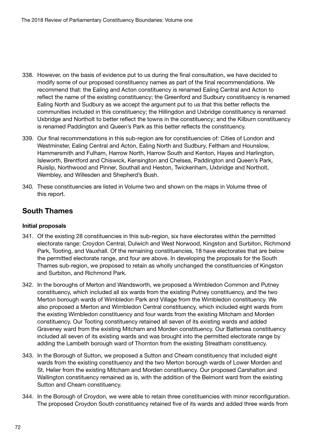- 338. However, on the basis of evidence put to us during the final consultation, we have decided to modify some of our proposed constituency names as part of the final recommendations. We recommend that: the Ealing and Acton constituency is renamed Ealing Central and Acton to reflect the name of the existing constituency; the Greenford and Sudbury constituency is renamed Ealing North and Sudbury as we accept the argument put to us that this better reflects the communities included in this constituency; the Hillingdon and Uxbridge constituency is renamed Uxbridge and Northolt to better reflect the towns in the constituency; and the Kilburn constituency is renamed Paddington and Queen's Park as this better reflects the constituency.
- 339. Our final recommendations in this sub-region are for constituencies of: Cities of London and Westminster, Ealing Central and Acton, Ealing North and Sudbury, Feltham and Hounslow, Hammersmith and Fulham, Harrow North, Harrow South and Kenton, Hayes and Harlington, Isleworth, Brentford and Chiswick, Kensington and Chelsea, Paddington and Queen's Park, Ruislip, Northwood and Pinner, Southall and Heston, Twickenham, Uxbridge and Northolt, Wembley, and Willesden and Shepherd's Bush.
- 340. These constituencies are listed in Volume two and shown on the maps in Volume three of this report.

# South Thames

## Initial proposals

- 341. Of the existing 28 constituencies in this sub-region, six have electorates within the permitted electorate range: Croydon Central, Dulwich and West Norwood, Kingston and Surbiton, Richmond Park, Tooting, and Vauxhall. Of the remaining constituencies, 18 have electorates that are below the permitted electorate range, and four are above. In developing the proposals for the South Thames sub-region, we proposed to retain as wholly unchanged the constituencies of Kingston and Surbiton, and Richmond Park.
- 342. In the boroughs of Merton and Wandsworth, we proposed a Wimbledon Common and Putney constituency, which included all six wards from the existing Putney constituency, and the two Merton borough wards of Wimbledon Park and Village from the Wimbledon constituency. We also proposed a Merton and Wimbledon Central constituency, which included eight wards from the existing Wimbledon constituency and four wards from the existing Mitcham and Morden constituency. Our Tooting constituency retained all seven of its existing wards and added Graveney ward from the existing Mitcham and Morden constituency. Our Battersea constituency included all seven of its existing wards and was brought into the permitted electorate range by adding the Lambeth borough ward of Thornton from the existing Streatham constituency.
- 343. In the Borough of Sutton, we proposed a Sutton and Cheam constituency that included eight wards from the existing constituency and the two Merton borough wards of Lower Morden and St. Helier from the existing Mitcham and Morden constituency. Our proposed Carshalton and Wallington constituency remained as is, with the addition of the Belmont ward from the existing Sutton and Cheam constituency.
- 344. In the Borough of Croydon, we were able to retain three constituencies with minor reconfiguration. The proposed Croydon South constituency retained five of its wards and added three wards from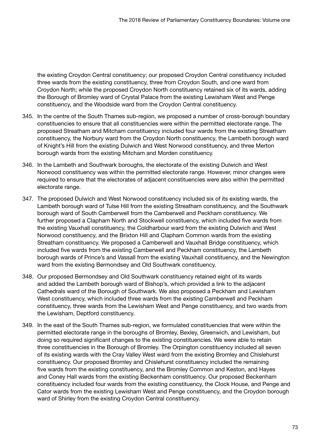the existing Croydon Central constituency; our proposed Croydon Central constituency included three wards from the existing constituency, three from Croydon South, and one ward from Croydon North; while the proposed Croydon North constituency retained six of its wards, adding the Borough of Bromley ward of Crystal Palace from the existing Lewisham West and Penge constituency, and the Woodside ward from the Croydon Central constituency.

- 345. In the centre of the South Thames sub-region, we proposed a number of cross-borough boundary constituencies to ensure that all constituencies were within the permitted electorate range. The proposed Streatham and Mitcham constituency included four wards from the existing Streatham constituency, the Norbury ward from the Croydon North constituency, the Lambeth borough ward of Knight's Hill from the existing Dulwich and West Norwood constituency, and three Merton borough wards from the existing Mitcham and Morden constituency.
- 346. In the Lambeth and Southwark boroughs, the electorate of the existing Dulwich and West Norwood constituency was within the permitted electorate range. However, minor changes were required to ensure that the electorates of adjacent constituencies were also within the permitted electorate range.
- 347. The proposed Dulwich and West Norwood constituency included six of its existing wards, the Lambeth borough ward of Tulse Hill from the existing Streatham constituency, and the Southwark borough ward of South Camberwell from the Camberwell and Peckham constituency. We further proposed a Clapham North and Stockwell constituency, which included five wards from the existing Vauxhall constituency, the Coldharbour ward from the existing Dulwich and West Norwood constituency, and the Brixton Hill and Clapham Common wards from the existing Streatham constituency. We proposed a Camberwell and Vauxhall Bridge constituency, which included five wards from the existing Camberwell and Peckham constituency, the Lambeth borough wards of Prince's and Vassall from the existing Vauxhall constituency, and the Newington ward from the existing Bermondsey and Old Southwark constituency.
- 348. Our proposed Bermondsey and Old Southwark constituency retained eight of its wards and added the Lambeth borough ward of Bishop's, which provided a link to the adjacent Cathedrals ward of the Borough of Southwark. We also proposed a Peckham and Lewisham West constituency, which included three wards from the existing Camberwell and Peckham constituency, three wards from the Lewisham West and Penge constituency, and two wards from the Lewisham, Deptford constituency.
- 349. In the east of the South Thames sub-region, we formulated constituencies that were within the permitted electorate range in the boroughs of Bromley, Bexley, Greenwich, and Lewisham, but doing so required significant changes to the existing constituencies. We were able to retain three constituencies in the Borough of Bromley. The Orpington constituency included all seven of its existing wards with the Cray Valley West ward from the existing Bromley and Chislehurst constituency. Our proposed Bromley and Chislehurst constituency included the remaining five wards from the existing constituency, and the Bromley Common and Keston, and Hayes and Coney Hall wards from the existing Beckenham constituency. Our proposed Beckenham constituency included four wards from the existing constituency, the Clock House, and Penge and Cator wards from the existing Lewisham West and Penge constituency, and the Croydon borough ward of Shirley from the existing Croydon Central constituency.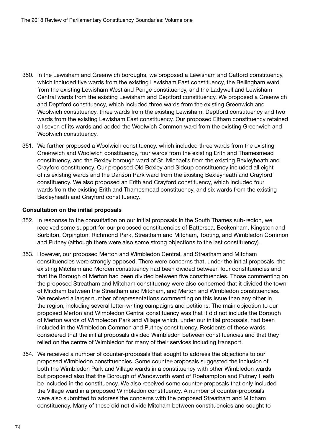- 350. In the Lewisham and Greenwich boroughs, we proposed a Lewisham and Catford constituency, which included five wards from the existing Lewisham East constituency, the Bellingham ward from the existing Lewisham West and Penge constituency, and the Ladywell and Lewisham Central wards from the existing Lewisham and Deptford constituency. We proposed a Greenwich and Deptford constituency, which included three wards from the existing Greenwich and Woolwich constituency, three wards from the existing Lewisham, Deptford constituency and two wards from the existing Lewisham East constituency. Our proposed Eltham constituency retained all seven of its wards and added the Woolwich Common ward from the existing Greenwich and Woolwich constituency.
- 351. We further proposed a Woolwich constituency, which included three wards from the existing Greenwich and Woolwich constituency, four wards from the existing Erith and Thamesmead constituency, and the Bexley borough ward of St. Michael's from the existing Bexleyheath and Crayford constituency. Our proposed Old Bexley and Sidcup constituency included all eight of its existing wards and the Danson Park ward from the existing Bexleyheath and Crayford constituency. We also proposed an Erith and Crayford constituency, which included four wards from the existing Erith and Thamesmead constituency, and six wards from the existing Bexleyheath and Crayford constituency.

#### Consultation on the initial proposals

- 352. In response to the consultation on our initial proposals in the South Thames sub-region, we received some support for our proposed constituencies of Battersea, Beckenham, Kingston and Surbiton, Orpington, Richmond Park, Streatham and Mitcham, Tooting, and Wimbledon Common and Putney (although there were also some strong objections to the last constituency).
- 353. However, our proposed Merton and Wimbledon Central, and Streatham and Mitcham constituencies were strongly opposed. There were concerns that, under the initial proposals, the existing Mitcham and Morden constituency had been divided between four constituencies and that the Borough of Merton had been divided between five constituencies. Those commenting on the proposed Streatham and Mitcham constituency were also concerned that it divided the town of Mitcham between the Streatham and Mitcham, and Merton and Wimbledon constituencies. We received a larger number of representations commenting on this issue than any other in the region, including several letter-writing campaigns and petitions. The main objection to our proposed Merton and Wimbledon Central constituency was that it did not include the Borough of Merton wards of Wimbledon Park and Village which, under our initial proposals, had been included in the Wimbledon Common and Putney constituency. Residents of these wards considered that the initial proposals divided Wimbledon between constituencies and that they relied on the centre of Wimbledon for many of their services including transport.
- 354. We received a number of counter-proposals that sought to address the objections to our proposed Wimbledon constituencies. Some counter-proposals suggested the inclusion of both the Wimbledon Park and Village wards in a constituency with other Wimbledon wards but proposed also that the Borough of Wandsworth ward of Roehampton and Putney Heath be included in the constituency. We also received some counter-proposals that only included the Village ward in a proposed Wimbledon constituency. A number of counter-proposals were also submitted to address the concerns with the proposed Streatham and Mitcham constituency. Many of these did not divide Mitcham between constituencies and sought to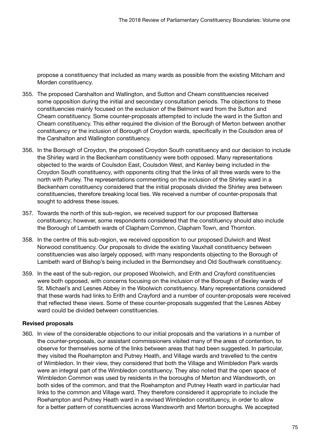propose a constituency that included as many wards as possible from the existing Mitcham and Morden constituency.

- 355. The proposed Carshalton and Wallington, and Sutton and Cheam constituencies received some opposition during the initial and secondary consultation periods. The objections to these constituencies mainly focused on the exclusion of the Belmont ward from the Sutton and Cheam constituency. Some counter-proposals attempted to include the ward in the Sutton and Cheam constituency. This either required the division of the Borough of Merton between another constituency or the inclusion of Borough of Croydon wards, specifically in the Coulsdon area of the Carshalton and Wallington constituency.
- 356. In the Borough of Croydon, the proposed Croydon South constituency and our decision to include the Shirley ward in the Beckenham constituency were both opposed. Many representations objected to the wards of Coulsdon East, Coulsdon West, and Kenley being included in the Croydon South constituency, with opponents citing that the links of all three wards were to the north with Purley. The representations commenting on the inclusion of the Shirley ward in a Beckenham constituency considered that the initial proposals divided the Shirley area between constituencies, therefore breaking local ties. We received a number of counter-proposals that sought to address these issues.
- 357. Towards the north of this sub-region, we received support for our proposed Battersea constituency; however, some respondents considered that the constituency should also include the Borough of Lambeth wards of Clapham Common, Clapham Town, and Thornton.
- 358. In the centre of this sub-region, we received opposition to our proposed Dulwich and West Norwood constituency. Our proposals to divide the existing Vauxhall constituency between constituencies was also largely opposed, with many respondents objecting to the Borough of Lambeth ward of Bishop's being included in the Bermondsey and Old Southwark constituency.
- 359. In the east of the sub-region, our proposed Woolwich, and Erith and Crayford constituencies were both opposed, with concerns focusing on the inclusion of the Borough of Bexley wards of St. Michael's and Lesnes Abbey in the Woolwich constituency. Many representations considered that these wards had links to Erith and Crayford and a number of counter-proposals were received that reflected these views. Some of these counter-proposals suggested that the Lesnes Abbey ward could be divided between constituencies.

## Revised proposals

360. In view of the considerable objections to our initial proposals and the variations in a number of the counter-proposals, our assistant commissioners visited many of the areas of contention, to observe for themselves some of the links between areas that had been suggested. In particular, they visited the Roehampton and Putney Heath, and Village wards and travelled to the centre of Wimbledon. In their view, they considered that both the Village and Wimbledon Park wards were an integral part of the Wimbledon constituency. They also noted that the open space of Wimbledon Common was used by residents in the boroughs of Merton and Wandsworth, on both sides of the common, and that the Roehampton and Putney Heath ward in particular had links to the common and Village ward. They therefore considered it appropriate to include the Roehampton and Putney Heath ward in a revised Wimbledon constituency, in order to allow for a better pattern of constituencies across Wandsworth and Merton boroughs. We accepted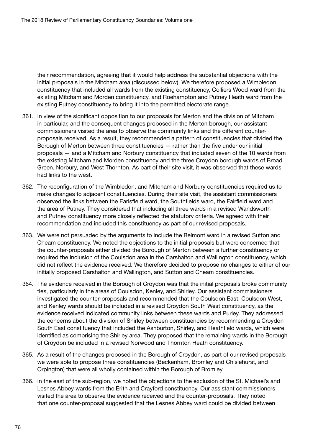their recommendation, agreeing that it would help address the substantial objections with the initial proposals in the Mitcham area (discussed below). We therefore proposed a Wimbledon constituency that included all wards from the existing constituency, Colliers Wood ward from the existing Mitcham and Morden constituency, and Roehampton and Putney Heath ward from the existing Putney constituency to bring it into the permitted electorate range.

- 361. In view of the significant opposition to our proposals for Merton and the division of Mitcham in particular, and the consequent changes proposed in the Merton borough, our assistant commissioners visited the area to observe the community links and the different counterproposals received. As a result, they recommended a pattern of constituencies that divided the Borough of Merton between three constituencies — rather than the five under our initial proposals — and a Mitcham and Norbury constituency that included seven of the 10 wards from the existing Mitcham and Morden constituency and the three Croydon borough wards of Broad Green, Norbury, and West Thornton. As part of their site visit, it was observed that these wards had links to the west.
- 362. The reconfiguration of the Wimbledon, and Mitcham and Norbury constituencies required us to make changes to adjacent constituencies. During their site visit, the assistant commissioners observed the links between the Earlsfield ward, the Southfields ward, the Fairfield ward and the area of Putney. They considered that including all three wards in a revised Wandsworth and Putney constituency more closely reflected the statutory criteria. We agreed with their recommendation and included this constituency as part of our revised proposals.
- 363. We were not persuaded by the arguments to include the Belmont ward in a revised Sutton and Cheam constituency. We noted the objections to the initial proposals but were concerned that the counter-proposals either divided the Borough of Merton between a further constituency or required the inclusion of the Coulsdon area in the Carshalton and Wallington constituency, which did not reflect the evidence received. We therefore decided to propose no changes to either of our initially proposed Carshalton and Wallington, and Sutton and Cheam constituencies.
- 364. The evidence received in the Borough of Croydon was that the initial proposals broke community ties, particularly in the areas of Coulsdon, Kenley, and Shirley. Our assistant commissioners investigated the counter-proposals and recommended that the Coulsdon East, Coulsdon West, and Kenley wards should be included in a revised Croydon South West constituency, as the evidence received indicated community links between these wards and Purley. They addressed the concerns about the division of Shirley between constituencies by recommending a Croydon South East constituency that included the Ashburton, Shirley, and Heathfield wards, which were identified as comprising the Shirley area. They proposed that the remaining wards in the Borough of Croydon be included in a revised Norwood and Thornton Heath constituency.
- 365. As a result of the changes proposed in the Borough of Croydon, as part of our revised proposals we were able to propose three constituencies (Beckenham, Bromley and Chislehurst, and Orpington) that were all wholly contained within the Borough of Bromley.
- 366. In the east of the sub-region, we noted the objections to the exclusion of the St. Michael's and Lesnes Abbey wards from the Erith and Crayford constituency. Our assistant commissioners visited the area to observe the evidence received and the counter-proposals. They noted that one counter-proposal suggested that the Lesnes Abbey ward could be divided between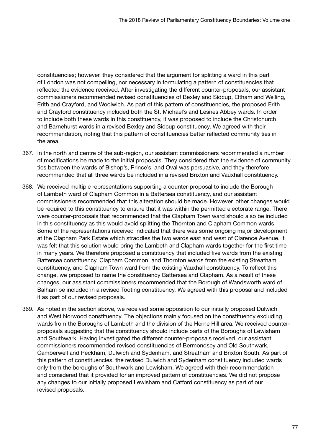constituencies; however, they considered that the argument for splitting a ward in this part of London was not compelling, nor necessary in formulating a pattern of constituencies that reflected the evidence received. After investigating the different counter-proposals, our assistant commissioners recommended revised constituencies of Bexley and Sidcup, Eltham and Welling, Erith and Crayford, and Woolwich. As part of this pattern of constituencies, the proposed Erith and Crayford constituency included both the St. Michael's and Lesnes Abbey wards. In order to include both these wards in this constituency, it was proposed to include the Christchurch and Barnehurst wards in a revised Bexley and Sidcup constituency. We agreed with their recommendation, noting that this pattern of constituencies better reflected community ties in the area.

- 367. In the north and centre of the sub-region, our assistant commissioners recommended a number of modifications be made to the initial proposals. They considered that the evidence of community ties between the wards of Bishop's, Prince's, and Oval was persuasive, and they therefore recommended that all three wards be included in a revised Brixton and Vauxhall constituency.
- 368. We received multiple representations supporting a counter-proposal to include the Borough of Lambeth ward of Clapham Common in a Battersea constituency, and our assistant commissioners recommended that this alteration should be made. However, other changes would be required to this constituency to ensure that it was within the permitted electorate range. There were counter-proposals that recommended that the Clapham Town ward should also be included in this constituency as this would avoid splitting the Thornton and Clapham Common wards. Some of the representations received indicated that there was some ongoing major development at the Clapham Park Estate which straddles the two wards east and west of Clarence Avenue. It was felt that this solution would bring the Lambeth and Clapham wards together for the first time in many years. We therefore proposed a constituency that included five wards from the existing Battersea constituency, Clapham Common, and Thornton wards from the existing Streatham constituency, and Clapham Town ward from the existing Vauxhall constituency. To reflect this change, we proposed to name the constituency Battersea and Clapham. As a result of these changes, our assistant commissioners recommended that the Borough of Wandsworth ward of Balham be included in a revised Tooting constituency. We agreed with this proposal and included it as part of our revised proposals.
- 369. As noted in the section above, we received some opposition to our initially proposed Dulwich and West Norwood constituency. The objections mainly focused on the constituency excluding wards from the Boroughs of Lambeth and the division of the Herne Hill area. We received counterproposals suggesting that the constituency should include parts of the Boroughs of Lewisham and Southwark. Having investigated the different counter-proposals received, our assistant commissioners recommended revised constituencies of Bermondsey and Old Southwark, Camberwell and Peckham, Dulwich and Sydenham, and Streatham and Brixton South. As part of this pattern of constituencies, the revised Dulwich and Sydenham constituency included wards only from the boroughs of Southwark and Lewisham. We agreed with their recommendation and considered that it provided for an improved pattern of constituencies. We did not propose any changes to our initially proposed Lewisham and Catford constituency as part of our revised proposals.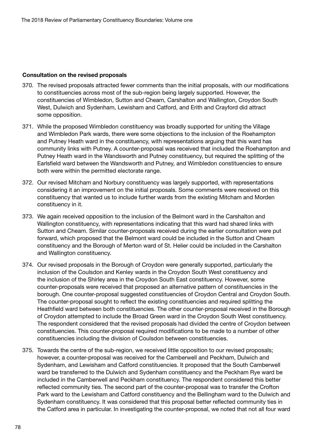#### Consultation on the revised proposals

- 370. The revised proposals attracted fewer comments than the initial proposals, with our modifications to constituencies across most of the sub-region being largely supported. However, the constituencies of Wimbledon, Sutton and Cheam, Carshalton and Wallington, Croydon South West, Dulwich and Sydenham, Lewisham and Catford, and Erith and Crayford did attract some opposition.
- 371. While the proposed Wimbledon constituency was broadly supported for uniting the Village and Wimbledon Park wards, there were some objections to the inclusion of the Roehampton and Putney Heath ward in the constituency, with representations arguing that this ward has community links with Putney. A counter-proposal was received that included the Roehampton and Putney Heath ward in the Wandsworth and Putney constituency, but required the splitting of the Earlsfield ward between the Wandsworth and Putney, and Wimbledon constituencies to ensure both were within the permitted electorate range.
- 372. Our revised Mitcham and Norbury constituency was largely supported, with representations considering it an improvement on the initial proposals. Some comments were received on this constituency that wanted us to include further wards from the existing Mitcham and Morden constituency in it.
- 373. We again received opposition to the inclusion of the Belmont ward in the Carshalton and Wallington constituency, with representations indicating that this ward had shared links with Sutton and Cheam. Similar counter-proposals received during the earlier consultation were put forward, which proposed that the Belmont ward could be included in the Sutton and Cheam constituency and the Borough of Merton ward of St. Helier could be included in the Carshalton and Wallington constituency.
- 374. Our revised proposals in the Borough of Croydon were generally supported, particularly the inclusion of the Coulsdon and Kenley wards in the Croydon South West constituency and the inclusion of the Shirley area in the Croydon South East constituency. However, some counter-proposals were received that proposed an alternative pattern of constituencies in the borough. One counter-proposal suggested constituencies of Croydon Central and Croydon South. The counter-proposal sought to reflect the existing constituencies and required splitting the Heathfield ward between both constituencies. The other counter-proposal received in the Borough of Croydon attempted to include the Broad Green ward in the Croydon South West constituency. The respondent considered that the revised proposals had divided the centre of Croydon between constituencies. This counter-proposal required modifications to be made to a number of other constituencies including the division of Coulsdon between constituencies.
- 375. Towards the centre of the sub-region, we received little opposition to our revised proposals; however, a counter-proposal was received for the Camberwell and Peckham, Dulwich and Sydenham, and Lewisham and Catford constituencies. It proposed that the South Camberwell ward be transferred to the Dulwich and Sydenham constituency and the Peckham Rye ward be included in the Camberwell and Peckham constituency. The respondent considered this better reflected community ties. The second part of the counter-proposal was to transfer the Crofton Park ward to the Lewisham and Catford constituency and the Bellingham ward to the Dulwich and Sydenham constituency. It was considered that this proposal better reflected community ties in the Catford area in particular. In investigating the counter-proposal, we noted that not all four ward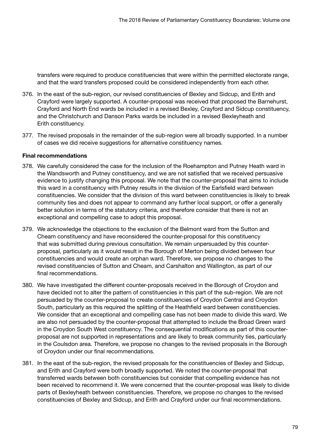transfers were required to produce constituencies that were within the permitted electorate range, and that the ward transfers proposed could be considered independently from each other.

- 376. In the east of the sub-region, our revised constituencies of Bexley and Sidcup, and Erith and Crayford were largely supported. A counter-proposal was received that proposed the Barnehurst, Crayford and North End wards be included in a revised Bexley, Crayford and Sidcup constituency, and the Christchurch and Danson Parks wards be included in a revised Bexleyheath and Erith constituency.
- 377. The revised proposals in the remainder of the sub-region were all broadly supported. In a number of cases we did receive suggestions for alternative constituency names.

## Final recommendations

- 378. We carefully considered the case for the inclusion of the Roehampton and Putney Heath ward in the Wandsworth and Putney constituency, and we are not satisfied that we received persuasive evidence to justify changing this proposal. We note that the counter-proposal that aims to include this ward in a constituency with Putney results in the division of the Earlsfield ward between constituencies. We consider that the division of this ward between constituencies is likely to break community ties and does not appear to command any further local support, or offer a generally better solution in terms of the statutory criteria, and therefore consider that there is not an exceptional and compelling case to adopt this proposal.
- 379. We acknowledge the objections to the exclusion of the Belmont ward from the Sutton and Cheam constituency and have reconsidered the counter-proposal for this constituency that was submitted during previous consultation. We remain unpersuaded by this counterproposal, particularly as it would result in the Borough of Merton being divided between four constituencies and would create an orphan ward. Therefore, we propose no changes to the revised constituencies of Sutton and Cheam, and Carshalton and Wallington, as part of our final recommendations.
- 380. We have investigated the different counter-proposals received in the Borough of Croydon and have decided not to alter the pattern of constituencies in this part of the sub-region. We are not persuaded by the counter-proposal to create constituencies of Croydon Central and Croydon South, particularly as this required the splitting of the Heathfield ward between constituencies. We consider that an exceptional and compelling case has not been made to divide this ward. We are also not persuaded by the counter-proposal that attempted to include the Broad Green ward in the Croydon South West constituency. The consequential modifications as part of this counterproposal are not supported in representations and are likely to break community ties, particularly in the Coulsdon area. Therefore, we propose no changes to the revised proposals in the Borough of Croydon under our final recommendations.
- 381. In the east of the sub-region, the revised proposals for the constituencies of Bexley and Sidcup, and Erith and Crayford were both broadly supported. We noted the counter-proposal that transferred wards between both constituencies but consider that compelling evidence has not been received to recommend it. We were concerned that the counter-proposal was likely to divide parts of Bexleyheath between constituencies. Therefore, we propose no changes to the revised constituencies of Bexley and Sidcup, and Erith and Crayford under our final recommendations.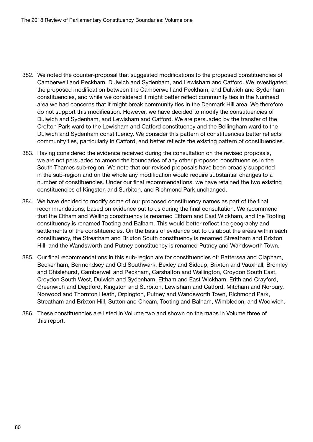- 382. We noted the counter-proposal that suggested modifications to the proposed constituencies of Camberwell and Peckham, Dulwich and Sydenham, and Lewisham and Catford. We investigated the proposed modification between the Camberwell and Peckham, and Dulwich and Sydenham constituencies, and while we considered it might better reflect community ties in the Nunhead area we had concerns that it might break community ties in the Denmark Hill area. We therefore do not support this modification. However, we have decided to modify the constituencies of Dulwich and Sydenham, and Lewisham and Catford. We are persuaded by the transfer of the Crofton Park ward to the Lewisham and Catford constituency and the Bellingham ward to the Dulwich and Sydenham constituency. We consider this pattern of constituencies better reflects community ties, particularly in Catford, and better reflects the existing pattern of constituencies.
- 383. Having considered the evidence received during the consultation on the revised proposals, we are not persuaded to amend the boundaries of any other proposed constituencies in the South Thames sub-region. We note that our revised proposals have been broadly supported in the sub-region and on the whole any modification would require substantial changes to a number of constituencies. Under our final recommendations, we have retained the two existing constituencies of Kingston and Surbiton, and Richmond Park unchanged.
- 384. We have decided to modify some of our proposed constituency names as part of the final recommendations, based on evidence put to us during the final consultation. We recommend that the Eltham and Welling constituency is renamed Eltham and East Wickham, and the Tooting constituency is renamed Tooting and Balham. This would better reflect the geography and settlements of the constituencies. On the basis of evidence put to us about the areas within each constituency, the Streatham and Brixton South constituency is renamed Streatham and Brixton Hill, and the Wandsworth and Putney constituency is renamed Putney and Wandsworth Town.
- 385. Our final recommendations in this sub-region are for constituencies of: Battersea and Clapham, Beckenham, Bermondsey and Old Southwark, Bexley and Sidcup, Brixton and Vauxhall, Bromley and Chislehurst, Camberwell and Peckham, Carshalton and Wallington, Croydon South East, Croydon South West, Dulwich and Sydenham, Eltham and East Wickham, Erith and Crayford, Greenwich and Deptford, Kingston and Surbiton, Lewisham and Catford, Mitcham and Norbury, Norwood and Thornton Heath, Orpington, Putney and Wandsworth Town, Richmond Park, Streatham and Brixton Hill, Sutton and Cheam, Tooting and Balham, Wimbledon, and Woolwich.
- 386. These constituencies are listed in Volume two and shown on the maps in Volume three of this report.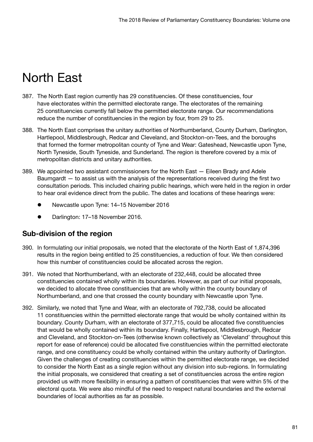# North East

- 387. The North East region currently has 29 constituencies. Of these constituencies, four have electorates within the permitted electorate range. The electorates of the remaining 25 constituencies currently fall below the permitted electorate range. Our recommendations reduce the number of constituencies in the region by four, from 29 to 25.
- 388. The North East comprises the unitary authorities of Northumberland, County Durham, Darlington, Hartlepool, Middlesbrough, Redcar and Cleveland, and Stockton-on-Tees, and the boroughs that formed the former metropolitan county of Tyne and Wear: Gateshead, Newcastle upon Tyne, North Tyneside, South Tyneside, and Sunderland. The region is therefore covered by a mix of metropolitan districts and unitary authorities.
- 389. We appointed two assistant commissioners for the North East Eileen Brady and Adele Baumgardt — to assist us with the analysis of the representations received during the first two consultation periods. This included chairing public hearings, which were held in the region in order to hear oral evidence direct from the public. The dates and locations of these hearings were:
	- Newcastle upon Tyne: 14–15 November 2016
	- Darlington: 17–18 November 2016.

# Sub-division of the region

- 390. In formulating our initial proposals, we noted that the electorate of the North East of 1,874,396 results in the region being entitled to 25 constituencies, a reduction of four. We then considered how this number of constituencies could be allocated across the region.
- 391. We noted that Northumberland, with an electorate of 232,448, could be allocated three constituencies contained wholly within its boundaries. However, as part of our initial proposals, we decided to allocate three constituencies that are wholly within the county boundary of Northumberland, and one that crossed the county boundary with Newcastle upon Tyne.
- 392. Similarly, we noted that Tyne and Wear, with an electorate of 792,738, could be allocated 11 constituencies within the permitted electorate range that would be wholly contained within its boundary. County Durham, with an electorate of 377,715, could be allocated five constituencies that would be wholly contained within its boundary. Finally, Hartlepool, Middlesbrough, Redcar and Cleveland, and Stockton-on-Tees (otherwise known collectively as 'Cleveland' throughout this report for ease of reference) could be allocated five constituencies within the permitted electorate range, and one constituency could be wholly contained within the unitary authority of Darlington. Given the challenges of creating constituencies within the permitted electorate range, we decided to consider the North East as a single region without any division into sub-regions. In formulating the initial proposals, we considered that creating a set of constituencies across the entire region provided us with more flexibility in ensuring a pattern of constituencies that were within 5% of the electoral quota. We were also mindful of the need to respect natural boundaries and the external boundaries of local authorities as far as possible.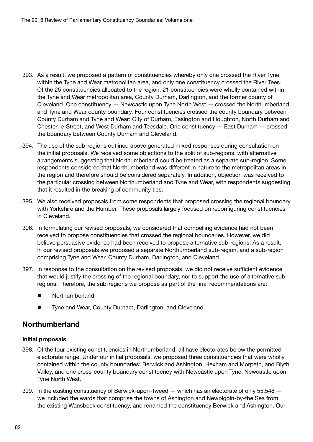- 393. As a result, we proposed a pattern of constituencies whereby only one crossed the River Tyne within the Tyne and Wear metropolitan area, and only one constituency crossed the River Tees. Of the 25 constituencies allocated to the region, 21 constituencies were wholly contained within the Tyne and Wear metropolitan area, County Durham, Darlington, and the former county of Cleveland. One constituency — Newcastle upon Tyne North West — crossed the Northumberland and Tyne and Wear county boundary. Four constituencies crossed the county boundary between County Durham and Tyne and Wear: City of Durham, Easington and Houghton, North Durham and Chester-le-Street, and West Durham and Teesdale. One constituency — East Durham — crossed the boundary between County Durham and Cleveland.
- 394. The use of the sub-regions outlined above generated mixed responses during consultation on the initial proposals. We received some objections to the split of sub-regions, with alternative arrangements suggesting that Northumberland could be treated as a separate sub-region. Some respondents considered that Northumberland was different in nature to the metropolitan areas in the region and therefore should be considered separately. In addition, objection was received to the particular crossing between Northumberland and Tyne and Wear, with respondents suggesting that it resulted in the breaking of community ties.
- 395. We also received proposals from some respondents that proposed crossing the regional boundary with Yorkshire and the Humber. These proposals largely focused on reconfiguring constituencies in Cleveland.
- 396. In formulating our revised proposals, we considered that compelling evidence had not been received to propose constituencies that crossed the regional boundaries. However, we did believe persuasive evidence had been received to propose alternative sub-regions. As a result, in our revised proposals we proposed a separate Northumberland sub-region, and a sub-region comprising Tyne and Wear, County Durham, Darlington, and Cleveland.
- 397. In response to the consultation on the revised proposals, we did not receive sufficient evidence that would justify the crossing of the regional boundary, nor to support the use of alternative subregions. Therefore, the sub-regions we propose as part of the final recommendations are:
	- **Northumberland**
	- Tyne and Wear, County Durham, Darlington, and Cleveland.

# Northumberland

## Initial proposals

- 398. Of the four existing constituencies in Northumberland, all have electorates below the permitted electorate range. Under our initial proposals, we proposed three constituencies that were wholly contained within the county boundaries: Berwick and Ashington, Hexham and Morpeth, and Blyth Valley, and one cross-county boundary constituency with Newcastle upon Tyne: Newcastle upon Tyne North West.
- 399. In the existing constituency of Berwick-upon-Tweed which has an electorate of only 55,548 we included the wards that comprise the towns of Ashington and Newbiggin-by-the Sea from the existing Wansbeck constituency, and renamed the constituency Berwick and Ashington. Our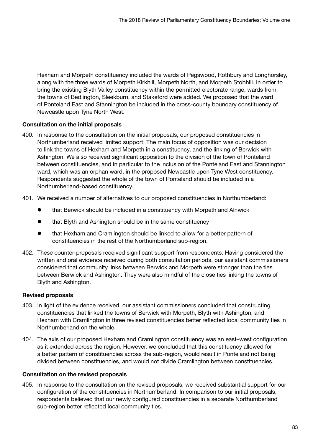Hexham and Morpeth constituency included the wards of Pegswood, Rothbury and Longhorsley, along with the three wards of Morpeth Kirkhill, Morpeth North, and Morpeth Stobhill. In order to bring the existing Blyth Valley constituency within the permitted electorate range, wards from the towns of Bedlington, Sleekburn, and Stakeford were added. We proposed that the ward of Ponteland East and Stannington be included in the cross-county boundary constituency of Newcastle upon Tyne North West.

## Consultation on the initial proposals

- 400. In response to the consultation on the initial proposals, our proposed constituencies in Northumberland received limited support. The main focus of opposition was our decision to link the towns of Hexham and Morpeth in a constituency, and the linking of Berwick with Ashington. We also received significant opposition to the division of the town of Ponteland between constituencies, and in particular to the inclusion of the Ponteland East and Stannington ward, which was an orphan ward, in the proposed Newcastle upon Tyne West constituency. Respondents suggested the whole of the town of Ponteland should be included in a Northumberland-based constituency.
- 401. We received a number of alternatives to our proposed constituencies in Northumberland:
	- that Berwick should be included in a constituency with Morpeth and Alnwick
	- $\bullet$  that Blyth and Ashington should be in the same constituency
	- that Hexham and Cramlington should be linked to allow for a better pattern of constituencies in the rest of the Northumberland sub-region.
- 402. These counter-proposals received significant support from respondents. Having considered the written and oral evidence received during both consultation periods, our assistant commissioners considered that community links between Berwick and Morpeth were stronger than the ties between Berwick and Ashington. They were also mindful of the close ties linking the towns of Blyth and Ashington.

#### Revised proposals

- 403. In light of the evidence received, our assistant commissioners concluded that constructing constituencies that linked the towns of Berwick with Morpeth, Blyth with Ashington, and Hexham with Cramlington in three revised constituencies better reflected local community ties in Northumberland on the whole.
- 404. The axis of our proposed Hexham and Cramlington constituency was an east–west configuration as it extended across the region. However, we concluded that this constituency allowed for a better pattern of constituencies across the sub-region, would result in Ponteland not being divided between constituencies, and would not divide Cramlington between constituencies.

#### Consultation on the revised proposals

405. In response to the consultation on the revised proposals, we received substantial support for our configuration of the constituencies in Northumberland. In comparison to our initial proposals, respondents believed that our newly configured constituencies in a separate Northumberland sub-region better reflected local community ties.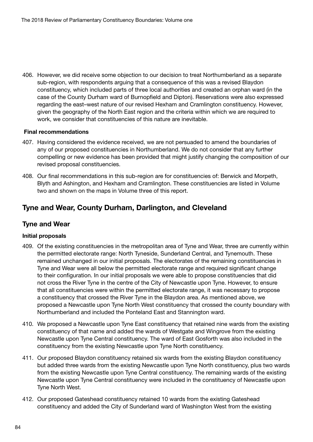406. However, we did receive some objection to our decision to treat Northumberland as a separate sub-region, with respondents arguing that a consequence of this was a revised Blaydon constituency, which included parts of three local authorities and created an orphan ward (in the case of the County Durham ward of Burnopfield and Dipton). Reservations were also expressed regarding the east–west nature of our revised Hexham and Cramlington constituency. However, given the geography of the North East region and the criteria within which we are required to work, we consider that constituencies of this nature are inevitable.

#### Final recommendations

- 407. Having considered the evidence received, we are not persuaded to amend the boundaries of any of our proposed constituencies in Northumberland. We do not consider that any further compelling or new evidence has been provided that might justify changing the composition of our revised proposal constituencies.
- 408. Our final recommendations in this sub-region are for constituencies of: Berwick and Morpeth, Blyth and Ashington, and Hexham and Cramlington. These constituencies are listed in Volume two and shown on the maps in Volume three of this report.

## Tyne and Wear, County Durham, Darlington, and Cleveland

## Tyne and Wear

#### Initial proposals

- 409. Of the existing constituencies in the metropolitan area of Tyne and Wear, three are currently within the permitted electorate range: North Tyneside, Sunderland Central, and Tynemouth. These remained unchanged in our initial proposals. The electorates of the remaining constituencies in Tyne and Wear were all below the permitted electorate range and required significant change to their configuration. In our initial proposals we were able to propose constituencies that did not cross the River Tyne in the centre of the City of Newcastle upon Tyne. However, to ensure that all constituencies were within the permitted electorate range, it was necessary to propose a constituency that crossed the River Tyne in the Blaydon area. As mentioned above, we proposed a Newcastle upon Tyne North West constituency that crossed the county boundary with Northumberland and included the Ponteland East and Stannington ward.
- 410. We proposed a Newcastle upon Tyne East constituency that retained nine wards from the existing constituency of that name and added the wards of Westgate and Wingrove from the existing Newcastle upon Tyne Central constituency. The ward of East Gosforth was also included in the constituency from the existing Newcastle upon Tyne North constituency.
- 411. Our proposed Blaydon constituency retained six wards from the existing Blaydon constituency but added three wards from the existing Newcastle upon Tyne North constituency, plus two wards from the existing Newcastle upon Tyne Central constituency. The remaining wards of the existing Newcastle upon Tyne Central constituency were included in the constituency of Newcastle upon Tyne North West.
- 412. Our proposed Gateshead constituency retained 10 wards from the existing Gateshead constituency and added the City of Sunderland ward of Washington West from the existing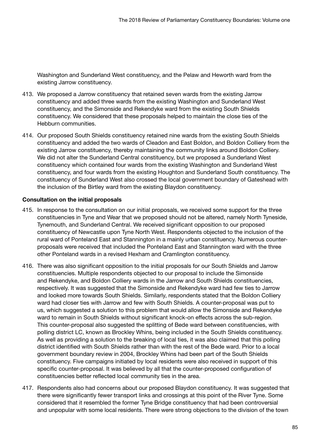Washington and Sunderland West constituency, and the Pelaw and Heworth ward from the existing Jarrow constituency.

- 413. We proposed a Jarrow constituency that retained seven wards from the existing Jarrow constituency and added three wards from the existing Washington and Sunderland West constituency, and the Simonside and Rekendyke ward from the existing South Shields constituency. We considered that these proposals helped to maintain the close ties of the Hebburn communities.
- 414. Our proposed South Shields constituency retained nine wards from the existing South Shields constituency and added the two wards of Cleadon and East Boldon, and Boldon Colliery from the existing Jarrow constituency, thereby maintaining the community links around Boldon Colliery. We did not alter the Sunderland Central constituency, but we proposed a Sunderland West constituency which contained four wards from the existing Washington and Sunderland West constituency, and four wards from the existing Houghton and Sunderland South constituency. The constituency of Sunderland West also crossed the local government boundary of Gateshead with the inclusion of the Birtley ward from the existing Blaydon constituency.

## Consultation on the initial proposals

- 415. In response to the consultation on our initial proposals, we received some support for the three constituencies in Tyne and Wear that we proposed should not be altered, namely North Tyneside, Tynemouth, and Sunderland Central. We received significant opposition to our proposed constituency of Newcastle upon Tyne North West. Respondents objected to the inclusion of the rural ward of Ponteland East and Stannington in a mainly urban constituency. Numerous counterproposals were received that included the Ponteland East and Stannington ward with the three other Ponteland wards in a revised Hexham and Cramlington constituency.
- 416. There was also significant opposition to the initial proposals for our South Shields and Jarrow constituencies. Multiple respondents objected to our proposal to include the Simonside and Rekendyke, and Boldon Colliery wards in the Jarrow and South Shields constituencies, respectively. It was suggested that the Simonside and Rekendyke ward had few ties to Jarrow and looked more towards South Shields. Similarly, respondents stated that the Boldon Colliery ward had closer ties with Jarrow and few with South Shields. A counter-proposal was put to us, which suggested a solution to this problem that would allow the Simonside and Rekendyke ward to remain in South Shields without significant knock-on effects across the sub-region. This counter-proposal also suggested the splitting of Bede ward between constituencies, with polling district LC, known as Brockley Whins, being included in the South Shields constituency. As well as providing a solution to the breaking of local ties, it was also claimed that this polling district identified with South Shields rather than with the rest of the Bede ward. Prior to a local government boundary review in 2004, Brockley Whins had been part of the South Shields constituency. Five campaigns initiated by local residents were also received in support of this specific counter-proposal. It was believed by all that the counter-proposed configuration of constituencies better reflected local community ties in the area.
- 417. Respondents also had concerns about our proposed Blaydon constituency. It was suggested that there were significantly fewer transport links and crossings at this point of the River Tyne. Some considered that it resembled the former Tyne Bridge constituency that had been controversial and unpopular with some local residents. There were strong objections to the division of the town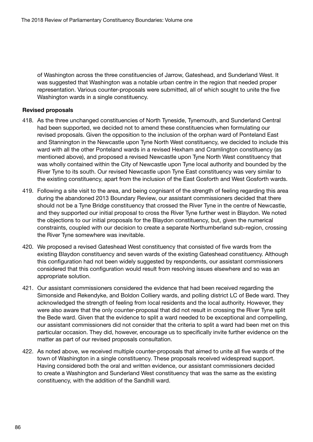of Washington across the three constituencies of Jarrow, Gateshead, and Sunderland West. It was suggested that Washington was a notable urban centre in the region that needed proper representation. Various counter-proposals were submitted, all of which sought to unite the five Washington wards in a single constituency.

#### Revised proposals

- 418. As the three unchanged constituencies of North Tyneside, Tynemouth, and Sunderland Central had been supported, we decided not to amend these constituencies when formulating our revised proposals. Given the opposition to the inclusion of the orphan ward of Ponteland East and Stannington in the Newcastle upon Tyne North West constituency, we decided to include this ward with all the other Ponteland wards in a revised Hexham and Cramlington constituency (as mentioned above), and proposed a revised Newcastle upon Tyne North West constituency that was wholly contained within the City of Newcastle upon Tyne local authority and bounded by the River Tyne to its south. Our revised Newcastle upon Tyne East constituency was very similar to the existing constituency, apart from the inclusion of the East Gosforth and West Gosforth wards.
- 419. Following a site visit to the area, and being cognisant of the strength of feeling regarding this area during the abandoned 2013 Boundary Review, our assistant commissioners decided that there should not be a Tyne Bridge constituency that crossed the River Tyne in the centre of Newcastle, and they supported our initial proposal to cross the River Tyne further west in Blaydon. We noted the objections to our initial proposals for the Blaydon constituency, but, given the numerical constraints, coupled with our decision to create a separate Northumberland sub-region, crossing the River Tyne somewhere was inevitable.
- 420. We proposed a revised Gateshead West constituency that consisted of five wards from the existing Blaydon constituency and seven wards of the existing Gateshead constituency. Although this configuration had not been widely suggested by respondents, our assistant commissioners considered that this configuration would result from resolving issues elsewhere and so was an appropriate solution.
- 421. Our assistant commissioners considered the evidence that had been received regarding the Simonside and Rekendyke, and Boldon Colliery wards, and polling district LC of Bede ward. They acknowledged the strength of feeling from local residents and the local authority. However, they were also aware that the only counter-proposal that did not result in crossing the River Tyne split the Bede ward. Given that the evidence to split a ward needed to be exceptional and compelling, our assistant commissioners did not consider that the criteria to split a ward had been met on this particular occasion. They did, however, encourage us to specifically invite further evidence on the matter as part of our revised proposals consultation.
- 422. As noted above, we received multiple counter-proposals that aimed to unite all five wards of the town of Washington in a single constituency. These proposals received widespread support. Having considered both the oral and written evidence, our assistant commissioners decided to create a Washington and Sunderland West constituency that was the same as the existing constituency, with the addition of the Sandhill ward.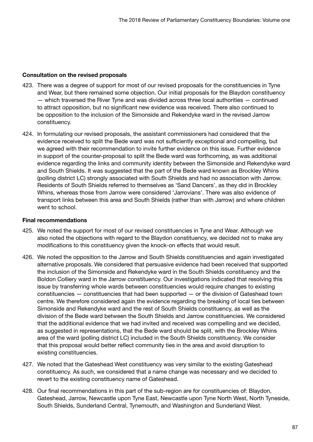### Consultation on the revised proposals

- 423. There was a degree of support for most of our revised proposals for the constituencies in Tyne and Wear, but there remained some objection. Our initial proposals for the Blaydon constituency — which traversed the River Tyne and was divided across three local authorities — continued to attract opposition, but no significant new evidence was received. There also continued to be opposition to the inclusion of the Simonside and Rekendyke ward in the revised Jarrow constituency.
- 424. In formulating our revised proposals, the assistant commissioners had considered that the evidence received to split the Bede ward was not sufficiently exceptional and compelling, but we agreed with their recommendation to invite further evidence on this issue. Further evidence in support of the counter-proposal to split the Bede ward was forthcoming, as was additional evidence regarding the links and community identity between the Simonside and Rekendyke ward and South Shields. It was suggested that the part of the Bede ward known as Brockley Whins (polling district LC) strongly associated with South Shields and had no association with Jarrow. Residents of South Shields referred to themselves as 'Sand Dancers', as they did in Brockley Whins, whereas those from Jarrow were considered 'Jarrovians'. There was also evidence of transport links between this area and South Shields (rather than with Jarrow) and where children went to school.

#### Final recommendations

- 425. We noted the support for most of our revised constituencies in Tyne and Wear. Although we also noted the objections with regard to the Blaydon constituency, we decided not to make any modifications to this constituency given the knock-on effects that would result.
- 426. We noted the opposition to the Jarrow and South Shields constituencies and again investigated alternative proposals. We considered that persuasive evidence had been received that supported the inclusion of the Simonside and Rekendyke ward in the South Shields constituency and the Boldon Colliery ward in the Jarrow constituency. Our investigations indicated that resolving this issue by transferring whole wards between constituencies would require changes to existing constituencies — constituencies that had been supported — or the division of Gateshead town centre. We therefore considered again the evidence regarding the breaking of local ties between Simonside and Rekendyke ward and the rest of South Shields constituency, as well as the division of the Bede ward between the South Shields and Jarrow constituencies. We considered that the additional evidence that we had invited and received was compelling and we decided, as suggested in representations, that the Bede ward should be split, with the Brockley Whins area of the ward (polling district LC) included in the South Shields constituency. We consider that this proposal would better reflect community ties in the area and avoid disruption to existing constituencies.
- 427. We noted that the Gateshead West constituency was very similar to the existing Gateshead constituency. As such, we considered that a name change was necessary and we decided to revert to the existing constituency name of Gateshead.
- 428. Our final recommendations in this part of the sub-region are for constituencies of: Blaydon, Gateshead, Jarrow, Newcastle upon Tyne East, Newcastle upon Tyne North West, North Tyneside, South Shields, Sunderland Central, Tynemouth, and Washington and Sunderland West.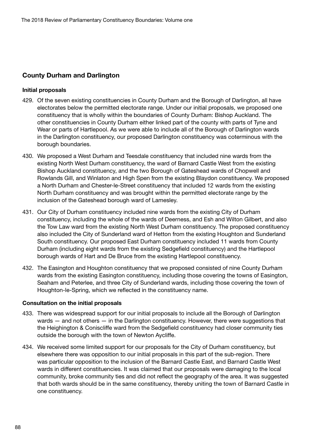# County Durham and Darlington

### Initial proposals

- 429. Of the seven existing constituencies in County Durham and the Borough of Darlington, all have electorates below the permitted electorate range. Under our initial proposals, we proposed one constituency that is wholly within the boundaries of County Durham: Bishop Auckland. The other constituencies in County Durham either linked part of the county with parts of Tyne and Wear or parts of Hartlepool. As we were able to include all of the Borough of Darlington wards in the Darlington constituency, our proposed Darlington constituency was coterminous with the borough boundaries.
- 430. We proposed a West Durham and Teesdale constituency that included nine wards from the existing North West Durham constituency, the ward of Barnard Castle West from the existing Bishop Auckland constituency, and the two Borough of Gateshead wards of Chopwell and Rowlands Gill, and Winlaton and High Spen from the existing Blaydon constituency. We proposed a North Durham and Chester-le-Street constituency that included 12 wards from the existing North Durham constituency and was brought within the permitted electorate range by the inclusion of the Gateshead borough ward of Lamesley.
- 431. Our City of Durham constituency included nine wards from the existing City of Durham constituency, including the whole of the wards of Deerness, and Esh and Wilton Gilbert, and also the Tow Law ward from the existing North West Durham constituency. The proposed constituency also included the City of Sunderland ward of Hetton from the existing Houghton and Sunderland South constituency. Our proposed East Durham constituency included 11 wards from County Durham (including eight wards from the existing Sedgefield constituency) and the Hartlepool borough wards of Hart and De Bruce from the existing Hartlepool constituency.
- 432. The Easington and Houghton constituency that we proposed consisted of nine County Durham wards from the existing Easington constituency, including those covering the towns of Easington, Seaham and Peterlee, and three City of Sunderland wards, including those covering the town of Houghton-le-Spring, which we reflected in the constituency name.

## Consultation on the initial proposals

- 433. There was widespread support for our initial proposals to include all the Borough of Darlington wards — and not others — in the Darlington constituency. However, there were suggestions that the Heighington & Coniscliffe ward from the Sedgefield constituency had closer community ties outside the borough with the town of Newton Aycliffe.
- 434. We received some limited support for our proposals for the City of Durham constituency, but elsewhere there was opposition to our initial proposals in this part of the sub-region. There was particular opposition to the inclusion of the Barnard Castle East, and Barnard Castle West wards in different constituencies. It was claimed that our proposals were damaging to the local community, broke community ties and did not reflect the geography of the area. It was suggested that both wards should be in the same constituency, thereby uniting the town of Barnard Castle in one constituency.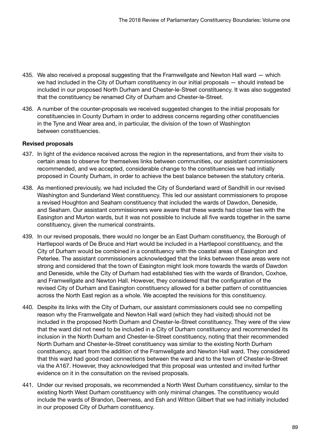- 435. We also received a proposal suggesting that the Framwellgate and Newton Hall ward which we had included in the City of Durham constituency in our initial proposals — should instead be included in our proposed North Durham and Chester-le-Street constituency. It was also suggested that the constituency be renamed City of Durham and Chester-le-Street.
- 436. A number of the counter-proposals we received suggested changes to the initial proposals for constituencies in County Durham in order to address concerns regarding other constituencies in the Tyne and Wear area and, in particular, the division of the town of Washington between constituencies.

## Revised proposals

- 437. In light of the evidence received across the region in the representations, and from their visits to certain areas to observe for themselves links between communities, our assistant commissioners recommended, and we accepted, considerable change to the constituencies we had initially proposed in County Durham, in order to achieve the best balance between the statutory criteria.
- 438. As mentioned previously, we had included the City of Sunderland ward of Sandhill in our revised Washington and Sunderland West constituency. This led our assistant commissioners to propose a revised Houghton and Seaham constituency that included the wards of Dawdon, Deneside, and Seaham. Our assistant commissioners were aware that these wards had closer ties with the Easington and Murton wards, but it was not possible to include all five wards together in the same constituency, given the numerical constraints.
- 439. In our revised proposals, there would no longer be an East Durham constituency, the Borough of Hartlepool wards of De Bruce and Hart would be included in a Hartlepool constituency, and the City of Durham would be combined in a constituency with the coastal areas of Easington and Peterlee. The assistant commissioners acknowledged that the links between these areas were not strong and considered that the town of Easington might look more towards the wards of Dawdon and Deneside, while the City of Durham had established ties with the wards of Brandon, Coxhoe, and Framwellgate and Newton Hall. However, they considered that the configuration of the revised City of Durham and Easington constituency allowed for a better pattern of constituencies across the North East region as a whole. We accepted the revisions for this constituency.
- 440. Despite its links with the City of Durham, our assistant commissioners could see no compelling reason why the Framwellgate and Newton Hall ward (which they had visited) should not be included in the proposed North Durham and Chester-le-Street constituency. They were of the view that the ward did not need to be included in a City of Durham constituency and recommended its inclusion in the North Durham and Chester-le-Street constituency, noting that their recommended North Durham and Chester-le-Street constituency was similar to the existing North Durham constituency, apart from the addition of the Framwellgate and Newton Hall ward. They considered that this ward had good road connections between the ward and to the town of Chester-le-Street via the A167. However, they acknowledged that this proposal was untested and invited further evidence on it in the consultation on the revised proposals.
- 441. Under our revised proposals, we recommended a North West Durham constituency, similar to the existing North West Durham constituency with only minimal changes. The constituency would include the wards of Brandon, Deerness, and Esh and Witton Gilbert that we had initially included in our proposed City of Durham constituency.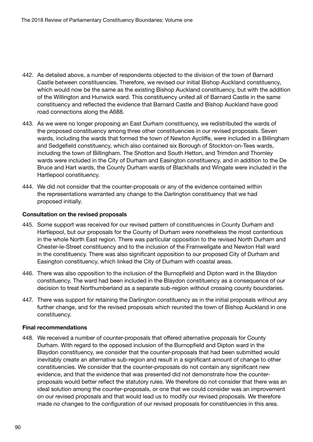- 442. As detailed above, a number of respondents objected to the division of the town of Barnard Castle between constituencies. Therefore, we revised our initial Bishop Auckland constituency, which would now be the same as the existing Bishop Auckland constituency, but with the addition of the Willington and Hunwick ward. This constituency united all of Barnard Castle in the same constituency and reflected the evidence that Barnard Castle and Bishop Auckland have good road connections along the A688.
- 443. As we were no longer proposing an East Durham constituency, we redistributed the wards of the proposed constituency among three other constituencies in our revised proposals. Seven wards, including the wards that formed the town of Newton Aycliffe, were included in a Billingham and Sedgefield constituency, which also contained six Borough of Stockton-on-Tees wards, including the town of Billingham. The Shotton and South Hetton, and Trimdon and Thornley wards were included in the City of Durham and Easington constituency, and in addition to the De Bruce and Hart wards, the County Durham wards of Blackhalls and Wingate were included in the Hartlepool constituency.
- 444. We did not consider that the counter-proposals or any of the evidence contained within the representations warranted any change to the Darlington constituency that we had proposed initially.

#### Consultation on the revised proposals

- 445. Some support was received for our revised pattern of constituencies in County Durham and Hartlepool, but our proposals for the County of Durham were nonetheless the most contentious in the whole North East region. There was particular opposition to the revised North Durham and Chester-le-Street constituency and to the inclusion of the Framwellgate and Newton Hall ward in the constituency. There was also significant opposition to our proposed City of Durham and Easington constituency, which linked the City of Durham with coastal areas.
- 446. There was also opposition to the inclusion of the Burnopfield and Dipton ward in the Blaydon constituency. The ward had been included in the Blaydon constituency as a consequence of our decision to treat Northumberland as a separate sub-region without crossing county boundaries.
- 447. There was support for retaining the Darlington constituency as in the initial proposals without any further change, and for the revised proposals which reunited the town of Bishop Auckland in one constituency.

#### Final recommendations

448. We received a number of counter-proposals that offered alternative proposals for County Durham. With regard to the opposed inclusion of the Burnopfield and Dipton ward in the Blaydon constituency, we consider that the counter-proposals that had been submitted would inevitably create an alternative sub-region and result in a significant amount of change to other constituencies. We consider that the counter-proposals do not contain any significant new evidence, and that the evidence that was presented did not demonstrate how the counterproposals would better reflect the statutory rules. We therefore do not consider that there was an ideal solution among the counter-proposals, or one that we could consider was an improvement on our revised proposals and that would lead us to modify our revised proposals. We therefore made no changes to the configuration of our revised proposals for constituencies in this area.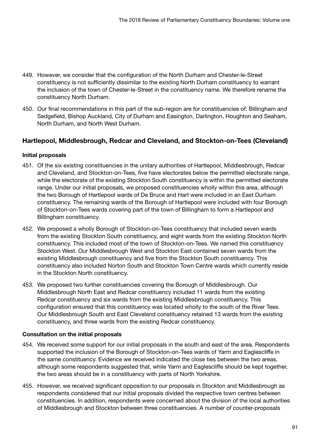- 449. However, we consider that the configuration of the North Durham and Chester-le-Street constituency is not sufficiently dissimilar to the existing North Durham constituency to warrant the inclusion of the town of Chester-le-Street in the constituency name. We therefore rename the constituency North Durham.
- 450. Our final recommendations in this part of the sub-region are for constituencies of: Billingham and Sedgefield, Bishop Auckland, City of Durham and Easington, Darlington, Houghton and Seaham, North Durham, and North West Durham.

## Hartlepool, Middlesbrough, Redcar and Cleveland, and Stockton-on-Tees (Cleveland)

## Initial proposals

- 451. Of the six existing constituencies in the unitary authorities of Hartlepool, Middlesbrough, Redcar and Cleveland, and Stockton-on-Tees, five have electorates below the permitted electorate range, while the electorate of the existing Stockton South constituency is within the permitted electorate range. Under our initial proposals, we proposed constituencies wholly within this area, although the two Borough of Hartlepool wards of De Bruce and Hart were included in an East Durham constituency. The remaining wards of the Borough of Hartlepool were included with four Borough of Stockton-on-Tees wards covering part of the town of Billingham to form a Hartlepool and Billingham constituency.
- 452. We proposed a wholly Borough of Stockton-on-Tees constituency that included seven wards from the existing Stockton South constituency, and eight wards from the existing Stockton North constituency. This included most of the town of Stockton-on-Tees. We named this constituency Stockton West. Our Middlesbrough West and Stockton East contained seven wards from the existing Middlesbrough constituency and five from the Stockton South constituency. This constituency also included Norton South and Stockton Town Centre wards which currently reside in the Stockton North constituency.
- 453. We proposed two further constituencies covering the Borough of Middlesbrough. Our Middlesbrough North East and Redcar constituency included 11 wards from the existing Redcar constituency and six wards from the existing Middlesbrough constituency. This configuration ensured that this constituency was located wholly to the south of the River Tees. Our Middlesbrough South and East Cleveland constituency retained 13 wards from the existing constituency, and three wards from the existing Redcar constituency.

## Consultation on the initial proposals

- 454. We received some support for our initial proposals in the south and east of the area. Respondents supported the inclusion of the Borough of Stockton-on-Tees wards of Yarm and Eaglescliffe in the same constituency. Evidence we received indicated the close ties between the two areas, although some respondents suggested that, while Yarm and Eaglescliffe should be kept together, the two areas should be in a constituency with parts of North Yorkshire.
- 455. However, we received significant opposition to our proposals in Stockton and Middlesbrough as respondents considered that our initial proposals divided the respective town centres between constituencies. In addition, respondents were concerned about the division of the local authorities of Middlesbrough and Stockton between three constituencies. A number of counter-proposals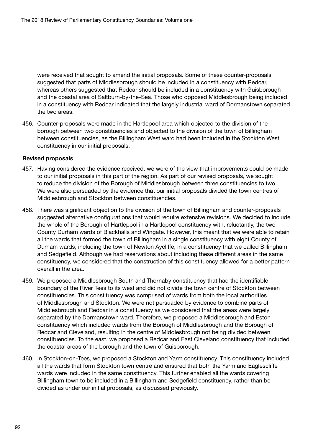were received that sought to amend the initial proposals. Some of these counter-proposals suggested that parts of Middlesbrough should be included in a constituency with Redcar, whereas others suggested that Redcar should be included in a constituency with Guisborough and the coastal area of Saltburn-by-the-Sea. Those who opposed Middlesbrough being included in a constituency with Redcar indicated that the largely industrial ward of Dormanstown separated the two areas.

456. Counter-proposals were made in the Hartlepool area which objected to the division of the borough between two constituencies and objected to the division of the town of Billingham between constituencies, as the Billingham West ward had been included in the Stockton West constituency in our initial proposals.

#### Revised proposals

- 457. Having considered the evidence received, we were of the view that improvements could be made to our initial proposals in this part of the region. As part of our revised proposals, we sought to reduce the division of the Borough of Middlesbrough between three constituencies to two. We were also persuaded by the evidence that our initial proposals divided the town centres of Middlesbrough and Stockton between constituencies.
- 458. There was significant objection to the division of the town of Billingham and counter-proposals suggested alternative configurations that would require extensive revisions. We decided to include the whole of the Borough of Hartlepool in a Hartlepool constituency with, reluctantly, the two County Durham wards of Blackhalls and Wingate. However, this meant that we were able to retain all the wards that formed the town of Billingham in a single constituency with eight County of Durham wards, including the town of Newton Aycliffe, in a constituency that we called Billingham and Sedgefield. Although we had reservations about including these different areas in the same constituency, we considered that the construction of this constituency allowed for a better pattern overall in the area.
- 459. We proposed a Middlesbrough South and Thornaby constituency that had the identifiable boundary of the River Tees to its west and did not divide the town centre of Stockton between constituencies. This constituency was comprised of wards from both the local authorities of Middlesbrough and Stockton. We were not persuaded by evidence to combine parts of Middlesbrough and Redcar in a constituency as we considered that the areas were largely separated by the Dormanstown ward. Therefore, we proposed a Middlesbrough and Eston constituency which included wards from the Borough of Middlesbrough and the Borough of Redcar and Cleveland, resulting in the centre of Middlesbrough not being divided between constituencies. To the east, we proposed a Redcar and East Cleveland constituency that included the coastal areas of the borough and the town of Guisborough.
- 460. In Stockton-on-Tees, we proposed a Stockton and Yarm constituency. This constituency included all the wards that form Stockton town centre and ensured that both the Yarm and Eaglescliffe wards were included in the same constituency. This further enabled all the wards covering Billingham town to be included in a Billingham and Sedgefield constituency, rather than be divided as under our initial proposals, as discussed previously.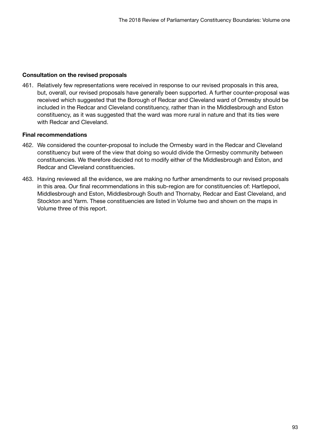### Consultation on the revised proposals

461. Relatively few representations were received in response to our revised proposals in this area, but, overall, our revised proposals have generally been supported. A further counter-proposal was received which suggested that the Borough of Redcar and Cleveland ward of Ormesby should be included in the Redcar and Cleveland constituency, rather than in the Middlesbrough and Eston constituency, as it was suggested that the ward was more rural in nature and that its ties were with Redcar and Cleveland.

### Final recommendations

- 462. We considered the counter-proposal to include the Ormesby ward in the Redcar and Cleveland constituency but were of the view that doing so would divide the Ormesby community between constituencies. We therefore decided not to modify either of the Middlesbrough and Eston, and Redcar and Cleveland constituencies.
- 463. Having reviewed all the evidence, we are making no further amendments to our revised proposals in this area. Our final recommendations in this sub-region are for constituencies of: Hartlepool, Middlesbrough and Eston, Middlesbrough South and Thornaby, Redcar and East Cleveland, and Stockton and Yarm. These constituencies are listed in Volume two and shown on the maps in Volume three of this report.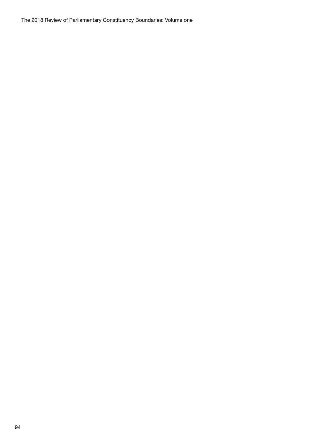The 2018 Review of Parliamentary Constituency Boundaries: Volume one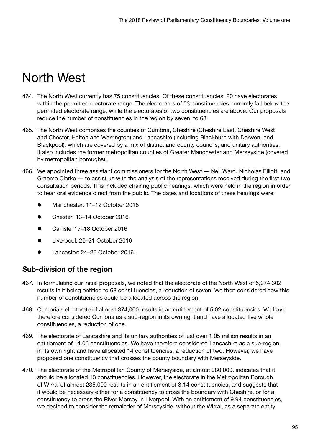# North West

- 464. The North West currently has 75 constituencies. Of these constituencies, 20 have electorates within the permitted electorate range. The electorates of 53 constituencies currently fall below the permitted electorate range, while the electorates of two constituencies are above. Our proposals reduce the number of constituencies in the region by seven, to 68.
- 465. The North West comprises the counties of Cumbria, Cheshire (Cheshire East, Cheshire West and Chester, Halton and Warrington) and Lancashire (including Blackburn with Darwen, and Blackpool), which are covered by a mix of district and county councils, and unitary authorities. It also includes the former metropolitan counties of Greater Manchester and Merseyside (covered by metropolitan boroughs).
- 466. We appointed three assistant commissioners for the North West Neil Ward, Nicholas Elliott, and Graeme Clarke — to assist us with the analysis of the representations received during the first two consultation periods. This included chairing public hearings, which were held in the region in order to hear oral evidence direct from the public. The dates and locations of these hearings were:
	- Manchester: 11–12 October 2016
	- z Chester: 13–14 October 2016
	- Carlisle: 17–18 October 2016
	- Liverpool: 20–21 October 2016
	- Lancaster: 24–25 October 2016.

# Sub-division of the region

- 467. In formulating our initial proposals, we noted that the electorate of the North West of 5,074,302 results in it being entitled to 68 constituencies, a reduction of seven. We then considered how this number of constituencies could be allocated across the region.
- 468. Cumbria's electorate of almost 374,000 results in an entitlement of 5.02 constituencies. We have therefore considered Cumbria as a sub-region in its own right and have allocated five whole constituencies, a reduction of one.
- 469. The electorate of Lancashire and its unitary authorities of just over 1.05 million results in an entitlement of 14.06 constituencies. We have therefore considered Lancashire as a sub-region in its own right and have allocated 14 constituencies, a reduction of two. However, we have proposed one constituency that crosses the county boundary with Merseyside.
- 470. The electorate of the Metropolitan County of Merseyside, at almost 980,000, indicates that it should be allocated 13 constituencies. However, the electorate in the Metropolitan Borough of Wirral of almost 235,000 results in an entitlement of 3.14 constituencies, and suggests that it would be necessary either for a constituency to cross the boundary with Cheshire, or for a constituency to cross the River Mersey in Liverpool. With an entitlement of 9.94 constituencies, we decided to consider the remainder of Merseyside, without the Wirral, as a separate entity.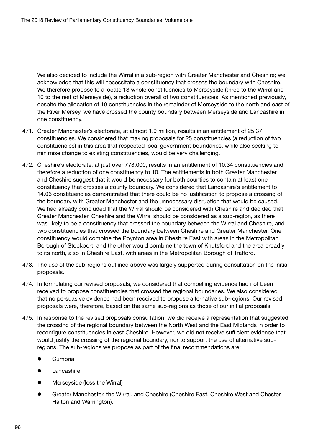We also decided to include the Wirral in a sub-region with Greater Manchester and Cheshire; we acknowledge that this will necessitate a constituency that crosses the boundary with Cheshire. We therefore propose to allocate 13 whole constituencies to Merseyside (three to the Wirral and 10 to the rest of Merseyside), a reduction overall of two constituencies. As mentioned previously, despite the allocation of 10 constituencies in the remainder of Merseyside to the north and east of the River Mersey, we have crossed the county boundary between Merseyside and Lancashire in one constituency.

- 471. Greater Manchester's electorate, at almost 1.9 million, results in an entitlement of 25.37 constituencies. We considered that making proposals for 25 constituencies (a reduction of two constituencies) in this area that respected local government boundaries, while also seeking to minimise change to existing constituencies, would be very challenging.
- 472. Cheshire's electorate, at just over 773,000, results in an entitlement of 10.34 constituencies and therefore a reduction of one constituency to 10. The entitlements in both Greater Manchester and Cheshire suggest that it would be necessary for both counties to contain at least one constituency that crosses a county boundary. We considered that Lancashire's entitlement to 14.06 constituencies demonstrated that there could be no justification to propose a crossing of the boundary with Greater Manchester and the unnecessary disruption that would be caused. We had already concluded that the Wirral should be considered with Cheshire and decided that Greater Manchester, Cheshire and the Wirral should be considered as a sub-region, as there was likely to be a constituency that crossed the boundary between the Wirral and Cheshire, and two constituencies that crossed the boundary between Cheshire and Greater Manchester. One constituency would combine the Poynton area in Cheshire East with areas in the Metropolitan Borough of Stockport, and the other would combine the town of Knutsford and the area broadly to its north, also in Cheshire East, with areas in the Metropolitan Borough of Trafford.
- 473. The use of the sub-regions outlined above was largely supported during consultation on the initial proposals.
- 474. In formulating our revised proposals, we considered that compelling evidence had not been received to propose constituencies that crossed the regional boundaries. We also considered that no persuasive evidence had been received to propose alternative sub-regions. Our revised proposals were, therefore, based on the same sub-regions as those of our initial proposals.
- 475. In response to the revised proposals consultation, we did receive a representation that suggested the crossing of the regional boundary between the North West and the East Midlands in order to reconfigure constituencies in east Cheshire. However, we did not receive sufficient evidence that would justify the crossing of the regional boundary, nor to support the use of alternative subregions. The sub-regions we propose as part of the final recommendations are:
	- $\bullet$  Cumbria
	- Lancashire
	- **•** Merseyside (less the Wirral)
	- Greater Manchester, the Wirral, and Cheshire (Cheshire East, Cheshire West and Chester, Halton and Warrington).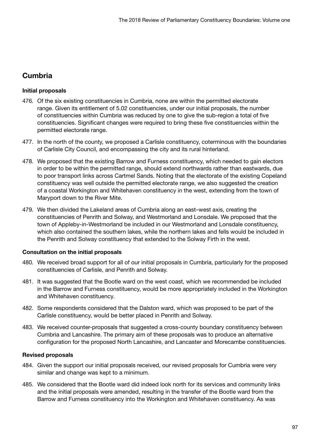# **Cumbria**

## Initial proposals

- 476. Of the six existing constituencies in Cumbria, none are within the permitted electorate range. Given its entitlement of 5.02 constituencies, under our initial proposals, the number of constituencies within Cumbria was reduced by one to give the sub-region a total of five constituencies. Significant changes were required to bring these five constituencies within the permitted electorate range.
- 477. In the north of the county, we proposed a Carlisle constituency, coterminous with the boundaries of Carlisle City Council, and encompassing the city and its rural hinterland.
- 478. We proposed that the existing Barrow and Furness constituency, which needed to gain electors in order to be within the permitted range, should extend northwards rather than eastwards, due to poor transport links across Cartmel Sands. Noting that the electorate of the existing Copeland constituency was well outside the permitted electorate range, we also suggested the creation of a coastal Workington and Whitehaven constituency in the west, extending from the town of Maryport down to the River Mite.
- 479. We then divided the Lakeland areas of Cumbria along an east–west axis, creating the constituencies of Penrith and Solway, and Westmorland and Lonsdale. We proposed that the town of Appleby-in-Westmorland be included in our Westmorland and Lonsdale constituency, which also contained the southern lakes, while the northern lakes and fells would be included in the Penrith and Solway constituency that extended to the Solway Firth in the west.

## Consultation on the initial proposals

- 480. We received broad support for all of our initial proposals in Cumbria, particularly for the proposed constituencies of Carlisle, and Penrith and Solway.
- 481. It was suggested that the Bootle ward on the west coast, which we recommended be included in the Barrow and Furness constituency, would be more appropriately included in the Workington and Whitehaven constituency.
- 482. Some respondents considered that the Dalston ward, which was proposed to be part of the Carlisle constituency, would be better placed in Penrith and Solway.
- 483. We received counter-proposals that suggested a cross-county boundary constituency between Cumbria and Lancashire. The primary aim of these proposals was to produce an alternative configuration for the proposed North Lancashire, and Lancaster and Morecambe constituencies.

## Revised proposals

- 484. Given the support our initial proposals received, our revised proposals for Cumbria were very similar and change was kept to a minimum.
- 485. We considered that the Bootle ward did indeed look north for its services and community links and the initial proposals were amended, resulting in the transfer of the Bootle ward from the Barrow and Furness constituency into the Workington and Whitehaven constituency. As was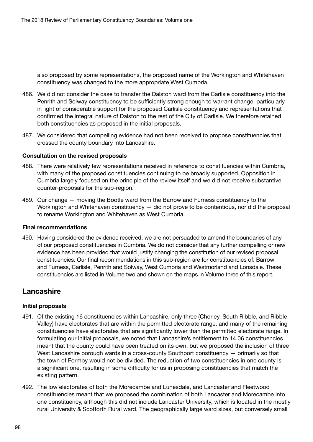also proposed by some representations, the proposed name of the Workington and Whitehaven constituency was changed to the more appropriate West Cumbria.

- 486. We did not consider the case to transfer the Dalston ward from the Carlisle constituency into the Penrith and Solway constituency to be sufficiently strong enough to warrant change, particularly in light of considerable support for the proposed Carlisle constituency and representations that confirmed the integral nature of Dalston to the rest of the City of Carlisle. We therefore retained both constituencies as proposed in the initial proposals.
- 487. We considered that compelling evidence had not been received to propose constituencies that crossed the county boundary into Lancashire.

#### Consultation on the revised proposals

- 488. There were relatively few representations received in reference to constituencies within Cumbria, with many of the proposed constituencies continuing to be broadly supported. Opposition in Cumbria largely focused on the principle of the review itself and we did not receive substantive counter-proposals for the sub-region.
- 489. Our change moving the Bootle ward from the Barrow and Furness constituency to the Workington and Whitehaven constituency  $-$  did not prove to be contentious, nor did the proposal to rename Workington and Whitehaven as West Cumbria.

#### Final recommendations

490. Having considered the evidence received, we are not persuaded to amend the boundaries of any of our proposed constituencies in Cumbria. We do not consider that any further compelling or new evidence has been provided that would justify changing the constitution of our revised proposal constituencies. Our final recommendations in this sub-region are for constituencies of: Barrow and Furness, Carlisle, Penrith and Solway, West Cumbria and Westmorland and Lonsdale. These constituencies are listed in Volume two and shown on the maps in Volume three of this report.

## Lancashire

#### Initial proposals

- 491. Of the existing 16 constituencies within Lancashire, only three (Chorley, South Ribble, and Ribble Valley) have electorates that are within the permitted electorate range, and many of the remaining constituencies have electorates that are significantly lower than the permitted electorate range. In formulating our initial proposals, we noted that Lancashire's entitlement to 14.06 constituencies meant that the county could have been treated on its own, but we proposed the inclusion of three West Lancashire borough wards in a cross-county Southport constituency  $-$  primarily so that the town of Formby would not be divided. The reduction of two constituencies in one county is a significant one, resulting in some difficulty for us in proposing constituencies that match the existing pattern.
- 492. The low electorates of both the Morecambe and Lunesdale, and Lancaster and Fleetwood constituencies meant that we proposed the combination of both Lancaster and Morecambe into one constituency, although this did not include Lancaster University, which is located in the mostly rural University & Scotforth Rural ward. The geographically large ward sizes, but conversely small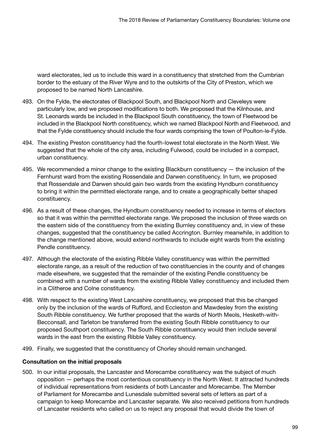ward electorates, led us to include this ward in a constituency that stretched from the Cumbrian border to the estuary of the River Wyre and to the outskirts of the City of Preston, which we proposed to be named North Lancashire.

- 493. On the Fylde, the electorates of Blackpool South, and Blackpool North and Cleveleys were particularly low, and we proposed modifications to both. We proposed that the Kilnhouse, and St. Leonards wards be included in the Blackpool South constituency, the town of Fleetwood be included in the Blackpool North constituency, which we named Blackpool North and Fleetwood, and that the Fylde constituency should include the four wards comprising the town of Poulton-le-Fylde.
- 494. The existing Preston constituency had the fourth-lowest total electorate in the North West. We suggested that the whole of the city area, including Fulwood, could be included in a compact, urban constituency.
- 495. We recommended a minor change to the existing Blackburn constituency the inclusion of the Fernhurst ward from the existing Rossendale and Darwen constituency. In turn, we proposed that Rossendale and Darwen should gain two wards from the existing Hyndburn constituency to bring it within the permitted electorate range, and to create a geographically better shaped constituency.
- 496. As a result of these changes, the Hyndburn constituency needed to increase in terms of electors so that it was within the permitted electorate range. We proposed the inclusion of three wards on the eastern side of the constituency from the existing Burnley constituency and, in view of these changes, suggested that the constituency be called Accrington. Burnley meanwhile, in addition to the change mentioned above, would extend northwards to include eight wards from the existing Pendle constituency.
- 497. Although the electorate of the existing Ribble Valley constituency was within the permitted electorate range, as a result of the reduction of two constituencies in the county and of changes made elsewhere, we suggested that the remainder of the existing Pendle constituency be combined with a number of wards from the existing Ribble Valley constituency and included them in a Clitheroe and Colne constituency.
- 498. With respect to the existing West Lancashire constituency, we proposed that this be changed only by the inclusion of the wards of Rufford, and Eccleston and Mawdesley from the existing South Ribble constituency. We further proposed that the wards of North Meols, Hesketh-with-Becconsall, and Tarleton be transferred from the existing South Ribble constituency to our proposed Southport constituency. The South Ribble constituency would then include several wards in the east from the existing Ribble Valley constituency.
- 499. Finally, we suggested that the constituency of Chorley should remain unchanged.

## Consultation on the initial proposals

500. In our initial proposals, the Lancaster and Morecambe constituency was the subject of much opposition — perhaps the most contentious constituency in the North West. It attracted hundreds of individual representations from residents of both Lancaster and Morecambe. The Member of Parliament for Morecambe and Lunesdale submitted several sets of letters as part of a campaign to keep Morecambe and Lancaster separate. We also received petitions from hundreds of Lancaster residents who called on us to reject any proposal that would divide the town of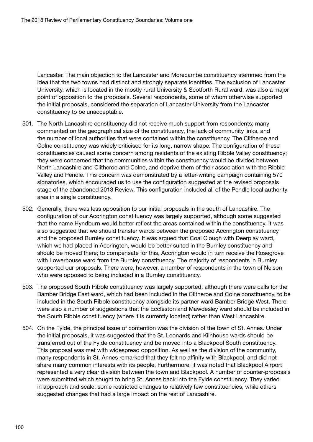Lancaster. The main objection to the Lancaster and Morecambe constituency stemmed from the idea that the two towns had distinct and strongly separate identities. The exclusion of Lancaster University, which is located in the mostly rural University & Scotforth Rural ward, was also a major point of opposition to the proposals. Several respondents, some of whom otherwise supported the initial proposals, considered the separation of Lancaster University from the Lancaster constituency to be unacceptable.

- 501. The North Lancashire constituency did not receive much support from respondents; many commented on the geographical size of the constituency, the lack of community links, and the number of local authorities that were contained within the constituency. The Clitheroe and Colne constituency was widely criticised for its long, narrow shape. The configuration of these constituencies caused some concern among residents of the existing Ribble Valley constituency; they were concerned that the communities within the constituency would be divided between North Lancashire and Clitheroe and Colne, and deprive them of their association with the Ribble Valley and Pendle. This concern was demonstrated by a letter-writing campaign containing 570 signatories, which encouraged us to use the configuration suggested at the revised proposals stage of the abandoned 2013 Review. This configuration included all of the Pendle local authority area in a single constituency.
- 502. Generally, there was less opposition to our initial proposals in the south of Lancashire. The configuration of our Accrington constituency was largely supported, although some suggested that the name Hyndburn would better reflect the areas contained within the constituency. It was also suggested that we should transfer wards between the proposed Accrington constituency and the proposed Burnley constituency. It was argued that Coal Clough with Deerplay ward, which we had placed in Accrington, would be better suited in the Burnley constituency and should be moved there; to compensate for this, Accrington would in turn receive the Rosegrove with Lowerhouse ward from the Burnley constituency. The majority of respondents in Burnley supported our proposals. There were, however, a number of respondents in the town of Nelson who were opposed to being included in a Burnley constituency.
- 503. The proposed South Ribble constituency was largely supported, although there were calls for the Bamber Bridge East ward, which had been included in the Clitheroe and Colne constituency, to be included in the South Ribble constituency alongside its partner ward Bamber Bridge West. There were also a number of suggestions that the Eccleston and Mawdesley ward should be included in the South Ribble constituency (where it is currently located) rather than West Lancashire.
- 504. On the Fylde, the principal issue of contention was the division of the town of St. Annes. Under the initial proposals, it was suggested that the St. Leonards and Kilnhouse wards should be transferred out of the Fylde constituency and be moved into a Blackpool South constituency. This proposal was met with widespread opposition. As well as the division of the community, many respondents in St. Annes remarked that they felt no affinity with Blackpool, and did not share many common interests with its people. Furthermore, it was noted that Blackpool Airport represented a very clear division between the town and Blackpool. A number of counter-proposals were submitted which sought to bring St. Annes back into the Fylde constituency. They varied in approach and scale: some restricted changes to relatively few constituencies, while others suggested changes that had a large impact on the rest of Lancashire.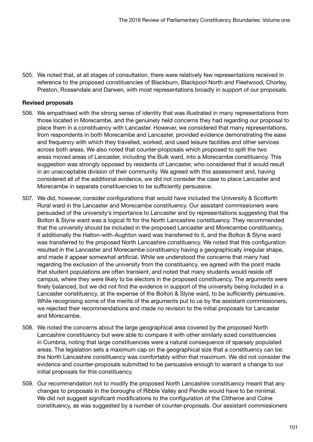505. We noted that, at all stages of consultation, there were relatively few representations received in reference to the proposed constituencies of Blackburn, Blackpool North and Fleetwood, Chorley, Preston, Rossendale and Darwen, with most representations broadly in support of our proposals.

## Revised proposals

- 506. We empathised with the strong sense of identity that was illustrated in many representations from those located in Morecambe, and the genuinely held concerns they had regarding our proposal to place them in a constituency with Lancaster. However, we considered that many representations, from respondents in both Morecambe and Lancaster, provided evidence demonstrating the ease and frequency with which they travelled, worked, and used leisure facilities and other services across both areas. We also noted that counter-proposals which proposed to split the two areas moved areas of Lancaster, including the Bulk ward, into a Morecambe constituency. This suggestion was strongly opposed by residents of Lancaster, who considered that it would result in an unacceptable division of their community. We agreed with this assessment and, having considered all of the additional evidence, we did not consider the case to place Lancaster and Morecambe in separate constituencies to be sufficiently persuasive.
- 507. We did, however, consider configurations that would have included the University & Scotforth Rural ward in the Lancaster and Morecambe constituency. Our assistant commissioners were persuaded of the university's importance to Lancaster and by representations suggesting that the Bolton & Slyne ward was a logical fit for the North Lancashire constituency. They recommended that the university should be included in the proposed Lancaster and Morecambe constituency, if additionally the Halton-with-Aughton ward was transferred to it, and the Bolton & Slyne ward was transferred to the proposed North Lancashire constituency. We noted that this configuration resulted in the Lancaster and Morecambe constituency having a geographically irregular shape, and made it appear somewhat artificial. While we understood the concerns that many had regarding the exclusion of the university from the constituency, we agreed with the point made that student populations are often transient, and noted that many students would reside off campus, where they were likely to be electors in the proposed constituency. The arguments were finely balanced, but we did not find the evidence in support of the university being included in a Lancaster constituency, at the expense of the Bolton & Slyne ward, to be sufficiently persuasive. While recognising some of the merits of the arguments put to us by the assistant commissioners, we rejected their recommendations and made no revision to the initial proposals for Lancaster and Morecambe.
- 508. We noted the concerns about the large geographical area covered by the proposed North Lancashire constituency but were able to compare it with other similarly sized constituencies in Cumbria, noting that large constituencies were a natural consequence of sparsely populated areas. The legislation sets a maximum cap on the geographical size that a constituency can be: the North Lancashire constituency was comfortably within that maximum. We did not consider the evidence and counter-proposals submitted to be persuasive enough to warrant a change to our initial proposals for this constituency.
- 509. Our recommendation not to modify the proposed North Lancashire constituency meant that any changes to proposals in the boroughs of Ribble Valley and Pendle would have to be minimal. We did not suggest significant modifications to the configuration of the Clitheroe and Colne constituency, as was suggested by a number of counter-proposals. Our assistant commissioners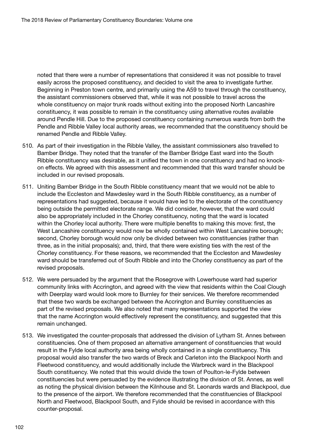noted that there were a number of representations that considered it was not possible to travel easily across the proposed constituency, and decided to visit the area to investigate further. Beginning in Preston town centre, and primarily using the A59 to travel through the constituency, the assistant commissioners observed that, while it was not possible to travel across the whole constituency on major trunk roads without exiting into the proposed North Lancashire constituency, it was possible to remain in the constituency using alternative routes available around Pendle Hill. Due to the proposed constituency containing numerous wards from both the Pendle and Ribble Valley local authority areas, we recommended that the constituency should be renamed Pendle and Ribble Valley.

- 510. As part of their investigation in the Ribble Valley, the assistant commissioners also travelled to Bamber Bridge. They noted that the transfer of the Bamber Bridge East ward into the South Ribble constituency was desirable, as it unified the town in one constituency and had no knockon effects. We agreed with this assessment and recommended that this ward transfer should be included in our revised proposals.
- 511. Uniting Bamber Bridge in the South Ribble constituency meant that we would not be able to include the Eccleston and Mawdesley ward in the South Ribble constituency, as a number of representations had suggested, because it would have led to the electorate of the constituency being outside the permitted electorate range. We did consider, however, that the ward could also be appropriately included in the Chorley constituency, noting that the ward is located within the Chorley local authority. There were multiple benefits to making this move: first, the West Lancashire constituency would now be wholly contained within West Lancashire borough; second, Chorley borough would now only be divided between two constituencies (rather than three, as in the initial proposals); and, third, that there were existing ties with the rest of the Chorley constituency. For these reasons, we recommended that the Eccleston and Mawdesley ward should be transferred out of South Ribble and into the Chorley constituency as part of the revised proposals.
- 512. We were persuaded by the argument that the Rosegrove with Lowerhouse ward had superior community links with Accrington, and agreed with the view that residents within the Coal Clough with Deerplay ward would look more to Burnley for their services. We therefore recommended that these two wards be exchanged between the Accrington and Burnley constituencies as part of the revised proposals. We also noted that many representations supported the view that the name Accrington would effectively represent the constituency, and suggested that this remain unchanged.
- 513. We investigated the counter-proposals that addressed the division of Lytham St. Annes between constituencies. One of them proposed an alternative arrangement of constituencies that would result in the Fylde local authority area being wholly contained in a single constituency. This proposal would also transfer the two wards of Breck and Carleton into the Blackpool North and Fleetwood constituency, and would additionally include the Warbreck ward in the Blackpool South constituency. We noted that this would divide the town of Poulton-le-Fylde between constituencies but were persuaded by the evidence illustrating the division of St. Annes, as well as noting the physical division between the Kilnhouse and St. Leonards wards and Blackpool, due to the presence of the airport. We therefore recommended that the constituencies of Blackpool North and Fleetwood, Blackpool South, and Fylde should be revised in accordance with this counter-proposal.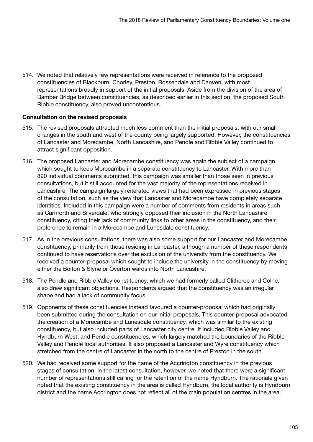514. We noted that relatively few representations were received in reference to the proposed constituencies of Blackburn, Chorley, Preston, Rossendale and Darwen, with most representations broadly in support of the initial proposals. Aside from the division of the area of Bamber Bridge between constituencies, as described earlier in this section, the proposed South Ribble constituency, also proved uncontentious.

## Consultation on the revised proposals

- 515. The revised proposals attracted much less comment than the initial proposals, with our small changes in the south and west of the county being largely supported. However, the constituencies of Lancaster and Morecambe, North Lancashire, and Pendle and Ribble Valley continued to attract significant opposition.
- 516. The proposed Lancaster and Morecambe constituency was again the subject of a campaign which sought to keep Morecambe in a separate constituency to Lancaster. With more than 890 individual comments submitted, this campaign was smaller than those seen in previous consultations, but it still accounted for the vast majority of the representations received in Lancashire. The campaign largely reiterated views that had been expressed in previous stages of the consultation, such as the view that Lancaster and Morecambe have completely separate identities. Included in this campaign were a number of comments from residents in areas such as Carnforth and Silverdale, who strongly opposed their inclusion in the North Lancashire constituency, citing their lack of community links to other areas in the constituency, and their preference to remain in a Morecambe and Lunesdale constituency.
- 517. As in the previous consultations, there was also some support for our Lancaster and Morecambe constituency, primarily from those residing in Lancaster, although a number of these respondents continued to have reservations over the exclusion of the university from the constituency. We received a counter-proposal which sought to include the university in the constituency by moving either the Bolton & Slyne or Overton wards into North Lancashire.
- 518. The Pendle and Ribble Valley constituency, which we had formerly called Clitheroe and Colne, also drew significant objections. Respondents argued that the constituency was an irregular shape and had a lack of community focus.
- 519. Opponents of these constituencies instead favoured a counter-proposal which had originally been submitted during the consultation on our initial proposals. This counter-proposal advocated the creation of a Morecambe and Lunesdale constituency, which was similar to the existing constituency, but also included parts of Lancaster city centre. It included Ribble Valley and Hyndburn West, and Pendle constituencies, which largely matched the boundaries of the Ribble Valley and Pendle local authorities. It also proposed a Lancaster and Wyre constituency which stretched from the centre of Lancaster in the north to the centre of Preston in the south.
- 520. We had received some support for the name of the Accrington constituency in the previous stages of consultation; in the latest consultation, however, we noted that there were a significant number of representations still calling for the retention of the name Hyndburn. The rationale given noted that the existing constituency in the area is called Hyndburn, the local authority is Hyndburn district and the name Accrington does not reflect all of the main population centres in the area.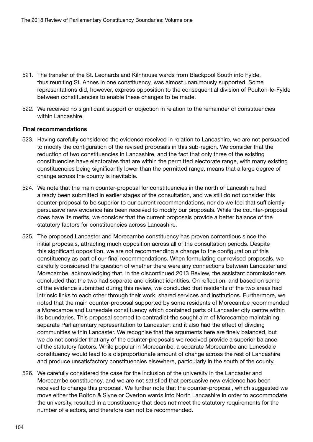- 521. The transfer of the St. Leonards and Kilnhouse wards from Blackpool South into Fylde, thus reuniting St. Annes in one constituency, was almost unanimously supported. Some representations did, however, express opposition to the consequential division of Poulton-le-Fylde between constituencies to enable these changes to be made.
- 522. We received no significant support or objection in relation to the remainder of constituencies within Lancashire.

#### Final recommendations

- 523. Having carefully considered the evidence received in relation to Lancashire, we are not persuaded to modify the configuration of the revised proposals in this sub-region. We consider that the reduction of two constituencies in Lancashire, and the fact that only three of the existing constituencies have electorates that are within the permitted electorate range, with many existing constituencies being significantly lower than the permitted range, means that a large degree of change across the county is inevitable.
- 524. We note that the main counter-proposal for constituencies in the north of Lancashire had already been submitted in earlier stages of the consultation, and we still do not consider this counter-proposal to be superior to our current recommendations, nor do we feel that sufficiently persuasive new evidence has been received to modify our proposals. While the counter-proposal does have its merits, we consider that the current proposals provide a better balance of the statutory factors for constituencies across Lancashire.
- 525. The proposed Lancaster and Morecambe constituency has proven contentious since the initial proposals, attracting much opposition across all of the consultation periods. Despite this significant opposition, we are not recommending a change to the configuration of this constituency as part of our final recommendations. When formulating our revised proposals, we carefully considered the question of whether there were any connections between Lancaster and Morecambe, acknowledging that, in the discontinued 2013 Review, the assistant commissioners concluded that the two had separate and distinct identities. On reflection, and based on some of the evidence submitted during this review, we concluded that residents of the two areas had intrinsic links to each other through their work, shared services and institutions. Furthermore, we noted that the main counter-proposal supported by some residents of Morecambe recommended a Morecambe and Lunesdale constituency which contained parts of Lancaster city centre within its boundaries. This proposal seemed to contradict the sought aim of Morecambe maintaining separate Parliamentary representation to Lancaster; and it also had the effect of dividing communities within Lancaster. We recognise that the arguments here are finely balanced, but we do not consider that any of the counter-proposals we received provide a superior balance of the statutory factors. While popular in Morecambe, a separate Morecambe and Lunesdale constituency would lead to a disproportionate amount of change across the rest of Lancashire and produce unsatisfactory constituencies elsewhere, particularly in the south of the county.
- 526. We carefully considered the case for the inclusion of the university in the Lancaster and Morecambe constituency, and we are not satisfied that persuasive new evidence has been received to change this proposal. We further note that the counter-proposal, which suggested we move either the Bolton & Slyne or Overton wards into North Lancashire in order to accommodate the university, resulted in a constituency that does not meet the statutory requirements for the number of electors, and therefore can not be recommended.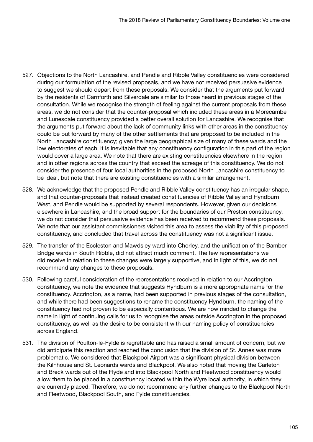- 527. Objections to the North Lancashire, and Pendle and Ribble Valley constituencies were considered during our formulation of the revised proposals, and we have not received persuasive evidence to suggest we should depart from these proposals. We consider that the arguments put forward by the residents of Carnforth and Silverdale are similar to those heard in previous stages of the consultation. While we recognise the strength of feeling against the current proposals from these areas, we do not consider that the counter-proposal which included these areas in a Morecambe and Lunesdale constituency provided a better overall solution for Lancashire. We recognise that the arguments put forward about the lack of community links with other areas in the constituency could be put forward by many of the other settlements that are proposed to be included in the North Lancashire constituency; given the large geographical size of many of these wards and the low electorates of each, it is inevitable that any constituency configuration in this part of the region would cover a large area. We note that there are existing constituencies elsewhere in the region and in other regions across the country that exceed the acreage of this constituency. We do not consider the presence of four local authorities in the proposed North Lancashire constituency to be ideal, but note that there are existing constituencies with a similar arrangement.
- 528. We acknowledge that the proposed Pendle and Ribble Valley constituency has an irregular shape, and that counter-proposals that instead created constituencies of Ribble Valley and Hyndburn West, and Pendle would be supported by several respondents. However, given our decisions elsewhere in Lancashire, and the broad support for the boundaries of our Preston constituency, we do not consider that persuasive evidence has been received to recommend these proposals. We note that our assistant commissioners visited this area to assess the viability of this proposed constituency, and concluded that travel across the constituency was not a significant issue.
- 529. The transfer of the Eccleston and Mawdsley ward into Chorley, and the unification of the Bamber Bridge wards in South Ribble, did not attract much comment. The few representations we did receive in relation to these changes were largely supportive, and in light of this, we do not recommend any changes to these proposals.
- 530. Following careful consideration of the representations received in relation to our Accrington constituency, we note the evidence that suggests Hyndburn is a more appropriate name for the constituency. Accrington, as a name, had been supported in previous stages of the consultation, and while there had been suggestions to rename the constituency Hyndburn, the naming of the constituency had not proven to be especially contentious. We are now minded to change the name in light of continuing calls for us to recognise the areas outside Accrington in the proposed constituency, as well as the desire to be consistent with our naming policy of constituencies across England.
- 531. The division of Poulton-le-Fylde is regrettable and has raised a small amount of concern, but we did anticipate this reaction and reached the conclusion that the division of St. Annes was more problematic. We considered that Blackpool Airport was a significant physical division between the Kilnhouse and St. Leonards wards and Blackpool. We also noted that moving the Carleton and Breck wards out of the Flyde and into Blackpool North and Fleetwood constituency would allow them to be placed in a constituency located within the Wyre local authority, in which they are currently placed. Therefore, we do not recommend any further changes to the Blackpool North and Fleetwood, Blackpool South, and Fylde constituencies.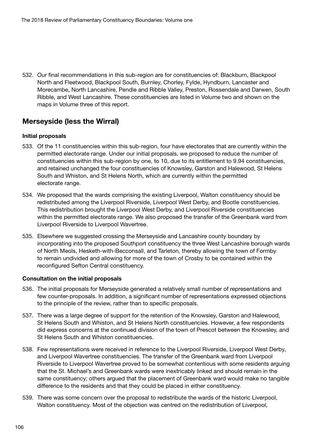532. Our final recommendations in this sub-region are for constituencies of: Blackburn, Blackpool North and Fleetwood, Blackpool South, Burnley, Chorley, Fylde, Hyndburn, Lancaster and Morecambe, North Lancashire, Pendle and Ribble Valley, Preston, Rossendale and Darwen, South Ribble, and West Lancashire. These constituencies are listed in Volume two and shown on the maps in Volume three of this report.

# Merseyside (less the Wirral)

# Initial proposals

- 533. Of the 11 constituencies within this sub-region, four have electorates that are currently within the permitted electorate range. Under our initial proposals, we proposed to reduce the number of constituencies within this sub-region by one, to 10, due to its entitlement to 9.94 constituencies, and retained unchanged the four constituencies of Knowsley, Garston and Halewood, St Helens South and Whiston, and St Helens North, which are currently within the permitted electorate range.
- 534. We proposed that the wards comprising the existing Liverpool, Walton constituency should be redistributed among the Liverpool Riverside, Liverpool West Derby, and Bootle constituencies. This redistribution brought the Liverpool West Derby, and Liverpool Riverside constituencies within the permitted electorate range. We also proposed the transfer of the Greenbank ward from Liverpool Riverside to Liverpool Wavertree.
- 535. Elsewhere we suggested crossing the Merseyside and Lancashire county boundary by incorporating into the proposed Southport constituency the three West Lancashire borough wards of North Meols, Hesketh-with-Becconsall, and Tarleton, thereby allowing the town of Formby to remain undivided and allowing for more of the town of Crosby to be contained within the reconfigured Sefton Central constituency.

- 536. The initial proposals for Merseyside generated a relatively small number of representations and few counter-proposals. In addition, a significant number of representations expressed objections to the principle of the review, rather than to specific proposals.
- 537. There was a large degree of support for the retention of the Knowsley, Garston and Halewood, St Helens South and Whiston, and St Helens North constituencies. However, a few respondents did express concerns at the continued division of the town of Prescot between the Knowsley, and St Helens South and Whiston constituencies.
- 538. Few representations were received in reference to the Liverpool Riverside, Liverpool West Derby, and Liverpool Wavertree constituencies. The transfer of the Greenbank ward from Liverpool Riverside to Liverpool Wavertree proved to be somewhat contentious with some residents arguing that the St. Michael's and Greenbank wards were inextricably linked and should remain in the same constituency; others argued that the placement of Greenbank ward would make no tangible difference to the residents and that they could be placed in either constituency.
- 539. There was some concern over the proposal to redistribute the wards of the historic Liverpool, Walton constituency. Most of the objection was centred on the redistribution of Liverpool,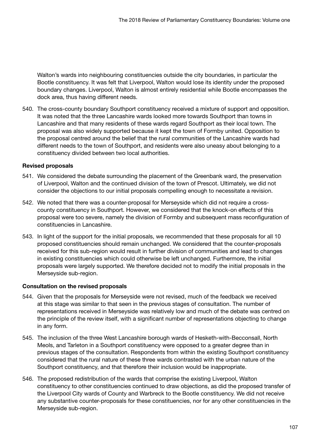Walton's wards into neighbouring constituencies outside the city boundaries, in particular the Bootle constituency. It was felt that Liverpool, Walton would lose its identity under the proposed boundary changes. Liverpool, Walton is almost entirely residential while Bootle encompasses the dock area, thus having different needs.

540. The cross-county boundary Southport constituency received a mixture of support and opposition. It was noted that the three Lancashire wards looked more towards Southport than towns in Lancashire and that many residents of these wards regard Southport as their local town. The proposal was also widely supported because it kept the town of Formby united. Opposition to the proposal centred around the belief that the rural communities of the Lancashire wards had different needs to the town of Southport, and residents were also uneasy about belonging to a constituency divided between two local authorities.

# Revised proposals

- 541. We considered the debate surrounding the placement of the Greenbank ward, the preservation of Liverpool, Walton and the continued division of the town of Prescot. Ultimately, we did not consider the objections to our initial proposals compelling enough to necessitate a revision.
- 542. We noted that there was a counter-proposal for Merseyside which did not require a crosscounty constituency in Southport. However, we considered that the knock-on effects of this proposal were too severe, namely the division of Formby and subsequent mass reconfiguration of constituencies in Lancashire.
- 543. In light of the support for the initial proposals, we recommended that these proposals for all 10 proposed constituencies should remain unchanged. We considered that the counter-proposals received for this sub-region would result in further division of communities and lead to changes in existing constituencies which could otherwise be left unchanged. Furthermore, the initial proposals were largely supported. We therefore decided not to modify the initial proposals in the Merseyside sub-region.

## Consultation on the revised proposals

- 544. Given that the proposals for Merseyside were not revised, much of the feedback we received at this stage was similar to that seen in the previous stages of consultation. The number of representations received in Merseyside was relatively low and much of the debate was centred on the principle of the review itself, with a significant number of representations objecting to change in any form.
- 545. The inclusion of the three West Lancashire borough wards of Hesketh-with-Becconsall, North Meols, and Tarleton in a Southport constituency were opposed to a greater degree than in previous stages of the consultation. Respondents from within the existing Southport constituency considered that the rural nature of these three wards contrasted with the urban nature of the Southport constituency, and that therefore their inclusion would be inappropriate.
- 546. The proposed redistribution of the wards that comprise the existing Liverpool, Walton constituency to other constituencies continued to draw objections, as did the proposed transfer of the Liverpool City wards of County and Warbreck to the Bootle constituency. We did not receive any substantive counter-proposals for these constituencies, nor for any other constituencies in the Merseyside sub-region.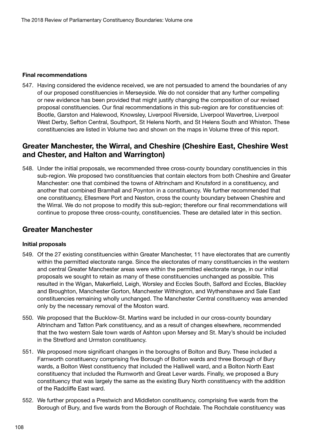## Final recommendations

547. Having considered the evidence received, we are not persuaded to amend the boundaries of any of our proposed constituencies in Merseyside. We do not consider that any further compelling or new evidence has been provided that might justify changing the composition of our revised proposal constituencies. Our final recommendations in this sub-region are for constituencies of: Bootle, Garston and Halewood, Knowsley, Liverpool Riverside, Liverpool Wavertree, Liverpool West Derby, Sefton Central, Southport, St Helens North, and St Helens South and Whiston. These constituencies are listed in Volume two and shown on the maps in Volume three of this report.

# Greater Manchester, the Wirral, and Cheshire (Cheshire East, Cheshire West and Chester, and Halton and Warrington)

548. Under the initial proposals, we recommended three cross-county boundary constituencies in this sub-region. We proposed two constituencies that contain electors from both Cheshire and Greater Manchester: one that combined the towns of Altrincham and Knutsford in a constituency, and another that combined Bramhall and Poynton in a constituency. We further recommended that one constituency, Ellesmere Port and Neston, cross the county boundary between Cheshire and the Wirral. We do not propose to modify this sub-region; therefore our final recommendations will continue to propose three cross-county, constituencies. These are detailed later in this section.

# Greater Manchester

# Initial proposals

- 549. Of the 27 existing constituencies within Greater Manchester, 11 have electorates that are currently within the permitted electorate range. Since the electorates of many constituencies in the western and central Greater Manchester areas were within the permitted electorate range, in our initial proposals we sought to retain as many of these constituencies unchanged as possible. This resulted in the Wigan, Makerfield, Leigh, Worsley and Eccles South, Salford and Eccles, Blackley and Broughton, Manchester Gorton, Manchester Withington, and Wythenshawe and Sale East constituencies remaining wholly unchanged. The Manchester Central constituency was amended only by the necessary removal of the Moston ward.
- 550. We proposed that the Bucklow-St. Martins ward be included in our cross-county boundary Altrincham and Tatton Park constituency, and as a result of changes elsewhere, recommended that the two western Sale town wards of Ashton upon Mersey and St. Mary's should be included in the Stretford and Urmston constituency.
- 551. We proposed more significant changes in the boroughs of Bolton and Bury. These included a Farnworth constituency comprising five Borough of Bolton wards and three Borough of Bury wards, a Bolton West constituency that included the Halliwell ward, and a Bolton North East constituency that included the Rumworth and Great Lever wards. Finally, we proposed a Bury constituency that was largely the same as the existing Bury North constituency with the addition of the Radcliffe East ward.
- 552. We further proposed a Prestwich and Middleton constituency, comprising five wards from the Borough of Bury, and five wards from the Borough of Rochdale. The Rochdale constituency was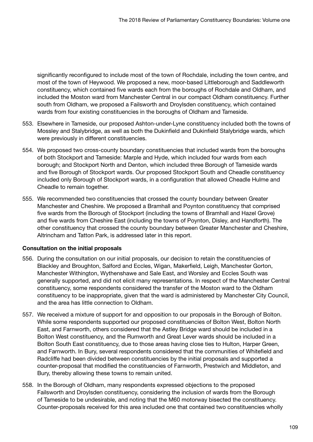significantly reconfigured to include most of the town of Rochdale, including the town centre, and most of the town of Heywood. We proposed a new, moor-based Littleborough and Saddleworth constituency, which contained five wards each from the boroughs of Rochdale and Oldham, and included the Moston ward from Manchester Central in our compact Oldham constituency. Further south from Oldham, we proposed a Failsworth and Droylsden constituency, which contained wards from four existing constituencies in the boroughs of Oldham and Tameside.

- 553. Elsewhere in Tameside, our proposed Ashton-under-Lyne constituency included both the towns of Mossley and Stalybridge, as well as both the Dukinfield and Dukinfield Stalybridge wards, which were previously in different constituencies.
- 554. We proposed two cross-county boundary constituencies that included wards from the boroughs of both Stockport and Tameside: Marple and Hyde, which included four wards from each borough; and Stockport North and Denton, which included three Borough of Tameside wards and five Borough of Stockport wards. Our proposed Stockport South and Cheadle constituency included only Borough of Stockport wards, in a configuration that allowed Cheadle Hulme and Cheadle to remain together.
- 555. We recommended two constituencies that crossed the county boundary between Greater Manchester and Cheshire. We proposed a Bramhall and Poynton constituency that comprised five wards from the Borough of Stockport (including the towns of Bramhall and Hazel Grove) and five wards from Cheshire East (including the towns of Poynton, Disley, and Handforth). The other constituency that crossed the county boundary between Greater Manchester and Cheshire, Altrincham and Tatton Park, is addressed later in this report.

- 556. During the consultation on our initial proposals, our decision to retain the constituencies of Blackley and Broughton, Salford and Eccles, Wigan, Makerfield, Leigh, Manchester Gorton, Manchester Withington, Wythenshawe and Sale East, and Worsley and Eccles South was generally supported, and did not elicit many representations. In respect of the Manchester Central constituency, some respondents considered the transfer of the Moston ward to the Oldham constituency to be inappropriate, given that the ward is administered by Manchester City Council, and the area has little connection to Oldham.
- 557. We received a mixture of support for and opposition to our proposals in the Borough of Bolton. While some respondents supported our proposed constituencies of Bolton West, Bolton North East, and Farnworth, others considered that the Astley Bridge ward should be included in a Bolton West constituency, and the Rumworth and Great Lever wards should be included in a Bolton South East constituency, due to those areas having close ties to Hulton, Harper Green, and Farnworth. In Bury, several respondents considered that the communities of Whitefield and Radcliffe had been divided between constituencies by the initial proposals and supported a counter-proposal that modified the constituencies of Farnworth, Prestwich and Middleton, and Bury, thereby allowing these towns to remain united.
- 558. In the Borough of Oldham, many respondents expressed objections to the proposed Failsworth and Droylsden constituency, considering the inclusion of wards from the Borough of Tameside to be undesirable, and noting that the M60 motorway bisected the constituency. Counter-proposals received for this area included one that contained two constituencies wholly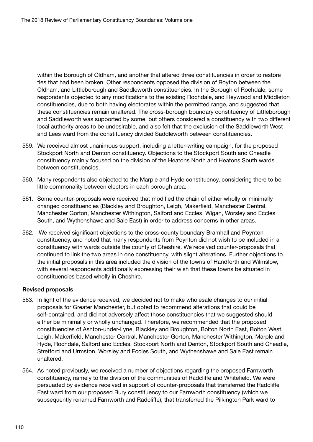within the Borough of Oldham, and another that altered three constituencies in order to restore ties that had been broken. Other respondents opposed the division of Royton between the Oldham, and Littleborough and Saddleworth constituencies. In the Borough of Rochdale, some respondents objected to any modifications to the existing Rochdale, and Heywood and Middleton constituencies, due to both having electorates within the permitted range, and suggested that these constituencies remain unaltered. The cross-borough boundary constituency of Littleborough and Saddleworth was supported by some, but others considered a constituency with two different local authority areas to be undesirable, and also felt that the exclusion of the Saddleworth West and Lees ward from the constituency divided Saddleworth between constituencies.

- 559. We received almost unanimous support, including a letter-writing campaign, for the proposed Stockport North and Denton constituency. Objections to the Stockport South and Cheadle constituency mainly focused on the division of the Heatons North and Heatons South wards between constituencies.
- 560. Many respondents also objected to the Marple and Hyde constituency, considering there to be little commonality between electors in each borough area.
- 561. Some counter-proposals were received that modified the chain of either wholly or minimally changed constituencies (Blackley and Broughton, Leigh, Makerfield, Manchester Central, Manchester Gorton, Manchester Withington, Salford and Eccles, Wigan, Worsley and Eccles South, and Wythenshawe and Sale East) in order to address concerns in other areas.
- 562. We received significant objections to the cross-county boundary Bramhall and Poynton constituency, and noted that many respondents from Poynton did not wish to be included in a constituency with wards outside the county of Cheshire. We received counter-proposals that continued to link the two areas in one constituency, with slight alterations. Further objections to the initial proposals in this area included the division of the towns of Handforth and Wilmslow, with several respondents additionally expressing their wish that these towns be situated in constituencies based wholly in Cheshire.

# Revised proposals

- 563. In light of the evidence received, we decided not to make wholesale changes to our initial proposals for Greater Manchester, but opted to recommend alterations that could be self-contained, and did not adversely affect those constituencies that we suggested should either be minimally or wholly unchanged. Therefore, we recommended that the proposed constituencies of Ashton-under-Lyne, Blackley and Broughton, Bolton North East, Bolton West, Leigh, Makerfield, Manchester Central, Manchester Gorton, Manchester Withington, Marple and Hyde, Rochdale, Salford and Eccles, Stockport North and Denton, Stockport South and Cheadle, Stretford and Urmston, Worsley and Eccles South, and Wythenshawe and Sale East remain unaltered.
- 564. As noted previously, we received a number of objections regarding the proposed Farnworth constituency, namely to the division of the communities of Radcliffe and Whitefield. We were persuaded by evidence received in support of counter-proposals that transferred the Radcliffe East ward from our proposed Bury constituency to our Farnworth constituency (which we subsequently renamed Farnworth and Radcliffe); that transferred the Pilkington Park ward to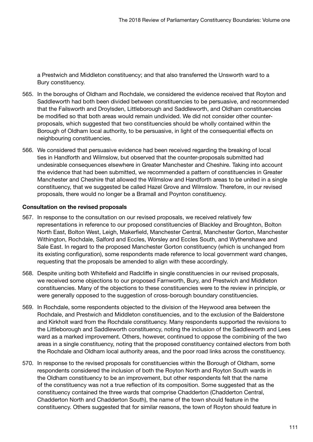a Prestwich and Middleton constituency; and that also transferred the Unsworth ward to a Bury constituency.

- 565. In the boroughs of Oldham and Rochdale, we considered the evidence received that Royton and Saddleworth had both been divided between constituencies to be persuasive, and recommended that the Failsworth and Droylsden, Littleborough and Saddleworth, and Oldham constituencies be modified so that both areas would remain undivided. We did not consider other counterproposals, which suggested that two constituencies should be wholly contained within the Borough of Oldham local authority, to be persuasive, in light of the consequential effects on neighbouring constituencies.
- 566. We considered that persuasive evidence had been received regarding the breaking of local ties in Handforth and Wilmslow, but observed that the counter-proposals submitted had undesirable consequences elsewhere in Greater Manchester and Cheshire. Taking into account the evidence that had been submitted, we recommended a pattern of constituencies in Greater Manchester and Cheshire that allowed the Wilmslow and Handforth areas to be united in a single constituency, that we suggested be called Hazel Grove and Wilmslow. Therefore, in our revised proposals, there would no longer be a Bramall and Poynton constituency.

# Consultation on the revised proposals

- 567. In response to the consultation on our revised proposals, we received relatively few representations in reference to our proposed constituencies of Blackley and Broughton, Bolton North East, Bolton West, Leigh, Makerfield, Manchester Central, Manchester Gorton, Manchester Withington, Rochdale, Salford and Eccles, Worsley and Eccles South, and Wythenshawe and Sale East. In regard to the proposed Manchester Gorton constituency (which is unchanged from its existing configuration), some respondents made reference to local government ward changes, requesting that the proposals be amended to align with these accordingly.
- 568. Despite uniting both Whitefield and Radcliffe in single constituencies in our revised proposals, we received some objections to our proposed Farnworth, Bury, and Prestwich and Middleton constituencies. Many of the objections to these constituencies were to the review in principle, or were generally opposed to the suggestion of cross-borough boundary constituencies.
- 569. In Rochdale, some respondents objected to the division of the Heywood area between the Rochdale, and Prestwich and Middleton constituencies, and to the exclusion of the Balderstone and Kirkholt ward from the Rochdale constituency. Many respondents supported the revisions to the Littleborough and Saddleworth constituency, noting the inclusion of the Saddleworth and Lees ward as a marked improvement. Others, however, continued to oppose the combining of the two areas in a single constituency, noting that the proposed constituency contained electors from both the Rochdale and Oldham local authority areas, and the poor road links across the constituency.
- 570. In response to the revised proposals for constituencies within the Borough of Oldham, some respondents considered the inclusion of both the Royton North and Royton South wards in the Oldham constituency to be an improvement, but other respondents felt that the name of the constituency was not a true reflection of its composition. Some suggested that as the constituency contained the three wards that comprise Chadderton (Chadderton Central, Chadderton North and Chadderton South), the name of the town should feature in the constituency. Others suggested that for similar reasons, the town of Royton should feature in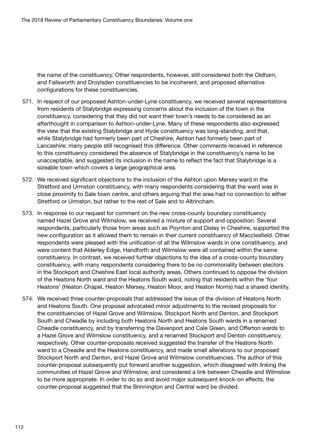the name of the constituency. Other respondents, however, still considered both the Oldham, and Failsworth and Droylsden constituencies to be incoherent, and proposed alternative configurations for these constituencies.

- 571. In respect of our proposed Ashton-under-Lyne constituency, we received several representations from residents of Stalybridge expressing concerns about the inclusion of the town in the constituency, considering that they did not want their town's needs to be considered as an afterthought in comparison to Ashton-under-Lyne. Many of these respondents also expressed the view that the existing Stalybridge and Hyde constituency was long-standing, and that, while Stalybridge had formerly been part of Cheshire, Ashton had formerly been part of Lancashire; many people still recognised this difference. Other comments received in reference to this constituency considered the absence of Stalybridge in the constituency's name to be unacceptable, and suggested its inclusion in the name to reflect the fact that Stalybridge is a sizeable town which covers a large geographical area.
- 572. We received significant objections to the inclusion of the Ashton upon Mersey ward in the Stretford and Urmston constituency, with many respondents considering that the ward was in close proximity to Sale town centre, and others arguing that the area had no connection to either Stretford or Urmston, but rather to the rest of Sale and to Altrincham.
- 573. In response to our request for comment on the new cross-county boundary constituency named Hazel Grove and Wilmslow, we received a mixture of support and opposition. Several respondents, particularly those from areas such as Poynton and Disley in Cheshire, supported the new configuration as it allowed them to remain in their current constituency of Macclesfield. Other respondents were pleased with the unification of all the Wilmslow wards in one constituency, and were content that Alderley Edge, Handforth and Wilmslow were all contained within the same constituency. In contrast, we received further objections to the idea of a cross-county boundary constituency, with many respondents considering there to be no commonality between electors in the Stockport and Cheshire East local authority areas. Others continued to oppose the division of the Heatons North ward and the Heatons South ward, noting that residents within the 'four Heatons' (Heaton Chapel, Heaton Mersey, Heaton Moor, and Heaton Norris) had a shared identity.
- 574. We received three counter-proposals that addressed the issue of the division of Heatons North and Heatons South. One proposal advocated minor adjustments to the revised proposals for the constituencies of Hazel Grove and Wilmslow, Stockport North and Denton, and Stockport South and Cheadle by including both Heatons North and Heatons South wards in a renamed Cheadle constituency, and by transferring the Davenport and Cale Green, and Offerton wards to a Hazel Grove and Wilmslow constituency, and a renamed Stockport and Denton constituency, respectively. Other counter-proposals received suggested the transfer of the Heatons North ward to a Cheadle and the Heatons constituency, and made small alterations to our proposed Stockport North and Denton, and Hazel Grove and Wilmslow constituencies. The author of this counter-proposal subsequently put forward another suggestion, which disagreed with linking the communities of Hazel Grove and Wilmslow, and considered a link between Cheadle and Wilmslow to be more appropriate. In order to do so and avoid major subsequent knock-on effects, the counter-proposal suggested that the Brinnington and Central ward be divided.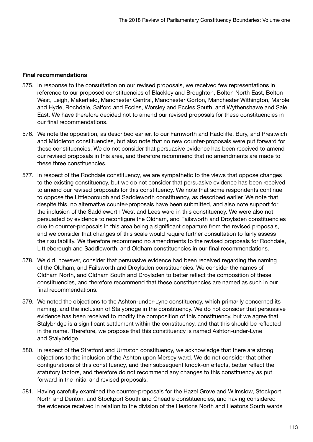## Final recommendations

- 575. In response to the consultation on our revised proposals, we received few representations in reference to our proposed constituencies of Blackley and Broughton, Bolton North East, Bolton West, Leigh, Makerfield, Manchester Central, Manchester Gorton, Manchester Withington, Marple and Hyde, Rochdale, Salford and Eccles, Worsley and Eccles South, and Wythenshawe and Sale East. We have therefore decided not to amend our revised proposals for these constituencies in our final recommendations.
- 576. We note the opposition, as described earlier, to our Farnworth and Radcliffe, Bury, and Prestwich and Middleton constituencies, but also note that no new counter-proposals were put forward for these constituencies. We do not consider that persuasive evidence has been received to amend our revised proposals in this area, and therefore recommend that no amendments are made to these three constituencies.
- 577. In respect of the Rochdale constituency, we are sympathetic to the views that oppose changes to the existing constituency, but we do not consider that persuasive evidence has been received to amend our revised proposals for this constituency. We note that some respondents continue to oppose the Littleborough and Saddleworth constituency, as described earlier. We note that despite this, no alternative counter-proposals have been submitted, and also note support for the inclusion of the Saddleworth West and Lees ward in this constituency. We were also not persuaded by evidence to reconfigure the Oldham, and Failsworth and Droylsden constituencies due to counter-proposals in this area being a significant departure from the revised proposals, and we consider that changes of this scale would require further consultation to fairly assess their suitability. We therefore recommend no amendments to the revised proposals for Rochdale, Littleborough and Saddleworth, and Oldham constituencies in our final recommendations.
- 578. We did, however, consider that persuasive evidence had been received regarding the naming of the Oldham, and Failsworth and Droylsden constituencies. We consider the names of Oldham North, and Oldham South and Droylsden to better reflect the composition of these constituencies, and therefore recommend that these constituencies are named as such in our final recommendations.
- 579. We noted the objections to the Ashton-under-Lyne constituency, which primarily concerned its naming, and the inclusion of Stalybridge in the constituency. We do not consider that persuasive evidence has been received to modify the composition of this constituency, but we agree that Stalybridge is a significant settlement within the constituency, and that this should be reflected in the name. Therefore, we propose that this constituency is named Ashton-under-Lyne and Stalybridge.
- 580. In respect of the Stretford and Urmston constituency, we acknowledge that there are strong objections to the inclusion of the Ashton upon Mersey ward. We do not consider that other configurations of this constituency, and their subsequent knock-on effects, better reflect the statutory factors, and therefore do not recommend any changes to this constituency as put forward in the initial and revised proposals.
- 581. Having carefully examined the counter-proposals for the Hazel Grove and Wilmslow, Stockport North and Denton, and Stockport South and Cheadle constituencies, and having considered the evidence received in relation to the division of the Heatons North and Heatons South wards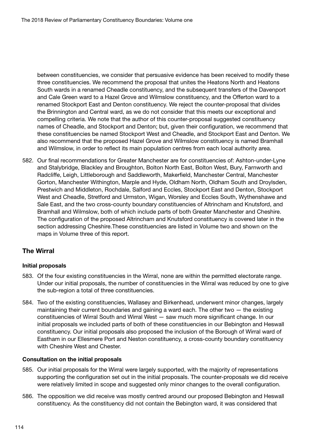between constituencies, we consider that persuasive evidence has been received to modify these three constituencies. We recommend the proposal that unites the Heatons North and Heatons South wards in a renamed Cheadle constituency, and the subsequent transfers of the Davenport and Cale Green ward to a Hazel Grove and Wilmslow constituency, and the Offerton ward to a renamed Stockport East and Denton constituency. We reject the counter-proposal that divides the Brinnington and Central ward, as we do not consider that this meets our exceptional and compelling criteria. We note that the author of this counter-proposal suggested constituency names of Cheadle, and Stockport and Denton; but, given their configuration, we recommend that these constituencies be named Stockport West and Cheadle, and Stockport East and Denton. We also recommend that the proposed Hazel Grove and Wilmslow constituency is named Bramhall and Wilmslow, in order to reflect its main population centres from each local authority area.

582. Our final recommendations for Greater Manchester are for constituencies of: Ashton-under-Lyne and Stalybridge, Blackley and Broughton, Bolton North East, Bolton West, Bury, Farnworth and Radcliffe, Leigh, Littleborough and Saddleworth, Makerfield, Manchester Central, Manchester Gorton, Manchester Withington, Marple and Hyde, Oldham North, Oldham South and Droylsden, Prestwich and Middleton, Rochdale, Salford and Eccles, Stockport East and Denton, Stockport West and Cheadle, Stretford and Urmston, Wigan, Worsley and Eccles South, Wythenshawe and Sale East, and the two cross-county boundary constituencies of Altrincham and Knutsford, and Bramhall and Wilmslow, both of which include parts of both Greater Manchester and Cheshire. The configuration of the proposed Altrincham and Knutsford constituency is covered later in the section addressing Cheshire.These constituencies are listed in Volume two and shown on the maps in Volume three of this report.

# The Wirral

# Initial proposals

- 583. Of the four existing constituencies in the Wirral, none are within the permitted electorate range. Under our initial proposals, the number of constituencies in the Wirral was reduced by one to give the sub-region a total of three constituencies.
- 584. Two of the existing constituencies, Wallasey and Birkenhead, underwent minor changes, largely maintaining their current boundaries and gaining a ward each. The other two — the existing constituencies of Wirral South and Wirral West — saw much more significant change. In our initial proposals we included parts of both of these constituencies in our Bebington and Heswall constituency. Our initial proposals also proposed the inclusion of the Borough of Wirral ward of Eastham in our Ellesmere Port and Neston constituency, a cross-county boundary constituency with Cheshire West and Chester.

- 585. Our initial proposals for the Wirral were largely supported, with the majority of representations supporting the configuration set out in the initial proposals. The counter-proposals we did receive were relatively limited in scope and suggested only minor changes to the overall configuration.
- 586. The opposition we did receive was mostly centred around our proposed Bebington and Heswall constituency. As the constituency did not contain the Bebington ward, it was considered that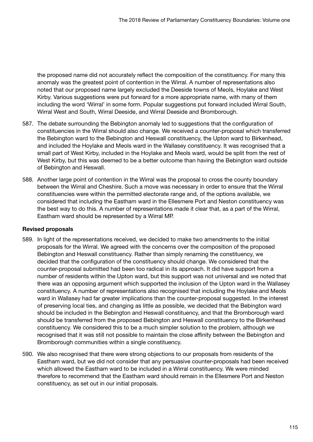the proposed name did not accurately reflect the composition of the constituency. For many this anomaly was the greatest point of contention in the Wirral. A number of representations also noted that our proposed name largely excluded the Deeside towns of Meols, Hoylake and West Kirby. Various suggestions were put forward for a more appropriate name, with many of them including the word 'Wirral' in some form. Popular suggestions put forward included Wirral South, Wirral West and South, Wirral Deeside, and Wirral Deeside and Bromborough.

- 587. The debate surrounding the Bebington anomaly led to suggestions that the configuration of constituencies in the Wirral should also change. We received a counter-proposal which transferred the Bebington ward to the Bebington and Heswall constituency, the Upton ward to Birkenhead, and included the Hoylake and Meols ward in the Wallasey constituency. It was recognised that a small part of West Kirby, included in the Hoylake and Meols ward, would be split from the rest of West Kirby, but this was deemed to be a better outcome than having the Bebington ward outside of Bebington and Heswall.
- 588. Another large point of contention in the Wirral was the proposal to cross the county boundary between the Wirral and Cheshire. Such a move was necessary in order to ensure that the Wirral constituencies were within the permitted electorate range and, of the options available, we considered that including the Eastham ward in the Ellesmere Port and Neston constituency was the best way to do this. A number of representations made it clear that, as a part of the Wirral, Eastham ward should be represented by a Wirral MP.

# Revised proposals

- 589. In light of the representations received, we decided to make two amendments to the initial proposals for the Wirral. We agreed with the concerns over the composition of the proposed Bebington and Heswall constituency. Rather than simply renaming the constituency, we decided that the configuration of the constituency should change. We considered that the counter-proposal submitted had been too radical in its approach. It did have support from a number of residents within the Upton ward, but this support was not universal and we noted that there was an opposing argument which supported the inclusion of the Upton ward in the Wallasey constituency. A number of representations also recognised that including the Hoylake and Meols ward in Wallasey had far greater implications than the counter-proposal suggested. In the interest of preserving local ties, and changing as little as possible, we decided that the Bebington ward should be included in the Bebington and Heswall constituency, and that the Bromborough ward should be transferred from the proposed Bebington and Heswall constituency to the Birkenhead constituency. We considered this to be a much simpler solution to the problem, although we recognised that it was still not possible to maintain the close affinity between the Bebington and Bromborough communities within a single constituency.
- 590. We also recognised that there were strong objections to our proposals from residents of the Eastham ward, but we did not consider that any persuasive counter-proposals had been received which allowed the Eastham ward to be included in a Wirral constituency. We were minded therefore to recommend that the Eastham ward should remain in the Ellesmere Port and Neston constituency, as set out in our initial proposals.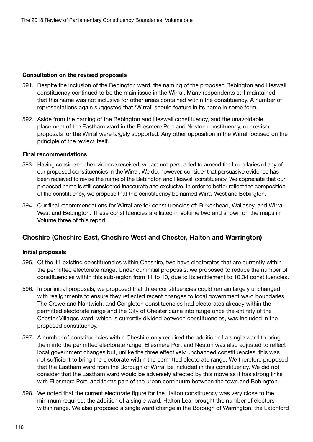## Consultation on the revised proposals

- 591. Despite the inclusion of the Bebington ward, the naming of the proposed Bebington and Heswall constituency continued to be the main issue in the Wirral. Many respondents still maintained that this name was not inclusive for other areas contained within the constituency. A number of representations again suggested that 'Wirral' should feature in its name in some form.
- 592. Aside from the naming of the Bebington and Heswall constituency, and the unavoidable placement of the Eastham ward in the Ellesmere Port and Neston constituency, our revised proposals for the Wirral were largely supported. Any other opposition in the Wirral focused on the principle of the review itself.

## Final recommendations

- 593. Having considered the evidence received, we are not persuaded to amend the boundaries of any of our proposed constituencies in the Wirral. We do, however, consider that persuasive evidence has been received to revise the name of the Bebington and Heswall constituency. We appreciate that our proposed name is still considered inaccurate and exclusive. In order to better reflect the composition of the constituency, we propose that this constituency be named Wirral West and Bebington.
- 594. Our final recommendations for Wirral are for constituencies of: Birkenhead, Wallasey, and Wirral West and Bebington. These constituencies are listed in Volume two and shown on the maps in Volume three of this report.

# Cheshire (Cheshire East, Cheshire West and Chester, Halton and Warrington)

# Initial proposals

- 595. Of the 11 existing constituencies within Cheshire, two have electorates that are currently within the permitted electorate range. Under our initial proposals, we proposed to reduce the number of constituencies within this sub-region from 11 to 10, due to its entitlement to 10.34 constituencies.
- 596. In our initial proposals, we proposed that three constituencies could remain largely unchanged, with realignments to ensure they reflected recent changes to local government ward boundaries. The Crewe and Nantwich, and Congleton constituencies had electorates already within the permitted electorate range and the City of Chester came into range once the entirety of the Chester Villages ward, which is currently divided between constituencies, was included in the proposed constituency.
- 597. A number of constituencies within Cheshire only required the addition of a single ward to bring them into the permitted electorate range. Ellesmere Port and Neston was also adjusted to reflect local government changes but, unlike the three effectively unchanged constituencies, this was not sufficient to bring the electorate within the permitted electorate range. We therefore proposed that the Eastham ward from the Borough of Wirral be included in this constituency. We did not consider that the Eastham ward would be adversely affected by this move as it has strong links with Ellesmere Port, and forms part of the urban continuum between the town and Bebington.
- 598. We noted that the current electorate figure for the Halton constituency was very close to the minimum required; the addition of a single ward, Halton Lea, brought the number of electors within range. We also proposed a single ward change in the Borough of Warrington: the Latchford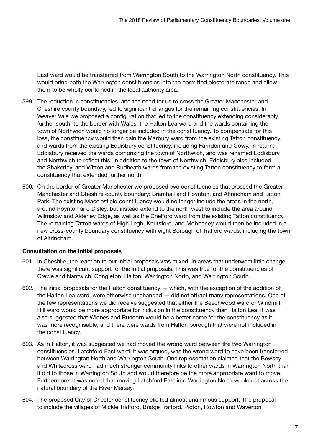East ward would be transferred from Warrington South to the Warrington North constituency. This would bring both the Warrington constituencies into the permitted electorate range and allow them to be wholly contained in the local authority area.

- 599. The reduction in constituencies, and the need for us to cross the Greater Manchester and Cheshire county boundary, led to significant changes for the remaining constituencies. In Weaver Vale we proposed a configuration that led to the constituency extending considerably further south, to the border with Wales; the Halton Lea ward and the wards containing the town of Northwich would no longer be included in the constituency. To compensate for this loss, the constituency would then gain the Marbury ward from the existing Tatton constituency, and wards from the existing Eddisbury constituency, including Farndon and Gowy. In return, Eddisbury received the wards comprising the town of Northwich, and was renamed Eddisbury and Northwich to reflect this. In addition to the town of Northwich, Eddisbury also included the Shakerley, and Witton and Rudheath wards from the existing Tatton constituency to form a constituency that extended further north.
- 600. On the border of Greater Manchester we proposed two constituencies that crossed the Greater Manchester and Cheshire county boundary: Bramhall and Poynton, and Altrincham and Tatton Park. The existing Macclesfield constituency would no longer include the areas in the north, around Poynton and Disley, but instead extend to the north west to include the area around Wilmslow and Alderley Edge, as well as the Chelford ward from the existing Tatton constituency. The remaining Tatton wards of High Legh, Knutsford, and Mobberley would then be included in a new cross-county boundary constituency with eight Borough of Trafford wards, including the town of Altrincham.

- 601. In Cheshire, the reaction to our initial proposals was mixed. In areas that underwent little change there was significant support for the initial proposals. This was true for the constituencies of Crewe and Nantwich, Congleton, Halton, Warrington North, and Warrington South.
- 602. The initial proposals for the Halton constituency which, with the exception of the addition of the Halton Lea ward, were otherwise unchanged — did not attract many representations. One of the few representations we did receive suggested that either the Beechwood ward or Windmill Hill ward would be more appropriate for inclusion in the constituency than Halton Lea. It was also suggested that Widnes and Runcorn would be a better name for the constituency as it was more recognisable, and there were wards from Halton borough that were not included in the constituency.
- 603. As in Halton, it was suggested we had moved the wrong ward between the two Warrington constituencies. Latchford East ward, it was argued, was the wrong ward to have been transferred between Warrington North and Warrington South. One representation claimed that the Bewsey and Whitecross ward had much stronger community links to other wards in Warrington North than it did to those in Warrington South and would therefore be the more appropriate ward to move. Furthermore, it was noted that moving Latchford East into Warrington North would cut across the natural boundary of the River Mersey.
- 604. The proposed City of Chester constituency elicited almost unanimous support. The proposal to include the villages of Mickle Trafford, Bridge Trafford, Picton, Rowton and Waverton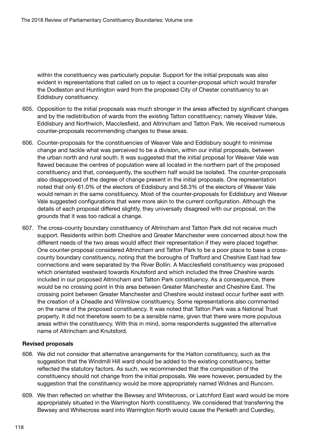within the constituency was particularly popular. Support for the initial proposals was also evident in representations that called on us to reject a counter-proposal which would transfer the Dodleston and Huntington ward from the proposed City of Chester constituency to an Eddisbury constituency.

- 605. Opposition to the initial proposals was much stronger in the areas affected by significant changes and by the redistribution of wards from the existing Tatton constituency; namely Weaver Vale, Eddisbury and Northwich, Macclesfield, and Altrincham and Tatton Park. We received numerous counter-proposals recommending changes to these areas.
- 606. Counter-proposals for the constituencies of Weaver Vale and Eddisbury sought to minimise change and tackle what was perceived to be a division, within our initial proposals, between the urban north and rural south. It was suggested that the initial proposal for Weaver Vale was flawed because the centres of population were all located in the northern part of the proposed constituency and that, consequently, the southern half would be isolated. The counter-proposals also disapproved of the degree of change present in the initial proposals. One representation noted that only 61.0% of the electors of Eddisbury and 58.3% of the electors of Weaver Vale would remain in the same constituency. Most of the counter-proposals for Eddisbury and Weaver Vale suggested configurations that were more akin to the current configuration. Although the details of each proposal differed slightly, they universally disagreed with our proposal, on the grounds that it was too radical a change.
- 607. The cross-county boundary constituency of Altrincham and Tatton Park did not receive much support. Residents within both Cheshire and Greater Manchester were concerned about how the different needs of the two areas would affect their representation if they were placed together. One counter-proposal considered Altrincham and Tatton Park to be a poor place to base a crosscounty boundary constituency, noting that the boroughs of Trafford and Cheshire East had few connections and were separated by the River Bollin. A Macclesfield constituency was proposed which orientated westward towards Knutsford and which included the three Cheshire wards included in our proposed Altrincham and Tatton Park constituency. As a consequence, there would be no crossing point in this area between Greater Manchester and Cheshire East. The crossing point between Greater Manchester and Cheshire would instead occur further east with the creation of a Cheadle and Wilmslow constituency. Some representations also commented on the name of the proposed constituency. It was noted that Tatton Park was a National Trust property. It did not therefore seem to be a sensible name, given that there were more populous areas within the constituency. With this in mind, some respondents suggested the alternative name of Altrincham and Knutsford.

## Revised proposals

- 608. We did not consider that alternative arrangements for the Halton constituency, such as the suggestion that the Windmill Hill ward should be added to the existing constituency, better reflected the statutory factors. As such, we recommended that the composition of the constituency should not change from the initial proposals. We were however, persuaded by the suggestion that the constituency would be more appropriately named Widnes and Runcorn.
- 609. We then reflected on whether the Bewsey and Whitecross, or Latchford East ward would be more appropriately situated in the Warrington North constituency. We considered that transferring the Bewsey and Whitecross ward into Warrington North would cause the Penketh and Cuerdley,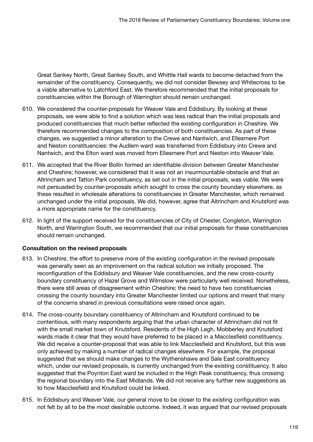Great Sankey North, Great Sankey South, and Whittle Hall wards to become detached from the remainder of the constituency. Consequently, we did not consider Bewsey and Whitecross to be a viable alternative to Latchford East. We therefore recommended that the initial proposals for constituencies within the Borough of Warrington should remain unchanged.

- 610. We considered the counter-proposals for Weaver Vale and Eddisbury. By looking at these proposals, we were able to find a solution which was less radical than the initial proposals and produced constituencies that much better reflected the existing configuration in Cheshire. We therefore recommended changes to the composition of both constituencies. As part of these changes, we suggested a minor alteration to the Crewe and Nantwich, and Ellesmere Port and Neston constituencies: the Audlem ward was transferred from Eddisbury into Crewe and Nantwich, and the Elton ward was moved from Ellesmere Port and Neston into Weaver Vale.
- 611. We accepted that the River Bollin formed an identifiable division between Greater Manchester and Cheshire; however, we considered that it was not an insurmountable obstacle and that an Altrincham and Tatton Park constituency, as set out in the initial proposals, was viable. We were not persuaded by counter-proposals which sought to cross the county boundary elsewhere, as these resulted in wholesale alterations to constituencies in Greater Manchester, which remained unchanged under the initial proposals. We did, however, agree that Altrincham and Knutsford was a more appropriate name for the constituency.
- 612. In light of the support received for the constituencies of City of Chester, Congleton, Warrington North, and Warrington South, we recommended that our initial proposals for these constituencies should remain unchanged.

# Consultation on the revised proposals

- 613. In Cheshire, the effort to preserve more of the existing configuration in the revised proposals was generally seen as an improvement on the radical solution we initially proposed. The reconfiguration of the Eddisbury and Weaver Vale constituencies, and the new cross-county boundary constituency of Hazel Grove and Wilmslow were particularly well received. Nonetheless, there were still areas of disagreement within Cheshire; the need to have two constituencies crossing the county boundary into Greater Manchester limited our options and meant that many of the concerns shared in previous consultations were raised once again.
- 614. The cross-county boundary constituency of Altrincham and Knutsford continued to be contentious, with many respondents arguing that the urban character of Altrincham did not fit with the small market town of Knutsford. Residents of the High Legh, Mobberley and Knutsford wards made it clear that they would have preferred to be placed in a Macclesfield constituency. We did receive a counter-proposal that was able to link Macclesfield and Knutsford, but this was only achieved by making a number of radical changes elsewhere. For example, the proposal suggested that we should make changes to the Wythenshawe and Sale East constituency which, under our revised proposals, is currently unchanged from the existing constituency. It also suggested that the Poynton East ward be included in the High Peak constituency, thus crossing the regional boundary into the East Midlands. We did not receive any further new suggestions as to how Macclesfield and Knutsford could be linked.
- 615. In Eddisbury and Weaver Vale, our general move to be closer to the existing configuration was not felt by all to be the most desirable outcome. Indeed, it was argued that our revised proposals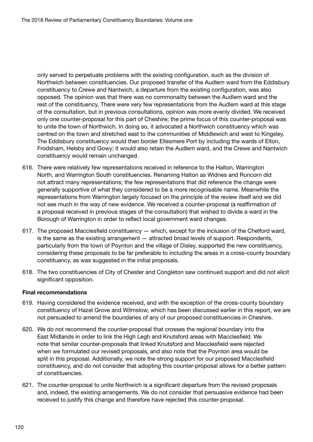only served to perpetuate problems with the existing configuration, such as the division of Northwich between constituencies. Our proposed transfer of the Audlem ward from the Eddisbury constituency to Crewe and Nantwich, a departure from the existing configuration, was also opposed. The opinion was that there was no commonality between the Audlem ward and the rest of the constituency. There were very few representations from the Audlem ward at this stage of the consultation, but in previous consultations, opinion was more evenly divided. We received only one counter-proposal for this part of Cheshire; the prime focus of this counter-proposal was to unite the town of Northwich. In doing so, it advocated a Northwich constituency which was centred on the town and stretched east to the communities of Middlewich and west to Kingsley. The Eddisbury constituency would then border Ellesmere Port by including the wards of Elton, Frodsham, Helsby and Gowy; it would also retain the Audlem ward, and the Crewe and Nantwich constituency would remain unchanged.

- 616. There were relatively few representations received in reference to the Halton, Warrington North, and Warrington South constituencies. Renaming Halton as Widnes and Runcorn did not attract many representations; the few representations that did reference the change were generally supportive of what they considered to be a more recognisable name. Meanwhile the representations from Warrington largely focused on the principle of the review itself and we did not see much in the way of new evidence. We received a counter-proposal (a reaffirmation of a proposal received in previous stages of the consultation) that wished to divide a ward in the Borough of Warrington in order to reflect local government ward changes.
- 617. The proposed Macclesfield constituency which, except for the inclusion of the Chelford ward, is the same as the existing arrangement — attracted broad levels of support. Respondents, particularly from the town of Poynton and the village of Disley, supported the new constituency, considering these proposals to be far preferable to including the areas in a cross-county boundary constituency, as was suggested in the initial proposals.
- 618. The two constituencies of City of Chester and Congleton saw continued support and did not elicit significant opposition.

## Final recommendations

- 619. Having considered the evidence received, and with the exception of the cross-county boundary constituency of Hazel Grove and Wilmslow, which has been discussed earlier in this report, we are not persuaded to amend the boundaries of any of our proposed constituencies in Cheshire.
- 620. We do not recommend the counter-proposal that crosses the regional boundary into the East Midlands in order to link the High Legh and Knutsford areas with Macclesfield. We note that similar counter-proposals that linked Knutsford and Macclesfield were rejected when we formulated our revised proposals, and also note that the Poynton area would be split in this proposal. Additionally, we note the strong support for our proposed Macclesfield constituency, and do not consider that adopting this counter-proposal allows for a better pattern of constituencies.
- 621. The counter-proposal to unite Northwich is a significant departure from the revised proposals and, indeed, the existing arrangements. We do not consider that persuasive evidence had been received to justify this change and therefore have rejected this counter-proposal.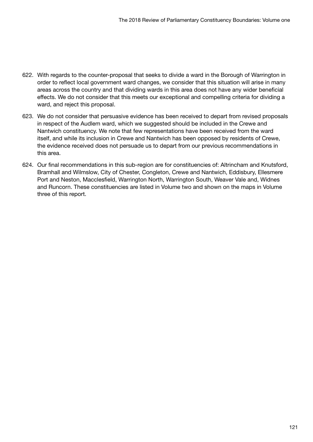- 622. With regards to the counter-proposal that seeks to divide a ward in the Borough of Warrington in order to reflect local government ward changes, we consider that this situation will arise in many areas across the country and that dividing wards in this area does not have any wider beneficial effects. We do not consider that this meets our exceptional and compelling criteria for dividing a ward, and reject this proposal.
- 623. We do not consider that persuasive evidence has been received to depart from revised proposals in respect of the Audlem ward, which we suggested should be included in the Crewe and Nantwich constituency. We note that few representations have been received from the ward itself, and while its inclusion in Crewe and Nantwich has been opposed by residents of Crewe, the evidence received does not persuade us to depart from our previous recommendations in this area.
- 624. Our final recommendations in this sub-region are for constituencies of: Altrincham and Knutsford, Bramhall and Wilmslow, City of Chester, Congleton, Crewe and Nantwich, Eddisbury, Ellesmere Port and Neston, Macclesfield, Warrington North, Warrington South, Weaver Vale and, Widnes and Runcorn. These constituencies are listed in Volume two and shown on the maps in Volume three of this report.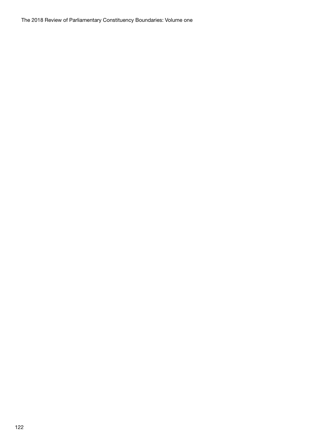The 2018 Review of Parliamentary Constituency Boundaries: Volume one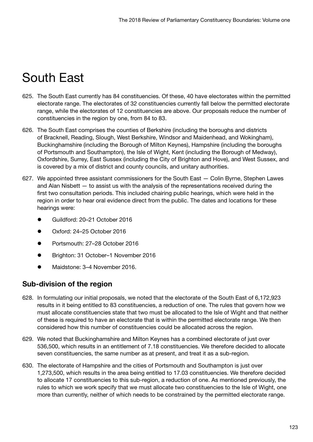# South East

- 625. The South East currently has 84 constituencies. Of these, 40 have electorates within the permitted electorate range. The electorates of 32 constituencies currently fall below the permitted electorate range, while the electorates of 12 constituencies are above. Our proposals reduce the number of constituencies in the region by one, from 84 to 83.
- 626. The South East comprises the counties of Berkshire (including the boroughs and districts of Bracknell, Reading, Slough, West Berkshire, Windsor and Maidenhead, and Wokingham), Buckinghamshire (including the Borough of Milton Keynes), Hampshire (including the boroughs of Portsmouth and Southampton), the Isle of Wight, Kent (including the Borough of Medway), Oxfordshire, Surrey, East Sussex (including the City of Brighton and Hove), and West Sussex, and is covered by a mix of district and county councils, and unitary authorities.
- 627. We appointed three assistant commissioners for the South East Colin Byrne, Stephen Lawes and Alan Nisbett — to assist us with the analysis of the representations received during the first two consultation periods. This included chairing public hearings, which were held in the region in order to hear oral evidence direct from the public. The dates and locations for these hearings were:
	- Guildford: 20–21 October 2016
	- Oxford: 24–25 October 2016
	- Portsmouth: 27–28 October 2016
	- Brighton: 31 October–1 November 2016
	- Maidstone: 3–4 November 2016.

# Sub-division of the region

- 628. In formulating our initial proposals, we noted that the electorate of the South East of 6,172,923 results in it being entitled to 83 constituencies, a reduction of one. The rules that govern how we must allocate constituencies state that two must be allocated to the Isle of Wight and that neither of these is required to have an electorate that is within the permitted electorate range. We then considered how this number of constituencies could be allocated across the region.
- 629. We noted that Buckinghamshire and Milton Keynes has a combined electorate of just over 536,500, which results in an entitlement of 7.18 constituencies. We therefore decided to allocate seven constituencies, the same number as at present, and treat it as a sub-region.
- 630. The electorate of Hampshire and the cities of Portsmouth and Southampton is just over 1,273,500, which results in the area being entitled to 17.03 constituencies. We therefore decided to allocate 17 constituencies to this sub-region, a reduction of one. As mentioned previously, the rules to which we work specify that we must allocate two constituencies to the Isle of Wight, one more than currently, neither of which needs to be constrained by the permitted electorate range.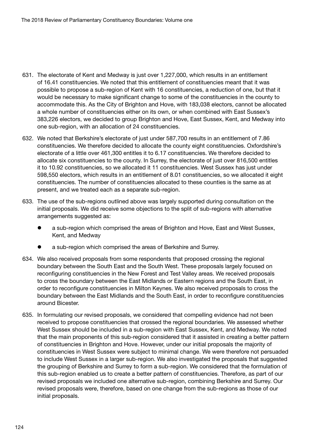- 631. The electorate of Kent and Medway is just over 1,227,000, which results in an entitlement of 16.41 constituencies. We noted that this entitlement of constituencies meant that it was possible to propose a sub-region of Kent with 16 constituencies, a reduction of one, but that it would be necessary to make significant change to some of the constituencies in the county to accommodate this. As the City of Brighton and Hove, with 183,038 electors, cannot be allocated a whole number of constituencies either on its own, or when combined with East Sussex's 383,226 electors, we decided to group Brighton and Hove, East Sussex, Kent, and Medway into one sub-region, with an allocation of 24 constituencies.
- 632. We noted that Berkshire's electorate of just under 587,700 results in an entitlement of 7.86 constituencies. We therefore decided to allocate the county eight constituencies. Oxfordshire's electorate of a little over 461,300 entitles it to 6.17 constituencies. We therefore decided to allocate six constituencies to the county. In Surrey, the electorate of just over 816,500 entitles it to 10.92 constituencies, so we allocated it 11 constituencies. West Sussex has just under 598,550 electors, which results in an entitlement of 8.01 constituencies, so we allocated it eight constituencies. The number of constituencies allocated to these counties is the same as at present, and we treated each as a separate sub-region.
- 633. The use of the sub-regions outlined above was largely supported during consultation on the initial proposals. We did receive some objections to the split of sub-regions with alternative arrangements suggested as:
	- a sub-region which comprised the areas of Brighton and Hove, East and West Sussex, Kent, and Medway
	- a sub-region which comprised the areas of Berkshire and Surrey.
- 634. We also received proposals from some respondents that proposed crossing the regional boundary between the South East and the South West. These proposals largely focused on reconfiguring constituencies in the New Forest and Test Valley areas. We received proposals to cross the boundary between the East Midlands or Eastern regions and the South East, in order to reconfigure constituencies in Milton Keynes. We also received proposals to cross the boundary between the East Midlands and the South East, in order to reconfigure constituencies around Bicester.
- 635. In formulating our revised proposals, we considered that compelling evidence had not been received to propose constituencies that crossed the regional boundaries. We assessed whether West Sussex should be included in a sub-region with East Sussex, Kent, and Medway. We noted that the main proponents of this sub-region considered that it assisted in creating a better pattern of constituencies in Brighton and Hove. However, under our initial proposals the majority of constituencies in West Sussex were subject to minimal change. We were therefore not persuaded to include West Sussex in a larger sub-region. We also investigated the proposals that suggested the grouping of Berkshire and Surrey to form a sub-region. We considered that the formulation of this sub-region enabled us to create a better pattern of constituencies. Therefore, as part of our revised proposals we included one alternative sub-region, combining Berkshire and Surrey. Our revised proposals were, therefore, based on one change from the sub-regions as those of our initial proposals.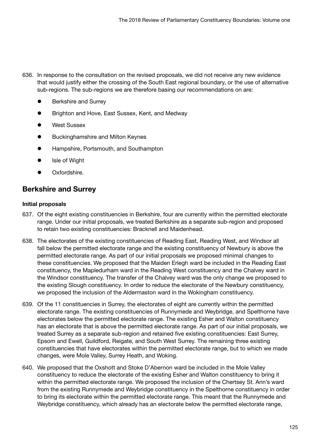- 636. In response to the consultation on the revised proposals, we did not receive any new evidence that would justify either the crossing of the South East regional boundary, or the use of alternative sub-regions. The sub-regions we are therefore basing our recommendations on are:
	- Berkshire and Surrey
	- Brighton and Hove, East Sussex, Kent, and Medway
	- **West Sussex**
	- Buckinghamshire and Milton Keynes
	- Hampshire, Portsmouth, and Southampton
	- Isle of Wight
	- Oxfordshire.

# Berkshire and Surrey

# Initial proposals

- 637. Of the eight existing constituencies in Berkshire, four are currently within the permitted electorate range. Under our initial proposals, we treated Berkshire as a separate sub-region and proposed to retain two existing constituencies: Bracknell and Maidenhead.
- 638. The electorates of the existing constituencies of Reading East, Reading West, and Windsor all fall below the permitted electorate range and the existing constituency of Newbury is above the permitted electorate range. As part of our initial proposals we proposed minimal changes to these constituencies. We proposed that the Maiden Erlegh ward be included in the Reading East constituency, the Mapledurham ward in the Reading West constituency and the Chalvey ward in the Windsor constituency. The transfer of the Chalvey ward was the only change we proposed to the existing Slough constituency. In order to reduce the electorate of the Newbury constituency, we proposed the inclusion of the Aldermaston ward in the Wokingham constituency.
- 639. Of the 11 constituencies in Surrey, the electorates of eight are currently within the permitted electorate range. The existing constituencies of Runnymede and Weybridge, and Spelthorne have electorates below the permitted electorate range. The existing Esher and Walton constituency has an electorate that is above the permitted electorate range. As part of our initial proposals, we treated Surrey as a separate sub-region and retained five existing constituencies: East Surrey, Epsom and Ewell, Guildford, Reigate, and South West Surrey. The remaining three existing constituencies that have electorates within the permitted electorate range, but to which we made changes, were Mole Valley, Surrey Heath, and Woking.
- 640. We proposed that the Oxshott and Stoke D'Abernon ward be included in the Mole Valley constituency to reduce the electorate of the existing Esher and Walton constituency to bring it within the permitted electorate range. We proposed the inclusion of the Chertsey St. Ann's ward from the existing Runnymede and Weybridge constituency in the Spelthorne constituency in order to bring its electorate within the permitted electorate range. This meant that the Runnymede and Weybridge constituency, which already has an electorate below the permitted electorate range,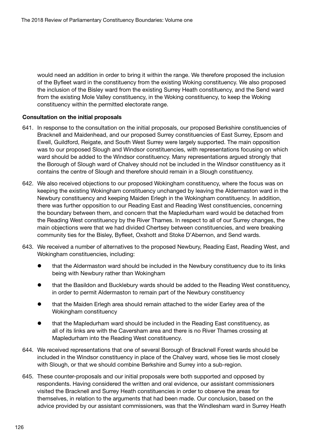would need an addition in order to bring it within the range. We therefore proposed the inclusion of the Byfleet ward in the constituency from the existing Woking constituency. We also proposed the inclusion of the Bisley ward from the existing Surrey Heath constituency, and the Send ward from the existing Mole Valley constituency, in the Woking constituency, to keep the Woking constituency within the permitted electorate range.

- 641. In response to the consultation on the initial proposals, our proposed Berkshire constituencies of Bracknell and Maidenhead, and our proposed Surrey constituencies of East Surrey, Epsom and Ewell, Guildford, Reigate, and South West Surrey were largely supported. The main opposition was to our proposed Slough and Windsor constituencies, with representations focusing on which ward should be added to the Windsor constituency. Many representations argued strongly that the Borough of Slough ward of Chalvey should not be included in the Windsor constituency as it contains the centre of Slough and therefore should remain in a Slough constituency.
- 642. We also received objections to our proposed Wokingham constituency, where the focus was on keeping the existing Wokingham constituency unchanged by leaving the Aldermaston ward in the Newbury constituency and keeping Maiden Erlegh in the Wokingham constituency. In addition, there was further opposition to our Reading East and Reading West constituencies, concerning the boundary between them, and concern that the Mapledurham ward would be detached from the Reading West constituency by the River Thames. In respect to all of our Surrey changes, the main objections were that we had divided Chertsey between constituencies, and were breaking community ties for the Bisley, Byfleet, Oxshott and Stoke D'Abernon, and Send wards.
- 643. We received a number of alternatives to the proposed Newbury, Reading East, Reading West, and Wokingham constituencies, including:
	- that the Aldermaston ward should be included in the Newbury constituency due to its links being with Newbury rather than Wokingham
	- that the Basildon and Bucklebury wards should be added to the Reading West constituency, in order to permit Aldermaston to remain part of the Newbury constituency
	- that the Maiden Erlegh area should remain attached to the wider Earley area of the Wokingham constituency
	- that the Mapledurham ward should be included in the Reading East constituency, as all of its links are with the Caversham area and there is no River Thames crossing at Mapledurham into the Reading West constituency.
- 644. We received representations that one of several Borough of Bracknell Forest wards should be included in the Windsor constituency in place of the Chalvey ward, whose ties lie most closely with Slough, or that we should combine Berkshire and Surrey into a sub-region.
- 645. These counter-proposals and our initial proposals were both supported and opposed by respondents. Having considered the written and oral evidence, our assistant commissioners visited the Bracknell and Surrey Heath constituencies in order to observe the areas for themselves, in relation to the arguments that had been made. Our conclusion, based on the advice provided by our assistant commissioners, was that the Windlesham ward in Surrey Heath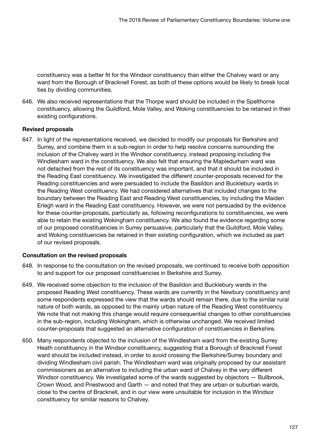constituency was a better fit for the Windsor constituency than either the Chalvey ward or any ward from the Borough of Bracknell Forest, as both of these options would be likely to break local ties by dividing communities.

646. We also received representations that the Thorpe ward should be included in the Spelthorne constituency, allowing the Guildford, Mole Valley, and Woking constituencies to be retained in their existing configurations.

# Revised proposals

647. In light of the representations received, we decided to modify our proposals for Berkshire and Surrey, and combine them in a sub-region in order to help resolve concerns surrounding the inclusion of the Chalvey ward in the Windsor constituency, instead proposing including the Windlesham ward in the constituency. We also felt that ensuring the Mapledurham ward was not detached from the rest of its constituency was important, and that it should be included in the Reading East constituency. We investigated the different counter-proposals received for the Reading constituencies and were persuaded to include the Basildon and Bucklebury wards in the Reading West constituency. We had considered alternatives that included changes to the boundary between the Reading East and Reading West constituencies, by including the Maiden Erlegh ward in the Reading East constituency. However, we were not persuaded by the evidence for these counter-proposals, particularly as, following reconfigurations to constituencies, we were able to retain the existing Wokingham constituency. We also found the evidence regarding some of our proposed constituencies in Surrey persuasive, particularly that the Guildford, Mole Valley, and Woking constituencies be retained in their existing configuration, which we included as part of our revised proposals.

## Consultation on the revised proposals

- 648. In response to the consultation on the revised proposals, we continued to receive both opposition to and support for our proposed constituencies in Berkshire and Surrey.
- 649. We received some objection to the inclusion of the Basildon and Bucklebury wards in the proposed Reading West constituency. These wards are currently in the Newbury constituency and some respondents expressed the view that the wards should remain there, due to the similar rural nature of both wards, as opposed to the mainly urban nature of the Reading West constituency. We note that not making this change would require consequential changes to other constituencies in the sub-region, including Wokingham, which is otherwise unchanged. We received limited counter-proposals that suggested an alternative configuration of constituencies in Berkshire.
- 650. Many respondents objected to the inclusion of the Windlesham ward from the existing Surrey Heath constituency in the Windsor constituency, suggesting that a Borough of Bracknell Forest ward should be included instead, in order to avoid crossing the Berkshire/Surrey boundary and dividing Windlesham civil parish. The Windlesham ward was originally proposed by our assistant commissioners as an alternative to including the urban ward of Chalvey in the very different Windsor constituency. We investigated some of the wards suggested by objectors — Bullbrook, Crown Wood, and Priestwood and Garth — and noted that they are urban or suburban wards, close to the centre of Bracknell, and in our view were unsuitable for inclusion in the Windsor constituency for similar reasons to Chalvey.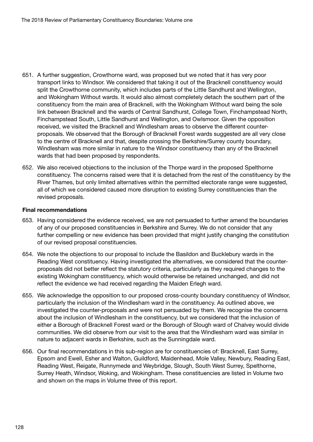- 651. A further suggestion, Crowthorne ward, was proposed but we noted that it has very poor transport links to Windsor. We considered that taking it out of the Bracknell constituency would split the Crowthorne community, which includes parts of the Little Sandhurst and Wellington, and Wokingham Without wards. It would also almost completely detach the southern part of the constituency from the main area of Bracknell, with the Wokingham Without ward being the sole link between Bracknell and the wards of Central Sandhurst, College Town, Finchampstead North, Finchampstead South, Little Sandhurst and Wellington, and Owlsmoor. Given the opposition received, we visited the Bracknell and Windlesham areas to observe the different counterproposals. We observed that the Borough of Bracknell Forest wards suggested are all very close to the centre of Bracknell and that, despite crossing the Berkshire/Surrey county boundary, Windlesham was more similar in nature to the Windsor constituency than any of the Bracknell wards that had been proposed by respondents.
- 652. We also received objections to the inclusion of the Thorpe ward in the proposed Spelthorne constituency. The concerns raised were that it is detached from the rest of the constituency by the River Thames, but only limited alternatives within the permitted electorate range were suggested, all of which we considered caused more disruption to existing Surrey constituencies than the revised proposals.

## Final recommendations

- 653. Having considered the evidence received, we are not persuaded to further amend the boundaries of any of our proposed constituencies in Berkshire and Surrey. We do not consider that any further compelling or new evidence has been provided that might justify changing the constitution of our revised proposal constituencies.
- 654. We note the objections to our proposal to include the Basildon and Bucklebury wards in the Reading West constituency. Having investigated the alternatives, we considered that the counterproposals did not better reflect the statutory criteria, particularly as they required changes to the existing Wokingham constituency, which would otherwise be retained unchanged, and did not reflect the evidence we had received regarding the Maiden Erlegh ward.
- 655. We acknowledge the opposition to our proposed cross-county boundary constituency of Windsor, particularly the inclusion of the Windlesham ward in the constituency. As outlined above, we investigated the counter-proposals and were not persuaded by them. We recognise the concerns about the inclusion of Windlesham in the constituency, but we considered that the inclusion of either a Borough of Bracknell Forest ward or the Borough of Slough ward of Chalvey would divide communities. We did observe from our visit to the area that the Windlesham ward was similar in nature to adjacent wards in Berkshire, such as the Sunningdale ward.
- 656. Our final recommendations in this sub-region are for constituencies of: Bracknell, East Surrey, Epsom and Ewell, Esher and Walton, Guildford, Maidenhead, Mole Valley, Newbury, Reading East, Reading West, Reigate, Runnymede and Weybridge, Slough, South West Surrey, Spelthorne, Surrey Heath, Windsor, Woking, and Wokingham. These constituencies are listed in Volume two and shown on the maps in Volume three of this report.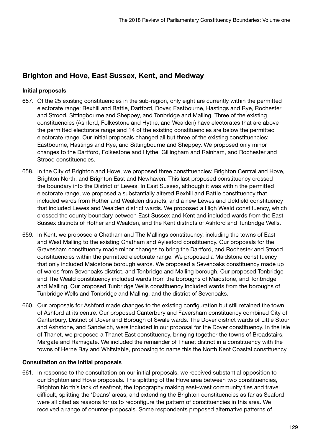# Brighton and Hove, East Sussex, Kent, and Medway

# Initial proposals

- 657. Of the 25 existing constituencies in the sub-region, only eight are currently within the permitted electorate range: Bexhill and Battle, Dartford, Dover, Eastbourne, Hastings and Rye, Rochester and Strood, Sittingbourne and Sheppey, and Tonbridge and Malling. Three of the existing constituencies (Ashford, Folkestone and Hythe, and Wealden) have electorates that are above the permitted electorate range and 14 of the existing constituencies are below the permitted electorate range. Our initial proposals changed all but three of the existing constituencies: Eastbourne, Hastings and Rye, and Sittingbourne and Sheppey. We proposed only minor changes to the Dartford, Folkestone and Hythe, Gillingham and Rainham, and Rochester and Strood constituencies.
- 658. In the City of Brighton and Hove, we proposed three constituencies: Brighton Central and Hove, Brighton North, and Brighton East and Newhaven. This last proposed constituency crossed the boundary into the District of Lewes. In East Sussex, although it was within the permitted electorate range, we proposed a substantially altered Bexhill and Battle constituency that included wards from Rother and Wealden districts, and a new Lewes and Uckfield constituency that included Lewes and Wealden district wards. We proposed a High Weald constituency, which crossed the county boundary between East Sussex and Kent and included wards from the East Sussex districts of Rother and Wealden, and the Kent districts of Ashford and Tunbridge Wells.
- 659. In Kent, we proposed a Chatham and The Mallings constituency, including the towns of East and West Malling to the existing Chatham and Aylesford constituency. Our proposals for the Gravesham constituency made minor changes to bring the Dartford, and Rochester and Strood constituencies within the permitted electorate range. We proposed a Maidstone constituency that only included Maidstone borough wards. We proposed a Sevenoaks constituency made up of wards from Sevenoaks district, and Tonbridge and Malling borough. Our proposed Tonbridge and The Weald constituency included wards from the boroughs of Maidstone, and Tonbridge and Malling. Our proposed Tunbridge Wells constituency included wards from the boroughs of Tunbridge Wells and Tonbridge and Malling, and the district of Sevenoaks.
- 660. Our proposals for Ashford made changes to the existing configuration but still retained the town of Ashford at its centre. Our proposed Canterbury and Faversham constituency combined City of Canterbury, District of Dover and Borough of Swale wards. The Dover district wards of Little Stour and Ashstone, and Sandwich, were included in our proposal for the Dover constituency. In the Isle of Thanet, we proposed a Thanet East constituency, bringing together the towns of Broadstairs, Margate and Ramsgate. We included the remainder of Thanet district in a constituency with the towns of Herne Bay and Whitstable, proposing to name this the North Kent Coastal constituency.

# Consultation on the initial proposals

661. In response to the consultation on our initial proposals, we received substantial opposition to our Brighton and Hove proposals. The splitting of the Hove area between two constituencies, Brighton North's lack of seafront, the topography making east–west community ties and travel difficult, splitting the 'Deans' areas, and extending the Brighton constituencies as far as Seaford were all cited as reasons for us to reconfigure the pattern of constituencies in this area. We received a range of counter-proposals. Some respondents proposed alternative patterns of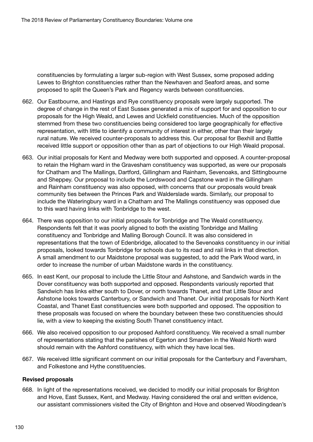constituencies by formulating a larger sub-region with West Sussex, some proposed adding Lewes to Brighton constituencies rather than the Newhaven and Seaford areas, and some proposed to split the Queen's Park and Regency wards between constituencies.

- 662. Our Eastbourne, and Hastings and Rye constituency proposals were largely supported. The degree of change in the rest of East Sussex generated a mix of support for and opposition to our proposals for the High Weald, and Lewes and Uckfield constituencies. Much of the opposition stemmed from these two constituencies being considered too large geographically for effective representation, with little to identify a community of interest in either, other than their largely rural nature. We received counter-proposals to address this. Our proposal for Bexhill and Battle received little support or opposition other than as part of objections to our High Weald proposal.
- 663. Our initial proposals for Kent and Medway were both supported and opposed. A counter-proposal to retain the Higham ward in the Gravesham constituency was supported, as were our proposals for Chatham and The Mallings, Dartford, Gillingham and Rainham, Sevenoaks, and Sittingbourne and Sheppey. Our proposal to include the Lordswood and Capstone ward in the Gillingham and Rainham constituency was also opposed, with concerns that our proposals would break community ties between the Princes Park and Walderslade wards. Similarly, our proposal to include the Wateringbury ward in a Chatham and The Mallings constituency was opposed due to this ward having links with Tonbridge to the west.
- 664. There was opposition to our initial proposals for Tonbridge and The Weald constituency. Respondents felt that it was poorly aligned to both the existing Tonbridge and Malling constituency and Tonbridge and Malling Borough Council. It was also considered in representations that the town of Edenbridge, allocated to the Sevenoaks constituency in our initial proposals, looked towards Tonbridge for schools due to its road and rail links in that direction. A small amendment to our Maidstone proposal was suggested, to add the Park Wood ward, in order to increase the number of urban Maidstone wards in the constituency.
- 665. In east Kent, our proposal to include the Little Stour and Ashstone, and Sandwich wards in the Dover constituency was both supported and opposed. Respondents variously reported that Sandwich has links either south to Dover, or north towards Thanet, and that Little Stour and Ashstone looks towards Canterbury, or Sandwich and Thanet. Our initial proposals for North Kent Coastal, and Thanet East constituencies were both supported and opposed. The opposition to these proposals was focused on where the boundary between these two constituencies should lie, with a view to keeping the existing South Thanet constituency intact.
- 666. We also received opposition to our proposed Ashford constituency. We received a small number of representations stating that the parishes of Egerton and Smarden in the Weald North ward should remain with the Ashford constituency, with which they have local ties.
- 667. We received little significant comment on our initial proposals for the Canterbury and Faversham, and Folkestone and Hythe constituencies.

## Revised proposals

668. In light of the representations received, we decided to modify our initial proposals for Brighton and Hove, East Sussex, Kent, and Medway. Having considered the oral and written evidence, our assistant commissioners visited the City of Brighton and Hove and observed Woodingdean's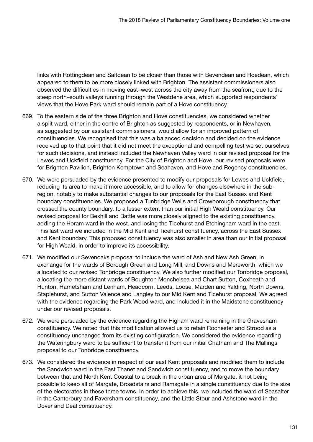links with Rottingdean and Saltdean to be closer than those with Bevendean and Roedean, which appeared to them to be more closely linked with Brighton. The assistant commissioners also observed the difficulties in moving east–west across the city away from the seafront, due to the steep north–south valleys running through the Westdene area, which supported respondents' views that the Hove Park ward should remain part of a Hove constituency.

- 669. To the eastern side of the three Brighton and Hove constituencies, we considered whether a split ward, either in the centre of Brighton as suggested by respondents, or in Newhaven, as suggested by our assistant commissioners, would allow for an improved pattern of constituencies. We recognised that this was a balanced decision and decided on the evidence received up to that point that it did not meet the exceptional and compelling test we set ourselves for such decisions, and instead included the Newhaven Valley ward in our revised proposal for the Lewes and Uckfield constituency. For the City of Brighton and Hove, our revised proposals were for Brighton Pavilion, Brighton Kemptown and Seahaven, and Hove and Regency constituencies.
- 670. We were persuaded by the evidence presented to modify our proposals for Lewes and Uckfield, reducing its area to make it more accessible, and to allow for changes elsewhere in the subregion, notably to make substantial changes to our proposals for the East Sussex and Kent boundary constituencies. We proposed a Tunbridge Wells and Crowborough constituency that crossed the county boundary, to a lesser extent than our initial High Weald constituency. Our revised proposal for Bexhill and Battle was more closely aligned to the existing constituency, adding the Horam ward in the west, and losing the Ticehurst and Etchingham ward in the east. This last ward we included in the Mid Kent and Ticehurst constituency, across the East Sussex and Kent boundary. This proposed constituency was also smaller in area than our initial proposal for High Weald, in order to improve its accessibility.
- 671. We modified our Sevenoaks proposal to include the ward of Ash and New Ash Green, in exchange for the wards of Borough Green and Long Mill, and Downs and Mereworth, which we allocated to our revised Tonbridge constituency. We also further modified our Tonbridge proposal, allocating the more distant wards of Boughton Monchelsea and Chart Sutton, Coxheath and Hunton, Harrietsham and Lenham, Headcorn, Leeds, Loose, Marden and Yalding, North Downs, Staplehurst, and Sutton Valence and Langley to our Mid Kent and Ticehurst proposal. We agreed with the evidence regarding the Park Wood ward, and included it in the Maidstone constituency under our revised proposals.
- 672. We were persuaded by the evidence regarding the Higham ward remaining in the Gravesham constituency. We noted that this modification allowed us to retain Rochester and Strood as a constituency unchanged from its existing configuration. We considered the evidence regarding the Wateringbury ward to be sufficient to transfer it from our initial Chatham and The Mallings proposal to our Tonbridge constituency.
- 673. We considered the evidence in respect of our east Kent proposals and modified them to include the Sandwich ward in the East Thanet and Sandwich constituency, and to move the boundary between that and North Kent Coastal to a break in the urban area of Margate, it not being possible to keep all of Margate, Broadstairs and Ramsgate in a single constituency due to the size of the electorates in these three towns. In order to achieve this, we included the ward of Seasalter in the Canterbury and Faversham constituency, and the Little Stour and Ashstone ward in the Dover and Deal constituency.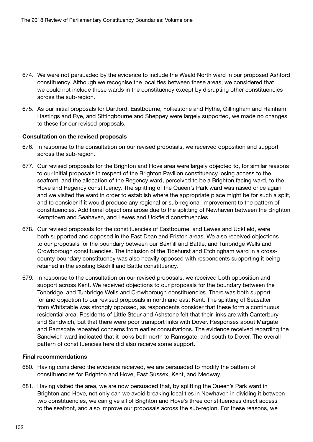- 674. We were not persuaded by the evidence to include the Weald North ward in our proposed Ashford constituency. Although we recognise the local ties between these areas, we considered that we could not include these wards in the constituency except by disrupting other constituencies across the sub-region.
- 675. As our initial proposals for Dartford, Eastbourne, Folkestone and Hythe, Gillingham and Rainham, Hastings and Rye, and Sittingbourne and Sheppey were largely supported, we made no changes to these for our revised proposals.

## Consultation on the revised proposals

- 676. In response to the consultation on our revised proposals, we received opposition and support across the sub-region.
- 677. Our revised proposals for the Brighton and Hove area were largely objected to, for similar reasons to our initial proposals in respect of the Brighton Pavilion constituency losing access to the seafront, and the allocation of the Regency ward, perceived to be a Brighton facing ward, to the Hove and Regency constituency. The splitting of the Queen's Park ward was raised once again and we visited the ward in order to establish where the appropriate place might be for such a split, and to consider if it would produce any regional or sub-regional improvement to the pattern of constituencies. Additional objections arose due to the splitting of Newhaven between the Brighton Kemptown and Seahaven, and Lewes and Uckfield constituencies.
- 678. Our revised proposals for the constituencies of Eastbourne, and Lewes and Uckfield, were both supported and opposed in the East Dean and Friston areas. We also received objections to our proposals for the boundary between our Bexhill and Battle, and Tunbridge Wells and Crowborough constituencies. The inclusion of the Ticehurst and Etchingham ward in a crosscounty boundary constituency was also heavily opposed with respondents supporting it being retained in the existing Bexhill and Battle constituency.
- 679. In response to the consultation on our revised proposals, we received both opposition and support across Kent. We received objections to our proposals for the boundary between the Tonbridge, and Tunbridge Wells and Crowborough constituencies. There was both support for and objection to our revised proposals in north and east Kent. The splitting of Seasalter from Whitstable was strongly opposed, as respondents consider that these form a continuous residential area. Residents of Little Stour and Ashstone felt that their links are with Canterbury and Sandwich, but that there were poor transport links with Dover. Responses about Margate and Ramsgate repeated concerns from earlier consultations. The evidence received regarding the Sandwich ward indicated that it looks both north to Ramsgate, and south to Dover. The overall pattern of constituencies here did also receive some support.

## Final recommendations

- 680. Having considered the evidence received, we are persuaded to modify the pattern of constituencies for Brighton and Hove, East Sussex, Kent, and Medway.
- 681. Having visited the area, we are now persuaded that, by splitting the Queen's Park ward in Brighton and Hove, not only can we avoid breaking local ties in Newhaven in dividing it between two constituencies, we can give all of Brighton and Hove's three constituencies direct access to the seafront, and also improve our proposals across the sub-region. For these reasons, we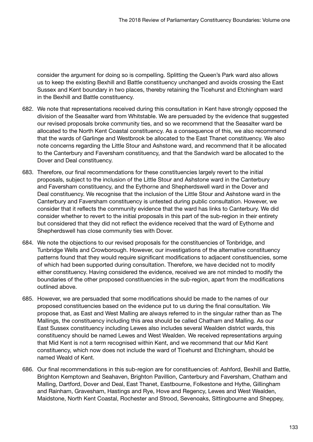consider the argument for doing so is compelling. Splitting the Queen's Park ward also allows us to keep the existing Bexhill and Battle constituency unchanged and avoids crossing the East Sussex and Kent boundary in two places, thereby retaining the Ticehurst and Etchingham ward in the Bexhill and Battle constituency.

- 682. We note that representations received during this consultation in Kent have strongly opposed the division of the Seasalter ward from Whitstable. We are persuaded by the evidence that suggested our revised proposals broke community ties, and so we recommend that the Seasalter ward be allocated to the North Kent Coastal constituency. As a consequence of this, we also recommend that the wards of Garlinge and Westbrook be allocated to the East Thanet constituency. We also note concerns regarding the Little Stour and Ashstone ward, and recommend that it be allocated to the Canterbury and Faversham constituency, and that the Sandwich ward be allocated to the Dover and Deal constituency.
- 683. Therefore, our final recommendations for these constituencies largely revert to the initial proposals, subject to the inclusion of the Little Stour and Ashstone ward in the Canterbury and Faversham constituency, and the Eythorne and Shepherdswell ward in the Dover and Deal constituency. We recognise that the inclusion of the Little Stour and Ashstone ward in the Canterbury and Faversham constituency is untested during public consultation. However, we consider that it reflects the community evidence that the ward has links to Canterbury. We did consider whether to revert to the initial proposals in this part of the sub-region in their entirety but considered that they did not reflect the evidence received that the ward of Eythorne and Shepherdswell has close community ties with Dover.
- 684. We note the objections to our revised proposals for the constituencies of Tonbridge, and Tunbridge Wells and Crowborough. However, our investigations of the alternative constituency patterns found that they would require significant modifications to adjacent constituencies, some of which had been supported during consultation. Therefore, we have decided not to modify either constituency. Having considered the evidence, received we are not minded to modify the boundaries of the other proposed constituencies in the sub-region, apart from the modifications outlined above.
- 685. However, we are persuaded that some modifications should be made to the names of our proposed constituencies based on the evidence put to us during the final consultation. We propose that, as East and West Malling are always referred to in the singular rather than as The Mallings, the constituency including this area should be called Chatham and Malling. As our East Sussex constituency including Lewes also includes several Wealden district wards, this constituency should be named Lewes and West Wealden. We received representations arguing that Mid Kent is not a term recognised within Kent, and we recommend that our Mid Kent constituency, which now does not include the ward of Ticehurst and Etchingham, should be named Weald of Kent.
- 686. Our final recommendations in this sub-region are for constituencies of: Ashford, Bexhill and Battle, Brighton Kemptown and Seahaven, Brighton Pavillion, Canterbury and Faversham, Chatham and Malling, Dartford, Dover and Deal, East Thanet, Eastbourne, Folkestone and Hythe, Gillingham and Rainham, Gravesham, Hastings and Rye, Hove and Regency, Lewes and West Wealden, Maidstone, North Kent Coastal, Rochester and Strood, Sevenoaks, Sittingbourne and Sheppey,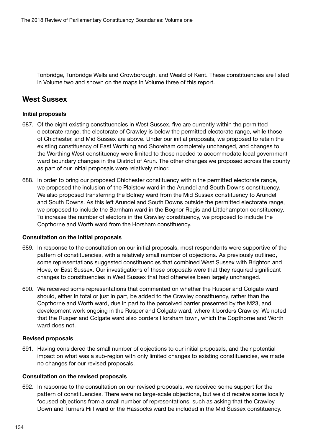Tonbridge, Tunbridge Wells and Crowborough, and Weald of Kent. These constituencies are listed in Volume two and shown on the maps in Volume three of this report.

# West Sussex

## Initial proposals

- 687. Of the eight existing constituencies in West Sussex, five are currently within the permitted electorate range, the electorate of Crawley is below the permitted electorate range, while those of Chichester, and Mid Sussex are above. Under our initial proposals, we proposed to retain the existing constituency of East Worthing and Shoreham completely unchanged, and changes to the Worthing West constituency were limited to those needed to accommodate local government ward boundary changes in the District of Arun. The other changes we proposed across the county as part of our initial proposals were relatively minor.
- 688. In order to bring our proposed Chichester constituency within the permitted electorate range, we proposed the inclusion of the Plaistow ward in the Arundel and South Downs constituency. We also proposed transferring the Bolney ward from the Mid Sussex constituency to Arundel and South Downs. As this left Arundel and South Downs outside the permitted electorate range, we proposed to include the Barnham ward in the Bognor Regis and Littlehampton constituency. To increase the number of electors in the Crawley constituency, we proposed to include the Copthorne and Worth ward from the Horsham constituency.

## Consultation on the initial proposals

- 689. In response to the consultation on our initial proposals, most respondents were supportive of the pattern of constituencies, with a relatively small number of objections. As previously outlined, some representations suggested constituencies that combined West Sussex with Brighton and Hove, or East Sussex. Our investigations of these proposals were that they required significant changes to constituencies in West Sussex that had otherwise been largely unchanged.
- 690. We received some representations that commented on whether the Rusper and Colgate ward should, either in total or just in part, be added to the Crawley constituency, rather than the Copthorne and Worth ward, due in part to the perceived barrier presented by the M23, and development work ongoing in the Rusper and Colgate ward, where it borders Crawley. We noted that the Rusper and Colgate ward also borders Horsham town, which the Copthorne and Worth ward does not.

## Revised proposals

691. Having considered the small number of objections to our initial proposals, and their potential impact on what was a sub-region with only limited changes to existing constituencies, we made no changes for our revised proposals.

## Consultation on the revised proposals

692. In response to the consultation on our revised proposals, we received some support for the pattern of constituencies. There were no large-scale objections, but we did receive some locally focused objections from a small number of representations, such as asking that the Crawley Down and Turners Hill ward or the Hassocks ward be included in the Mid Sussex constituency.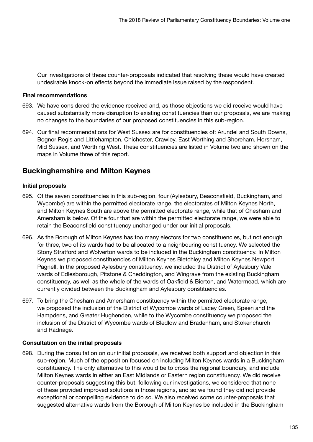Our investigations of these counter-proposals indicated that resolving these would have created undesirable knock-on effects beyond the immediate issue raised by the respondent.

# Final recommendations

- 693. We have considered the evidence received and, as those objections we did receive would have caused substantially more disruption to existing constituencies than our proposals, we are making no changes to the boundaries of our proposed constituencies in this sub-region.
- 694. Our final recommendations for West Sussex are for constituencies of: Arundel and South Downs, Bognor Regis and Littlehampton, Chichester, Crawley, East Worthing and Shoreham, Horsham, Mid Sussex, and Worthing West. These constituencies are listed in Volume two and shown on the maps in Volume three of this report.

# Buckinghamshire and Milton Keynes

# Initial proposals

- 695. Of the seven constituencies in this sub-region, four (Aylesbury, Beaconsfield, Buckingham, and Wycombe) are within the permitted electorate range, the electorates of Milton Keynes North, and Milton Keynes South are above the permitted electorate range, while that of Chesham and Amersham is below. Of the four that are within the permitted electorate range, we were able to retain the Beaconsfield constituency unchanged under our initial proposals.
- 696. As the Borough of Milton Keynes has too many electors for two constituencies, but not enough for three, two of its wards had to be allocated to a neighbouring constituency. We selected the Stony Stratford and Wolverton wards to be included in the Buckingham constituency. In Milton Keynes we proposed constituencies of Milton Keynes Bletchley and Milton Keynes Newport Pagnell. In the proposed Aylesbury constituency, we included the District of Aylesbury Vale wards of Edlesborough, Pitstone & Cheddington, and Wingrave from the existing Buckingham constituency, as well as the whole of the wards of Oakfield & Bierton, and Watermead, which are currently divided between the Buckingham and Aylesbury constituencies.
- 697. To bring the Chesham and Amersham constituency within the permitted electorate range, we proposed the inclusion of the District of Wycombe wards of Lacey Green, Speen and the Hampdens, and Greater Hughenden, while to the Wycombe constituency we proposed the inclusion of the District of Wycombe wards of Bledlow and Bradenham, and Stokenchurch and Radnage.

## Consultation on the initial proposals

698. During the consultation on our initial proposals, we received both support and objection in this sub-region. Much of the opposition focused on including Milton Keynes wards in a Buckingham constituency. The only alternative to this would be to cross the regional boundary, and include Milton Keynes wards in either an East Midlands or Eastern region constituency. We did receive counter-proposals suggesting this but, following our investigations, we considered that none of these provided improved solutions in those regions, and so we found they did not provide exceptional or compelling evidence to do so. We also received some counter-proposals that suggested alternative wards from the Borough of Milton Keynes be included in the Buckingham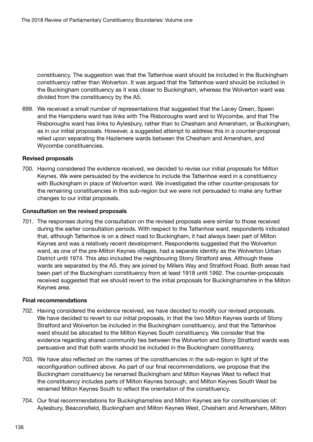constituency. The suggestion was that the Tattenhoe ward should be included in the Buckingham constituency rather than Wolverton. It was argued that the Tattenhoe ward should be included in the Buckingham constituency as it was closer to Buckingham, whereas the Wolverton ward was divided from the constituency by the A5.

699. We received a small number of representations that suggested that the Lacey Green, Speen and the Hampdens ward has links with The Risboroughs ward and to Wycombe, and that The Risboroughs ward has links to Aylesbury, rather than to Chesham and Amersham, or Buckingham, as in our initial proposals. However, a suggested attempt to address this in a counter-proposal relied upon separating the Hazlemere wards between the Chesham and Amersham, and Wycombe constituencies.

## Revised proposals

700. Having considered the evidence received, we decided to revise our initial proposals for Milton Keynes. We were persuaded by the evidence to include the Tattenhoe ward in a constituency with Buckingham in place of Wolverton ward. We investigated the other counter-proposals for the remaining constituencies in this sub-region but we were not persuaded to make any further changes to our initial proposals.

#### Consultation on the revised proposals

701. The responses during the consultation on the revised proposals were similar to those received during the earlier consultation periods. With respect to the Tattenhoe ward, respondents indicated that, although Tattenhoe is on a direct road to Buckingham, it had always been part of Milton Keynes and was a relatively recent development. Respondents suggested that the Wolverton ward, as one of the pre-Milton Keynes villages, had a separate identity as the Wolverton Urban District until 1974. This also included the neighbouring Stony Stratford area. Although these wards are separated by the A5, they are joined by Millers Way and Stratford Road. Both areas had been part of the Buckingham constituency from at least 1918 until 1992. The counter-proposals received suggested that we should revert to the initial proposals for Buckinghamshire in the Milton Keynes area.

#### Final recommendations

- 702. Having considered the evidence received, we have decided to modify our revised proposals. We have decided to revert to our initial proposals, in that the two Milton Keynes wards of Stony Stratford and Wolverton be included in the Buckingham constituency, and that the Tattenhoe ward should be allocated to the Milton Keynes South constituency. We consider that the evidence regarding shared community ties between the Wolverton and Stony Stratford wards was persuasive and that both wards should be included in the Buckingham constituency.
- 703. We have also reflected on the names of the constituencies in the sub-region in light of the reconfiguration outlined above. As part of our final recommendations, we propose that the Buckingham constituency be renamed Buckingham and Milton Keynes West to reflect that the constituency includes parts of Milton Keynes borough, and Milton Keynes South West be renamed Milton Keynes South to reflect the orientation of the constituency.
- 704. Our final recommendations for Buckinghamshire and Milton Keynes are for constituencies of: Aylesbury, Beaconsfield, Buckingham and Milton Keynes West, Chesham and Amersham, Milton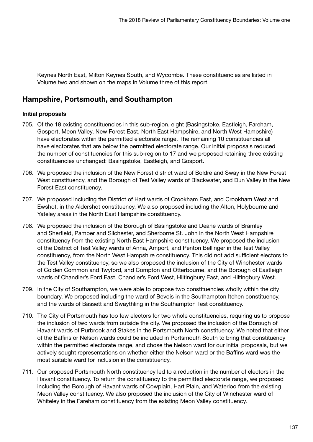Keynes North East, Milton Keynes South, and Wycombe. These constituencies are listed in Volume two and shown on the maps in Volume three of this report.

# Hampshire, Portsmouth, and Southampton

# Initial proposals

- 705. Of the 18 existing constituencies in this sub-region, eight (Basingstoke, Eastleigh, Fareham, Gosport, Meon Valley, New Forest East, North East Hampshire, and North West Hampshire) have electorates within the permitted electorate range. The remaining 10 constituencies all have electorates that are below the permitted electorate range. Our initial proposals reduced the number of constituencies for this sub-region to 17 and we proposed retaining three existing constituencies unchanged: Basingstoke, Eastleigh, and Gosport.
- 706. We proposed the inclusion of the New Forest district ward of Boldre and Sway in the New Forest West constituency, and the Borough of Test Valley wards of Blackwater, and Dun Valley in the New Forest East constituency.
- 707. We proposed including the District of Hart wards of Crookham East, and Crookham West and Ewshot, in the Aldershot constituency. We also proposed including the Alton, Holybourne and Yateley areas in the North East Hampshire constituency.
- 708. We proposed the inclusion of the Borough of Basingstoke and Deane wards of Bramley and Sherfield, Pamber and Silchester, and Sherborne St. John in the North West Hampshire constituency from the existing North East Hampshire constituency. We proposed the inclusion of the District of Test Valley wards of Anna, Amport, and Penton Bellinger in the Test Valley constituency, from the North West Hampshire constituency. This did not add sufficient electors to the Test Valley constituency, so we also proposed the inclusion of the City of Winchester wards of Colden Common and Twyford, and Compton and Otterbourne, and the Borough of Eastleigh wards of Chandler's Ford East, Chandler's Ford West, Hiltingbury East, and Hiltingbury West.
- 709. In the City of Southampton, we were able to propose two constituencies wholly within the city boundary. We proposed including the ward of Bevois in the Southampton Itchen constituency, and the wards of Bassett and Swaythling in the Southampton Test constituency.
- 710. The City of Portsmouth has too few electors for two whole constituencies, requiring us to propose the inclusion of two wards from outside the city. We proposed the inclusion of the Borough of Havant wards of Purbrook and Stakes in the Portsmouth North constituency. We noted that either of the Baffins or Nelson wards could be included in Portsmouth South to bring that constituency within the permitted electorate range, and chose the Nelson ward for our initial proposals, but we actively sought representations on whether either the Nelson ward or the Baffins ward was the most suitable ward for inclusion in the constituency.
- 711. Our proposed Portsmouth North constituency led to a reduction in the number of electors in the Havant constituency. To return the constituency to the permitted electorate range, we proposed including the Borough of Havant wards of Cowplain, Hart Plain, and Waterloo from the existing Meon Valley constituency. We also proposed the inclusion of the City of Winchester ward of Whiteley in the Fareham constituency from the existing Meon Valley constituency.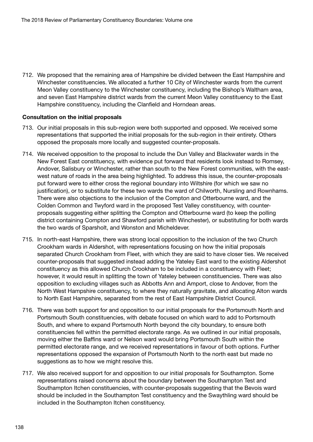712. We proposed that the remaining area of Hampshire be divided between the East Hampshire and Winchester constituencies. We allocated a further 10 City of Winchester wards from the current Meon Valley constituency to the Winchester constituency, including the Bishop's Waltham area, and seven East Hampshire district wards from the current Meon Valley constituency to the East Hampshire constituency, including the Clanfield and Horndean areas.

- 713. Our initial proposals in this sub-region were both supported and opposed. We received some representations that supported the initial proposals for the sub-region in their entirety. Others opposed the proposals more locally and suggested counter-proposals.
- 714. We received opposition to the proposal to include the Dun Valley and Blackwater wards in the New Forest East constituency, with evidence put forward that residents look instead to Romsey, Andover, Salisbury or Winchester, rather than south to the New Forest communities, with the eastwest nature of roads in the area being highlighted. To address this issue, the counter-proposals put forward were to either cross the regional boundary into Wiltshire (for which we saw no justification), or to substitute for these two wards the ward of Chilworth, Nursling and Rownhams. There were also objections to the inclusion of the Compton and Otterbourne ward, and the Colden Common and Twyford ward in the proposed Test Valley constituency, with counterproposals suggesting either splitting the Compton and Otterbourne ward (to keep the polling district containing Compton and Shawford parish with Winchester), or substituting for both wards the two wards of Sparsholt, and Wonston and Micheldever.
- 715. In north-east Hampshire, there was strong local opposition to the inclusion of the two Church Crookham wards in Aldershot, with representations focusing on how the initial proposals separated Church Crookham from Fleet, with which they are said to have closer ties. We received counter-proposals that suggested instead adding the Yateley East ward to the existing Aldershot constituency as this allowed Church Crookham to be included in a constituency with Fleet; however, it would result in splitting the town of Yateley between constituencies. There was also opposition to excluding villages such as Abbotts Ann and Amport, close to Andover, from the North West Hampshire constituency, to where they naturally gravitate, and allocating Alton wards to North East Hampshire, separated from the rest of East Hampshire District Council.
- 716. There was both support for and opposition to our initial proposals for the Portsmouth North and Portsmouth South constituencies, with debate focused on which ward to add to Portsmouth South, and where to expand Portsmouth North beyond the city boundary, to ensure both constituencies fell within the permitted electorate range. As we outlined in our initial proposals, moving either the Baffins ward or Nelson ward would bring Portsmouth South within the permitted electorate range, and we received representations in favour of both options. Further representations opposed the expansion of Portsmouth North to the north east but made no suggestions as to how we might resolve this.
- 717. We also received support for and opposition to our initial proposals for Southampton. Some representations raised concerns about the boundary between the Southampton Test and Southampton Itchen constituencies, with counter-proposals suggesting that the Bevois ward should be included in the Southampton Test constituency and the Swaythling ward should be included in the Southampton Itchen constituency.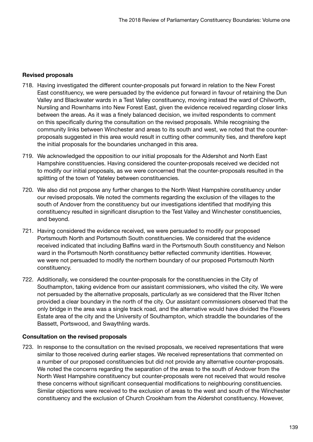# Revised proposals

- 718. Having investigated the different counter-proposals put forward in relation to the New Forest East constituency, we were persuaded by the evidence put forward in favour of retaining the Dun Valley and Blackwater wards in a Test Valley constituency, moving instead the ward of Chilworth, Nursling and Rownhams into New Forest East, given the evidence received regarding closer links between the areas. As it was a finely balanced decision, we invited respondents to comment on this specifically during the consultation on the revised proposals. While recognising the community links between Winchester and areas to its south and west, we noted that the counterproposals suggested in this area would result in cutting other community ties, and therefore kept the initial proposals for the boundaries unchanged in this area.
- 719. We acknowledged the opposition to our initial proposals for the Aldershot and North East Hampshire constituencies. Having considered the counter-proposals received we decided not to modify our initial proposals, as we were concerned that the counter-proposals resulted in the splitting of the town of Yateley between constituencies.
- 720. We also did not propose any further changes to the North West Hampshire constituency under our revised proposals. We noted the comments regarding the exclusion of the villages to the south of Andover from the constituency but our investigations identified that modifying this constituency resulted in significant disruption to the Test Valley and Winchester constituencies, and beyond.
- 721. Having considered the evidence received, we were persuaded to modify our proposed Portsmouth North and Portsmouth South constituencies. We considered that the evidence received indicated that including Baffins ward in the Portsmouth South constituency and Nelson ward in the Portsmouth North constituency better reflected community identities. However, we were not persuaded to modify the northern boundary of our proposed Portsmouth North constituency.
- 722. Additionally, we considered the counter-proposals for the constituencies in the City of Southampton, taking evidence from our assistant commissioners, who visited the city. We were not persuaded by the alternative proposals, particularly as we considered that the River Itchen provided a clear boundary in the north of the city. Our assistant commissioners observed that the only bridge in the area was a single track road, and the alternative would have divided the Flowers Estate area of the city and the University of Southampton, which straddle the boundaries of the Bassett, Portswood, and Swaythling wards.

## Consultation on the revised proposals

723. In response to the consultation on the revised proposals, we received representations that were similar to those received during earlier stages. We received representations that commented on a number of our proposed constituencies but did not provide any alternative counter-proposals. We noted the concerns regarding the separation of the areas to the south of Andover from the North West Hampshire constituency but counter-proposals were not received that would resolve these concerns without significant consequential modifications to neighbouring constituencies. Similar objections were received to the exclusion of areas to the west and south of the Winchester constituency and the exclusion of Church Crookham from the Aldershot constituency. However,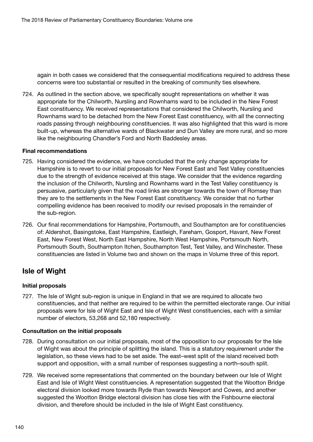again in both cases we considered that the consequential modifications required to address these concerns were too substantial or resulted in the breaking of community ties elsewhere.

724. As outlined in the section above, we specifically sought representations on whether it was appropriate for the Chilworth, Nursling and Rownhams ward to be included in the New Forest East constituency. We received representations that considered the Chilworth, Nursling and Rownhams ward to be detached from the New Forest East constituency, with all the connecting roads passing through neighbouring constituencies. It was also highlighted that this ward is more built-up, whereas the alternative wards of Blackwater and Dun Valley are more rural, and so more like the neighbouring Chandler's Ford and North Baddesley areas.

## Final recommendations

- 725. Having considered the evidence, we have concluded that the only change appropriate for Hampshire is to revert to our initial proposals for New Forest East and Test Valley constituencies due to the strength of evidence received at this stage. We consider that the evidence regarding the inclusion of the Chilworth, Nursling and Rownhams ward in the Test Valley constituency is persuasive, particularly given that the road links are stronger towards the town of Romsey than they are to the settlements in the New Forest East constituency. We consider that no further compelling evidence has been received to modify our revised proposals in the remainder of the sub-region.
- 726. Our final recommendations for Hampshire, Portsmouth, and Southampton are for constituencies of: Aldershot, Basingstoke, East Hampshire, Eastleigh, Fareham, Gosport, Havant, New Forest East, New Forest West, North East Hampshire, North West Hampshire, Portsmouth North, Portsmouth South, Southampton Itchen, Southampton Test, Test Valley, and Winchester. These constituencies are listed in Volume two and shown on the maps in Volume three of this report.

# Isle of Wight

# Initial proposals

727. The Isle of Wight sub-region is unique in England in that we are required to allocate two constituencies, and that neither are required to be within the permitted electorate range. Our initial proposals were for Isle of Wight East and Isle of Wight West constituencies, each with a similar number of electors, 53,268 and 52,180 respectively.

- 728. During consultation on our initial proposals, most of the opposition to our proposals for the Isle of Wight was about the principle of splitting the island. This is a statutory requirement under the legislation, so these views had to be set aside. The east–west split of the island received both support and opposition, with a small number of responses suggesting a north–south split.
- 729. We received some representations that commented on the boundary between our Isle of Wight East and Isle of Wight West constituencies. A representation suggested that the Wootton Bridge electoral division looked more towards Ryde than towards Newport and Cowes, and another suggested the Wootton Bridge electoral division has close ties with the Fishbourne electoral division, and therefore should be included in the Isle of Wight East constituency.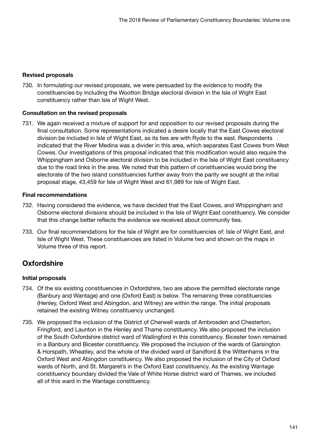# Revised proposals

730. In formulating our revised proposals, we were persuaded by the evidence to modify the constituencies by including the Wootton Bridge electoral division in the Isle of Wight East constituency rather than Isle of Wight West.

# Consultation on the revised proposals

731. We again received a mixture of support for and opposition to our revised proposals during the final consultation. Some representations indicated a desire locally that the East Cowes electoral division be included in Isle of Wight East, as its ties are with Ryde to the east. Respondents indicated that the River Medina was a divider in this area, which separates East Cowes from West Cowes. Our investigations of this proposal indicated that this modification would also require the Whippingham and Osborne electoral division to be included in the Isle of Wight East constituency due to the road links in the area. We noted that this pattern of constituencies would bring the electorate of the two island constituencies further away from the parity we sought at the initial proposal stage, 43,459 for Isle of Wight West and 61,989 for Isle of Wight East.

# Final recommendations

- 732. Having considered the evidence, we have decided that the East Cowes, and Whippingham and Osborne electoral divisions should be included in the Isle of Wight East constituency. We consider that this change better reflects the evidence we received about community ties.
- 733. Our final recommendations for the Isle of Wight are for constituencies of: Isle of Wight East, and Isle of Wight West. These constituencies are listed in Volume two and shown on the maps in Volume three of this report.

# **Oxfordshire**

# Initial proposals

- 734. Of the six existing constituencies in Oxfordshire, two are above the permitted electorate range (Banbury and Wantage) and one (Oxford East) is below. The remaining three constituencies (Henley, Oxford West and Abingdon, and Witney) are within the range. The initial proposals retained the existing Witney constituency unchanged.
- 735. We proposed the inclusion of the District of Cherwell wards of Ambrosden and Chesterton, Fringford, and Launton in the Henley and Thame constituency. We also proposed the inclusion of the South Oxfordshire district ward of Wallingford in this constituency. Bicester town remained in a Banbury and Bicester constituency. We proposed the inclusion of the wards of Garsington & Horspath, Wheatley, and the whole of the divided ward of Sandford & the Wittenhams in the Oxford West and Abingdon constituency. We also proposed the inclusion of the City of Oxford wards of North, and St. Margaret's in the Oxford East constituency. As the existing Wantage constituency boundary divided the Vale of White Horse district ward of Thames, we included all of this ward in the Wantage constituency.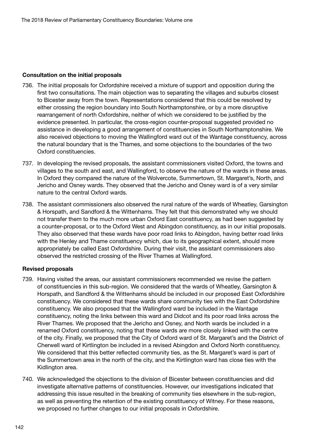### Consultation on the initial proposals

- 736. The initial proposals for Oxfordshire received a mixture of support and opposition during the first two consultations. The main objection was to separating the villages and suburbs closest to Bicester away from the town. Representations considered that this could be resolved by either crossing the region boundary into South Northamptonshire, or by a more disruptive rearrangement of north Oxfordshire, neither of which we considered to be justified by the evidence presented. In particular, the cross-region counter-proposal suggested provided no assistance in developing a good arrangement of constituencies in South Northamptonshire. We also received objections to moving the Wallingford ward out of the Wantage constituency, across the natural boundary that is the Thames, and some objections to the boundaries of the two Oxford constituencies.
- 737. In developing the revised proposals, the assistant commissioners visited Oxford, the towns and villages to the south and east, and Wallingford, to observe the nature of the wards in these areas. In Oxford they compared the nature of the Wolvercote, Summertown, St. Margaret's, North, and Jericho and Osney wards. They observed that the Jericho and Osney ward is of a very similar nature to the central Oxford wards.
- 738. The assistant commissioners also observed the rural nature of the wards of Wheatley, Garsington & Horspath, and Sandford & the Wittenhams. They felt that this demonstrated why we should not transfer them to the much more urban Oxford East constituency, as had been suggested by a counter-proposal, or to the Oxford West and Abingdon constituency, as in our initial proposals. They also observed that these wards have poor road links to Abingdon, having better road links with the Henley and Thame constituency which, due to its geographical extent, should more appropriately be called East Oxfordshire. During their visit, the assistant commissioners also observed the restricted crossing of the River Thames at Wallingford.

# Revised proposals

- 739. Having visited the areas, our assistant commissioners recommended we revise the pattern of constituencies in this sub-region. We considered that the wards of Wheatley, Garsington & Horspath, and Sandford & the Wittenhams should be included in our proposed East Oxfordshire constituency. We considered that these wards share community ties with the East Oxfordshire constituency. We also proposed that the Wallingford ward be included in the Wantage constituency, noting the links between this ward and Didcot and its poor road links across the River Thames. We proposed that the Jericho and Osney, and North wards be included in a renamed Oxford constituency, noting that these wards are more closely linked with the centre of the city. Finally, we proposed that the City of Oxford ward of St. Margaret's and the District of Cherwell ward of Kirtlington be included in a revised Abingdon and Oxford North constituency. We considered that this better reflected community ties, as the St. Margaret's ward is part of the Summertown area in the north of the city, and the Kirtlington ward has close ties with the Kidlington area.
- 740. We acknowledged the objections to the division of Bicester between constituencies and did investigate alternative patterns of constituencies. However, our investigations indicated that addressing this issue resulted in the breaking of community ties elsewhere in the sub-region, as well as preventing the retention of the existing constituency of Witney. For these reasons, we proposed no further changes to our initial proposals in Oxfordshire.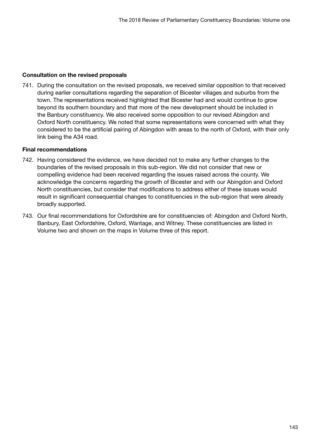### Consultation on the revised proposals

741. During the consultation on the revised proposals, we received similar opposition to that received during earlier consultations regarding the separation of Bicester villages and suburbs from the town. The representations received highlighted that Bicester had and would continue to grow beyond its southern boundary and that more of the new development should be included in the Banbury constituency. We also received some opposition to our revised Abingdon and Oxford North constituency. We noted that some representations were concerned with what they considered to be the artificial pairing of Abingdon with areas to the north of Oxford, with their only link being the A34 road.

### Final recommendations

- 742. Having considered the evidence, we have decided not to make any further changes to the boundaries of the revised proposals in this sub-region. We did not consider that new or compelling evidence had been received regarding the issues raised across the county. We acknowledge the concerns regarding the growth of Bicester and with our Abingdon and Oxford North constituencies, but consider that modifications to address either of these issues would result in significant consequential changes to constituencies in the sub-region that were already broadly supported.
- 743. Our final recommendations for Oxfordshire are for constituencies of: Abingdon and Oxford North, Banbury, East Oxfordshire, Oxford, Wantage, and Witney. These constituencies are listed in Volume two and shown on the maps in Volume three of this report.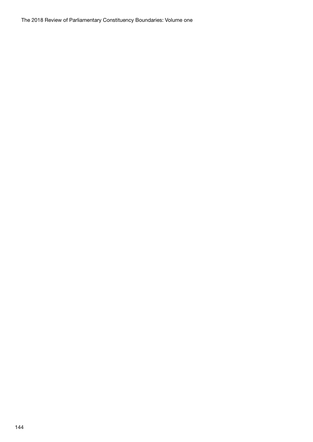The 2018 Review of Parliamentary Constituency Boundaries: Volume one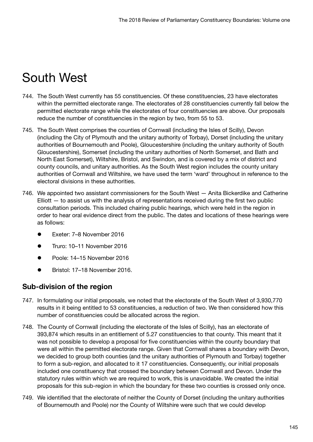# South West

- 744. The South West currently has 55 constituencies. Of these constituencies, 23 have electorates within the permitted electorate range. The electorates of 28 constituencies currently fall below the permitted electorate range while the electorates of four constituencies are above. Our proposals reduce the number of constituencies in the region by two, from 55 to 53.
- 745. The South West comprises the counties of Cornwall (including the Isles of Scilly), Devon (including the City of Plymouth and the unitary authority of Torbay), Dorset (including the unitary authorities of Bournemouth and Poole), Gloucestershire (including the unitary authority of South Gloucestershire), Somerset (including the unitary authorities of North Somerset, and Bath and North East Somerset), Wiltshire, Bristol, and Swindon, and is covered by a mix of district and county councils, and unitary authorities. As the South West region includes the county unitary authorities of Cornwall and Wiltshire, we have used the term 'ward' throughout in reference to the electoral divisions in these authorities.
- 746. We appointed two assistant commissioners for the South West Anita Bickerdike and Catherine  $Elliott - to$  assist us with the analysis of representations received during the first two public consultation periods. This included chairing public hearings, which were held in the region in order to hear oral evidence direct from the public. The dates and locations of these hearings were as follows:
	- z Exeter: 7–8 November 2016
	- z Truro: 10–11 November 2016
	- z Poole: 14–15 November 2016
	- Bristol: 17–18 November 2016.

# Sub-division of the region

- 747. In formulating our initial proposals, we noted that the electorate of the South West of 3,930,770 results in it being entitled to 53 constituencies, a reduction of two. We then considered how this number of constituencies could be allocated across the region.
- 748. The County of Cornwall (including the electorate of the Isles of Scilly), has an electorate of 393,874 which results in an entitlement of 5.27 constituencies to that county. This meant that it was not possible to develop a proposal for five constituencies within the county boundary that were all within the permitted electorate range. Given that Cornwall shares a boundary with Devon, we decided to group both counties (and the unitary authorities of Plymouth and Torbay) together to form a sub-region, and allocated to it 17 constituencies. Consequently, our initial proposals included one constituency that crossed the boundary between Cornwall and Devon. Under the statutory rules within which we are required to work, this is unavoidable. We created the initial proposals for this sub-region in which the boundary for these two counties is crossed only once.
- 749. We identified that the electorate of neither the County of Dorset (including the unitary authorities of Bournemouth and Poole) nor the County of Wiltshire were such that we could develop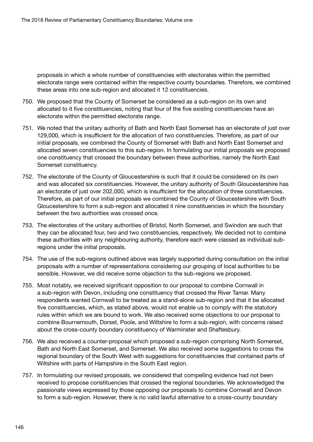proposals in which a whole number of constituencies with electorates within the permitted electorate range were contained within the respective county boundaries. Therefore, we combined these areas into one sub-region and allocated it 12 constituencies.

- 750. We proposed that the County of Somerset be considered as a sub-region on its own and allocated to it five constituencies, noting that four of the five existing constituencies have an electorate within the permitted electorate range.
- 751. We noted that the unitary authority of Bath and North East Somerset has an electorate of just over 129,000, which is insufficient for the allocation of two constituencies. Therefore, as part of our initial proposals, we combined the County of Somerset with Bath and North East Somerset and allocated seven constituencies to this sub-region. In formulating our initial proposals we proposed one constituency that crossed the boundary between these authorities, namely the North East Somerset constituency.
- 752. The electorate of the County of Gloucestershire is such that it could be considered on its own and was allocated six constituencies. However, the unitary authority of South Gloucestershire has an electorate of just over 202,000, which is insufficient for the allocation of three constituencies. Therefore, as part of our initial proposals we combined the County of Gloucestershire with South Gloucestershire to form a sub-region and allocated it nine constituencies in which the boundary between the two authorities was crossed once.
- 753. The electorates of the unitary authorities of Bristol, North Somerset, and Swindon are such that they can be allocated four, two and two constituencies, respectively. We decided not to combine these authorities with any neighbouring authority, therefore each were classed as individual subregions under the initial proposals.
- 754. The use of the sub-regions outlined above was largely supported during consultation on the initial proposals with a number of representations considering our grouping of local authorities to be sensible. However, we did receive some objection to the sub-regions we proposed.
- 755. Most notably, we received significant opposition to our proposal to combine Cornwall in a sub-region with Devon, including one constituency that crossed the River Tamar. Many respondents wanted Cornwall to be treated as a stand-alone sub-region and that it be allocated five constituencies, which, as stated above, would not enable us to comply with the statutory rules within which we are bound to work. We also received some objections to our proposal to combine Bournemouth, Dorset, Poole, and Wiltshire to form a sub-region, with concerns raised about the cross-county boundary constituency of Warminster and Shaftesbury.
- 756. We also received a counter-proposal which proposed a sub-region comprising North Somerset, Bath and North East Somerset, and Somerset. We also received some suggestions to cross the regional boundary of the South West with suggestions for constituencies that contained parts of Wiltshire with parts of Hampshire in the South East region.
- 757. In formulating our revised proposals, we considered that compelling evidence had not been received to propose constituencies that crossed the regional boundaries. We acknowledged the passionate views expressed by those opposing our proposals to combine Cornwall and Devon to form a sub-region. However, there is no valid lawful alternative to a cross-county boundary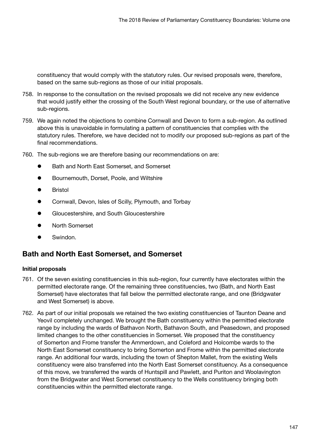constituency that would comply with the statutory rules. Our revised proposals were, therefore, based on the same sub-regions as those of our initial proposals.

- 758. In response to the consultation on the revised proposals we did not receive any new evidence that would justify either the crossing of the South West regional boundary, or the use of alternative sub-regions.
- 759. We again noted the objections to combine Cornwall and Devon to form a sub-region. As outlined above this is unavoidable in formulating a pattern of constituencies that complies with the statutory rules. Therefore, we have decided not to modify our proposed sub-regions as part of the final recommendations.
- 760. The sub-regions we are therefore basing our recommendations on are:
	- Bath and North East Somerset, and Somerset
	- Bournemouth, Dorset, Poole, and Wiltshire
	- **Bristol**
	- Cornwall, Devon, Isles of Scilly, Plymouth, and Torbay
	- Gloucestershire, and South Gloucestershire
	- **North Somerset**
	- Swindon.

# Bath and North East Somerset, and Somerset

# Initial proposals

- 761. Of the seven existing constituencies in this sub-region, four currently have electorates within the permitted electorate range. Of the remaining three constituencies, two (Bath, and North East Somerset) have electorates that fall below the permitted electorate range, and one (Bridgwater and West Somerset) is above.
- 762. As part of our initial proposals we retained the two existing constituencies of Taunton Deane and Yeovil completely unchanged. We brought the Bath constituency within the permitted electorate range by including the wards of Bathavon North, Bathavon South, and Peasedown, and proposed limited changes to the other constituencies in Somerset. We proposed that the constituency of Somerton and Frome transfer the Ammerdown, and Coleford and Holcombe wards to the North East Somerset constituency to bring Somerton and Frome within the permitted electorate range. An additional four wards, including the town of Shepton Mallet, from the existing Wells constituency were also transferred into the North East Somerset constituency. As a consequence of this move, we transferred the wards of Huntspill and Pawlett, and Puriton and Woolavington from the Bridgwater and West Somerset constituency to the Wells constituency bringing both constituencies within the permitted electorate range.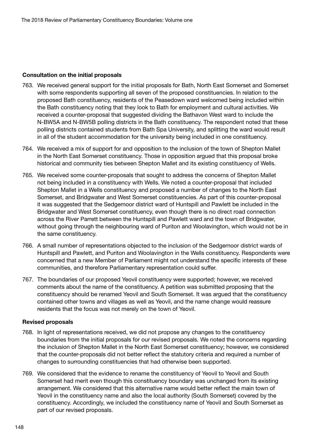### Consultation on the initial proposals

- 763. We received general support for the initial proposals for Bath, North East Somerset and Somerset with some respondents supporting all seven of the proposed constituencies. In relation to the proposed Bath constituency, residents of the Peasedown ward welcomed being included within the Bath constituency noting that they look to Bath for employment and cultural activities. We received a counter-proposal that suggested dividing the Bathavon West ward to include the N-BW5A and N-BW5B polling districts in the Bath constituency. The respondent noted that these polling districts contained students from Bath Spa University, and splitting the ward would result in all of the student accommodation for the university being included in one constituency.
- 764. We received a mix of support for and opposition to the inclusion of the town of Shepton Mallet in the North East Somerset constituency. Those in opposition argued that this proposal broke historical and community ties between Shepton Mallet and its existing constituency of Wells.
- 765. We received some counter-proposals that sought to address the concerns of Shepton Mallet not being included in a constituency with Wells. We noted a counter-proposal that included Shepton Mallet in a Wells constituency and proposed a number of changes to the North East Somerset, and Bridgwater and West Somerset constituencies. As part of this counter-proposal it was suggested that the Sedgemoor district ward of Huntspill and Pawlett be included in the Bridgwater and West Somerset constituency, even though there is no direct road connection across the River Parrett between the Huntspill and Pawlett ward and the town of Bridgwater, without going through the neighbouring ward of Puriton and Woolavington, which would not be in the same constituency.
- 766. A small number of representations objected to the inclusion of the Sedgemoor district wards of Huntspill and Pawlett, and Puriton and Woolavington in the Wells constituency. Respondents were concerned that a new Member of Parliament might not understand the specific interests of these communities, and therefore Parliamentary representation could suffer.
- 767. The boundaries of our proposed Yeovil constituency were supported; however, we received comments about the name of the constituency. A petition was submitted proposing that the constituency should be renamed Yeovil and South Somerset. It was argued that the constituency contained other towns and villages as well as Yeovil, and the name change would reassure residents that the focus was not merely on the town of Yeovil.

# Revised proposals

- 768. In light of representations received, we did not propose any changes to the constituency boundaries from the initial proposals for our revised proposals. We noted the concerns regarding the inclusion of Shepton Mallet in the North East Somerset constituency; however, we considered that the counter-proposals did not better reflect the statutory criteria and required a number of changes to surrounding constituencies that had otherwise been supported.
- 769. We considered that the evidence to rename the constituency of Yeovil to Yeovil and South Somerset had merit even though this constituency boundary was unchanged from its existing arrangement. We considered that this alternative name would better reflect the main town of Yeovil in the constituency name and also the local authority (South Somerset) covered by the constituency. Accordingly, we included the constituency name of Yeovil and South Somerset as part of our revised proposals.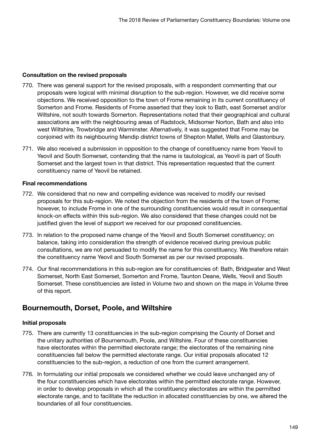### Consultation on the revised proposals

- 770. There was general support for the revised proposals, with a respondent commenting that our proposals were logical with minimal disruption to the sub-region. However, we did receive some objections. We received opposition to the town of Frome remaining in its current constituency of Somerton and Frome. Residents of Frome asserted that they look to Bath, east Somerset and/or Wiltshire, not south towards Somerton. Representations noted that their geographical and cultural associations are with the neighbouring areas of Radstock, Midsomer Norton, Bath and also into west Wiltshire, Trowbridge and Warminster. Alternatively, it was suggested that Frome may be conjoined with its neighbouring Mendip district towns of Shepton Mallet, Wells and Glastonbury.
- 771. We also received a submission in opposition to the change of constituency name from Yeovil to Yeovil and South Somerset, contending that the name is tautological, as Yeovil is part of South Somerset and the largest town in that district. This representation requested that the current constituency name of Yeovil be retained.

# Final recommendations

- 772. We considered that no new and compelling evidence was received to modify our revised proposals for this sub-region. We noted the objection from the residents of the town of Frome; however, to include Frome in one of the surrounding constituencies would result in consequential knock-on effects within this sub-region. We also considered that these changes could not be justified given the level of support we received for our proposed constituencies.
- 773. In relation to the proposed name change of the Yeovil and South Somerset constituency; on balance, taking into consideration the strength of evidence received during previous public consultations, we are not persuaded to modify the name for this constituency. We therefore retain the constituency name Yeovil and South Somerset as per our revised proposals.
- 774. Our final recommendations in this sub-region are for constituencies of: Bath, Bridgwater and West Somerset, North East Somerset, Somerton and Frome, Taunton Deane, Wells, Yeovil and South Somerset. These constituencies are listed in Volume two and shown on the maps in Volume three of this report.

# Bournemouth, Dorset, Poole, and Wiltshire

# Initial proposals

- 775. There are currently 13 constituencies in the sub-region comprising the County of Dorset and the unitary authorities of Bournemouth, Poole, and Wiltshire. Four of these constituencies have electorates within the permitted electorate range; the electorates of the remaining nine constituencies fall below the permitted electorate range. Our initial proposals allocated 12 constituencies to the sub-region, a reduction of one from the current arrangement.
- 776. In formulating our initial proposals we considered whether we could leave unchanged any of the four constituencies which have electorates within the permitted electorate range. However, in order to develop proposals in which all the constituency electorates are within the permitted electorate range, and to facilitate the reduction in allocated constituencies by one, we altered the boundaries of all four constituencies.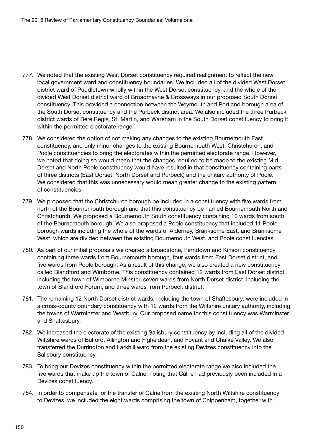- 777. We noted that the existing West Dorset constituency required realignment to reflect the new local government ward and constituency boundaries. We included all of the divided West Dorset district ward of Puddletown wholly within the West Dorset constituency, and the whole of the divided West Dorset district ward of Broadmayne & Crossways in our proposed South Dorset constituency. This provided a connection between the Weymouth and Portland borough area of the South Dorset constituency and the Purbeck district area. We also included the three Purbeck district wards of Bere Regis, St. Martin, and Wareham in the South Dorset constituency to bring it within the permitted electorate range.
- 778. We considered the option of not making any changes to the existing Bournemouth East constituency, and only minor changes to the existing Bournemouth West, Christchurch, and Poole constituencies to bring the electorates within the permitted electorate range. However, we noted that doing so would mean that the changes required to be made to the existing Mid Dorset and North Poole constituency would have resulted in that constituency containing parts of three districts (East Dorset, North Dorset and Purbeck) and the unitary authority of Poole. We considered that this was unnecessary would mean greater change to the existing pattern of constituencies.
- 779. We proposed that the Christchurch borough be included in a constituency with five wards from north of the Bournemouth borough and that this constituency be named Bournemouth North and Christchurch. We proposed a Bournemouth South constituency containing 10 wards from south of the Bournemouth borough. We also proposed a Poole constituency that included 11 Poole borough wards including the whole of the wards of Alderney, Branksome East, and Branksome West, which are divided between the existing Bournemouth West, and Poole constituencies.
- 780. As part of our initial proposals we created a Broadstone, Ferndown and Kinson constituency containing three wards from Bournemouth borough, four wards from East Dorset district, and five wards from Poole borough. As a result of this change, we also created a new constituency called Blandford and Wimborne. This constituency contained 12 wards from East Dorset district, including the town of Wimborne Minster, seven wards from North Dorset district, including the town of Blandford Forum, and three wards from Purbeck district.
- 781. The remaining 12 North Dorset district wards, including the town of Shaftesbury, were included in a cross-county boundary constituency with 12 wards from the Wiltshire unitary authority, including the towns of Warminster and Westbury. Our proposed name for this constituency was Warminster and Shaftesbury.
- 782. We increased the electorate of the existing Salisbury constituency by including all of the divided Wiltshire wards of Bulford, Allington and Figheldean, and Fovant and Chalke Valley. We also transferred the Durrington and Larkhill ward from the existing Devizes constituency into the Salisbury constituency.
- 783. To bring our Devizes constituency within the permitted electorate range we also included the five wards that make up the town of Calne, noting that Calne had previously been included in a Devizes constituency.
- 784. In order to compensate for the transfer of Calne from the existing North Wiltshire constituency to Devizes, we included the eight wards comprising the town of Chippenham, together with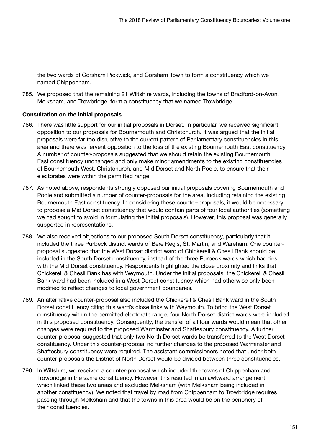the two wards of Corsham Pickwick, and Corsham Town to form a constituency which we named Chippenham.

785. We proposed that the remaining 21 Wiltshire wards, including the towns of Bradford-on-Avon, Melksham, and Trowbridge, form a constituency that we named Trowbridge.

# Consultation on the initial proposals

- 786. There was little support for our initial proposals in Dorset. In particular, we received significant opposition to our proposals for Bournemouth and Christchurch. It was argued that the initial proposals were far too disruptive to the current pattern of Parliamentary constituencies in this area and there was fervent opposition to the loss of the existing Bournemouth East constituency. A number of counter-proposals suggested that we should retain the existing Bournemouth East constituency unchanged and only make minor amendments to the existing constituencies of Bournemouth West, Christchurch, and Mid Dorset and North Poole, to ensure that their electorates were within the permitted range.
- 787. As noted above, respondents strongly opposed our initial proposals covering Bournemouth and Poole and submitted a number of counter-proposals for the area, including retaining the existing Bournemouth East constituency. In considering these counter-proposals, it would be necessary to propose a Mid Dorset constituency that would contain parts of four local authorities (something we had sought to avoid in formulating the initial proposals). However, this proposal was generally supported in representations.
- 788. We also received objections to our proposed South Dorset constituency, particularly that it included the three Purbeck district wards of Bere Regis, St. Martin, and Wareham. One counterproposal suggested that the West Dorset district ward of Chickerell & Chesil Bank should be included in the South Dorset constituency, instead of the three Purbeck wards which had ties with the Mid Dorset constituency. Respondents highlighted the close proximity and links that Chickerell & Chesil Bank has with Weymouth. Under the initial proposals, the Chickerell & Chesil Bank ward had been included in a West Dorset constituency which had otherwise only been modified to reflect changes to local government boundaries.
- 789. An alternative counter-proposal also included the Chickerell & Chesil Bank ward in the South Dorset constituency citing this ward's close links with Weymouth. To bring the West Dorset constituency within the permitted electorate range, four North Dorset district wards were included in this proposed constituency. Consequently, the transfer of all four wards would mean that other changes were required to the proposed Warminster and Shaftesbury constituency. A further counter-proposal suggested that only two North Dorset wards be transferred to the West Dorset constituency. Under this counter-proposal no further changes to the proposed Warminster and Shaftesbury constituency were required. The assistant commissioners noted that under both counter-proposals the District of North Dorset would be divided between three constituencies.
- 790. In Wiltshire, we received a counter-proposal which included the towns of Chippenham and Trowbridge in the same constituency. However, this resulted in an awkward arrangement which linked these two areas and excluded Melksham (with Melksham being included in another constituency). We noted that travel by road from Chippenham to Trowbridge requires passing through Melksham and that the towns in this area would be on the periphery of their constituencies.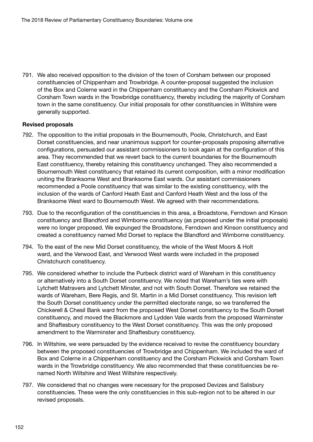791. We also received opposition to the division of the town of Corsham between our proposed constituencies of Chippenham and Trowbridge. A counter-proposal suggested the inclusion of the Box and Colerne ward in the Chippenham constituency and the Corsham Pickwick and Corsham Town wards in the Trowbridge constituency, thereby including the majority of Corsham town in the same constituency. Our initial proposals for other constituencies in Wiltshire were generally supported.

### Revised proposals

- 792. The opposition to the initial proposals in the Bournemouth, Poole, Christchurch, and East Dorset constituencies, and near unanimous support for counter-proposals proposing alternative configurations, persuaded our assistant commissioners to look again at the configuration of this area. They recommended that we revert back to the current boundaries for the Bournemouth East constituency, thereby retaining this constituency unchanged. They also recommended a Bournemouth West constituency that retained its current composition, with a minor modification uniting the Branksome West and Branksome East wards. Our assistant commissioners recommended a Poole constituency that was similar to the existing constituency, with the inclusion of the wards of Canford Heath East and Canford Heath West and the loss of the Branksome West ward to Bournemouth West. We agreed with their recommendations.
- 793. Due to the reconfiguration of the constituencies in this area, a Broadstone, Ferndown and Kinson constituency and Blandford and Wimborne constituency (as proposed under the initial proposals) were no longer proposed. We expunged the Broadstone, Ferndown and Kinson constituency and created a constituency named Mid Dorset to replace the Blandford and Wimborne constituency.
- 794. To the east of the new Mid Dorset constituency, the whole of the West Moors & Holt ward, and the Verwood East, and Verwood West wards were included in the proposed Christchurch constituency.
- 795. We considered whether to include the Purbeck district ward of Wareham in this constituency or alternatively into a South Dorset constituency. We noted that Wareham's ties were with Lytchett Matravers and Lytchett Minster, and not with South Dorset. Therefore we retained the wards of Wareham, Bere Regis, and St. Martin in a Mid Dorset constituency. This revision left the South Dorset constituency under the permitted electorate range, so we transferred the Chickerell & Chesil Bank ward from the proposed West Dorset constituency to the South Dorset constituency, and moved the Blackmore and Lydden Vale wards from the proposed Warminster and Shaftesbury constituency to the West Dorset constituency. This was the only proposed amendment to the Warminster and Shaftesbury constituency.
- 796. In Wiltshire, we were persuaded by the evidence received to revise the constituency boundary between the proposed constituencies of Trowbridge and Chippenham. We included the ward of Box and Colerne in a Chippenham constituency and the Corsham Pickwick and Corsham Town wards in the Trowbridge constituency. We also recommended that these constituencies be renamed North Wiltshire and West Wiltshire respectively.
- 797. We considered that no changes were necessary for the proposed Devizes and Salisbury constituencies. These were the only constituencies in this sub-region not to be altered in our revised proposals.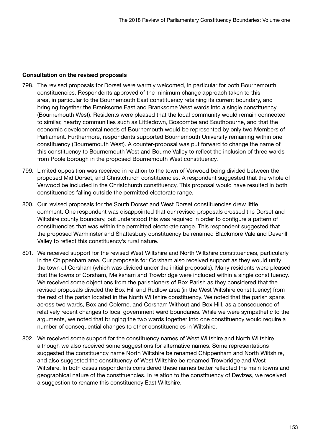### Consultation on the revised proposals

- 798. The revised proposals for Dorset were warmly welcomed, in particular for both Bournemouth constituencies. Respondents approved of the minimum change approach taken to this area, in particular to the Bournemouth East constituency retaining its current boundary, and bringing together the Branksome East and Branksome West wards into a single constituency (Bournemouth West). Residents were pleased that the local community would remain connected to similar, nearby communities such as Littledown, Boscombe and Southbourne, and that the economic developmental needs of Bournemouth would be represented by only two Members of Parliament. Furthermore, respondents supported Bournemouth University remaining within one constituency (Bournemouth West). A counter-proposal was put forward to change the name of this constituency to Bournemouth West and Bourne Valley to reflect the inclusion of three wards from Poole borough in the proposed Bournemouth West constituency.
- 799. Limited opposition was received in relation to the town of Verwood being divided between the proposed Mid Dorset, and Christchurch constituencies. A respondent suggested that the whole of Verwood be included in the Christchurch constituency. This proposal would have resulted in both constituencies falling outside the permitted electorate range.
- 800. Our revised proposals for the South Dorset and West Dorset constituencies drew little comment. One respondent was disappointed that our revised proposals crossed the Dorset and Wiltshire county boundary, but understood this was required in order to configure a pattern of constituencies that was within the permitted electorate range. This respondent suggested that the proposed Warminster and Shaftesbury constituency be renamed Blackmore Vale and Deverill Valley to reflect this constituency's rural nature.
- 801. We received support for the revised West Wiltshire and North Wiltshire constituencies, particularly in the Chippenham area. Our proposals for Corsham also received support as they would unify the town of Corsham (which was divided under the initial proposals). Many residents were pleased that the towns of Corsham, Melksham and Trowbridge were included within a single constituency. We received some objections from the parishioners of Box Parish as they considered that the revised proposals divided the Box Hill and Rudlow area (in the West Wiltshire constituency) from the rest of the parish located in the North Wiltshire constituency. We noted that the parish spans across two wards, Box and Colerne, and Corsham Without and Box Hill, as a consequence of relatively recent changes to local government ward boundaries. While we were sympathetic to the arguments, we noted that bringing the two wards together into one constituency would require a number of consequential changes to other constituencies in Wiltshire.
- 802. We received some support for the constituency names of West Wiltshire and North Wiltshire although we also received some suggestions for alternative names. Some representations suggested the constituency name North Wiltshire be renamed Chippenham and North Wiltshire, and also suggested the constituency of West Wiltshire be renamed Trowbridge and West Wiltshire. In both cases respondents considered these names better reflected the main towns and geographical nature of the constituencies. In relation to the constituency of Devizes, we received a suggestion to rename this constituency East Wiltshire.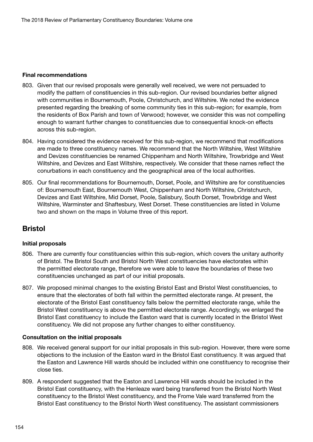### Final recommendations

- 803. Given that our revised proposals were generally well received, we were not persuaded to modify the pattern of constituencies in this sub-region. Our revised boundaries better aligned with communities in Bournemouth, Poole, Christchurch, and Wiltshire. We noted the evidence presented regarding the breaking of some community ties in this sub-region; for example, from the residents of Box Parish and town of Verwood; however, we consider this was not compelling enough to warrant further changes to constituencies due to consequential knock-on effects across this sub-region.
- 804. Having considered the evidence received for this sub-region, we recommend that modifications are made to three constituency names. We recommend that the North Wiltshire, West Wiltshire and Devizes constituencies be renamed Chippenham and North Wiltshire, Trowbridge and West Wiltshire, and Devizes and East Wiltshire, respectively. We consider that these names reflect the conurbations in each constituency and the geographical area of the local authorities.
- 805. Our final recommendations for Bournemouth, Dorset, Poole, and Wiltshire are for constituencies of: Bournemouth East, Bournemouth West, Chippenham and North Wiltshire, Christchurch, Devizes and East Wiltshire, Mid Dorset, Poole, Salisbury, South Dorset, Trowbridge and West Wiltshire, Warminster and Shaftesbury, West Dorset. These constituencies are listed in Volume two and shown on the maps in Volume three of this report.

# Bristol

### Initial proposals

- 806. There are currently four constituencies within this sub-region, which covers the unitary authority of Bristol. The Bristol South and Bristol North West constituencies have electorates within the permitted electorate range, therefore we were able to leave the boundaries of these two constituencies unchanged as part of our initial proposals.
- 807. We proposed minimal changes to the existing Bristol East and Bristol West constituencies, to ensure that the electorates of both fall within the permitted electorate range. At present, the electorate of the Bristol East constituency falls below the permitted electorate range, while the Bristol West constituency is above the permitted electorate range. Accordingly, we enlarged the Bristol East constituency to include the Easton ward that is currently located in the Bristol West constituency. We did not propose any further changes to either constituency.

### Consultation on the initial proposals

- 808. We received general support for our initial proposals in this sub-region. However, there were some objections to the inclusion of the Easton ward in the Bristol East constituency. It was argued that the Easton and Lawrence Hill wards should be included within one constituency to recognise their close ties.
- 809. A respondent suggested that the Easton and Lawrence Hill wards should be included in the Bristol East constituency, with the Henleaze ward being transferred from the Bristol North West constituency to the Bristol West constituency, and the Frome Vale ward transferred from the Bristol East constituency to the Bristol North West constituency. The assistant commissioners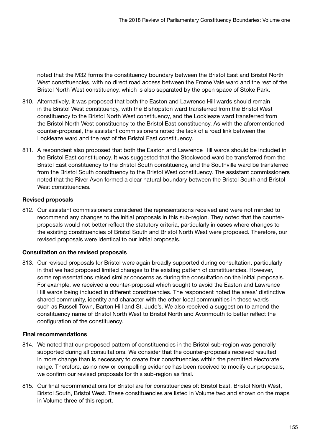noted that the M32 forms the constituency boundary between the Bristol East and Bristol North West constituencies, with no direct road access between the Frome Vale ward and the rest of the Bristol North West constituency, which is also separated by the open space of Stoke Park.

- 810. Alternatively, it was proposed that both the Easton and Lawrence Hill wards should remain in the Bristol West constituency, with the Bishopston ward transferred from the Bristol West constituency to the Bristol North West constituency, and the Lockleaze ward transferred from the Bristol North West constituency to the Bristol East constituency. As with the aforementioned counter-proposal, the assistant commissioners noted the lack of a road link between the Lockleaze ward and the rest of the Bristol East constituency.
- 811. A respondent also proposed that both the Easton and Lawrence Hill wards should be included in the Bristol East constituency. It was suggested that the Stockwood ward be transferred from the Bristol East constituency to the Bristol South constituency, and the Southville ward be transferred from the Bristol South constituency to the Bristol West constituency. The assistant commissioners noted that the River Avon formed a clear natural boundary between the Bristol South and Bristol West constituencies.

# Revised proposals

812. Our assistant commissioners considered the representations received and were not minded to recommend any changes to the initial proposals in this sub-region. They noted that the counterproposals would not better reflect the statutory criteria, particularly in cases where changes to the existing constituencies of Bristol South and Bristol North West were proposed. Therefore, our revised proposals were identical to our initial proposals.

# Consultation on the revised proposals

813. Our revised proposals for Bristol were again broadly supported during consultation, particularly in that we had proposed limited changes to the existing pattern of constituencies. However, some representations raised similar concerns as during the consultation on the initial proposals. For example, we received a counter-proposal which sought to avoid the Easton and Lawrence Hill wards being included in different constituencies. The respondent noted the areas' distinctive shared community, identity and character with the other local communities in these wards such as Russell Town, Barton Hill and St. Jude's. We also received a suggestion to amend the constituency name of Bristol North West to Bristol North and Avonmouth to better reflect the configuration of the constituency.

# Final recommendations

- 814. We noted that our proposed pattern of constituencies in the Bristol sub-region was generally supported during all consultations. We consider that the counter-proposals received resulted in more change than is necessary to create four constituencies within the permitted electorate range. Therefore, as no new or compelling evidence has been received to modify our proposals, we confirm our revised proposals for this sub-region as final.
- 815. Our final recommendations for Bristol are for constituencies of: Bristol East, Bristol North West, Bristol South, Bristol West. These constituencies are listed in Volume two and shown on the maps in Volume three of this report.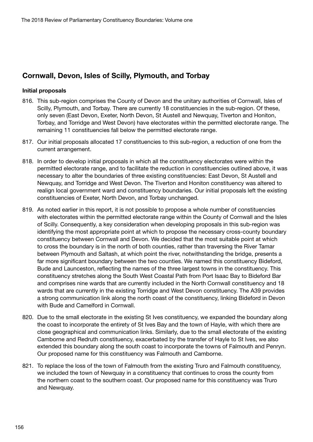# Cornwall, Devon, Isles of Scilly, Plymouth, and Torbay

### Initial proposals

- 816. This sub-region comprises the County of Devon and the unitary authorities of Cornwall, Isles of Scilly, Plymouth, and Torbay. There are currently 18 constituencies in the sub-region. Of these, only seven (East Devon, Exeter, North Devon, St Austell and Newquay, Tiverton and Honiton, Torbay, and Torridge and West Devon) have electorates within the permitted electorate range. The remaining 11 constituencies fall below the permitted electorate range.
- 817. Our initial proposals allocated 17 constituencies to this sub-region, a reduction of one from the current arrangement.
- 818. In order to develop initial proposals in which all the constituency electorates were within the permitted electorate range, and to facilitate the reduction in constituencies outlined above, it was necessary to alter the boundaries of three existing constituencies: East Devon, St Austell and Newquay, and Torridge and West Devon. The Tiverton and Honiton constituency was altered to realign local government ward and constituency boundaries. Our initial proposals left the existing constituencies of Exeter, North Devon, and Torbay unchanged.
- 819. As noted earlier in this report, it is not possible to propose a whole number of constituencies with electorates within the permitted electorate range within the County of Cornwall and the Isles of Scilly. Consequently, a key consideration when developing proposals in this sub-region was identifying the most appropriate point at which to propose the necessary cross-county boundary constituency between Cornwall and Devon. We decided that the most suitable point at which to cross the boundary is in the north of both counties, rather than traversing the River Tamar between Plymouth and Saltash, at which point the river, notwithstanding the bridge, presents a far more significant boundary between the two counties. We named this constituency Bideford, Bude and Launceston, reflecting the names of the three largest towns in the constituency. This constituency stretches along the South West Coastal Path from Port Isaac Bay to Bideford Bar and comprises nine wards that are currently included in the North Cornwall constituency and 18 wards that are currently in the existing Torridge and West Devon constituency. The A39 provides a strong communication link along the north coast of the constituency, linking Bideford in Devon with Bude and Camelford in Cornwall.
- 820. Due to the small electorate in the existing St Ives constituency, we expanded the boundary along the coast to incorporate the entirety of St Ives Bay and the town of Hayle, with which there are close geographical and communication links. Similarly, due to the small electorate of the existing Camborne and Redruth constituency, exacerbated by the transfer of Hayle to St Ives, we also extended this boundary along the south coast to incorporate the towns of Falmouth and Penryn. Our proposed name for this constituency was Falmouth and Camborne.
- 821. To replace the loss of the town of Falmouth from the existing Truro and Falmouth constituency, we included the town of Newquay in a constituency that continues to cross the county from the northern coast to the southern coast. Our proposed name for this constituency was Truro and Newquay.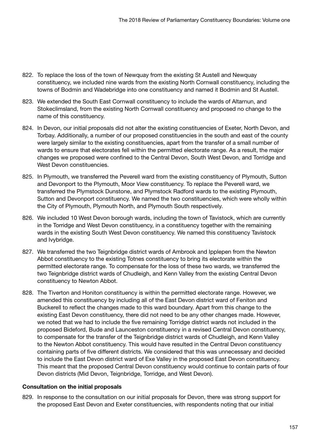- 822. To replace the loss of the town of Newquay from the existing St Austell and Newquay constituency, we included nine wards from the existing North Cornwall constituency, including the towns of Bodmin and Wadebridge into one constituency and named it Bodmin and St Austell.
- 823. We extended the South East Cornwall constituency to include the wards of Altarnun, and Stokeclimsland, from the existing North Cornwall constituency and proposed no change to the name of this constituency.
- 824. In Devon, our initial proposals did not alter the existing constituencies of Exeter, North Devon, and Torbay. Additionally, a number of our proposed constituencies in the south and east of the county were largely similar to the existing constituencies, apart from the transfer of a small number of wards to ensure that electorates fell within the permitted electorate range. As a result, the major changes we proposed were confined to the Central Devon, South West Devon, and Torridge and West Devon constituencies.
- 825. In Plymouth, we transferred the Peverell ward from the existing constituency of Plymouth, Sutton and Devonport to the Plymouth, Moor View constituency. To replace the Peverell ward, we transferred the Plymstock Dunstone, and Plymstock Radford wards to the existing Plymouth, Sutton and Devonport constituency. We named the two constituencies, which were wholly within the City of Plymouth, Plymouth North, and Plymouth South respectively.
- 826. We included 10 West Devon borough wards, including the town of Tavistock, which are currently in the Torridge and West Devon constituency, in a constituency together with the remaining wards in the existing South West Devon constituency. We named this constituency Tavistock and Ivybridge.
- 827. We transferred the two Teignbridge district wards of Ambrook and Ipplepen from the Newton Abbot constituency to the existing Totnes constituency to bring its electorate within the permitted electorate range. To compensate for the loss of these two wards, we transferred the two Teignbridge district wards of Chudleigh, and Kenn Valley from the existing Central Devon constituency to Newton Abbot.
- 828. The Tiverton and Honiton constituency is within the permitted electorate range. However, we amended this constituency by including all of the East Devon district ward of Feniton and Buckerell to reflect the changes made to this ward boundary. Apart from this change to the existing East Devon constituency, there did not need to be any other changes made. However, we noted that we had to include the five remaining Torridge district wards not included in the proposed Bideford, Bude and Launceston constituency in a revised Central Devon constituency, to compensate for the transfer of the Teignbridge district wards of Chudleigh, and Kenn Valley to the Newton Abbot constituency. This would have resulted in the Central Devon constituency containing parts of five different districts. We considered that this was unnecessary and decided to include the East Devon district ward of Exe Valley in the proposed East Devon constituency. This meant that the proposed Central Devon constituency would continue to contain parts of four Devon districts (Mid Devon, Teignbridge, Torridge, and West Devon).

# Consultation on the initial proposals

829. In response to the consultation on our initial proposals for Devon, there was strong support for the proposed East Devon and Exeter constituencies, with respondents noting that our initial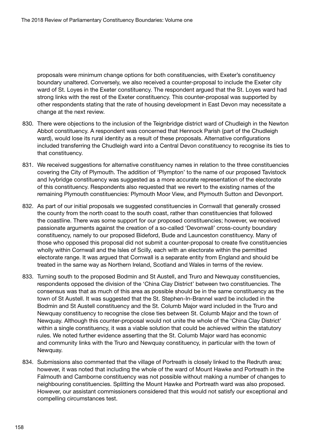proposals were minimum change options for both constituencies, with Exeter's constituency boundary unaltered. Conversely, we also received a counter-proposal to include the Exeter city ward of St. Loyes in the Exeter constituency. The respondent argued that the St. Loyes ward had strong links with the rest of the Exeter constituency. This counter-proposal was supported by other respondents stating that the rate of housing development in East Devon may necessitate a change at the next review.

- 830. There were objections to the inclusion of the Teignbridge district ward of Chudleigh in the Newton Abbot constituency. A respondent was concerned that Hennock Parish (part of the Chudleigh ward), would lose its rural identity as a result of these proposals. Alternative configurations included transferring the Chudleigh ward into a Central Devon constituency to recognise its ties to that constituency.
- 831. We received suggestions for alternative constituency names in relation to the three constituencies covering the City of Plymouth. The addition of 'Plympton' to the name of our proposed Tavistock and Ivybridge constituency was suggested as a more accurate representation of the electorate of this constituency. Respondents also requested that we revert to the existing names of the remaining Plymouth constituencies: Plymouth Moor View, and Plymouth Sutton and Devonport.
- 832. As part of our initial proposals we suggested constituencies in Cornwall that generally crossed the county from the north coast to the south coast, rather than constituencies that followed the coastline. There was some support for our proposed constituencies; however, we received passionate arguments against the creation of a so-called 'Devonwall' cross-county boundary constituency, namely to our proposed Bideford, Bude and Launceston constituency. Many of those who opposed this proposal did not submit a counter-proposal to create five constituencies wholly within Cornwall and the Isles of Scilly, each with an electorate within the permitted electorate range. It was argued that Cornwall is a separate entity from England and should be treated in the same way as Northern Ireland, Scotland and Wales in terms of the review.
- 833. Turning south to the proposed Bodmin and St Austell, and Truro and Newquay constituencies, respondents opposed the division of the 'China Clay District' between two constituencies. The consensus was that as much of this area as possible should be in the same constituency as the town of St Austell. It was suggested that the St. Stephen-In-Brannel ward be included in the Bodmin and St Austell constituency and the St. Columb Major ward included in the Truro and Newquay constituency to recognise the close ties between St. Columb Major and the town of Newquay. Although this counter-proposal would not unite the whole of the 'China Clay District' within a single constituency, it was a viable solution that could be achieved within the statutory rules. We noted further evidence asserting that the St. Columb Major ward has economic and community links with the Truro and Newquay constituency, in particular with the town of Newquay.
- 834. Submissions also commented that the village of Portreath is closely linked to the Redruth area; however, it was noted that including the whole of the ward of Mount Hawke and Portreath in the Falmouth and Camborne constituency was not possible without making a number of changes to neighbouring constituencies. Splitting the Mount Hawke and Portreath ward was also proposed. However, our assistant commissioners considered that this would not satisfy our exceptional and compelling circumstances test.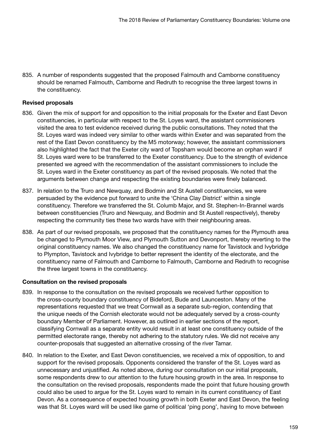835. A number of respondents suggested that the proposed Falmouth and Camborne constituency should be renamed Falmouth, Camborne and Redruth to recognise the three largest towns in the constituency.

# Revised proposals

- 836. Given the mix of support for and opposition to the initial proposals for the Exeter and East Devon constituencies, in particular with respect to the St. Loyes ward, the assistant commissioners visited the area to test evidence received during the public consultations. They noted that the St. Loyes ward was indeed very similar to other wards within Exeter and was separated from the rest of the East Devon constituency by the M5 motorway; however, the assistant commissioners also highlighted the fact that the Exeter city ward of Topsham would become an orphan ward if St. Loyes ward were to be transferred to the Exeter constituency. Due to the strength of evidence presented we agreed with the recommendation of the assistant commissioners to include the St. Loyes ward in the Exeter constituency as part of the revised proposals. We noted that the arguments between change and respecting the existing boundaries were finely balanced.
- 837. In relation to the Truro and Newquay, and Bodmin and St Austell constituencies, we were persuaded by the evidence put forward to unite the 'China Clay District' within a single constituency. Therefore we transferred the St. Columb Major, and St. Stephen-In-Brannel wards between constituencies (Truro and Newquay, and Bodmin and St Austell respectively), thereby respecting the community ties these two wards have with their neighbouring areas.
- 838. As part of our revised proposals, we proposed that the constituency names for the Plymouth area be changed to Plymouth Moor View, and Plymouth Sutton and Devonport, thereby reverting to the original constituency names. We also changed the constituency name for Tavistock and Ivybridge to Plympton, Tavistock and Ivybridge to better represent the identity of the electorate, and the constituency name of Falmouth and Camborne to Falmouth, Camborne and Redruth to recognise the three largest towns in the constituency.

# Consultation on the revised proposals

- 839. In response to the consultation on the revised proposals we received further opposition to the cross-county boundary constituency of Bideford, Bude and Launceston. Many of the representations requested that we treat Cornwall as a separate sub-region, contending that the unique needs of the Cornish electorate would not be adequately served by a cross-county boundary Member of Parliament. However, as outlined in earlier sections of the report, classifying Cornwall as a separate entity would result in at least one constituency outside of the permitted electorate range, thereby not adhering to the statutory rules. We did not receive any counter-proposals that suggested an alternative crossing of the river Tamar.
- 840. In relation to the Exeter, and East Devon constituencies, we received a mix of opposition, to and support for the revised proposals. Opponents considered the transfer of the St. Loyes ward as unnecessary and unjustified. As noted above, during our consultation on our initial proposals, some respondents drew to our attention to the future housing growth in the area. In response to the consultation on the revised proposals, respondents made the point that future housing growth could also be used to argue for the St. Loyes ward to remain in its current constituency of East Devon. As a consequence of expected housing growth in both Exeter and East Devon, the feeling was that St. Loyes ward will be used like game of political 'ping pong', having to move between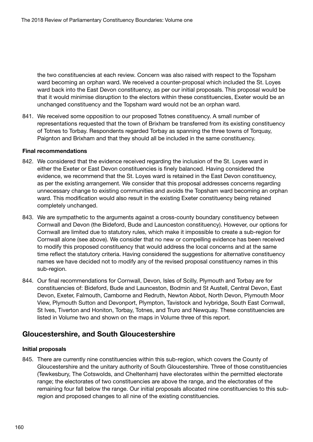the two constituencies at each review. Concern was also raised with respect to the Topsham ward becoming an orphan ward. We received a counter-proposal which included the St. Loyes ward back into the East Devon constituency, as per our initial proposals. This proposal would be that it would minimise disruption to the electors within these constituencies, Exeter would be an unchanged constituency and the Topsham ward would not be an orphan ward.

841. We received some opposition to our proposed Totnes constituency. A small number of representations requested that the town of Brixham be transferred from its existing constituency of Totnes to Torbay. Respondents regarded Torbay as spanning the three towns of Torquay, Paignton and Brixham and that they should all be included in the same constituency.

#### Final recommendations

- 842. We considered that the evidence received regarding the inclusion of the St. Loyes ward in either the Exeter or East Devon constituencies is finely balanced. Having considered the evidence, we recommend that the St. Loyes ward is retained in the East Devon constituency, as per the existing arrangement. We consider that this proposal addresses concerns regarding unnecessary change to existing communities and avoids the Topsham ward becoming an orphan ward. This modification would also result in the existing Exeter constituency being retained completely unchanged.
- 843. We are sympathetic to the arguments against a cross-county boundary constituency between Cornwall and Devon (the Bideford, Bude and Launceston constituency). However, our options for Cornwall are limited due to statutory rules, which make it impossible to create a sub-region for Cornwall alone (see above). We consider that no new or compelling evidence has been received to modify this proposed constituency that would address the local concerns and at the same time reflect the statutory criteria. Having considered the suggestions for alternative constituency names we have decided not to modify any of the revised proposal constituency names in this sub-region.
- 844. Our final recommendations for Cornwall, Devon, Isles of Scilly, Plymouth and Torbay are for constituencies of: Bideford, Bude and Launceston, Bodmin and St Austell, Central Devon, East Devon, Exeter, Falmouth, Camborne and Redruth, Newton Abbot, North Devon, Plymouth Moor View, Plymouth Sutton and Devonport, Plympton, Tavistock and Ivybridge, South East Cornwall, St Ives, Tiverton and Honiton, Torbay, Totnes, and Truro and Newquay. These constituencies are listed in Volume two and shown on the maps in Volume three of this report.

# Gloucestershire, and South Gloucestershire

### Initial proposals

845. There are currently nine constituencies within this sub-region, which covers the County of Gloucestershire and the unitary authority of South Gloucestershire. Three of those constituencies (Tewkesbury, The Cotswolds, and Cheltenham) have electorates within the permitted electorate range; the electorates of two constituencies are above the range, and the electorates of the remaining four fall below the range. Our initial proposals allocated nine constituencies to this subregion and proposed changes to all nine of the existing constituencies.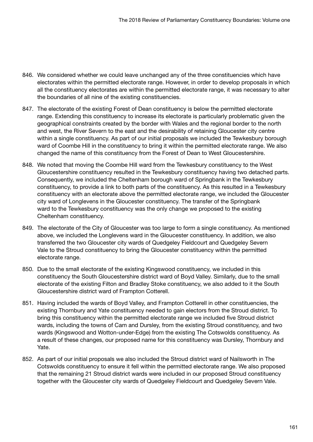- 846. We considered whether we could leave unchanged any of the three constituencies which have electorates within the permitted electorate range. However, in order to develop proposals in which all the constituency electorates are within the permitted electorate range, it was necessary to alter the boundaries of all nine of the existing constituencies.
- 847. The electorate of the existing Forest of Dean constituency is below the permitted electorate range. Extending this constituency to increase its electorate is particularly problematic given the geographical constraints created by the border with Wales and the regional border to the north and west, the River Severn to the east and the desirability of retaining Gloucester city centre within a single constituency. As part of our initial proposals we included the Tewkesbury borough ward of Coombe Hill in the constituency to bring it within the permitted electorate range. We also changed the name of this constituency from the Forest of Dean to West Gloucestershire.
- 848. We noted that moving the Coombe Hill ward from the Tewkesbury constituency to the West Gloucestershire constituency resulted in the Tewkesbury constituency having two detached parts. Consequently, we included the Cheltenham borough ward of Springbank in the Tewkesbury constituency, to provide a link to both parts of the constituency. As this resulted in a Tewkesbury constituency with an electorate above the permitted electorate range, we included the Gloucester city ward of Longlevens in the Gloucester constituency. The transfer of the Springbank ward to the Tewkesbury constituency was the only change we proposed to the existing Cheltenham constituency.
- 849. The electorate of the City of Gloucester was too large to form a single constituency. As mentioned above, we included the Longlevens ward in the Gloucester constituency. In addition, we also transferred the two Gloucester city wards of Quedgeley Fieldcourt and Quedgeley Severn Vale to the Stroud constituency to bring the Gloucester constituency within the permitted electorate range.
- 850. Due to the small electorate of the existing Kingswood constituency, we included in this constituency the South Gloucestershire district ward of Boyd Valley. Similarly, due to the small electorate of the existing Filton and Bradley Stoke constituency, we also added to it the South Gloucestershire district ward of Frampton Cotterell.
- 851. Having included the wards of Boyd Valley, and Frampton Cotterell in other constituencies, the existing Thornbury and Yate constituency needed to gain electors from the Stroud district. To bring this constituency within the permitted electorate range we included five Stroud district wards, including the towns of Cam and Dursley, from the existing Stroud constituency, and two wards (Kingswood and Wotton-under-Edge) from the existing The Cotswolds constituency. As a result of these changes, our proposed name for this constituency was Dursley, Thornbury and Yate.
- 852. As part of our initial proposals we also included the Stroud district ward of Nailsworth in The Cotswolds constituency to ensure it fell within the permitted electorate range. We also proposed that the remaining 21 Stroud district wards were included in our proposed Stroud constituency together with the Gloucester city wards of Quedgeley Fieldcourt and Quedgeley Severn Vale.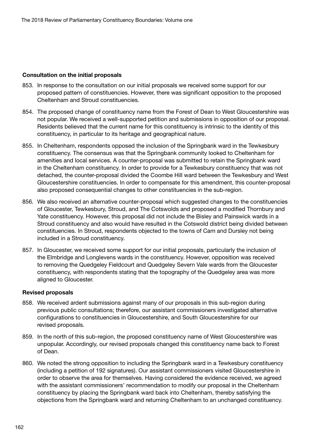### Consultation on the initial proposals

- 853. In response to the consultation on our initial proposals we received some support for our proposed pattern of constituencies. However, there was significant opposition to the proposed Cheltenham and Stroud constituencies.
- 854. The proposed change of constituency name from the Forest of Dean to West Gloucestershire was not popular. We received a well-supported petition and submissions in opposition of our proposal. Residents believed that the current name for this constituency is intrinsic to the identity of this constituency, in particular to its heritage and geographical nature.
- 855. In Cheltenham, respondents opposed the inclusion of the Springbank ward in the Tewkesbury constituency. The consensus was that the Springbank community looked to Cheltenham for amenities and local services. A counter-proposal was submitted to retain the Springbank ward in the Cheltenham constituency. In order to provide for a Tewkesbury constituency that was not detached, the counter-proposal divided the Coombe Hill ward between the Tewkesbury and West Gloucestershire constituencies. In order to compensate for this amendment, this counter-proposal also proposed consequential changes to other constituencies in the sub-region.
- 856. We also received an alternative counter-proposal which suggested changes to the constituencies of Gloucester, Tewkesbury, Stroud, and The Cotswolds and proposed a modified Thornbury and Yate constituency. However, this proposal did not include the Bisley and Painswick wards in a Stroud constituency and also would have resulted in the Cotswold district being divided between constituencies. In Stroud, respondents objected to the towns of Cam and Dursley not being included in a Stroud constituency.
- 857. In Gloucester, we received some support for our initial proposals, particularly the inclusion of the Elmbridge and Longlevens wards in the constituency. However, opposition was received to removing the Quedgeley Fieldcourt and Quedgeley Severn Vale wards from the Gloucester constituency, with respondents stating that the topography of the Quedgeley area was more aligned to Gloucester.

### Revised proposals

- 858. We received ardent submissions against many of our proposals in this sub-region during previous public consultations; therefore, our assistant commissioners investigated alternative configurations to constituencies in Gloucestershire, and South Gloucestershire for our revised proposals.
- 859. In the north of this sub-region, the proposed constituency name of West Gloucestershire was unpopular. Accordingly, our revised proposals changed this constituency name back to Forest of Dean.
- 860. We noted the strong opposition to including the Springbank ward in a Tewkesbury constituency (including a petition of 192 signatures). Our assistant commissioners visited Gloucestershire in order to observe the area for themselves. Having considered the evidence received, we agreed with the assistant commissioners' recommendation to modify our proposal in the Cheltenham constituency by placing the Springbank ward back into Cheltenham, thereby satisfying the objections from the Springbank ward and returning Cheltenham to an unchanged constituency.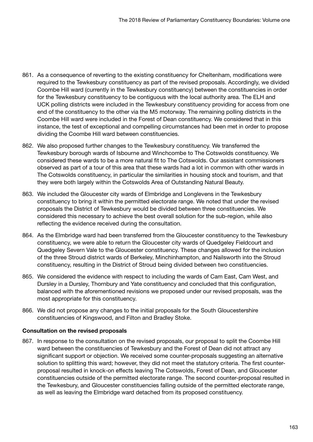- 861. As a consequence of reverting to the existing constituency for Cheltenham, modifications were required to the Tewkesbury constituency as part of the revised proposals. Accordingly, we divided Coombe Hill ward (currently in the Tewkesbury constituency) between the constituencies in order for the Tewkesbury constituency to be contiguous with the local authority area. The ELH and UCK polling districts were included in the Tewkesbury constituency providing for access from one end of the constituency to the other via the M5 motorway. The remaining polling districts in the Coombe Hill ward were included in the Forest of Dean constituency. We considered that in this instance, the test of exceptional and compelling circumstances had been met in order to propose dividing the Coombe Hill ward between constituencies.
- 862. We also proposed further changes to the Tewkesbury constituency. We transferred the Tewkesbury borough wards of Isbourne and Winchcombe to The Cotswolds constituency. We considered these wards to be a more natural fit to The Cotswolds. Our assistant commissioners observed as part of a tour of this area that these wards had a lot in common with other wards in The Cotswolds constituency, in particular the similarities in housing stock and tourism, and that they were both largely within the Cotswolds Area of Outstanding Natural Beauty.
- 863. We included the Gloucester city wards of Elmbridge and Longlevens in the Tewkesbury constituency to bring it within the permitted electorate range. We noted that under the revised proposals the District of Tewkesbury would be divided between three constituencies. We considered this necessary to achieve the best overall solution for the sub-region, while also reflecting the evidence received during the consultation.
- 864. As the Elmbridge ward had been transferred from the Gloucester constituency to the Tewkesbury constituency, we were able to return the Gloucester city wards of Quedgeley Fieldcourt and Quedgeley Severn Vale to the Gloucester constituency. These changes allowed for the inclusion of the three Stroud district wards of Berkeley, Minchinhampton, and Nailsworth into the Stroud constituency, resulting in the District of Stroud being divided between two constituencies.
- 865. We considered the evidence with respect to including the wards of Cam East, Cam West, and Dursley in a Dursley, Thornbury and Yate constituency and concluded that this configuration, balanced with the aforementioned revisions we proposed under our revised proposals, was the most appropriate for this constituency.
- 866. We did not propose any changes to the initial proposals for the South Gloucestershire constituencies of Kingswood, and Filton and Bradley Stoke.

# Consultation on the revised proposals

867. In response to the consultation on the revised proposals, our proposal to split the Coombe Hill ward between the constituencies of Tewkesbury and the Forest of Dean did not attract any significant support or objection. We received some counter-proposals suggesting an alternative solution to splitting this ward; however, they did not meet the statutory criteria. The first counterproposal resulted in knock-on effects leaving The Cotswolds, Forest of Dean, and Gloucester constituencies outside of the permitted electorate range. The second counter-proposal resulted in the Tewkesbury, and Gloucester constituencies falling outside of the permitted electorate range, as well as leaving the Elmbridge ward detached from its proposed constituency.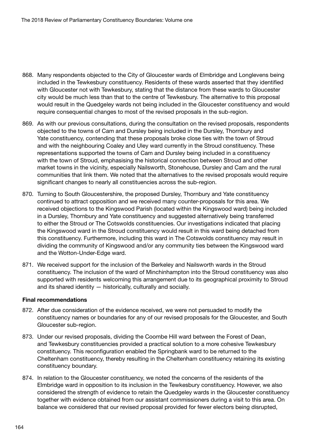- 868. Many respondents objected to the City of Gloucester wards of Elmbridge and Longlevens being included in the Tewkesbury constituency. Residents of these wards asserted that they identified with Gloucester not with Tewkesbury, stating that the distance from these wards to Gloucester city would be much less than that to the centre of Tewkesbury. The alternative to this proposal would result in the Quedgeley wards not being included in the Gloucester constituency and would require consequential changes to most of the revised proposals in the sub-region.
- 869. As with our previous consultations, during the consultation on the revised proposals, respondents objected to the towns of Cam and Dursley being included in the Dursley, Thornbury and Yate constituency, contending that these proposals broke close ties with the town of Stroud and with the neighbouring Coaley and Uley ward currently in the Stroud constituency. These representations supported the towns of Cam and Dursley being included in a constituency with the town of Stroud, emphasising the historical connection between Stroud and other market towns in the vicinity, especially Nailsworth, Stonehouse, Dursley and Cam and the rural communities that link them. We noted that the alternatives to the revised proposals would require significant changes to nearly all constituencies across the sub-region.
- 870. Turning to South Gloucestershire, the proposed Dursley, Thornbury and Yate constituency continued to attract opposition and we received many counter-proposals for this area. We received objections to the Kingswood Parish (located within the Kingswood ward) being included in a Dursley, Thornbury and Yate constituency and suggested alternatively being transferred to either the Stroud or The Cotswolds constituencies. Our investigations indicated that placing the Kingswood ward in the Stroud constituency would result in this ward being detached from this constituency. Furthermore, including this ward in The Cotswolds constituency may result in dividing the community of Kingswood and/or any community ties between the Kingswood ward and the Wotton-Under-Edge ward.
- 871. We received support for the inclusion of the Berkeley and Nailsworth wards in the Stroud constituency. The inclusion of the ward of Minchinhampton into the Stroud constituency was also supported with residents welcoming this arrangement due to its geographical proximity to Stroud and its shared identity — historically, culturally and socially.

### Final recommendations

- 872. After due consideration of the evidence received, we were not persuaded to modify the constituency names or boundaries for any of our revised proposals for the Gloucester, and South Gloucester sub-region.
- 873. Under our revised proposals, dividing the Coombe Hill ward between the Forest of Dean, and Tewkesbury constituencies provided a practical solution to a more cohesive Tewkesbury constituency. This reconfiguration enabled the Springbank ward to be returned to the Cheltenham constituency, thereby resulting in the Cheltenham constituency retaining its existing constituency boundary.
- 874. In relation to the Gloucester constituency, we noted the concerns of the residents of the Elmbridge ward in opposition to its inclusion in the Tewkesbury constituency. However, we also considered the strength of evidence to retain the Quedgeley wards in the Gloucester constituency together with evidence obtained from our assistant commissioners during a visit to this area. On balance we considered that our revised proposal provided for fewer electors being disrupted,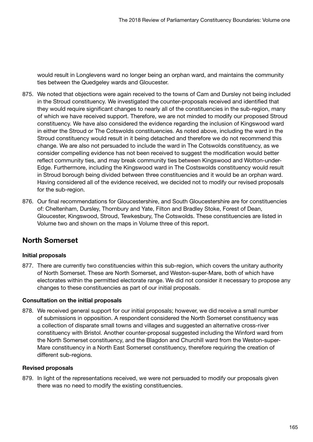would result in Longlevens ward no longer being an orphan ward, and maintains the community ties between the Quedgeley wards and Gloucester.

- 875. We noted that objections were again received to the towns of Cam and Dursley not being included in the Stroud constituency. We investigated the counter-proposals received and identified that they would require significant changes to nearly all of the constituencies in the sub-region, many of which we have received support. Therefore, we are not minded to modify our proposed Stroud constituency. We have also considered the evidence regarding the inclusion of Kingswood ward in either the Stroud or The Cotswolds constituencies. As noted above, including the ward in the Stroud constituency would result in it being detached and therefore we do not recommend this change. We are also not persuaded to include the ward in The Cotswolds constituency, as we consider compelling evidence has not been received to suggest the modification would better reflect community ties, and may break community ties between Kingswood and Wotton-under-Edge. Furthermore, including the Kingswood ward in The Costswolds constituency would result in Stroud borough being divided between three constituencies and it would be an orphan ward. Having considered all of the evidence received, we decided not to modify our revised proposals for the sub-region.
- 876. Our final recommendations for Gloucestershire, and South Gloucestershire are for constituencies of: Cheltenham, Dursley, Thornbury and Yate, Filton and Bradley Stoke, Forest of Dean, Gloucester, Kingswood, Stroud, Tewkesbury, The Cotswolds. These constituencies are listed in Volume two and shown on the maps in Volume three of this report.

# North Somerset

# Initial proposals

877. There are currently two constituencies within this sub-region, which covers the unitary authority of North Somerset. These are North Somerset, and Weston-super-Mare, both of which have electorates within the permitted electorate range. We did not consider it necessary to propose any changes to these constituencies as part of our initial proposals.

# Consultation on the initial proposals

878. We received general support for our initial proposals; however, we did receive a small number of submissions in opposition. A respondent considered the North Somerset constituency was a collection of disparate small towns and villages and suggested an alternative cross-river constituency with Bristol. Another counter-proposal suggested including the Winford ward from the North Somerset constituency, and the Blagdon and Churchill ward from the Weston-super-Mare constituency in a North East Somerset constituency, therefore requiring the creation of different sub-regions.

# Revised proposals

879. In light of the representations received, we were not persuaded to modify our proposals given there was no need to modify the existing constituencies.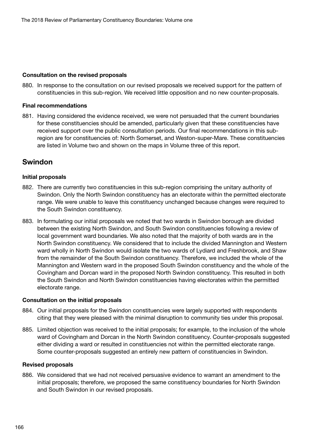#### Consultation on the revised proposals

880. In response to the consultation on our revised proposals we received support for the pattern of constituencies in this sub-region. We received little opposition and no new counter-proposals.

#### Final recommendations

881. Having considered the evidence received, we were not persuaded that the current boundaries for these constituencies should be amended, particularly given that these constituencies have received support over the public consultation periods. Our final recommendations in this subregion are for constituencies of: North Somerset, and Weston-super-Mare. These constituencies are listed in Volume two and shown on the maps in Volume three of this report.

# Swindon

### Initial proposals

- 882. There are currently two constituencies in this sub-region comprising the unitary authority of Swindon. Only the North Swindon constituency has an electorate within the permitted electorate range. We were unable to leave this constituency unchanged because changes were required to the South Swindon constituency.
- 883. In formulating our initial proposals we noted that two wards in Swindon borough are divided between the existing North Swindon, and South Swindon constituencies following a review of local government ward boundaries. We also noted that the majority of both wards are in the North Swindon constituency. We considered that to include the divided Mannington and Western ward wholly in North Swindon would isolate the two wards of Lydiard and Freshbrook, and Shaw from the remainder of the South Swindon constituency. Therefore, we included the whole of the Mannington and Western ward in the proposed South Swindon constituency and the whole of the Covingham and Dorcan ward in the proposed North Swindon constituency. This resulted in both the South Swindon and North Swindon constituencies having electorates within the permitted electorate range.

#### Consultation on the initial proposals

- 884. Our initial proposals for the Swindon constituencies were largely supported with respondents citing that they were pleased with the minimal disruption to community ties under this proposal.
- 885. Limited objection was received to the initial proposals; for example, to the inclusion of the whole ward of Covingham and Dorcan in the North Swindon constituency. Counter-proposals suggested either dividing a ward or resulted in constituencies not within the permitted electorate range. Some counter-proposals suggested an entirely new pattern of constituencies in Swindon.

### Revised proposals

886. We considered that we had not received persuasive evidence to warrant an amendment to the initial proposals; therefore, we proposed the same constituency boundaries for North Swindon and South Swindon in our revised proposals.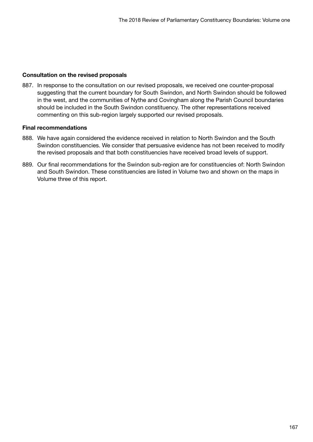### Consultation on the revised proposals

887. In response to the consultation on our revised proposals, we received one counter-proposal suggesting that the current boundary for South Swindon, and North Swindon should be followed in the west, and the communities of Nythe and Covingham along the Parish Council boundaries should be included in the South Swindon constituency. The other representations received commenting on this sub-region largely supported our revised proposals.

### Final recommendations

- 888. We have again considered the evidence received in relation to North Swindon and the South Swindon constituencies. We consider that persuasive evidence has not been received to modify the revised proposals and that both constituencies have received broad levels of support.
- 889. Our final recommendations for the Swindon sub-region are for constituencies of: North Swindon and South Swindon. These constituencies are listed in Volume two and shown on the maps in Volume three of this report.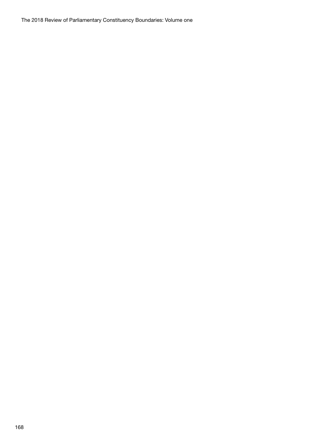The 2018 Review of Parliamentary Constituency Boundaries: Volume one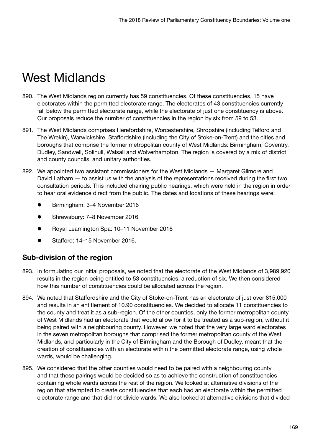# West Midlands

- 890. The West Midlands region currently has 59 constituencies. Of these constituencies, 15 have electorates within the permitted electorate range. The electorates of 43 constituencies currently fall below the permitted electorate range, while the electorate of just one constituency is above. Our proposals reduce the number of constituencies in the region by six from 59 to 53.
- 891. The West Midlands comprises Herefordshire, Worcestershire, Shropshire (including Telford and The Wrekin), Warwickshire, Staffordshire (including the City of Stoke-on-Trent) and the cities and boroughs that comprise the former metropolitan county of West Midlands: Birmingham, Coventry, Dudley, Sandwell, Solihull, Walsall and Wolverhampton. The region is covered by a mix of district and county councils, and unitary authorities.
- 892. We appointed two assistant commissioners for the West Midlands Margaret Gilmore and David Latham — to assist us with the analysis of the representations received during the first two consultation periods. This included chairing public hearings, which were held in the region in order to hear oral evidence direct from the public. The dates and locations of these hearings were:
	- Birmingham: 3–4 November 2016
	- Shrewsbury: 7–8 November 2016
	- Royal Leamington Spa: 10–11 November 2016
	- Stafford: 14–15 November 2016.

# Sub-division of the region

- 893. In formulating our initial proposals, we noted that the electorate of the West Midlands of 3,989,920 results in the region being entitled to 53 constituencies, a reduction of six. We then considered how this number of constituencies could be allocated across the region.
- 894. We noted that Staffordshire and the City of Stoke-on-Trent has an electorate of just over 815,000 and results in an entitlement of 10.90 constituencies. We decided to allocate 11 constituencies to the county and treat it as a sub-region. Of the other counties, only the former metropolitan county of West Midlands had an electorate that would allow for it to be treated as a sub-region, without it being paired with a neighbouring county. However, we noted that the very large ward electorates in the seven metropolitan boroughs that comprised the former metropolitan county of the West Midlands, and particularly in the City of Birmingham and the Borough of Dudley, meant that the creation of constituencies with an electorate within the permitted electorate range, using whole wards, would be challenging.
- 895. We considered that the other counties would need to be paired with a neighbouring county and that these pairings would be decided so as to achieve the construction of constituencies containing whole wards across the rest of the region. We looked at alternative divisions of the region that attempted to create constituencies that each had an electorate within the permitted electorate range and that did not divide wards. We also looked at alternative divisions that divided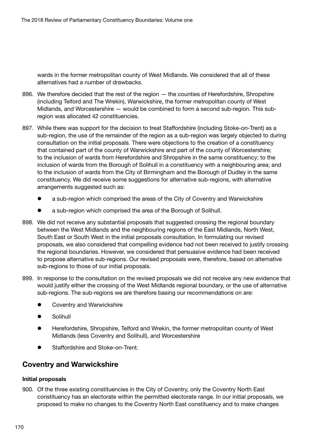wards in the former metropolitan county of West Midlands. We considered that all of these alternatives had a number of drawbacks.

- 896. We therefore decided that the rest of the region the counties of Herefordshire, Shropshire (including Telford and The Wrekin), Warwickshire, the former metropolitan county of West Midlands, and Worcestershire — would be combined to form a second sub-region. This subregion was allocated 42 constituencies.
- 897. While there was support for the decision to treat Staffordshire (including Stoke-on-Trent) as a sub-region, the use of the remainder of the region as a sub-region was largely objected to during consultation on the initial proposals. There were objections to the creation of a constituency that contained part of the county of Warwickshire and part of the county of Worcestershire; to the inclusion of wards from Herefordshire and Shropshire in the same constituency; to the inclusion of wards from the Borough of Solihull in a constituency with a neighbouring area; and to the inclusion of wards from the City of Birmingham and the Borough of Dudley in the same constituency. We did receive some suggestions for alternative sub-regions, with alternative arrangements suggested such as:
	- a sub-region which comprised the areas of the City of Coventry and Warwickshire
	- a sub-region which comprised the area of the Borough of Solihull.
- 898. We did not receive any substantial proposals that suggested crossing the regional boundary between the West Midlands and the neighbouring regions of the East Midlands, North West, South East or South West in the initial proposals consultation. In formulating our revised proposals, we also considered that compelling evidence had not been received to justify crossing the regional boundaries. However, we considered that persuasive evidence had been received to propose alternative sub-regions. Our revised proposals were, therefore, based on alternative sub-regions to those of our initial proposals.
- 899. In response to the consultation on the revised proposals we did not receive any new evidence that would justify either the crossing of the West Midlands regional boundary, or the use of alternative sub-regions. The sub-regions we are therefore basing our recommendations on are:
	- **Coventry and Warwickshire**
	- **Solihull**
	- Herefordshire, Shropshire, Telford and Wrekin, the former metropolitan county of West Midlands (less Coventry and Solihull), and Worcestershire
	- Staffordshire and Stoke-on-Trent.

# Coventry and Warwickshire

### Initial proposals

900. Of the three existing constituencies in the City of Coventry, only the Coventry North East constituency has an electorate within the permitted electorate range. In our initial proposals, we proposed to make no changes to the Coventry North East constituency and to make changes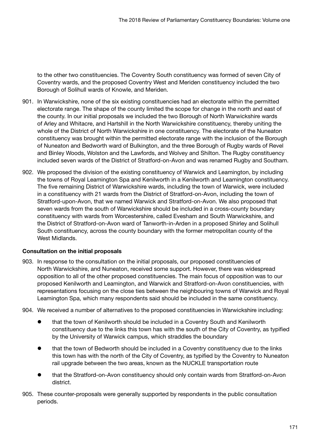to the other two constituencies. The Coventry South constituency was formed of seven City of Coventry wards, and the proposed Coventry West and Meriden constituency included the two Borough of Solihull wards of Knowle, and Meriden.

- 901. In Warwickshire, none of the six existing constituencies had an electorate within the permitted electorate range. The shape of the county limited the scope for change in the north and east of the county. In our initial proposals we included the two Borough of North Warwickshire wards of Arley and Whitacre, and Hartshill in the North Warwickshire constituency, thereby uniting the whole of the District of North Warwickshire in one constituency. The electorate of the Nuneaton constituency was brought within the permitted electorate range with the inclusion of the Borough of Nuneaton and Bedworth ward of Bulkington, and the three Borough of Rugby wards of Revel and Binley Woods, Wolston and the Lawfords, and Wolvey and Shilton. The Rugby constituency included seven wards of the District of Stratford-on-Avon and was renamed Rugby and Southam.
- 902. We proposed the division of the existing constituency of Warwick and Leamington, by including the towns of Royal Leamington Spa and Kenilworth in a Kenilworth and Leamington constituency. The five remaining District of Warwickshire wards, including the town of Warwick, were included in a constituency with 21 wards from the District of Stratford-on-Avon, including the town of Stratford-upon-Avon, that we named Warwick and Stratford-on-Avon. We also proposed that seven wards from the south of Warwickshire should be included in a cross-county boundary constituency with wards from Worcestershire, called Evesham and South Warwickshire, and the District of Stratford-on-Avon ward of Tanworth-in-Arden in a proposed Shirley and Solihull South constituency, across the county boundary with the former metropolitan county of the West Midlands.

# Consultation on the initial proposals

- 903. In response to the consultation on the initial proposals, our proposed constituencies of North Warwickshire, and Nuneaton, received some support. However, there was widespread opposition to all of the other proposed constituencies. The main focus of opposition was to our proposed Kenilworth and Leamington, and Warwick and Stratford-on-Avon constituencies, with representations focusing on the close ties between the neighbouring towns of Warwick and Royal Leamington Spa, which many respondents said should be included in the same constituency.
- 904. We received a number of alternatives to the proposed constituencies in Warwickshire including:
	- that the town of Kenilworth should be included in a Coventry South and Kenilworth constituency due to the links this town has with the south of the City of Coventry, as typified by the University of Warwick campus, which straddles the boundary
	- that the town of Bedworth should be included in a Coventry constituency due to the links this town has with the north of the City of Coventry, as typified by the Coventry to Nuneaton rail upgrade between the two areas, known as the NUCKLE transportation route
	- that the Stratford-on-Avon constituency should only contain wards from Stratford-on-Avon district.
- 905. These counter-proposals were generally supported by respondents in the public consultation periods.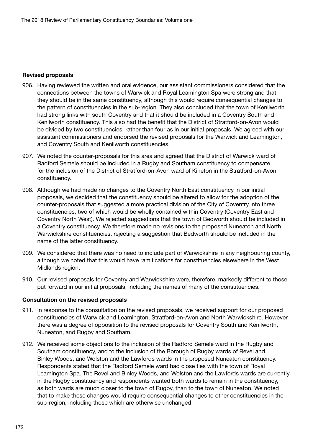### Revised proposals

- 906. Having reviewed the written and oral evidence, our assistant commissioners considered that the connections between the towns of Warwick and Royal Leamington Spa were strong and that they should be in the same constituency, although this would require consequential changes to the pattern of constituencies in the sub-region. They also concluded that the town of Kenilworth had strong links with south Coventry and that it should be included in a Coventry South and Kenilworth constituency. This also had the benefit that the District of Stratford-on-Avon would be divided by two constituencies, rather than four as in our initial proposals. We agreed with our assistant commissioners and endorsed the revised proposals for the Warwick and Leamington, and Coventry South and Kenilworth constituencies.
- 907. We noted the counter-proposals for this area and agreed that the District of Warwick ward of Radford Semele should be included in a Rugby and Southam constituency to compensate for the inclusion of the District of Stratford-on-Avon ward of Kineton in the Stratford-on-Avon constituency.
- 908. Although we had made no changes to the Coventry North East constituency in our initial proposals, we decided that the constituency should be altered to allow for the adoption of the counter-proposals that suggested a more practical division of the City of Coventry into three constituencies, two of which would be wholly contained within Coventry (Coventry East and Coventry North West). We rejected suggestions that the town of Bedworth should be included in a Coventry constituency. We therefore made no revisions to the proposed Nuneaton and North Warwickshire constituencies, rejecting a suggestion that Bedworth should be included in the name of the latter constituency.
- 909. We considered that there was no need to include part of Warwickshire in any neighbouring county, although we noted that this would have ramifications for constituencies elsewhere in the West Midlands region.
- 910. Our revised proposals for Coventry and Warwickshire were, therefore, markedly different to those put forward in our initial proposals, including the names of many of the constituencies.

### Consultation on the revised proposals

- 911. In response to the consultation on the revised proposals, we received support for our proposed constituencies of Warwick and Leamington, Stratford-on-Avon and North Warwickshire. However, there was a degree of opposition to the revised proposals for Coventry South and Kenilworth, Nuneaton, and Rugby and Southam.
- 912. We received some objections to the inclusion of the Radford Semele ward in the Rugby and Southam constituency, and to the inclusion of the Borough of Rugby wards of Revel and Binley Woods, and Wolston and the Lawfords wards in the proposed Nuneaton constituency. Respondents stated that the Radford Semele ward had close ties with the town of Royal Leamington Spa. The Revel and Binley Woods, and Wolston and the Lawfords wards are currently in the Rugby constituency and respondents wanted both wards to remain in the constituency, as both wards are much closer to the town of Rugby, than to the town of Nuneaton. We noted that to make these changes would require consequential changes to other constituencies in the sub-region, including those which are otherwise unchanged.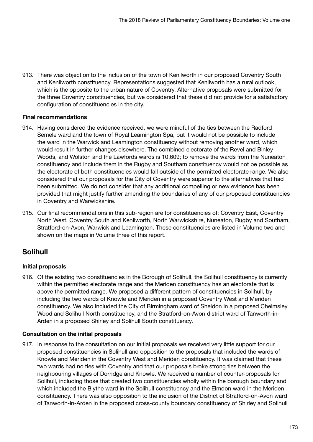913. There was objection to the inclusion of the town of Kenilworth in our proposed Coventry South and Kenilworth constituency. Representations suggested that Kenilworth has a rural outlook, which is the opposite to the urban nature of Coventry. Alternative proposals were submitted for the three Coventry constituencies, but we considered that these did not provide for a satisfactory configuration of constituencies in the city.

# Final recommendations

- 914. Having considered the evidence received, we were mindful of the ties between the Radford Semele ward and the town of Royal Leamington Spa, but it would not be possible to include the ward in the Warwick and Leamington constituency without removing another ward, which would result in further changes elsewhere. The combined electorate of the Revel and Binley Woods, and Wolston and the Lawfords wards is 10,609; to remove the wards from the Nuneaton constituency and include them in the Rugby and Southam constituency would not be possible as the electorate of both constituencies would fall outside of the permitted electorate range. We also considered that our proposals for the City of Coventry were superior to the alternatives that had been submitted. We do not consider that any additional compelling or new evidence has been provided that might justify further amending the boundaries of any of our proposed constituencies in Coventry and Warwickshire.
- 915. Our final recommendations in this sub-region are for constituencies of: Coventry East, Coventry North West, Coventry South and Kenilworth, North Warwickshire, Nuneaton, Rugby and Southam, Stratford-on-Avon, Warwick and Leamington. These constituencies are listed in Volume two and shown on the maps in Volume three of this report.

# Solihull

# Initial proposals

916. Of the existing two constituencies in the Borough of Solihull, the Solihull constituency is currently within the permitted electorate range and the Meriden constituency has an electorate that is above the permitted range. We proposed a different pattern of constituencies in Solihull, by including the two wards of Knowle and Meriden in a proposed Coventry West and Meriden constituency. We also included the City of Birmingham ward of Sheldon in a proposed Chelmsley Wood and Solihull North constituency, and the Stratford-on-Avon district ward of Tanworth-in-Arden in a proposed Shirley and Solihull South constituency.

# Consultation on the initial proposals

917. In response to the consultation on our initial proposals we received very little support for our proposed constituencies in Solihull and opposition to the proposals that included the wards of Knowle and Meriden in the Coventry West and Meriden constituency. It was claimed that these two wards had no ties with Coventry and that our proposals broke strong ties between the neighbouring villages of Dorridge and Knowle. We received a number of counter-proposals for Solihull, including those that created two constituencies wholly within the borough boundary and which included the Blythe ward in the Solihull constituency and the Elmdon ward in the Meriden constituency. There was also opposition to the inclusion of the District of Stratford-on-Avon ward of Tanworth-in-Arden in the proposed cross-county boundary constituency of Shirley and Solihull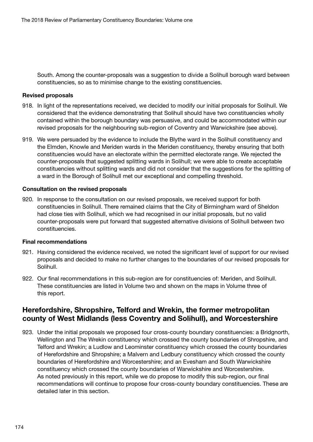South. Among the counter-proposals was a suggestion to divide a Solihull borough ward between constituencies, so as to minimise change to the existing constituencies.

#### Revised proposals

- 918. In light of the representations received, we decided to modify our initial proposals for Solihull. We considered that the evidence demonstrating that Solihull should have two constituencies wholly contained within the borough boundary was persuasive, and could be accommodated within our revised proposals for the neighbouring sub-region of Coventry and Warwickshire (see above).
- 919. We were persuaded by the evidence to include the Blythe ward in the Solihull constituency and the Elmden, Knowle and Meriden wards in the Meriden constituency, thereby ensuring that both constituencies would have an electorate within the permitted electorate range. We rejected the counter-proposals that suggested splitting wards in Solihull; we were able to create acceptable constituencies without splitting wards and did not consider that the suggestions for the splitting of a ward in the Borough of Solihull met our exceptional and compelling threshold.

#### Consultation on the revised proposals

920. In response to the consultation on our revised proposals, we received support for both constituencies in Solihull. There remained claims that the City of Birmingham ward of Sheldon had close ties with Solihull, which we had recognised in our initial proposals, but no valid counter-proposals were put forward that suggested alternative divisions of Solihull between two constituencies.

#### Final recommendations

- 921. Having considered the evidence received, we noted the significant level of support for our revised proposals and decided to make no further changes to the boundaries of our revised proposals for Solihull.
- 922. Our final recommendations in this sub-region are for constituencies of: Meriden, and Solihull. These constituencies are listed in Volume two and shown on the maps in Volume three of this report.

# Herefordshire, Shropshire, Telford and Wrekin, the former metropolitan county of West Midlands (less Coventry and Solihull), and Worcestershire

923. Under the initial proposals we proposed four cross-county boundary constituencies: a Bridgnorth, Wellington and The Wrekin constituency which crossed the county boundaries of Shropshire, and Telford and Wrekin; a Ludlow and Leominster constituency which crossed the county boundaries of Herefordshire and Shropshire; a Malvern and Ledbury constituency which crossed the county boundaries of Herefordshire and Worcestershire; and an Evesham and South Warwickshire constituency which crossed the county boundaries of Warwickshire and Worcestershire. As noted previously in this report, while we do propose to modify this sub-region, our final recommendations will continue to propose four cross-county boundary constituencies. These are detailed later in this section.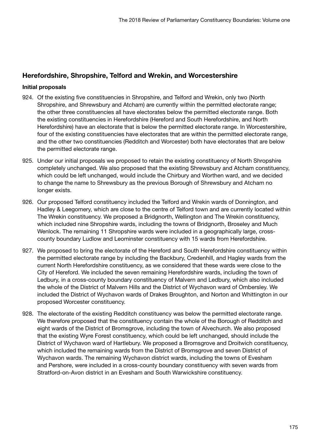# Herefordshire, Shropshire, Telford and Wrekin, and Worcestershire

### Initial proposals

- 924. Of the existing five constituencies in Shropshire, and Telford and Wrekin, only two (North Shropshire, and Shrewsbury and Atcham) are currently within the permitted electorate range; the other three constituencies all have electorates below the permitted electorate range. Both the existing constituencies in Herefordshire (Hereford and South Herefordshire, and North Herefordshire) have an electorate that is below the permitted electorate range. In Worcestershire, four of the existing constituencies have electorates that are within the permitted electorate range, and the other two constituencies (Redditch and Worcester) both have electorates that are below the permitted electorate range.
- 925. Under our initial proposals we proposed to retain the existing constituency of North Shropshire completely unchanged. We also proposed that the existing Shrewsbury and Atcham constituency, which could be left unchanged, would include the Chirbury and Worthen ward, and we decided to change the name to Shrewsbury as the previous Borough of Shrewsbury and Atcham no longer exists.
- 926. Our proposed Telford constituency included the Telford and Wrekin wards of Donnington, and Hadley & Leegomery, which are close to the centre of Telford town and are currently located within The Wrekin constituency. We proposed a Bridgnorth, Wellington and The Wrekin constituency, which included nine Shropshire wards, including the towns of Bridgnorth, Broseley and Much Wenlock. The remaining 11 Shropshire wards were included in a geographically large, crosscounty boundary Ludlow and Leominster constituency with 15 wards from Herefordshire.
- 927. We proposed to bring the electorate of the Hereford and South Herefordshire constituency within the permitted electorate range by including the Backbury, Credenhill, and Hagley wards from the current North Herefordshire constituency, as we considered that these wards were close to the City of Hereford. We included the seven remaining Herefordshire wards, including the town of Ledbury, in a cross-county boundary constituency of Malvern and Ledbury, which also included the whole of the District of Malvern Hills and the District of Wychavon ward of Ombersley. We included the District of Wychavon wards of Drakes Broughton, and Norton and Whittington in our proposed Worcester constituency.
- 928. The electorate of the existing Redditch constituency was below the permitted electorate range. We therefore proposed that the constituency contain the whole of the Borough of Redditch and eight wards of the District of Bromsgrove, including the town of Alvechurch. We also proposed that the existing Wyre Forest constituency, which could be left unchanged, should include the District of Wychavon ward of Hartlebury. We proposed a Bromsgrove and Droitwich constituency, which included the remaining wards from the District of Bromsgrove and seven District of Wychavon wards. The remaining Wychavon district wards, including the towns of Evesham and Pershore, were included in a cross-county boundary constituency with seven wards from Stratford-on-Avon district in an Evesham and South Warwickshire constituency.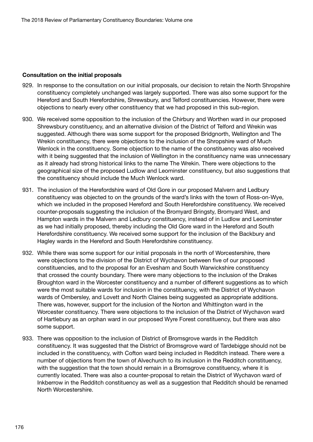### Consultation on the initial proposals

- 929. In response to the consultation on our initial proposals, our decision to retain the North Shropshire constituency completely unchanged was largely supported. There was also some support for the Hereford and South Herefordshire, Shrewsbury, and Telford constituencies. However, there were objections to nearly every other constituency that we had proposed in this sub-region.
- 930. We received some opposition to the inclusion of the Chirbury and Worthen ward in our proposed Shrewsbury constituency, and an alternative division of the District of Telford and Wrekin was suggested. Although there was some support for the proposed Bridgnorth, Wellington and The Wrekin constituency, there were objections to the inclusion of the Shropshire ward of Much Wenlock in the constituency. Some objection to the name of the constituency was also received with it being suggested that the inclusion of Wellington in the constituency name was unnecessary as it already had strong historical links to the name The Wrekin. There were objections to the geographical size of the proposed Ludlow and Leominster constituency, but also suggestions that the constituency should include the Much Wenlock ward.
- 931. The inclusion of the Herefordshire ward of Old Gore in our proposed Malvern and Ledbury constituency was objected to on the grounds of the ward's links with the town of Ross-on-Wye, which we included in the proposed Hereford and South Herefordshire constituency. We received counter-proposals suggesting the inclusion of the Bromyard Bringsty, Bromyard West, and Hampton wards in the Malvern and Ledbury constituency, instead of in Ludlow and Leominster as we had initially proposed, thereby including the Old Gore ward in the Hereford and South Herefordshire constituency. We received some support for the inclusion of the Backbury and Hagley wards in the Hereford and South Herefordshire constituency.
- 932. While there was some support for our initial proposals in the north of Worcestershire, there were objections to the division of the District of Wychavon between five of our proposed constituencies, and to the proposal for an Evesham and South Warwickshire constituency that crossed the county boundary. There were many objections to the inclusion of the Drakes Broughton ward in the Worcester constituency and a number of different suggestions as to which were the most suitable wards for inclusion in the constituency, with the District of Wychavon wards of Ombersley, and Lovett and North Claines being suggested as appropriate additions. There was, however, support for the inclusion of the Norton and Whittington ward in the Worcester constituency. There were objections to the inclusion of the District of Wychavon ward of Hartlebury as an orphan ward in our proposed Wyre Forest constituency, but there was also some support.
- 933. There was opposition to the inclusion of District of Bromsgrove wards in the Redditch constituency. It was suggested that the District of Bromsgrove ward of Tardebigge should not be included in the constituency, with Cofton ward being included in Redditch instead. There were a number of objections from the town of Alvechurch to its inclusion in the Redditch constituency, with the suggestion that the town should remain in a Bromsgrove constituency, where it is currently located. There was also a counter-proposal to retain the District of Wychavon ward of Inkberrow in the Redditch constituency as well as a suggestion that Redditch should be renamed North Worcestershire.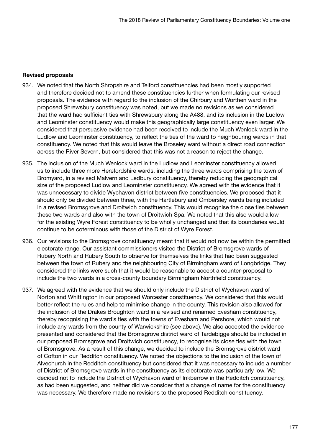#### Revised proposals

- 934. We noted that the North Shropshire and Telford constituencies had been mostly supported and therefore decided not to amend these constituencies further when formulating our revised proposals. The evidence with regard to the inclusion of the Chirbury and Worthen ward in the proposed Shrewsbury constituency was noted, but we made no revisions as we considered that the ward had sufficient ties with Shrewsbury along the A488, and its inclusion in the Ludlow and Leominster constituency would make this geographically large constituency even larger. We considered that persuasive evidence had been received to include the Much Wenlock ward in the Ludlow and Leominster constituency, to reflect the ties of the ward to neighbouring wards in that constituency. We noted that this would leave the Broseley ward without a direct road connection across the River Severn, but considered that this was not a reason to reject the change.
- 935. The inclusion of the Much Wenlock ward in the Ludlow and Leominster constituency allowed us to include three more Herefordshire wards, including the three wards comprising the town of Bromyard, in a revised Malvern and Ledbury constituency, thereby reducing the geographical size of the proposed Ludlow and Leominster constituency. We agreed with the evidence that it was unnecessary to divide Wychavon district between five constituencies. We proposed that it should only be divided between three, with the Hartlebury and Ombersley wards being included in a revised Bromsgrove and Droitwich constituency. This would recognise the close ties between these two wards and also with the town of Droitwich Spa. We noted that this also would allow for the existing Wyre Forest constituency to be wholly unchanged and that its boundaries would continue to be coterminous with those of the District of Wyre Forest.
- 936. Our revisions to the Bromsgrove constituency meant that it would not now be within the permitted electorate range. Our assistant commissioners visited the District of Bromsgrove wards of Rubery North and Rubery South to observe for themselves the links that had been suggested between the town of Rubery and the neighbouring City of Birmingham ward of Longbridge. They considered the links were such that it would be reasonable to accept a counter-proposal to include the two wards in a cross-county boundary Birmingham Northfield constituency.
- 937. We agreed with the evidence that we should only include the District of Wychavon ward of Norton and Whittington in our proposed Worcester constituency. We considered that this would better reflect the rules and help to minimise change in the county. This revision also allowed for the inclusion of the Drakes Broughton ward in a revised and renamed Evesham constituency, thereby recognising the ward's ties with the towns of Evesham and Pershore, which would not include any wards from the county of Warwickshire (see above). We also accepted the evidence presented and considered that the Bromsgrove district ward of Tardebigge should be included in our proposed Bromsgrove and Droitwich constituency, to recognise its close ties with the town of Bromsgrove. As a result of this change, we decided to include the Bromsgrove district ward of Cofton in our Redditch constituency. We noted the objections to the inclusion of the town of Alvechurch in the Redditch constituency but considered that it was necessary to include a number of District of Bromsgrove wards in the constituency as its electorate was particularly low. We decided not to include the District of Wychavon ward of Inkberrow in the Redditch constituency, as had been suggested, and neither did we consider that a change of name for the constituency was necessary. We therefore made no revisions to the proposed Redditch constituency.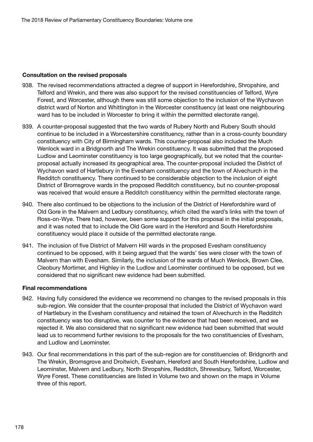#### Consultation on the revised proposals

- 938. The revised recommendations attracted a degree of support in Herefordshire, Shropshire, and Telford and Wrekin, and there was also support for the revised constituencies of Telford, Wyre Forest, and Worcester, although there was still some objection to the inclusion of the Wychavon district ward of Norton and Whittington in the Worcester constituency (at least one neighbouring ward has to be included in Worcester to bring it within the permitted electorate range).
- 939. A counter-proposal suggested that the two wards of Rubery North and Rubery South should continue to be included in a Worcestershire constituency, rather than in a cross-county boundary constituency with City of Birmingham wards. This counter-proposal also included the Much Wenlock ward in a Bridgnorth and The Wrekin constituency. It was submitted that the proposed Ludlow and Leominster constituency is too large geographically, but we noted that the counterproposal actually increased its geographical area. The counter-proposal included the District of Wychavon ward of Hartlebury in the Evesham constituency and the town of Alvechurch in the Redditch constituency. There continued to be considerable objection to the inclusion of eight District of Bromsgrove wards in the proposed Redditch constituency, but no counter-proposal was received that would ensure a Redditch constituency within the permitted electorate range.
- 940. There also continued to be objections to the inclusion of the District of Herefordshire ward of Old Gore in the Malvern and Ledbury constituency, which cited the ward's links with the town of Ross-on-Wye. There had, however, been some support for this proposal in the initial proposals, and it was noted that to include the Old Gore ward in the Hereford and South Herefordshire constituency would place it outside of the permitted electorate range.
- 941. The inclusion of five District of Malvern Hill wards in the proposed Evesham constituency continued to be opposed, with it being argued that the wards' ties were closer with the town of Malvern than with Evesham. Similarly, the inclusion of the wards of Much Wenlock, Brown Clee, Cleobury Mortimer, and Highley in the Ludlow and Leominster continued to be opposed, but we considered that no significant new evidence had been submitted.

#### Final recommendations

- 942. Having fully considered the evidence we recommend no changes to the revised proposals in this sub-region. We consider that the counter-proposal that included the District of Wychavon ward of Hartlebury in the Evesham constituency and retained the town of Alvechurch in the Redditch constituency was too disruptive, was counter to the evidence that had been received, and we rejected it. We also considered that no significant new evidence had been submitted that would lead us to recommend further revisions to the proposals for the two constituencies of Evesham, and Ludlow and Leominster.
- 943. Our final recommendations in this part of the sub-region are for constituencies of: Bridgnorth and The Wrekin, Bromsgrove and Droitwich, Evesham, Hereford and South Herefordshire, Ludlow and Leominster, Malvern and Ledbury, North Shropshire, Redditch, Shrewsbury, Telford, Worcester, Wyre Forest. These constituencies are listed in Volume two and shown on the maps in Volume three of this report.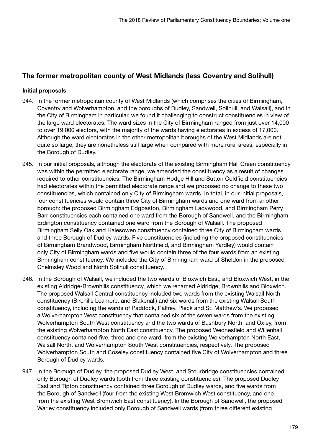## The former metropolitan county of West Midlands (less Coventry and Solihull)

#### Initial proposals

- 944. In the former metropolitan county of West Midlands (which comprises the cities of Birmingham, Coventry and Wolverhampton, and the boroughs of Dudley, Sandwell, Solihull, and Walsall), and in the City of Birmingham in particular, we found it challenging to construct constituencies in view of the large ward electorates. The ward sizes in the City of Birmingham ranged from just over 14,000 to over 19,000 electors, with the majority of the wards having electorates in excess of 17,000. Although the ward electorates in the other metropolitan boroughs of the West Midlands are not quite so large, they are nonetheless still large when compared with more rural areas, especially in the Borough of Dudley.
- 945. In our initial proposals, although the electorate of the existing Birmingham Hall Green constituency was within the permitted electorate range, we amended the constituency as a result of changes required to other constituencies. The Birmingham Hodge Hill and Sutton Coldfield constituencies had electorates within the permitted electorate range and we proposed no change to these two constituencies, which contained only City of Birmingham wards. In total, in our initial proposals, four constituencies would contain three City of Birmingham wards and one ward from another borough: the proposed Birmingham Edgbaston, Birmingham Ladywood, and Birmingham Perry Barr constituencies each contained one ward from the Borough of Sandwell, and the Birmingham Erdington constituency contained one ward from the Borough of Walsall. The proposed Birmingham Selly Oak and Halesowen constituency contained three City of Birmingham wards and three Borough of Dudley wards. Five constituencies (including the proposed constituencies of Birmingham Brandwood, Birmingham Northfield, and Birmingham Yardley) would contain only City of Birmingham wards and five would contain three of the four wards from an existing Birmingham constituency. We included the City of Birmingham ward of Sheldon in the proposed Chelmsley Wood and North Solihull constituency.
- 946. In the Borough of Walsall, we included the two wards of Bloxwich East, and Bloxwich West, in the existing Aldridge-Brownhills constituency, which we renamed Aldridge, Brownhills and Bloxwich. The proposed Walsall Central constituency included two wards from the existing Walsall North constituency (Birchills Leamore, and Blakenall) and six wards from the existing Walsall South constituency, including the wards of Paddock, Palfrey, Pleck and St. Matthew's. We proposed a Wolverhampton West constituency that contained six of the seven wards from the existing Wolverhampton South West constituency and the two wards of Bushbury North, and Oxley, from the existing Wolverhampton North East constituency. The proposed Wednesfield and Willenhall constituency contained five, three and one ward, from the existing Wolverhampton North East, Walsall North, and Wolverhampton South West constituencies, respectively. The proposed Wolverhampton South and Coseley constituency contained five City of Wolverhampton and three Borough of Dudley wards.
- 947. In the Borough of Dudley, the proposed Dudley West, and Stourbridge constituencies contained only Borough of Dudley wards (both from three existing constituencies). The proposed Dudley East and Tipton constituency contained three Borough of Dudley wards, and five wards from the Borough of Sandwell (four from the existing West Bromwich West constituency, and one from the existing West Bromwich East constituency). In the Borough of Sandwell, the proposed Warley constituency included only Borough of Sandwell wards (from three different existing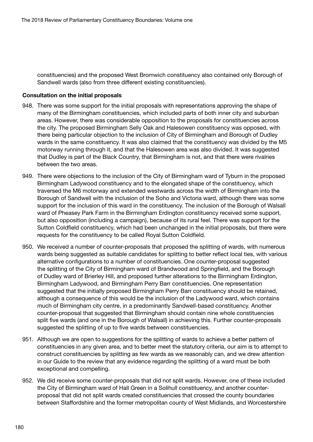constituencies) and the proposed West Bromwich constituency also contained only Borough of Sandwell wards (also from three different existing constituencies).

#### Consultation on the initial proposals

- 948. There was some support for the initial proposals with representations approving the shape of many of the Birmingham constituencies, which included parts of both inner city and suburban areas. However, there was considerable opposition to the proposals for constituencies across the city. The proposed Birmingham Selly Oak and Halesowen constituency was opposed, with there being particular objection to the inclusion of City of Birmingham and Borough of Dudley wards in the same constituency. It was also claimed that the constituency was divided by the M5 motorway running through it, and that the Halesowen area was also divided. It was suggested that Dudley is part of the Black Country, that Birmingham is not, and that there were rivalries between the two areas.
- 949. There were objections to the inclusion of the City of Birmingham ward of Tyburn in the proposed Birmingham Ladywood constituency and to the elongated shape of the constituency, which traversed the M6 motorway and extended westwards across the width of Birmingham into the Borough of Sandwell with the inclusion of the Soho and Victoria ward, although there was some support for the inclusion of this ward in the constituency. The inclusion of the Borough of Walsall ward of Pheasey Park Farm in the Birmingham Erdington constituency received some support, but also opposition (including a campaign), because of its rural feel. There was support for the Sutton Coldfield constituency, which had been unchanged in the initial proposals, but there were requests for the constituency to be called Royal Sutton Coldfield.
- 950. We received a number of counter-proposals that proposed the splitting of wards, with numerous wards being suggested as suitable candidates for splitting to better reflect local ties, with various alternative configurations to a number of constituencies. One counter-proposal suggested the splitting of the City of Birmingham ward of Brandwood and Springfield, and the Borough of Dudley ward of Brierley Hill, and proposed further alterations to the Birmingham Erdington, Birmingham Ladywood, and Birmingham Perry Barr constituencies. One representation suggested that the initially proposed Birmingham Perry Barr constituency should be retained, although a consequence of this would be the inclusion of the Ladywood ward, which contains much of Birmingham city centre, in a predominantly Sandwell-based constituency. Another counter-proposal that suggested that Birmingham should contain nine whole constituencies split five wards (and one in the Borough of Walsall) in achieving this. Further counter-proposals suggested the splitting of up to five wards between constituencies.
- 951. Although we are open to suggestions for the splitting of wards to achieve a better pattern of constituencies in any given area, and to better meet the statutory criteria, our aim is to attempt to construct constituencies by splitting as few wards as we reasonably can, and we drew attention in our Guide to the review that any evidence regarding the splitting of a ward must be both exceptional and compelling.
- 952. We did receive some counter-proposals that did not split wards. However, one of these included the City of Birmingham ward of Hall Green in a Solihull constituency, and another counterproposal that did not split wards created constituencies that crossed the county boundaries between Staffordshire and the former metropolitan county of West Midlands, and Worcestershire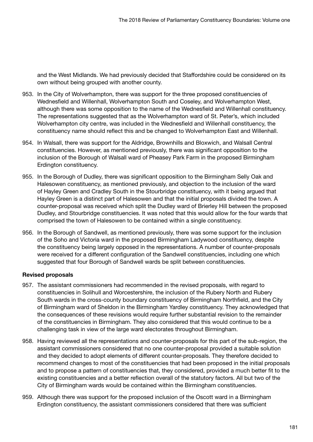and the West Midlands. We had previously decided that Staffordshire could be considered on its own without being grouped with another county.

- 953. In the City of Wolverhampton, there was support for the three proposed constituencies of Wednesfield and Willenhall, Wolverhampton South and Coseley, and Wolverhampton West, although there was some opposition to the name of the Wednesfield and Willenhall constituency. The representations suggested that as the Wolverhampton ward of St. Peter's, which included Wolverhampton city centre, was included in the Wednesfield and Willenhall constituency, the constituency name should reflect this and be changed to Wolverhampton East and Willenhall.
- 954. In Walsall, there was support for the Aldridge, Brownhills and Bloxwich, and Walsall Central constituencies. However, as mentioned previously, there was significant opposition to the inclusion of the Borough of Walsall ward of Pheasey Park Farm in the proposed Birmingham Erdington constituency.
- 955. In the Borough of Dudley, there was significant opposition to the Birmingham Selly Oak and Halesowen constituency, as mentioned previously, and objection to the inclusion of the ward of Hayley Green and Cradley South in the Stourbridge constituency, with it being argued that Hayley Green is a distinct part of Halesowen and that the initial proposals divided the town. A counter-proposal was received which split the Dudley ward of Brierley Hill between the proposed Dudley, and Stourbridge constituencies. It was noted that this would allow for the four wards that comprised the town of Halesowen to be contained within a single constituency.
- 956. In the Borough of Sandwell, as mentioned previously, there was some support for the inclusion of the Soho and Victoria ward in the proposed Birmingham Ladywood constituency, despite the constituency being largely opposed in the representations. A number of counter-proposals were received for a different configuration of the Sandwell constituencies, including one which suggested that four Borough of Sandwell wards be split between constituencies.

#### Revised proposals

- 957. The assistant commissioners had recommended in the revised proposals, with regard to constituencies in Solihull and Worcestershire, the inclusion of the Rubery North and Rubery South wards in the cross-county boundary constituency of Birmingham Northfield, and the City of Birmingham ward of Sheldon in the Birmingham Yardley constituency. They acknowledged that the consequences of these revisions would require further substantial revision to the remainder of the constituencies in Birmingham. They also considered that this would continue to be a challenging task in view of the large ward electorates throughout Birmingham.
- 958. Having reviewed all the representations and counter-proposals for this part of the sub-region, the assistant commissioners considered that no one counter-proposal provided a suitable solution and they decided to adopt elements of different counter-proposals. They therefore decided to recommend changes to most of the constituencies that had been proposed in the initial proposals and to propose a pattern of constituencies that, they considered, provided a much better fit to the existing constituencies and a better reflection overall of the statutory factors. All but two of the City of Birmingham wards would be contained within the Birmingham constituencies.
- 959. Although there was support for the proposed inclusion of the Oscott ward in a Birmingham Erdington constituency, the assistant commissioners considered that there was sufficient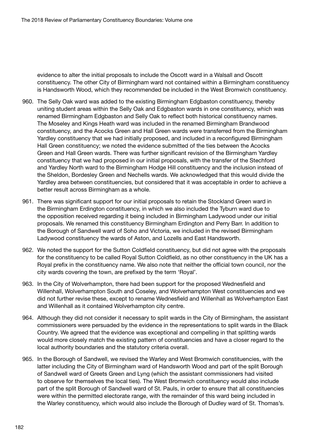evidence to alter the initial proposals to include the Oscott ward in a Walsall and Oscott constituency. The other City of Birmingham ward not contained within a Birmingham constituency is Handsworth Wood, which they recommended be included in the West Bromwich constituency.

- 960. The Selly Oak ward was added to the existing Birmingham Edgbaston constituency, thereby uniting student areas within the Selly Oak and Edgbaston wards in one constituency, which was renamed Birmingham Edgbaston and Selly Oak to reflect both historical constituency names. The Moseley and Kings Heath ward was included in the renamed Birmingham Brandwood constituency, and the Acocks Green and Hall Green wards were transferred from the Birmingham Yardley constituency that we had initially proposed, and included in a reconfigured Birmingham Hall Green constituency; we noted the evidence submitted of the ties between the Acocks Green and Hall Green wards. There was further significant revision of the Birmingham Yardley constituency that we had proposed in our initial proposals, with the transfer of the Stechford and Yardley North ward to the Birmingham Hodge Hill constituency and the inclusion instead of the Sheldon, Bordesley Green and Nechells wards. We acknowledged that this would divide the Yardley area between constituencies, but considered that it was acceptable in order to achieve a better result across Birmingham as a whole.
- 961. There was significant support for our initial proposals to retain the Stockland Green ward in the Birmingham Erdington constituency, in which we also included the Tyburn ward due to the opposition received regarding it being included in Birmingham Ladywood under our initial proposals. We renamed this constituency Birmingham Erdington and Perry Barr. In addition to the Borough of Sandwell ward of Soho and Victoria, we included in the revised Birmingham Ladywood constituency the wards of Aston, and Lozells and East Handsworth.
- 962. We noted the support for the Sutton Coldfield constituency, but did not agree with the proposals for the constituency to be called Royal Sutton Coldfield, as no other constituency in the UK has a Royal prefix in the constituency name. We also note that neither the official town council, nor the city wards covering the town, are prefixed by the term 'Royal'.
- 963. In the City of Wolverhampton, there had been support for the proposed Wednesfield and Willenhall, Wolverhampton South and Coseley, and Wolverhampton West constituencies and we did not further revise these, except to rename Wednesfield and Willenhall as Wolverhampton East and Willenhall as it contained Wolverhampton city centre.
- 964. Although they did not consider it necessary to split wards in the City of Birmingham, the assistant commissioners were persuaded by the evidence in the representations to split wards in the Black Country. We agreed that the evidence was exceptional and compelling in that splitting wards would more closely match the existing pattern of constituencies and have a closer regard to the local authority boundaries and the statutory criteria overall.
- 965. In the Borough of Sandwell, we revised the Warley and West Bromwich constituencies, with the latter including the City of Birmingham ward of Handsworth Wood and part of the split Borough of Sandwell ward of Greets Green and Lyng (which the assistant commissioners had visited to observe for themselves the local ties). The West Bromwich constituency would also include part of the split Borough of Sandwell ward of St. Pauls, in order to ensure that all constituencies were within the permitted electorate range, with the remainder of this ward being included in the Warley constituency, which would also include the Borough of Dudley ward of St. Thomas's.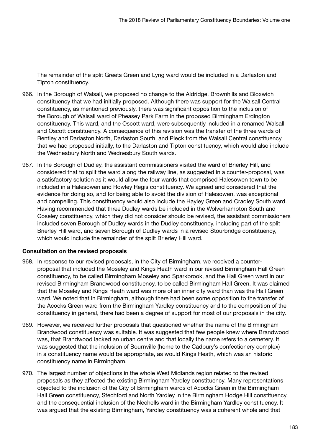The remainder of the split Greets Green and Lyng ward would be included in a Darlaston and Tipton constituency.

- 966. In the Borough of Walsall, we proposed no change to the Aldridge, Brownhills and Bloxwich constituency that we had initially proposed. Although there was support for the Walsall Central constituency, as mentioned previously, there was significant opposition to the inclusion of the Borough of Walsall ward of Pheasey Park Farm in the proposed Birmingham Erdington constituency. This ward, and the Oscott ward, were subsequently included in a renamed Walsall and Oscott constituency. A consequence of this revision was the transfer of the three wards of Bentley and Darlaston North, Darlaston South, and Pleck from the Walsall Central constituency that we had proposed initially, to the Darlaston and Tipton constituency, which would also include the Wednesbury North and Wednesbury South wards.
- 967. In the Borough of Dudley, the assistant commissioners visited the ward of Brierley Hill, and considered that to split the ward along the railway line, as suggested in a counter-proposal, was a satisfactory solution as it would allow the four wards that comprised Halesowen town to be included in a Halesowen and Rowley Regis constituency. We agreed and considered that the evidence for doing so, and for being able to avoid the division of Halesowen, was exceptional and compelling. This constituency would also include the Hayley Green and Cradley South ward. Having recommended that three Dudley wards be included in the Wolverhampton South and Coseley constituency, which they did not consider should be revised, the assistant commissioners included seven Borough of Dudley wards in the Dudley constituency, including part of the split Brierley Hill ward, and seven Borough of Dudley wards in a revised Stourbridge constituency, which would include the remainder of the split Brierley Hill ward.

#### Consultation on the revised proposals

- 968. In response to our revised proposals, in the City of Birmingham, we received a counterproposal that included the Moseley and Kings Heath ward in our revised Birmingham Hall Green constituency, to be called Birmingham Moseley and Sparkbrook, and the Hall Green ward in our revised Birmingham Brandwood constituency, to be called Birmingham Hall Green. It was claimed that the Moseley and Kings Heath ward was more of an inner city ward than was the Hall Green ward. We noted that in Birmingham, although there had been some opposition to the transfer of the Acocks Green ward from the Birmingham Yardley constituency and to the composition of the constituency in general, there had been a degree of support for most of our proposals in the city.
- 969. However, we received further proposals that questioned whether the name of the Birmingham Brandwood constituency was suitable. It was suggested that few people knew where Brandwood was, that Brandwood lacked an urban centre and that locally the name refers to a cemetery. It was suggested that the inclusion of Bournville (home to the Cadbury's confectionery complex) in a constituency name would be appropriate, as would Kings Heath, which was an historic constituency name in Birmingham.
- 970. The largest number of objections in the whole West Midlands region related to the revised proposals as they affected the existing Birmingham Yardley constituency. Many representations objected to the inclusion of the City of Birmingham wards of Acocks Green in the Birmingham Hall Green constituency, Stechford and North Yardley in the Birmingham Hodge Hill constituency, and the consequential inclusion of the Nechells ward in the Birmingham Yardley constituency. It was argued that the existing Birmingham, Yardley constituency was a coherent whole and that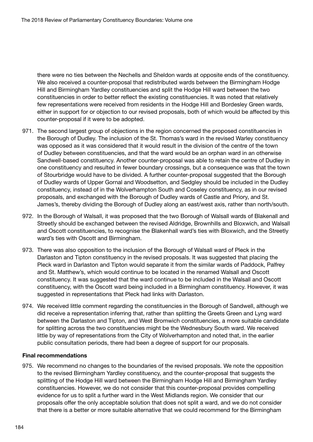there were no ties between the Nechells and Sheldon wards at opposite ends of the constituency. We also received a counter-proposal that redistributed wards between the Birmingham Hodge Hill and Birmingham Yardley constituencies and split the Hodge Hill ward between the two constituencies in order to better reflect the existing constituencies. It was noted that relatively few representations were received from residents in the Hodge Hill and Bordesley Green wards, either in support for or objection to our revised proposals, both of which would be affected by this counter-proposal if it were to be adopted.

- 971. The second largest group of objections in the region concerned the proposed constituencies in the Borough of Dudley. The inclusion of the St. Thomas's ward in the revised Warley constituency was opposed as it was considered that it would result in the division of the centre of the town of Dudley between constituencies, and that the ward would be an orphan ward in an otherwise Sandwell-based constituency. Another counter-proposal was able to retain the centre of Dudley in one constituency and resulted in fewer boundary crossings, but a consequence was that the town of Stourbridge would have to be divided. A further counter-proposal suggested that the Borough of Dudley wards of Upper Gornal and Woodsetton, and Sedgley should be included in the Dudley constituency, instead of in the Wolverhampton South and Coseley constituency, as in our revised proposals, and exchanged with the Borough of Dudley wards of Castle and Priory, and St. James's, thereby dividing the Borough of Dudley along an east/west axis, rather than north/south.
- 972. In the Borough of Walsall, it was proposed that the two Borough of Walsall wards of Blakenall and Streetly should be exchanged between the revised Aldridge, Brownhills and Bloxwich, and Walsall and Oscott constituencies, to recognise the Blakenhall ward's ties with Bloxwich, and the Streetly ward's ties with Oscott and Birmingham.
- 973. There was also opposition to the inclusion of the Borough of Walsall ward of Pleck in the Darlaston and Tipton constituency in the revised proposals. It was suggested that placing the Pleck ward in Darlaston and Tipton would separate it from the similar wards of Paddock, Palfrey and St. Matthew's, which would continue to be located in the renamed Walsall and Oscott constituency. It was suggested that the ward continue to be included in the Walsall and Oscott constituency, with the Oscott ward being included in a Birmingham constituency. However, it was suggested in representations that Pleck had links with Darlaston.
- 974. We received little comment regarding the constituencies in the Borough of Sandwell, although we did receive a representation inferring that, rather than splitting the Greets Green and Lyng ward between the Darlaston and Tipton, and West Bromwich constituencies, a more suitable candidate for splitting across the two constituencies might be the Wednesbury South ward. We received little by way of representations from the City of Wolverhampton and noted that, in the earlier public consultation periods, there had been a degree of support for our proposals.

#### Final recommendations

975. We recommend no changes to the boundaries of the revised proposals. We note the opposition to the revised Birmingham Yardley constituency, and the counter-proposal that suggests the splitting of the Hodge Hill ward between the Birmingham Hodge Hill and Birmingham Yardley constituencies. However, we do not consider that this counter-proposal provides compelling evidence for us to split a further ward in the West Midlands region. We consider that our proposals offer the only acceptable solution that does not split a ward, and we do not consider that there is a better or more suitable alternative that we could recommend for the Birmingham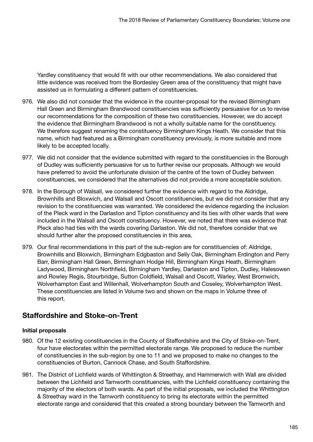Yardley constituency that would fit with our other recommendations. We also considered that little evidence was received from the Bordesley Green area of the constituency that might have assisted us in formulating a different pattern of constituencies.

- 976. We also did not consider that the evidence in the counter-proposal for the revised Birmingham Hall Green and Birmingham Brandwood constituencies was sufficiently persuasive for us to revise our recommendations for the composition of these two constituencies. However, we do accept the evidence that Birmingham Brandwood is not a wholly suitable name for the constituency. We therefore suggest renaming the constituency Birmingham Kings Heath. We consider that this name, which had featured as a Birmingham constituency previously, is more suitable and more likely to be accepted locally.
- 977. We did not consider that the evidence submitted with regard to the constituencies in the Borough of Dudley was sufficiently persuasive for us to further revise our proposals. Although we would have preferred to avoid the unfortunate division of the centre of the town of Dudley between constituencies, we considered that the alternatives did not provide a more acceptable solution.
- 978. In the Borough of Walsall, we considered further the evidence with regard to the Aldridge, Brownhills and Bloxwich, and Walsall and Oscott constituencies, but we did not consider that any revision to the constituencies was warranted. We considered the evidence regarding the inclusion of the Pleck ward in the Darlaston and Tipton constituency and its ties with other wards that were included in the Walsall and Oscott constituency. However, we noted that there was evidence that Pleck also had ties with the wards covering Darlaston. We did not, therefore consider that we should further alter the proposed constituencies in this area.
- 979. Our final recommendations in this part of the sub-region are for constituencies of: Aldridge, Brownhills and Bloxwich, Birmingham Edgbaston and Selly Oak, Birmingham Erdington and Perry Barr, Birmingham Hall Green, Birmingham Hodge Hill, Birmingham Kings Heath, Birmingham Ladywood, Birmingham Northfield, Birmingham Yardley, Darlaston and Tipton, Dudley, Halesowen and Rowley Regis, Stourbridge, Sutton Coldfield, Walsall and Oscott, Warley, West Bromwich, Wolverhampton East and Willenhall, Wolverhampton South and Coseley, Wolverhampton West. These constituencies are listed in Volume two and shown on the maps in Volume three of this report.

# Staffordshire and Stoke-on-Trent

#### Initial proposals

- 980. Of the 12 existing constituencies in the County of Staffordshire and the City of Stoke-on-Trent, four have electorates within the permitted electorate range. We proposed to reduce the number of constituencies in the sub-region by one to 11 and we proposed to make no changes to the constituencies of Burton, Cannock Chase, and South Staffordshire.
- 981. The District of Lichfield wards of Whittington & Streethay, and Hammerwich with Wall are divided between the Lichfield and Tamworth constituencies, with the Lichfield constituency containing the majority of the electors of both wards. As part of the initial proposals, we included the Whittington & Streethay ward in the Tamworth constituency to bring its electorate within the permitted electorate range and considered that this created a strong boundary between the Tamworth and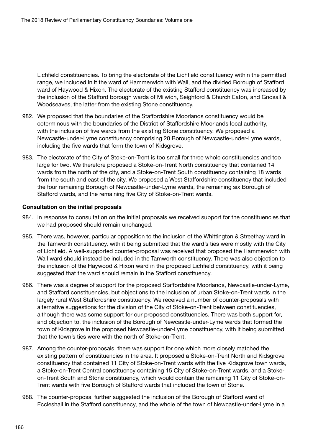Lichfield constituencies. To bring the electorate of the Lichfield constituency within the permitted range, we included in it the ward of Hammerwich with Wall, and the divided Borough of Stafford ward of Haywood & Hixon. The electorate of the existing Stafford constituency was increased by the inclusion of the Stafford borough wards of Milwich, Seighford & Church Eaton, and Gnosall & Woodseaves, the latter from the existing Stone constituency.

- 982. We proposed that the boundaries of the Staffordshire Moorlands constituency would be coterminous with the boundaries of the District of Staffordshire Moorlands local authority, with the inclusion of five wards from the existing Stone constituency. We proposed a Newcastle-under-Lyme constituency comprising 20 Borough of Newcastle-under-Lyme wards, including the five wards that form the town of Kidsgrove.
- 983. The electorate of the City of Stoke-on-Trent is too small for three whole constituencies and too large for two. We therefore proposed a Stoke-on-Trent North constituency that contained 14 wards from the north of the city, and a Stoke-on-Trent South constituency containing 18 wards from the south and east of the city. We proposed a West Staffordshire constituency that included the four remaining Borough of Newcastle-under-Lyme wards, the remaining six Borough of Stafford wards, and the remaining five City of Stoke-on-Trent wards.

#### Consultation on the initial proposals

- 984. In response to consultation on the initial proposals we received support for the constituencies that we had proposed should remain unchanged.
- 985. There was, however, particular opposition to the inclusion of the Whittington & Streethay ward in the Tamworth constituency, with it being submitted that the ward's ties were mostly with the City of Lichfield. A well-supported counter-proposal was received that proposed the Hammerwich with Wall ward should instead be included in the Tamworth constituency. There was also objection to the inclusion of the Haywood & Hixon ward in the proposed Lichfield constituency, with it being suggested that the ward should remain in the Stafford constituency.
- 986. There was a degree of support for the proposed Staffordshire Moorlands, Newcastle-under-Lyme, and Stafford constituencies, but objections to the inclusion of urban Stoke-on-Trent wards in the largely rural West Staffordshire constituency. We received a number of counter-proposals with alternative suggestions for the division of the City of Stoke-on-Trent between constituencies, although there was some support for our proposed constituencies. There was both support for, and objection to, the inclusion of the Borough of Newcastle-under-Lyme wards that formed the town of Kidsgrove in the proposed Newcastle-under-Lyme constituency, with it being submitted that the town's ties were with the north of Stoke-on-Trent.
- 987. Among the counter-proposals, there was support for one which more closely matched the existing pattern of constituencies in the area. It proposed a Stoke-on-Trent North and Kidsgrove constituency that contained 11 City of Stoke-on-Trent wards with the five Kidsgrove town wards, a Stoke-on-Trent Central constituency containing 15 City of Stoke-on-Trent wards, and a Stokeon-Trent South and Stone constituency, which would contain the remaining 11 City of Stoke-on-Trent wards with five Borough of Stafford wards that included the town of Stone.
- 988. The counter-proposal further suggested the inclusion of the Borough of Stafford ward of Eccleshall in the Stafford constituency, and the whole of the town of Newcastle-under-Lyme in a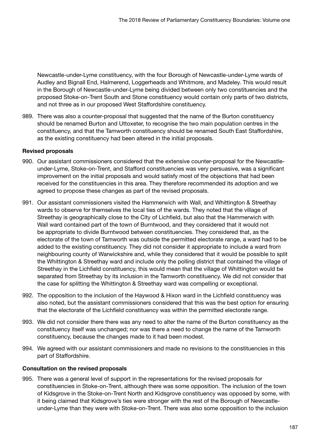Newcastle-under-Lyme constituency, with the four Borough of Newcastle-under-Lyme wards of Audley and Bignall End, Halmerend, Loggerheads and Whitmore, and Madeley. This would result in the Borough of Newcastle-under-Lyme being divided between only two constituencies and the proposed Stoke-on-Trent South and Stone constituency would contain only parts of two districts, and not three as in our proposed West Staffordshire constituency.

989. There was also a counter-proposal that suggested that the name of the Burton constituency should be renamed Burton and Uttoxeter, to recognise the two main population centres in the constituency, and that the Tamworth constituency should be renamed South East Staffordshire, as the existing constituency had been altered in the initial proposals.

#### Revised proposals

- 990. Our assistant commissioners considered that the extensive counter-proposal for the Newcastleunder-Lyme, Stoke-on-Trent, and Stafford constituencies was very persuasive, was a significant improvement on the initial proposals and would satisfy most of the objections that had been received for the constituencies in this area. They therefore recommended its adoption and we agreed to propose these changes as part of the revised proposals.
- 991. Our assistant commissioners visited the Hammerwich with Wall, and Whittington & Streethay wards to observe for themselves the local ties of the wards. They noted that the village of Streethay is geographically close to the City of Lichfield, but also that the Hammerwich with Wall ward contained part of the town of Burntwood, and they considered that it would not be appropriate to divide Burntwood between constituencies. They considered that, as the electorate of the town of Tamworth was outside the permitted electorate range, a ward had to be added to the existing constituency. They did not consider it appropriate to include a ward from neighbouring county of Warwickshire and, while they considered that it would be possible to split the Whittington & Streethay ward and include only the polling district that contained the village of Streethay in the Lichfield constituency, this would mean that the village of Whittington would be separated from Streethay by its inclusion in the Tamworth constituency. We did not consider that the case for splitting the Whittington & Streethay ward was compelling or exceptional.
- 992. The opposition to the inclusion of the Haywood & Hixon ward in the Lichfield constituency was also noted, but the assistant commissioners considered that this was the best option for ensuring that the electorate of the Lichfield constituency was within the permitted electorate range.
- 993. We did not consider there there was any need to alter the name of the Burton constituency as the constituency itself was unchanged; nor was there a need to change the name of the Tamworth constituency, because the changes made to it had been modest.
- 994. We agreed with our assistant commissioners and made no revisions to the constituencies in this part of Staffordshire.

#### Consultation on the revised proposals

995. There was a general level of support in the representations for the revised proposals for constituencies in Stoke-on-Trent, although there was some opposition. The inclusion of the town of Kidsgrove in the Stoke-on-Trent North and Kidsgrove constituency was opposed by some, with it being claimed that Kidsgrove's ties were stronger with the rest of the Borough of Newcastleunder-Lyme than they were with Stoke-on-Trent. There was also some opposition to the inclusion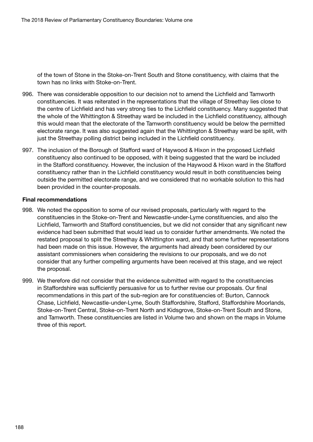of the town of Stone in the Stoke-on-Trent South and Stone constituency, with claims that the town has no links with Stoke-on-Trent.

- 996. There was considerable opposition to our decision not to amend the Lichfield and Tamworth constituencies. It was reiterated in the representations that the village of Streethay lies close to the centre of Lichfield and has very strong ties to the Lichfield constituency. Many suggested that the whole of the Whittington & Streethay ward be included in the Lichfield constituency, although this would mean that the electorate of the Tamworth constituency would be below the permitted electorate range. It was also suggested again that the Whittington & Streethay ward be split, with just the Streethay polling district being included in the Lichfield constituency.
- 997. The inclusion of the Borough of Stafford ward of Haywood & Hixon in the proposed Lichfield constituency also continued to be opposed, with it being suggested that the ward be included in the Stafford constituency. However, the inclusion of the Haywood & Hixon ward in the Stafford constituency rather than in the Lichfield constituency would result in both constituencies being outside the permitted electorate range, and we considered that no workable solution to this had been provided in the counter-proposals.

#### Final recommendations

- 998. We noted the opposition to some of our revised proposals, particularly with regard to the constituencies in the Stoke-on-Trent and Newcastle-under-Lyme constituencies, and also the Lichfield, Tamworth and Stafford constituencies, but we did not consider that any significant new evidence had been submitted that would lead us to consider further amendments. We noted the restated proposal to split the Streethay & Whittington ward, and that some further representations had been made on this issue. However, the arguments had already been considered by our assistant commissioners when considering the revisions to our proposals, and we do not consider that any further compelling arguments have been received at this stage, and we reject the proposal.
- 999. We therefore did not consider that the evidence submitted with regard to the constituencies in Staffordshire was sufficiently persuasive for us to further revise our proposals. Our final recommendations in this part of the sub-region are for constituencies of: Burton, Cannock Chase, Lichfield, Newcastle-under-Lyme, South Staffordshire, Stafford, Staffordshire Moorlands, Stoke-on-Trent Central, Stoke-on-Trent North and Kidsgrove, Stoke-on-Trent South and Stone, and Tamworth. These constituencies are listed in Volume two and shown on the maps in Volume three of this report.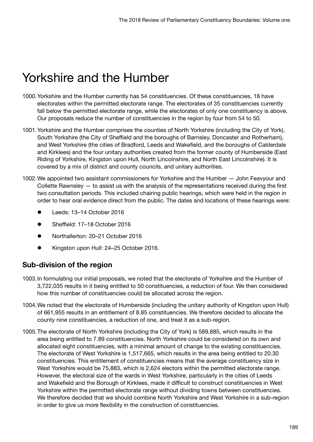# Yorkshire and the Humber

- 1000.Yorkshire and the Humber currently has 54 constituencies. Of these constituencies, 18 have electorates within the permitted electorate range. The electorates of 35 constituencies currently fall below the permitted electorate range, while the electorates of only one constituency is above. Our proposals reduce the number of constituencies in the region by four from 54 to 50.
- 1001.Yorkshire and the Humber comprises the counties of North Yorkshire (including the City of York), South Yorkshire (the City of Sheffield and the boroughs of Barnsley, Doncaster and Rotherham), and West Yorkshire (the cities of Bradford, Leeds and Wakefield, and the boroughs of Calderdale and Kirklees) and the four unitary authorities created from the former county of Humberside (East Riding of Yorkshire, Kingston upon Hull, North Lincolnshire, and North East Lincolnshire). It is covered by a mix of district and county councils, and unitary authorities.
- 1002.We appointed two assistant commissioners for Yorkshire and the Humber John Feavyour and Collette Rawnsley — to assist us with the analysis of the representations received during the first two consultation periods. This included chairing public hearings, which were held in the region in order to hear oral evidence direct from the public. The dates and locations of these hearings were:
	- z Leeds: 13–14 October 2016
	- Sheffield: 17–18 October 2016
	- Northallerton: 20–21 October 2016
	- Kingston upon Hull: 24–25 October 2016.

# Sub-division of the region

- 1003.In formulating our initial proposals, we noted that the electorate of Yorkshire and the Humber of 3,722,035 results in it being entitled to 50 constituencies, a reduction of four. We then considered how this number of constituencies could be allocated across the region.
- 1004.We noted that the electorate of Humberside (including the unitary authority of Kingston upon Hull) of 661,955 results in an entitlement of 8.85 constituencies. We therefore decided to allocate the county nine constituencies, a reduction of one, and treat it as a sub-region.
- 1005.The electorate of North Yorkshire (including the City of York) is 589,885, which results in the area being entitled to 7.89 constituencies. North Yorkshire could be considered on its own and allocated eight constituencies, with a minimal amount of change to the existing constituencies. The electorate of West Yorkshire is 1,517,665, which results in the area being entitled to 20.30 constituencies. This entitlement of constituencies means that the average constituency size in West Yorkshire would be 75,883, which is 2,624 electors within the permitted electorate range. However, the electoral size of the wards in West Yorkshire, particularly in the cities of Leeds and Wakefield and the Borough of Kirklees, made it difficult to construct constituencies in West Yorkshire within the permitted electorate range without dividing towns between constituencies. We therefore decided that we should combine North Yorkshire and West Yorkshire in a sub-region in order to give us more flexibility in the construction of constituencies.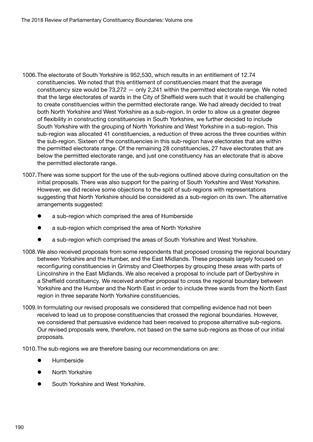- 1006.The electorate of South Yorkshire is 952,530, which results in an entitlement of 12.74 constituencies. We noted that this entitlement of constituencies meant that the average constituency size would be 73,272 — only 2,241 within the permitted electorate range. We noted that the large electorates of wards in the City of Sheffield were such that it would be challenging to create constituencies within the permitted electorate range. We had already decided to treat both North Yorkshire and West Yorkshire as a sub-region. In order to allow us a greater degree of flexibility in constructing constituencies in South Yorkshire, we further decided to include South Yorkshire with the grouping of North Yorkshire and West Yorkshire in a sub-region. This sub-region was allocated 41 constituencies, a reduction of three across the three counties within the sub-region. Sixteen of the constituencies in this sub-region have electorates that are within the permitted electorate range. Of the remaining 28 constituencies, 27 have electorates that are below the permitted electorate range, and just one constituency has an electorate that is above the permitted electorate range.
- 1007.There was some support for the use of the sub-regions outlined above during consultation on the initial proposals. There was also support for the pairing of South Yorkshire and West Yorkshire. However, we did receive some objections to the split of sub-regions with representations suggesting that North Yorkshire should be considered as a sub-region on its own. The alternative arrangements suggested:
	- a sub-region which comprised the area of Humberside
	- a sub-region which comprised the area of North Yorkshire
	- a sub-region which comprised the areas of South Yorkshire and West Yorkshire.
- 1008.We also received proposals from some respondents that proposed crossing the regional boundary between Yorkshire and the Humber, and the East Midlands. These proposals largely focused on reconfiguring constituencies in Grimsby and Cleethorpes by grouping these areas with parts of Lincolnshire in the East Midlands. We also received a proposal to include part of Derbyshire in a Sheffield constituency. We received another proposal to cross the regional boundary between Yorkshire and the Humber and the North East in order to include three wards from the North East region in three separate North Yorkshire constituencies.
- 1009.In formulating our revised proposals we considered that compelling evidence had not been received to lead us to propose constituencies that crossed the regional boundaries. However, we considered that persuasive evidence had been received to propose alternative sub-regions. Our revised proposals were, therefore, not based on the same sub-regions as those of our initial proposals.

1010.The sub-regions we are therefore basing our recommendations on are:

- **Humberside**
- North Yorkshire
- South Yorkshire and West Yorkshire.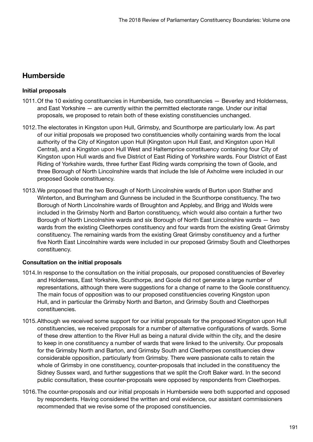## Humberside

#### Initial proposals

- 1011.Of the 10 existing constituencies in Humberside, two constituencies Beverley and Holderness, and East Yorkshire — are currently within the permitted electorate range. Under our initial proposals, we proposed to retain both of these existing constituencies unchanged.
- 1012.The electorates in Kingston upon Hull, Grimsby, and Scunthorpe are particularly low. As part of our initial proposals we proposed two constituencies wholly containing wards from the local authority of the City of Kingston upon Hull (Kingston upon Hull East, and Kingston upon Hull Central), and a Kingston upon Hull West and Haltemprice constituency containing four City of Kingston upon Hull wards and five District of East Riding of Yorkshire wards. Four District of East Riding of Yorkshire wards, three further East Riding wards comprising the town of Goole, and three Borough of North Lincolnshire wards that include the Isle of Axholme were included in our proposed Goole constituency.
- 1013.We proposed that the two Borough of North Lincolnshire wards of Burton upon Stather and Winterton, and Burringham and Gunness be included in the Scunthorpe constituency. The two Borough of North Lincolnshire wards of Broughton and Appleby, and Brigg and Wolds were included in the Grimsby North and Barton constituency, which would also contain a further two Borough of North Lincolnshire wards and six Borough of North East Lincolnshire wards — two wards from the existing Cleethorpes constituency and four wards from the existing Great Grimsby constituency. The remaining wards from the existing Great Grimsby constituency and a further five North East Lincolnshire wards were included in our proposed Grimsby South and Cleethorpes constituency.

#### Consultation on the initial proposals

- 1014.In response to the consultation on the initial proposals, our proposed constituencies of Beverley and Holderness, East Yorkshire, Scunthorpe, and Goole did not generate a large number of representations, although there were suggestions for a change of name to the Goole constituency. The main focus of opposition was to our proposed constituencies covering Kingston upon Hull, and in particular the Grimsby North and Barton, and Grimsby South and Cleethorpes constituencies.
- 1015.Although we received some support for our initial proposals for the proposed Kingston upon Hull constituencies, we received proposals for a number of alternative configurations of wards. Some of these drew attention to the River Hull as being a natural divide within the city, and the desire to keep in one constituency a number of wards that were linked to the university. Our proposals for the Grimsby North and Barton, and Grimsby South and Cleethorpes constituencies drew considerable opposition, particularly from Grimsby. There were passionate calls to retain the whole of Grimsby in one constituency, counter-proposals that included in the constituency the Sidney Sussex ward, and further suggestions that we split the Croft Baker ward. In the second public consultation, these counter-proposals were opposed by respondents from Cleethorpes.
- 1016.The counter-proposals and our initial proposals in Humberside were both supported and opposed by respondents. Having considered the written and oral evidence, our assistant commissioners recommended that we revise some of the proposed constituencies.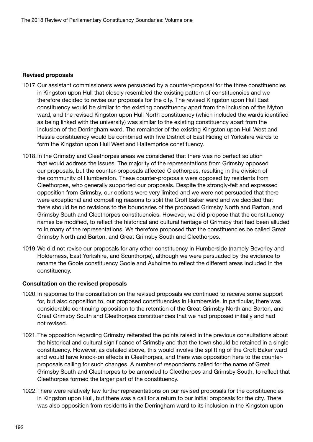#### Revised proposals

- 1017.Our assistant commissioners were persuaded by a counter-proposal for the three constituencies in Kingston upon Hull that closely resembled the existing pattern of constituencies and we therefore decided to revise our proposals for the city. The revised Kingston upon Hull East constituency would be similar to the existing constituency apart from the inclusion of the Myton ward, and the revised Kingston upon Hull North constituency (which included the wards identified as being linked with the university) was similar to the existing constituency apart from the inclusion of the Derringham ward. The remainder of the existing Kingston upon Hull West and Hessle constituency would be combined with five District of East Riding of Yorkshire wards to form the Kingston upon Hull West and Haltemprice constituency.
- 1018.In the Grimsby and Cleethorpes areas we considered that there was no perfect solution that would address the issues. The majority of the representations from Grimsby opposed our proposals, but the counter-proposals affected Cleethorpes, resulting in the division of the community of Humberston. These counter-proposals were opposed by residents from Cleethorpes, who generally supported our proposals. Despite the strongly-felt and expressed opposition from Grimsby, our options were very limited and we were not persuaded that there were exceptional and compelling reasons to split the Croft Baker ward and we decided that there should be no revisions to the boundaries of the proposed Grimsby North and Barton, and Grimsby South and Cleethorpes constituencies. However, we did propose that the constituency names be modified, to reflect the historical and cultural heritage of Grimsby that had been alluded to in many of the representations. We therefore proposed that the constituencies be called Great Grimsby North and Barton, and Great Grimsby South and Cleethorpes.
- 1019.We did not revise our proposals for any other constituency in Humberside (namely Beverley and Holderness, East Yorkshire, and Scunthorpe), although we were persuaded by the evidence to rename the Goole constituency Goole and Axholme to reflect the different areas included in the constituency.

#### Consultation on the revised proposals

- 1020.In response to the consultation on the revised proposals we continued to receive some support for, but also opposition to, our proposed constituencies in Humberside. In particular, there was considerable continuing opposition to the retention of the Great Grimsby North and Barton, and Great Grimsby South and Cleethorpes constituencies that we had proposed initially and had not revised.
- 1021.The opposition regarding Grimsby reiterated the points raised in the previous consultations about the historical and cultural significance of Grimsby and that the town should be retained in a single constituency. However, as detailed above, this would involve the splitting of the Croft Baker ward and would have knock-on effects in Cleethorpes, and there was opposition here to the counterproposals calling for such changes. A number of respondents called for the name of Great Grimsby South and Cleethorpes to be amended to Cleethorpes and Grimsby South, to reflect that Cleethorpes formed the larger part of the constituency.
- 1022.There were relatively few further representations on our revised proposals for the constituencies in Kingston upon Hull, but there was a call for a return to our initial proposals for the city. There was also opposition from residents in the Derringham ward to its inclusion in the Kingston upon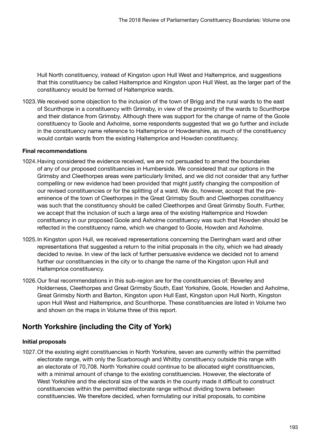Hull North constituency, instead of Kingston upon Hull West and Haltemprice, and suggestions that this constituency be called Haltemprice and Kingston upon Hull West, as the larger part of the constituency would be formed of Haltemprice wards.

1023.We received some objection to the inclusion of the town of Brigg and the rural wards to the east of Scunthorpe in a constituency with Grimsby, in view of the proximity of the wards to Scunthorpe and their distance from Grimsby. Although there was support for the change of name of the Goole constituency to Goole and Axholme, some respondents suggested that we go further and include in the constituency name reference to Haltemprice or Howdenshire, as much of the constituency would contain wards from the existing Haltemprice and Howden constituency.

#### Final recommendations

- 1024.Having considered the evidence received, we are not persuaded to amend the boundaries of any of our proposed constituencies in Humberside. We considered that our options in the Grimsby and Cleethorpes areas were particularly limited, and we did not consider that any further compelling or new evidence had been provided that might justify changing the composition of our revised constituencies or for the splitting of a ward. We do, however, accept that the preeminence of the town of Cleethorpes in the Great Grimsby South and Cleethorpes constituency was such that the constituency should be called Cleethorpes and Great Grimsby South. Further, we accept that the inclusion of such a large area of the existing Haltemprice and Howden constituency in our proposed Goole and Axholme constituency was such that Howden should be reflected in the constituency name, which we changed to Goole, Howden and Axholme.
- 1025.In Kingston upon Hull, we received representations concerning the Derringham ward and other representations that suggested a return to the initial proposals in the city, which we had already decided to revise. In view of the lack of further persuasive evidence we decided not to amend further our constituencies in the city or to change the name of the Kingston upon Hull and Haltemprice constituency.
- 1026.Our final recommendations in this sub-region are for the constituencies of: Beverley and Holderness, Cleethorpes and Great Grimsby South, East Yorkshire, Goole, Howden and Axholme, Great Grimsby North and Barton, Kingston upon Hull East, Kingston upon Hull North, Kingston upon Hull West and Haltemprice, and Scunthorpe. These constituencies are listed in Volume two and shown on the maps in Volume three of this report.

# North Yorkshire (including the City of York)

#### Initial proposals

1027.Of the existing eight constituencies in North Yorkshire, seven are currently within the permitted electorate range, with only the Scarborough and Whitby constituency outside this range with an electorate of 70,708. North Yorkshire could continue to be allocated eight constituencies, with a minimal amount of change to the existing constituencies. However, the electorate of West Yorkshire and the electoral size of the wards in the county made it difficult to construct constituencies within the permitted electorate range without dividing towns between constituencies. We therefore decided, when formulating our initial proposals, to combine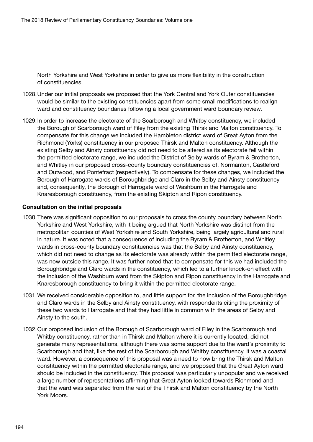North Yorkshire and West Yorkshire in order to give us more flexibility in the construction of constituencies.

- 1028.Under our initial proposals we proposed that the York Central and York Outer constituencies would be similar to the existing constituencies apart from some small modifications to realign ward and constituency boundaries following a local government ward boundary review.
- 1029.In order to increase the electorate of the Scarborough and Whitby constituency, we included the Borough of Scarborough ward of Filey from the existing Thirsk and Malton constituency. To compensate for this change we included the Hambleton district ward of Great Ayton from the Richmond (Yorks) constituency in our proposed Thirsk and Malton constituency. Although the existing Selby and Ainsty constituency did not need to be altered as its electorate fell within the permitted electorate range, we included the District of Selby wards of Byram & Brotherton, and Whitley in our proposed cross-county boundary constituencies of, Normanton, Castleford and Outwood, and Pontefract (respectively). To compensate for these changes, we included the Borough of Harrogate wards of Boroughbridge and Claro in the Selby and Ainsty constituency and, consequently, the Borough of Harrogate ward of Washburn in the Harrogate and Knaresborough constituency, from the existing Skipton and Ripon constituency.

#### Consultation on the initial proposals

- 1030.There was significant opposition to our proposals to cross the county boundary between North Yorkshire and West Yorkshire, with it being argued that North Yorkshire was distinct from the metropolitan counties of West Yorkshire and South Yorkshire, being largely agricultural and rural in nature. It was noted that a consequence of including the Byram & Brotherton, and Whitley wards in cross-county boundary constituencies was that the Selby and Ainsty constituency, which did not need to change as its electorate was already within the permitted electorate range, was now outside this range. It was further noted that to compensate for this we had included the Boroughbridge and Claro wards in the constituency, which led to a further knock-on effect with the inclusion of the Washburn ward from the Skipton and Ripon constituency in the Harrogate and Knaresborough constituency to bring it within the permitted electorate range.
- 1031.We received considerable opposition to, and little support for, the inclusion of the Boroughbridge and Claro wards in the Selby and Ainsty constituency, with respondents citing the proximity of these two wards to Harrogate and that they had little in common with the areas of Selby and Ainsty to the south.
- 1032.Our proposed inclusion of the Borough of Scarborough ward of Filey in the Scarborough and Whitby constituency, rather than in Thirsk and Malton where it is currently located, did not generate many representations, although there was some support due to the ward's proximity to Scarborough and that, like the rest of the Scarborough and Whitby constituency, it was a coastal ward. However, a consequence of this proposal was a need to now bring the Thirsk and Malton constituency within the permitted electorate range, and we proposed that the Great Ayton ward should be included in the constituency. This proposal was particularly unpopular and we received a large number of representations affirming that Great Ayton looked towards Richmond and that the ward was separated from the rest of the Thirsk and Malton constituency by the North York Moors.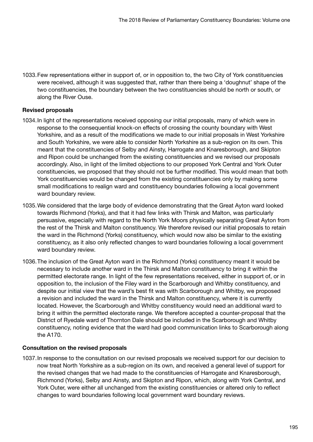1033.Few representations either in support of, or in opposition to, the two City of York constituencies were received, although it was suggested that, rather than there being a 'doughnut' shape of the two constituencies, the boundary between the two constituencies should be north or south, or along the River Ouse.

#### Revised proposals

- 1034.In light of the representations received opposing our initial proposals, many of which were in response to the consequential knock-on effects of crossing the county boundary with West Yorkshire, and as a result of the modifications we made to our initial proposals in West Yorkshire and South Yorkshire, we were able to consider North Yorkshire as a sub-region on its own. This meant that the constituencies of Selby and Ainsty, Harrogate and Knaresborough, and Skipton and Ripon could be unchanged from the existing constituencies and we revised our proposals accordingly. Also, in light of the limited objections to our proposed York Central and York Outer constituencies, we proposed that they should not be further modified. This would mean that both York constituencies would be changed from the existing constituencies only by making some small modifications to realign ward and constituency boundaries following a local government ward boundary review.
- 1035.We considered that the large body of evidence demonstrating that the Great Ayton ward looked towards Richmond (Yorks), and that it had few links with Thirsk and Malton, was particularly persuasive, especially with regard to the North York Moors physically separating Great Ayton from the rest of the Thirsk and Malton constituency. We therefore revised our initial proposals to retain the ward in the Richmond (Yorks) constituency, which would now also be similar to the existing constituency, as it also only reflected changes to ward boundaries following a local government ward boundary review.
- 1036.The inclusion of the Great Ayton ward in the Richmond (Yorks) constituency meant it would be necessary to include another ward in the Thirsk and Malton constituency to bring it within the permitted electorate range. In light of the few representations received, either in support of, or in opposition to, the inclusion of the Filey ward in the Scarborough and Whitby constituency, and despite our initial view that the ward's best fit was with Scarborough and Whitby, we proposed a revision and included the ward in the Thirsk and Malton constituency, where it is currently located. However, the Scarborough and Whitby constituency would need an additional ward to bring it within the permitted electorate range. We therefore accepted a counter-proposal that the District of Ryedale ward of Thornton Dale should be included in the Scarborough and Whitby constituency, noting evidence that the ward had good communication links to Scarborough along the A170.

#### Consultation on the revised proposals

1037.In response to the consultation on our revised proposals we received support for our decision to now treat North Yorkshire as a sub-region on its own, and received a general level of support for the revised changes that we had made to the constituencies of Harrogate and Knaresborough, Richmond (Yorks), Selby and Ainsty, and Skipton and Ripon, which, along with York Central, and York Outer, were either all unchanged from the existing constituencies or altered only to reflect changes to ward boundaries following local government ward boundary reviews.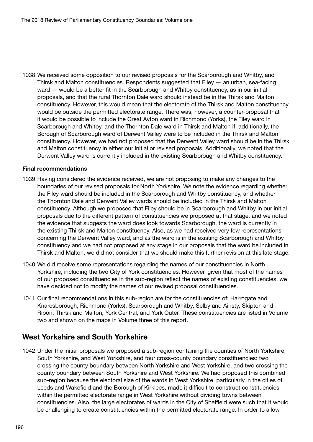1038.We received some opposition to our revised proposals for the Scarborough and Whitby, and Thirsk and Malton constituencies. Respondents suggested that Filey — an urban, sea-facing ward — would be a better fit in the Scarborough and Whitby constituency, as in our initial proposals, and that the rural Thornton Dale ward should instead be in the Thirsk and Malton constituency. However, this would mean that the electorate of the Thirsk and Malton constituency would be outside the permitted electorate range. There was, however, a counter-proposal that it would be possible to include the Great Ayton ward in Richmond (Yorks), the Filey ward in Scarborough and Whitby, and the Thornton Dale ward in Thirsk and Malton if, additionally, the Borough of Scarborough ward of Derwent Valley were to be included in the Thirsk and Malton constituency. However, we had not proposed that the Derwent Valley ward should be in the Thirsk and Malton constituency in either our initial or revised proposals. Additionally, we noted that the Derwent Valley ward is currently included in the existing Scarborough and Whitby constituency.

#### Final recommendations

- 1039.Having considered the evidence received, we are not proposing to make any changes to the boundaries of our revised proposals for North Yorkshire. We note the evidence regarding whether the Filey ward should be included in the Scarborough and Whitby constituency, and whether the Thornton Dale and Derwent Valley wards should be included in the Thirsk and Malton constituency. Although we proposed that Filey should be in Scarborough and Whitby in our initial proposals due to the different pattern of constituencies we proposed at that stage, and we noted the evidence that suggests the ward does look towards Scarborough, the ward is currently in the existing Thirsk and Malton constituency. Also, as we had received very few representations concerning the Derwent Valley ward, and as the ward is in the existing Scarborough and Whitby constituency and we had not proposed at any stage in our proposals that the ward be included in Thirsk and Malton, we did not consider that we should make this further revision at this late stage.
- 1040.We did receive some representations regarding the names of our constituencies in North Yorkshire, including the two City of York constituencies. However, given that most of the names of our proposed constituencies in the sub-region reflect the names of existing constituencies, we have decided not to modify the names of our revised proposal constituencies.
- 1041.Our final recommendations in this sub-region are for the constituencies of: Harrogate and Knaresborough, Richmond (Yorks), Scarborough and Whitby, Selby and Ainsty, Skipton and Ripon, Thirsk and Malton, York Central, and York Outer. These constituencies are listed in Volume two and shown on the maps in Volume three of this report.

## West Yorkshire and South Yorkshire

1042.Under the initial proposals we proposed a sub-region containing the counties of North Yorkshire, South Yorkshire, and West Yorkshire, and four cross-county boundary constituencies: two crossing the county boundary between North Yorkshire and West Yorkshire, and two crossing the county boundary between South Yorkshire and West Yorkshire. We had proposed this combined sub-region because the electoral size of the wards in West Yorkshire, particularly in the cities of Leeds and Wakefield and the Borough of Kirklees, made it difficult to construct constituencies within the permitted electorate range in West Yorkshire without dividing towns between constituencies. Also, the large electorates of wards in the City of Sheffield were such that it would be challenging to create constituencies within the permitted electorate range. In order to allow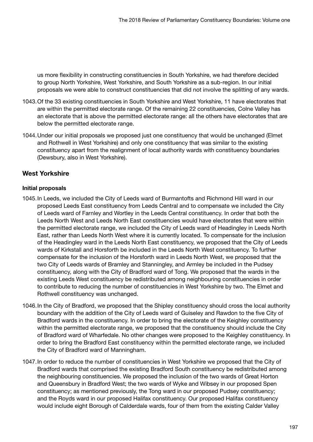us more flexibility in constructing constituencies in South Yorkshire, we had therefore decided to group North Yorkshire, West Yorkshire, and South Yorkshire as a sub-region. In our initial proposals we were able to construct constituencies that did not involve the splitting of any wards.

- 1043.Of the 33 existing constituencies in South Yorkshire and West Yorkshire, 11 have electorates that are within the permitted electorate range. Of the remaining 22 constituencies, Colne Valley has an electorate that is above the permitted electorate range: all the others have electorates that are below the permitted electorate range.
- 1044.Under our initial proposals we proposed just one constituency that would be unchanged (Elmet and Rothwell in West Yorkshire) and only one constituency that was similar to the existing constituency apart from the realignment of local authority wards with constituency boundaries (Dewsbury, also in West Yorkshire).

## West Yorkshire

### Initial proposals

- 1045.In Leeds, we included the City of Leeds ward of Burmantofts and Richmond Hill ward in our proposed Leeds East constituency from Leeds Central and to compensate we included the City of Leeds ward of Farnley and Wortley in the Leeds Central constituency. In order that both the Leeds North West and Leeds North East constituencies would have electorates that were within the permitted electorate range, we included the City of Leeds ward of Headingley in Leeds North East, rather than Leeds North West where it is currently located. To compensate for the inclusion of the Headingley ward in the Leeds North East constituency, we proposed that the City of Leeds wards of Kirkstall and Horsforth be included in the Leeds North West constituency. To further compensate for the inclusion of the Horsforth ward in Leeds North West, we proposed that the two City of Leeds wards of Bramley and Stanningley, and Armley be included in the Pudsey constituency, along with the City of Bradford ward of Tong. We proposed that the wards in the existing Leeds West constituency be redistributed among neighbouring constituencies in order to contribute to reducing the number of constituencies in West Yorkshire by two. The Elmet and Rothwell constituency was unchanged.
- 1046.In the City of Bradford, we proposed that the Shipley constituency should cross the local authority boundary with the addition of the City of Leeds ward of Guiseley and Rawdon to the five City of Bradford wards in the constituency. In order to bring the electorate of the Keighley constituency within the permitted electorate range, we proposed that the constituency should include the City of Bradford ward of Wharfedale. No other changes were proposed to the Keighley constituency. In order to bring the Bradford East constituency within the permitted electorate range, we included the City of Bradford ward of Manningham.
- 1047.In order to reduce the number of constituencies in West Yorkshire we proposed that the City of Bradford wards that comprised the existing Bradford South constituency be redistributed among the neighbouring constituencies. We proposed the inclusion of the two wards of Great Horton and Queensbury in Bradford West; the two wards of Wyke and Wibsey in our proposed Spen constituency; as mentioned previously, the Tong ward in our proposed Pudsey constituency; and the Royds ward in our proposed Halifax constituency. Our proposed Halifax constituency would include eight Borough of Calderdale wards, four of them from the existing Calder Valley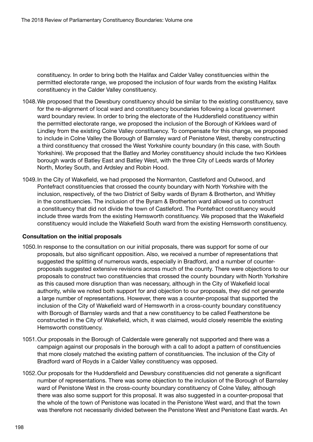constituency. In order to bring both the Halifax and Calder Valley constituencies within the permitted electorate range, we proposed the inclusion of four wards from the existing Halifax constituency in the Calder Valley constituency.

- 1048.We proposed that the Dewsbury constituency should be similar to the existing constituency, save for the re-alignment of local ward and constituency boundaries following a local government ward boundary review. In order to bring the electorate of the Huddersfield constituency within the permitted electorate range, we proposed the inclusion of the Borough of Kirklees ward of Lindley from the existing Colne Valley constituency. To compensate for this change, we proposed to include in Colne Valley the Borough of Barnsley ward of Penistone West, thereby constructing a third constituency that crossed the West Yorkshire county boundary (in this case, with South Yorkshire). We proposed that the Batley and Morley constituency should include the two Kirklees borough wards of Batley East and Batley West, with the three City of Leeds wards of Morley North, Morley South, and Ardsley and Robin Hood.
- 1049.In the City of Wakefield, we had proposed the Normanton, Castleford and Outwood, and Pontefract constituencies that crossed the county boundary with North Yorkshire with the inclusion, respectively, of the two District of Selby wards of Byram & Brotherton, and Whitley in the constituencies. The inclusion of the Byram & Brotherton ward allowed us to construct a constituency that did not divide the town of Castleford. The Pontefract constituency would include three wards from the existing Hemsworth constituency. We proposed that the Wakefield constituency would include the Wakefield South ward from the existing Hemsworth constituency.

#### Consultation on the initial proposals

- 1050.In response to the consultation on our initial proposals, there was support for some of our proposals, but also significant opposition. Also, we received a number of representations that suggested the splitting of numerous wards, especially in Bradford, and a number of counterproposals suggested extensive revisions across much of the county. There were objections to our proposals to construct two constituencies that crossed the county boundary with North Yorkshire as this caused more disruption than was necessary, although in the City of Wakefield local authority, while we noted both support for and objection to our proposals, they did not generate a large number of representations. However, there was a counter-proposal that supported the inclusion of the City of Wakefield ward of Hemsworth in a cross-county boundary constituency with Borough of Barnsley wards and that a new constituency to be called Featherstone be constructed in the City of Wakefield, which, it was claimed, would closely resemble the existing Hemsworth constituency.
- 1051.Our proposals in the Borough of Calderdale were generally not supported and there was a campaign against our proposals in the borough with a call to adopt a pattern of constituencies that more closely matched the existing pattern of constituencies. The inclusion of the City of Bradford ward of Royds in a Calder Valley constituency was opposed.
- 1052.Our proposals for the Huddersfield and Dewsbury constituencies did not generate a significant number of representations. There was some objection to the inclusion of the Borough of Barnsley ward of Penistone West in the cross-county boundary constituency of Colne Valley, although there was also some support for this proposal. It was also suggested in a counter-proposal that the whole of the town of Penistone was located in the Penistone West ward, and that the town was therefore not necessarily divided between the Penistone West and Penistone East wards. An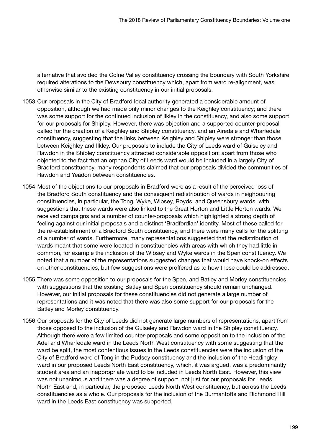alternative that avoided the Colne Valley constituency crossing the boundary with South Yorkshire required alterations to the Dewsbury constituency which, apart from ward re-alignment, was otherwise similar to the existing constituency in our initial proposals.

- 1053.Our proposals in the City of Bradford local authority generated a considerable amount of opposition, although we had made only minor changes to the Keighley constituency; and there was some support for the continued inclusion of Ilkley in the constituency, and also some support for our proposals for Shipley. However, there was objection and a supported counter-proposal called for the creation of a Keighley and Shipley constituency, and an Airedale and Wharfedale constituency, suggesting that the links between Keighley and Shipley were stronger than those between Keighley and Ilkley. Our proposals to include the City of Leeds ward of Guiseley and Rawdon in the Shipley constituency attracted considerable opposition: apart from those who objected to the fact that an orphan City of Leeds ward would be included in a largely City of Bradford constituency, many respondents claimed that our proposals divided the communities of Rawdon and Yeadon between constituencies.
- 1054.Most of the objections to our proposals in Bradford were as a result of the perceived loss of the Bradford South constituency and the consequent redistribution of wards in neighbouring constituencies, in particular, the Tong, Wyke, Wibsey, Royds, and Queensbury wards, with suggestions that these wards were also linked to the Great Horton and Little Horton wards. We received campaigns and a number of counter-proposals which highlighted a strong depth of feeling against our initial proposals and a distinct 'Bradfordian' identity. Most of these called for the re-establishment of a Bradford South constituency, and there were many calls for the splitting of a number of wards. Furthermore, many representations suggested that the redistribution of wards meant that some were located in constituencies with areas with which they had little in common, for example the inclusion of the Wibsey and Wyke wards in the Spen constituency. We noted that a number of the representations suggested changes that would have knock-on effects on other constituencies, but few suggestions were proffered as to how these could be addressed.
- 1055.There was some opposition to our proposals for the Spen, and Batley and Morley constituencies with suggestions that the existing Batley and Spen constituency should remain unchanged. However, our initial proposals for these constituencies did not generate a large number of representations and it was noted that there was also some support for our proposals for the Batley and Morley constituency.
- 1056.Our proposals for the City of Leeds did not generate large numbers of representations, apart from those opposed to the inclusion of the Guiseley and Rawdon ward in the Shipley constituency. Although there were a few limited counter-proposals and some opposition to the inclusion of the Adel and Wharfedale ward in the Leeds North West constituency with some suggesting that the ward be split, the most contentious issues in the Leeds constituencies were the inclusion of the City of Bradford ward of Tong in the Pudsey constituency and the inclusion of the Headingley ward in our proposed Leeds North East constituency, which, it was argued, was a predominantly student area and an inappropriate ward to be included in Leeds North East. However, this view was not unanimous and there was a degree of support, not just for our proposals for Leeds North East and, in particular, the proposed Leeds North West constituency, but across the Leeds constituencies as a whole. Our proposals for the inclusion of the Burmantofts and Richmond Hill ward in the Leeds East constituency was supported.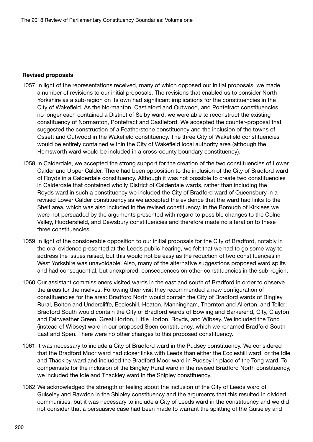#### Revised proposals

- 1057.In light of the representations received, many of which opposed our initial proposals, we made a number of revisions to our initial proposals. The revisions that enabled us to consider North Yorkshire as a sub-region on its own had significant implications for the constituencies in the City of Wakefield. As the Normanton, Castleford and Outwood, and Pontefract constituencies no longer each contained a District of Selby ward, we were able to reconstruct the existing constituency of Normanton, Pontefract and Castleford. We accepted the counter-proposal that suggested the construction of a Featherstone constituency and the inclusion of the towns of Ossett and Outwood in the Wakefield constituency. The three City of Wakefield constituencies would be entirely contained within the City of Wakefield local authority area (although the Hemsworth ward would be included in a cross-county boundary constituency).
- 1058.In Calderdale, we accepted the strong support for the creation of the two constituencies of Lower Calder and Upper Calder. There had been opposition to the inclusion of the City of Bradford ward of Royds in a Calderdale constituency. Although it was not possible to create two constituencies in Calderdale that contained wholly District of Calderdale wards, rather than including the Royds ward in such a constituency we included the City of Bradford ward of Queensbury in a revised Lower Calder constituency as we accepted the evidence that the ward had links to the Shelf area, which was also included in the revised constituency. In the Borough of Kirklees we were not persuaded by the arguments presented with regard to possible changes to the Colne Valley, Huddersfield, and Dewsbury constituencies and therefore made no alteration to these three constituencies.
- 1059.In light of the considerable opposition to our initial proposals for the City of Bradford, notably in the oral evidence presented at the Leeds public hearing, we felt that we had to go some way to address the issues raised, but this would not be easy as the reduction of two constituencies in West Yorkshire was unavoidable. Also, many of the alternative suggestions proposed ward splits and had consequential, but unexplored, consequences on other constituencies in the sub-region.
- 1060.Our assistant commissioners visited wards in the east and south of Bradford in order to observe the areas for themselves. Following their visit they recommended a new configuration of constituencies for the area: Bradford North would contain the City of Bradford wards of Bingley Rural, Bolton and Undercliffe, Eccleshill, Heaton, Manningham, Thornton and Allerton, and Toller; Bradford South would contain the City of Bradford wards of Bowling and Barkerend, City, Clayton and Fairweather Green, Great Horton, Little Horton, Royds, and Wibsey. We included the Tong (instead of Wibsey) ward in our proposed Spen constituency, which we renamed Bradford South East and Spen. There were no other changes to this proposed constituency.
- 1061.It was necessary to include a City of Bradford ward in the Pudsey constituency. We considered that the Bradford Moor ward had closer links with Leeds than either the Eccleshill ward, or the Idle and Thackley ward and included the Bradford Moor ward in Pudsey in place of the Tong ward. To compensate for the inclusion of the Bingley Rural ward in the revised Bradford North constituency, we included the Idle and Thackley ward in the Shipley constituency.
- 1062.We acknowledged the strength of feeling about the inclusion of the City of Leeds ward of Guiseley and Rawdon in the Shipley constituency and the arguments that this resulted in divided communities, but it was necessary to include a City of Leeds ward in the constituency and we did not consider that a persuasive case had been made to warrant the splitting of the Guiseley and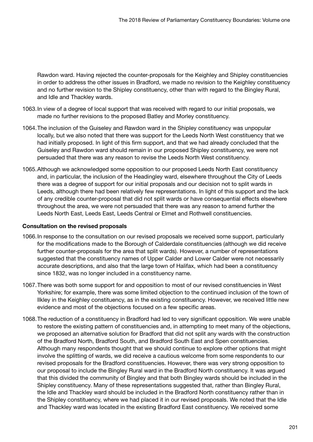Rawdon ward. Having rejected the counter-proposals for the Keighley and Shipley constituencies in order to address the other issues in Bradford, we made no revision to the Keighley constituency and no further revision to the Shipley constituency, other than with regard to the Bingley Rural, and Idle and Thackley wards.

- 1063.In view of a degree of local support that was received with regard to our initial proposals, we made no further revisions to the proposed Batley and Morley constituency.
- 1064.The inclusion of the Guiseley and Rawdon ward in the Shipley constituency was unpopular locally, but we also noted that there was support for the Leeds North West constituency that we had initially proposed. In light of this firm support, and that we had already concluded that the Guiseley and Rawdon ward should remain in our proposed Shipley constituency, we were not persuaded that there was any reason to revise the Leeds North West constituency.
- 1065.Although we acknowledged some opposition to our proposed Leeds North East constituency and, in particular, the inclusion of the Headingley ward, elsewhere throughout the City of Leeds there was a degree of support for our initial proposals and our decision not to split wards in Leeds, although there had been relatively few representations. In light of this support and the lack of any credible counter-proposal that did not split wards or have consequential effects elsewhere throughout the area, we were not persuaded that there was any reason to amend further the Leeds North East, Leeds East, Leeds Central or Elmet and Rothwell constituencies.

#### Consultation on the revised proposals

- 1066.In response to the consultation on our revised proposals we received some support, particularly for the modifications made to the Borough of Calderdale constituencies (although we did receive further counter-proposals for the area that split wards). However, a number of representations suggested that the constituency names of Upper Calder and Lower Calder were not necessarily accurate descriptions, and also that the large town of Halifax, which had been a constituency since 1832, was no longer included in a constituency name.
- 1067.There was both some support for and opposition to most of our revised constituencies in West Yorkshire; for example, there was some limited objection to the continued inclusion of the town of Ilkley in the Keighley constituency, as in the existing constituency. However, we received little new evidence and most of the objections focused on a few specific areas.
- 1068.The reduction of a constituency in Bradford had led to very significant opposition. We were unable to restore the existing pattern of constituencies and, in attempting to meet many of the objections, we proposed an alternative solution for Bradford that did not split any wards with the construction of the Bradford North, Bradford South, and Bradford South East and Spen constituencies. Although many respondents thought that we should continue to explore other options that might involve the splitting of wards, we did receive a cautious welcome from some respondents to our revised proposals for the Bradford constituencies. However, there was very strong opposition to our proposal to include the Bingley Rural ward in the Bradford North constituency. It was argued that this divided the community of Bingley and that both Bingley wards should be included in the Shipley constituency. Many of these representations suggested that, rather than Bingley Rural, the Idle and Thackley ward should be included in the Bradford North constituency rather than in the Shipley constituency, where we had placed it in our revised proposals. We noted that the Idle and Thackley ward was located in the existing Bradford East constituency. We received some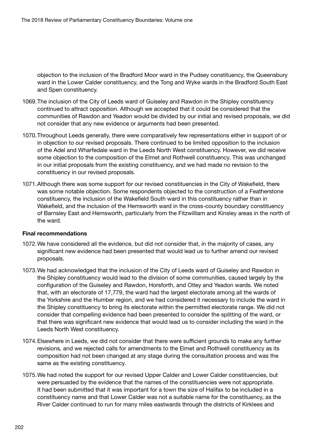objection to the inclusion of the Bradford Moor ward in the Pudsey constituency, the Queensbury ward in the Lower Calder constituency, and the Tong and Wyke wards in the Bradford South East and Spen constituency.

- 1069.The inclusion of the City of Leeds ward of Guiseley and Rawdon in the Shipley constituency continued to attract opposition. Although we accepted that it could be considered that the communities of Rawdon and Yeadon would be divided by our initial and revised proposals, we did not consider that any new evidence or arguments had been presented.
- 1070.Throughout Leeds generally, there were comparatively few representations either in support of or in objection to our revised proposals. There continued to be limited opposition to the inclusion of the Adel and Wharfedale ward in the Leeds North West constituency. However, we did receive some objection to the composition of the Elmet and Rothwell constituency. This was unchanged in our initial proposals from the existing constituency, and we had made no revision to the constituency in our revised proposals.
- 1071.Although there was some support for our revised constituencies in the City of Wakefield, there was some notable objection. Some respondents objected to the construction of a Featherstone constituency, the inclusion of the Wakefield South ward in this constituency rather than in Wakefield, and the inclusion of the Hemsworth ward in the cross-county boundary constituency of Barnsley East and Hemsworth, particularly from the Fitzwilliam and Kinsley areas in the north of the ward.

#### Final recommendations

- 1072.We have considered all the evidence, but did not consider that, in the majority of cases, any significant new evidence had been presented that would lead us to further amend our revised proposals.
- 1073.We had acknowledged that the inclusion of the City of Leeds ward of Guiseley and Rawdon in the Shipley constituency would lead to the division of some communities, caused largely by the configuration of the Guiseley and Rawdon, Horsforth, and Otley and Yeadon wards. We noted that, with an electorate of 17,779, the ward had the largest electorate among all the wards of the Yorkshire and the Humber region, and we had considered it necessary to include the ward in the Shipley constituency to bring its electorate within the permitted electorate range. We did not consider that compelling evidence had been presented to consider the splitting of the ward, or that there was significant new evidence that would lead us to consider including the ward in the Leeds North West constituency.
- 1074.Elsewhere in Leeds, we did not consider that there were sufficient grounds to make any further revisions, and we rejected calls for amendments to the Elmet and Rothwell constituency as its composition had not been changed at any stage during the consultation process and was the same as the existing constituency.
- 1075.We had noted the support for our revised Upper Calder and Lower Calder constituencies, but were persuaded by the evidence that the names of the constituencies were not appropriate. It had been submitted that it was important for a town the size of Halifax to be included in a constituency name and that Lower Calder was not a suitable name for the constituency, as the River Calder continued to run for many miles eastwards through the districts of Kirklees and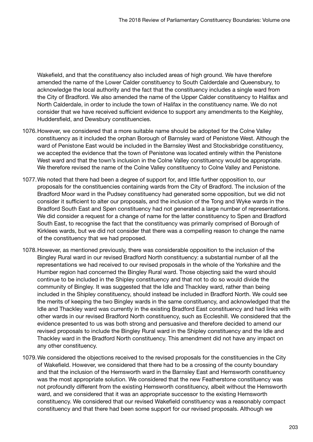Wakefield, and that the constituency also included areas of high ground. We have therefore amended the name of the Lower Calder constituency to South Calderdale and Queensbury, to acknowledge the local authority and the fact that the constituency includes a single ward from the City of Bradford. We also amended the name of the Upper Calder constituency to Halifax and North Calderdale, in order to include the town of Halifax in the constituency name. We do not consider that we have received sufficient evidence to support any amendments to the Keighley, Huddersfield, and Dewsbury constituencies.

- 1076.However, we considered that a more suitable name should be adopted for the Colne Valley constituency as it included the orphan Borough of Barnsley ward of Penistone West. Although the ward of Penistone East would be included in the Barnsley West and Stocksbridge constituency, we accepted the evidence that the town of Penistone was located entirely within the Penistone West ward and that the town's inclusion in the Colne Valley constituency would be appropriate. We therefore revised the name of the Colne Valley constituency to Colne Valley and Penistone.
- 1077.We noted that there had been a degree of support for, and little further opposition to, our proposals for the constituencies containing wards from the City of Bradford. The inclusion of the Bradford Moor ward in the Pudsey constituency had generated some opposition, but we did not consider it sufficient to alter our proposals, and the inclusion of the Tong and Wyke wards in the Bradford South East and Spen constituency had not generated a large number of representations. We did consider a request for a change of name for the latter constituency to Spen and Bradford South East, to recognise the fact that the constituency was primarily comprised of Borough of Kirklees wards, but we did not consider that there was a compelling reason to change the name of the constituency that we had proposed.
- 1078.However, as mentioned previously, there was considerable opposition to the inclusion of the Bingley Rural ward in our revised Bradford North constituency: a substantial number of all the representations we had received to our revised proposals in the whole of the Yorkshire and the Humber region had concerned the Bingley Rural ward. Those objecting said the ward should continue to be included in the Shipley constituency and that not to do so would divide the community of Bingley. It was suggested that the Idle and Thackley ward, rather than being included in the Shipley constituency, should instead be included in Bradford North. We could see the merits of keeping the two Bingley wards in the same constituency, and acknowledged that the Idle and Thackley ward was currently in the existing Bradford East constituency and had links with other wards in our revised Bradford North constituency, such as Eccleshill. We considered that the evidence presented to us was both strong and persuasive and therefore decided to amend our revised proposals to include the Bingley Rural ward in the Shipley constituency and the Idle and Thackley ward in the Bradford North constituency. This amendment did not have any impact on any other constituency.
- 1079.We considered the objections received to the revised proposals for the constituencies in the City of Wakefield. However, we considered that there had to be a crossing of the county boundary and that the inclusion of the Hemsworth ward in the Barnsley East and Hemsworth constituency was the most appropriate solution. We considered that the new Featherstone constituency was not profoundly different from the existing Hemsworth constituency, albeit without the Hemsworth ward, and we considered that it was an appropriate successor to the existing Hemsworth constituency. We considered that our revised Wakefield constituency was a reasonably compact constituency and that there had been some support for our revised proposals. Although we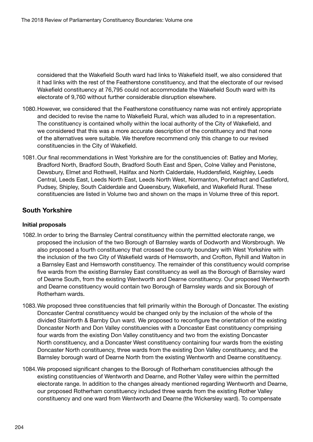considered that the Wakefield South ward had links to Wakefield itself, we also considered that it had links with the rest of the Featherstone constituency, and that the electorate of our revised Wakefield constituency at 76,795 could not accommodate the Wakefield South ward with its electorate of 9,760 without further considerable disruption elsewhere.

- 1080.However, we considered that the Featherstone constituency name was not entirely appropriate and decided to revise the name to Wakefield Rural, which was alluded to in a representation. The constituency is contained wholly within the local authority of the City of Wakefield, and we considered that this was a more accurate description of the constituency and that none of the alternatives were suitable. We therefore recommend only this change to our revised constituencies in the City of Wakefield.
- 1081.Our final recommendations in West Yorkshire are for the constituencies of: Batley and Morley, Bradford North, Bradford South, Bradford South East and Spen, Colne Valley and Penistone, Dewsbury, Elmet and Rothwell, Halifax and North Calderdale, Huddersfield, Keighley, Leeds Central, Leeds East, Leeds North East, Leeds North West, Normanton, Pontefract and Castleford, Pudsey, Shipley, South Calderdale and Queensbury, Wakefield, and Wakefield Rural. These constituencies are listed in Volume two and shown on the maps in Volume three of this report.

## South Yorkshire

#### Initial proposals

- 1082.In order to bring the Barnsley Central constituency within the permitted electorate range, we proposed the inclusion of the two Borough of Barnsley wards of Dodworth and Worsbrough. We also proposed a fourth constituency that crossed the county boundary with West Yorkshire with the inclusion of the two City of Wakefield wards of Hemsworth, and Crofton, Ryhill and Walton in a Barnsley East and Hemsworth constituency. The remainder of this constituency would comprise five wards from the existing Barnsley East constituency as well as the Borough of Barnsley ward of Dearne South, from the existing Wentworth and Dearne constituency. Our proposed Wentworth and Dearne constituency would contain two Borough of Barnsley wards and six Borough of Rotherham wards.
- 1083.We proposed three constituencies that fell primarily within the Borough of Doncaster. The existing Doncaster Central constituency would be changed only by the inclusion of the whole of the divided Stainforth & Barnby Dun ward. We proposed to reconfigure the orientation of the existing Doncaster North and Don Valley constituencies with a Doncaster East constituency comprising four wards from the existing Don Valley constituency and two from the existing Doncaster North constituency, and a Doncaster West constituency containing four wards from the existing Doncaster North constituency, three wards from the existing Don Valley constituency, and the Barnsley borough ward of Dearne North from the existing Wentworth and Dearne constituency.
- 1084.We proposed significant changes to the Borough of Rotherham constituencies although the existing constituencies of Wentworth and Dearne, and Rother Valley were within the permitted electorate range. In addition to the changes already mentioned regarding Wentworth and Dearne, our proposed Rotherham constituency included three wards from the existing Rother Valley constituency and one ward from Wentworth and Dearne (the Wickersley ward). To compensate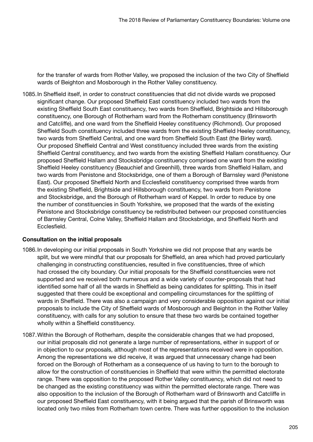for the transfer of wards from Rother Valley, we proposed the inclusion of the two City of Sheffield wards of Beighton and Mosborough in the Rother Valley constituency.

1085.In Sheffield itself, in order to construct constituencies that did not divide wards we proposed significant change. Our proposed Sheffield East constituency included two wards from the existing Sheffield South East constituency, two wards from Sheffield, Brightside and Hillsborough constituency, one Borough of Rotherham ward from the Rotherham constituency (Brinsworth and Catcliffe), and one ward from the Sheffield Heeley constituency (Richmond). Our proposed Sheffield South constituency included three wards from the existing Sheffield Heeley constituency, two wards from Sheffield Central, and one ward from Sheffield South East (the Birley ward). Our proposed Sheffield Central and West constituency included three wards from the existing Sheffield Central constituency, and two wards from the existing Sheffield Hallam constituency. Our proposed Sheffield Hallam and Stocksbridge constituency comprised one ward from the existing Sheffield Heeley constituency (Beauchief and Greenhill), three wards from Sheffield Hallam, and two wards from Penistone and Stocksbridge, one of them a Borough of Barnsley ward (Penistone East). Our proposed Sheffield North and Ecclesfield constituency comprised three wards from the existing Sheffield, Brightside and Hillsborough constituency, two wards from Penistone and Stocksbridge, and the Borough of Rotherham ward of Keppel. In order to reduce by one the number of constituencies in South Yorkshire, we proposed that the wards of the existing Penistone and Stocksbridge constituency be redistributed between our proposed constituencies of Barnsley Central, Colne Valley, Sheffield Hallam and Stocksbridge, and Sheffield North and Ecclesfield.

#### Consultation on the initial proposals

- 1086.In developing our initial proposals in South Yorkshire we did not propose that any wards be split, but we were mindful that our proposals for Sheffield, an area which had proved particularly challenging in constructing constituencies, resulted in five constituencies, three of which had crossed the city boundary. Our initial proposals for the Sheffield constituencies were not supported and we received both numerous and a wide variety of counter-proposals that had identified some half of all the wards in Sheffield as being candidates for splitting. This in itself suggested that there could be exceptional and compelling circumstances for the splitting of wards in Sheffield. There was also a campaign and very considerable opposition against our initial proposals to include the City of Sheffield wards of Mosborough and Beighton in the Rother Valley constituency, with calls for any solution to ensure that these two wards be contained together wholly within a Sheffield constituency.
- 1087.Within the Borough of Rotherham, despite the considerable changes that we had proposed, our initial proposals did not generate a large number of representations, either in support of or in objection to our proposals, although most of the representations received were in opposition. Among the representations we did receive, it was argued that unnecessary change had been forced on the Borough of Rotherham as a consequence of us having to turn to the borough to allow for the construction of constituencies in Sheffield that were within the permitted electorate range. There was opposition to the proposed Rother Valley constituency, which did not need to be changed as the existing constituency was within the permitted electorate range. There was also opposition to the inclusion of the Borough of Rotherham ward of Brinsworth and Catcliffe in our proposed Sheffield East constituency, with it being argued that the parish of Brinsworth was located only two miles from Rotherham town centre. There was further opposition to the inclusion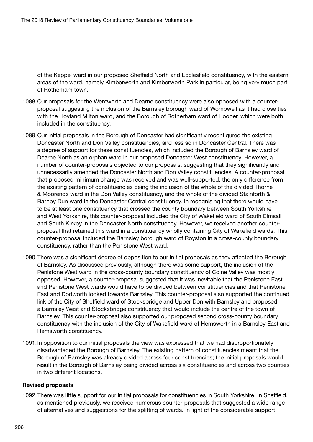of the Keppel ward in our proposed Sheffield North and Ecclesfield constituency, with the eastern areas of the ward, namely Kimberworth and Kimberworth Park in particular, being very much part of Rotherham town.

- 1088.Our proposals for the Wentworth and Dearne constituency were also opposed with a counterproposal suggesting the inclusion of the Barnsley borough ward of Wombwell as it had close ties with the Hoyland Milton ward, and the Borough of Rotherham ward of Hoober, which were both included in the constituency.
- 1089.Our initial proposals in the Borough of Doncaster had significantly reconfigured the existing Doncaster North and Don Valley constituencies, and less so in Doncaster Central. There was a degree of support for these constituencies, which included the Borough of Barnsley ward of Dearne North as an orphan ward in our proposed Doncaster West constituency. However, a number of counter-proposals objected to our proposals, suggesting that they significantly and unnecessarily amended the Doncaster North and Don Valley constituencies. A counter-proposal that proposed minimum change was received and was well-supported, the only difference from the existing pattern of constituencies being the inclusion of the whole of the divided Thorne & Moorends ward in the Don Valley constituency, and the whole of the divided Stainforth & Barnby Dun ward in the Doncaster Central constituency. In recognising that there would have to be at least one constituency that crossed the county boundary between South Yorkshire and West Yorkshire, this counter-proposal included the City of Wakefield ward of South Elmsall and South Kirkby in the Doncaster North constituency. However, we received another counterproposal that retained this ward in a constituency wholly containing City of Wakefield wards. This counter-proposal included the Barnsley borough ward of Royston in a cross-county boundary constituency, rather than the Penistone West ward.
- 1090.There was a significant degree of opposition to our initial proposals as they affected the Borough of Barnsley. As discussed previously, although there was some support, the inclusion of the Penistone West ward in the cross-county boundary constituency of Colne Valley was mostly opposed. However, a counter-proposal suggested that it was inevitable that the Penistone East and Penistone West wards would have to be divided between constituencies and that Penistone East and Dodworth looked towards Barnsley. This counter-proposal also supported the continued link of the City of Sheffield ward of Stocksbridge and Upper Don with Barnsley and proposed a Barnsley West and Stocksbridge constituency that would include the centre of the town of Barnsley. This counter-proposal also supported our proposed second cross-county boundary constituency with the inclusion of the City of Wakefield ward of Hemsworth in a Barnsley East and Hemsworth constituency.
- 1091.In opposition to our initial proposals the view was expressed that we had disproportionately disadvantaged the Borough of Barnsley. The existing pattern of constituencies meant that the Borough of Barnsley was already divided across four constituencies; the initial proposals would result in the Borough of Barnsley being divided across six constituencies and across two counties in two different locations.

#### Revised proposals

1092.There was little support for our initial proposals for constituencies in South Yorkshire. In Sheffield, as mentioned previously, we received numerous counter-proposals that suggested a wide range of alternatives and suggestions for the splitting of wards. In light of the considerable support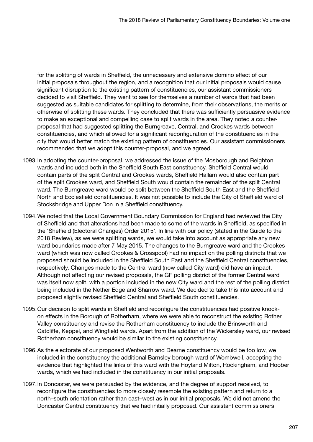for the splitting of wards in Sheffield, the unnecessary and extensive domino effect of our initial proposals throughout the region, and a recognition that our initial proposals would cause significant disruption to the existing pattern of constituencies, our assistant commissioners decided to visit Sheffield. They went to see for themselves a number of wards that had been suggested as suitable candidates for splitting to determine, from their observations, the merits or otherwise of splitting these wards. They concluded that there was sufficiently persuasive evidence to make an exceptional and compelling case to split wards in the area. They noted a counterproposal that had suggested splitting the Burngreave, Central, and Crookes wards between constituencies, and which allowed for a significant reconfiguration of the constituencies in the city that would better match the existing pattern of constituencies. Our assistant commissioners recommended that we adopt this counter-proposal, and we agreed.

- 1093.In adopting the counter-proposal, we addressed the issue of the Mosborough and Beighton wards and included both in the Sheffield South East constituency. Sheffield Central would contain parts of the split Central and Crookes wards, Sheffield Hallam would also contain part of the split Crookes ward, and Sheffield South would contain the remainder of the split Central ward. The Burngreave ward would be split between the Sheffield South East and the Sheffield North and Ecclesfield constituencies. It was not possible to include the City of Sheffield ward of Stocksbridge and Upper Don in a Sheffield constituency.
- 1094.We noted that the Local Government Boundary Commission for England had reviewed the City of Sheffield and that alterations had been made to some of the wards in Sheffield, as specified in the 'Sheffield (Electoral Changes) Order 2015'. In line with our policy (stated in the Guide to the 2018 Review), as we were splitting wards, we would take into account as appropriate any new ward boundaries made after 7 May 2015. The changes to the Burngreave ward and the Crookes ward (which was now called Crookes & Crosspool) had no impact on the polling districts that we proposed should be included in the Sheffield South East and the Sheffield Central constituencies, respectively. Changes made to the Central ward (now called City ward) did have an impact. Although not affecting our revised proposals, the GF polling district of the former Central ward was itself now split, with a portion included in the new City ward and the rest of the polling district being included in the Nether Edge and Sharrow ward. We decided to take this into account and proposed slightly revised Sheffield Central and Sheffield South constituencies.
- 1095.Our decision to split wards in Sheffield and reconfigure the constituencies had positive knockon effects in the Borough of Rotherham, where we were able to reconstruct the existing Rother Valley constituency and revise the Rotherham constituency to include the Brinsworth and Catcliffe, Keppel, and Wingfield wards. Apart from the addition of the Wickersley ward, our revised Rotherham constituency would be similar to the existing constituency.
- 1096.As the electorate of our proposed Wentworth and Dearne constituency would be too low, we included in the constituency the additional Barnsley borough ward of Wombwell, accepting the evidence that highlighted the links of this ward with the Hoyland Milton, Rockingham, and Hoober wards, which we had included in the constituency in our initial proposals.
- 1097.In Doncaster, we were persuaded by the evidence, and the degree of support received, to reconfigure the constituencies to more closely resemble the existing pattern and return to a north–south orientation rather than east–west as in our initial proposals. We did not amend the Doncaster Central constituency that we had initially proposed. Our assistant commissioners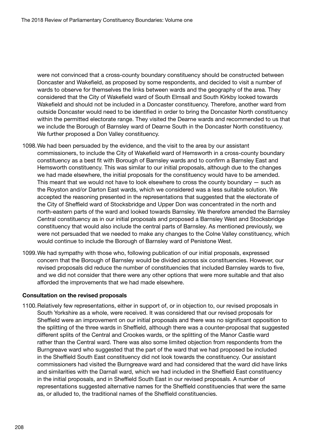were not convinced that a cross-county boundary constituency should be constructed between Doncaster and Wakefield, as proposed by some respondents, and decided to visit a number of wards to observe for themselves the links between wards and the geography of the area. They considered that the City of Wakefield ward of South Elmsall and South Kirkby looked towards Wakefield and should not be included in a Doncaster constituency. Therefore, another ward from outside Doncaster would need to be identified in order to bring the Doncaster North constituency within the permitted electorate range. They visited the Dearne wards and recommended to us that we include the Borough of Barnsley ward of Dearne South in the Doncaster North constituency. We further proposed a Don Valley constituency.

- 1098.We had been persuaded by the evidence, and the visit to the area by our assistant commissioners, to include the City of Wakefield ward of Hemsworth in a cross-county boundary constituency as a best fit with Borough of Barnsley wards and to confirm a Barnsley East and Hemsworth constituency. This was similar to our initial proposals, although due to the changes we had made elsewhere, the initial proposals for the constituency would have to be amended. This meant that we would not have to look elsewhere to cross the county boundary — such as the Royston and/or Darton East wards, which we considered was a less suitable solution. We accepted the reasoning presented in the representations that suggested that the electorate of the City of Sheffield ward of Stocksbridge and Upper Don was concentrated in the north and north-eastern parts of the ward and looked towards Barnsley. We therefore amended the Barnsley Central constituency as in our initial proposals and proposed a Barnsley West and Stocksbridge constituency that would also include the central parts of Barnsley. As mentioned previously, we were not persuaded that we needed to make any changes to the Colne Valley constituency, which would continue to include the Borough of Barnsley ward of Penistone West.
- 1099.We had sympathy with those who, following publication of our initial proposals, expressed concern that the Borough of Barnsley would be divided across six constituencies. However, our revised proposals did reduce the number of constituencies that included Barnsley wards to five, and we did not consider that there were any other options that were more suitable and that also afforded the improvements that we had made elsewhere.

#### Consultation on the revised proposals

1100.Relatively few representations, either in support of, or in objection to, our revised proposals in South Yorkshire as a whole, were received. It was considered that our revised proposals for Sheffield were an improvement on our initial proposals and there was no significant opposition to the splitting of the three wards in Sheffield, although there was a counter-proposal that suggested different splits of the Central and Crookes wards, or the splitting of the Manor Castle ward rather than the Central ward. There was also some limited objection from respondents from the Burngreave ward who suggested that the part of the ward that we had proposed be included in the Sheffield South East constituency did not look towards the constituency. Our assistant commissioners had visited the Burngreave ward and had considered that the ward did have links and similarities with the Darnall ward, which we had included in the Sheffield East constituency in the initial proposals, and in Sheffield South East in our revised proposals. A number of representations suggested alternative names for the Sheffield constituencies that were the same as, or alluded to, the traditional names of the Sheffield constituencies.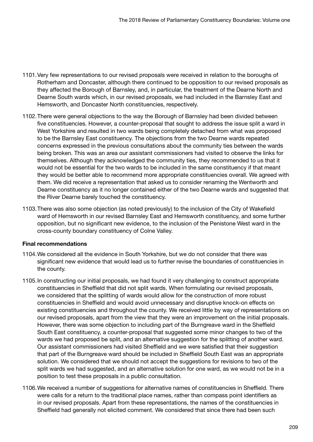- 1101.Very few representations to our revised proposals were received in relation to the boroughs of Rotherham and Doncaster, although there continued to be opposition to our revised proposals as they affected the Borough of Barnsley, and, in particular, the treatment of the Dearne North and Dearne South wards which, in our revised proposals, we had included in the Barnsley East and Hemsworth, and Doncaster North constituencies, respectively.
- 1102.There were general objections to the way the Borough of Barnsley had been divided between five constituencies. However, a counter-proposal that sought to address the issue split a ward in West Yorkshire and resulted in two wards being completely detached from what was proposed to be the Barnsley East constituency. The objections from the two Dearne wards repeated concerns expressed in the previous consultations about the community ties between the wards being broken. This was an area our assistant commissioners had visited to observe the links for themselves. Although they acknowledged the community ties, they recommended to us that it would not be essential for the two wards to be included in the same constituency if that meant they would be better able to recommend more appropriate constituencies overall. We agreed with them. We did receive a representation that asked us to consider renaming the Wentworth and Dearne constituency as it no longer contained either of the two Dearne wards and suggested that the River Dearne barely touched the constituency.
- 1103.There was also some objection (as noted previously) to the inclusion of the City of Wakefield ward of Hemsworth in our revised Barnsley East and Hemsworth constituency, and some further opposition, but no significant new evidence, to the inclusion of the Penistone West ward in the cross-county boundary constituency of Colne Valley.

#### Final recommendations

- 1104.We considered all the evidence in South Yorkshire, but we do not consider that there was significant new evidence that would lead us to further revise the boundaries of constituencies in the county.
- 1105.In constructing our initial proposals, we had found it very challenging to construct appropriate constituencies in Sheffield that did not split wards. When formulating our revised proposals, we considered that the splitting of wards would allow for the construction of more robust constituencies in Sheffield and would avoid unnecessary and disruptive knock-on effects on existing constituencies and throughout the county. We received little by way of representations on our revised proposals, apart from the view that they were an improvement on the initial proposals. However, there was some objection to including part of the Burngreave ward in the Sheffield South East constituency, a counter-proposal that suggested some minor changes to two of the wards we had proposed be split, and an alternative suggestion for the splitting of another ward. Our assistant commissioners had visited Sheffield and we were satisfied that their suggestion that part of the Burngreave ward should be included in Sheffield South East was an appropriate solution. We considered that we should not accept the suggestions for revisions to two of the split wards we had suggested, and an alternative solution for one ward, as we would not be in a position to test these proposals in a public consultation.
- 1106.We received a number of suggestions for alternative names of constituencies in Sheffield. There were calls for a return to the traditional place names, rather than compass point identifiers as in our revised proposals. Apart from these representations, the names of the constituencies in Sheffield had generally not elicited comment. We considered that since there had been such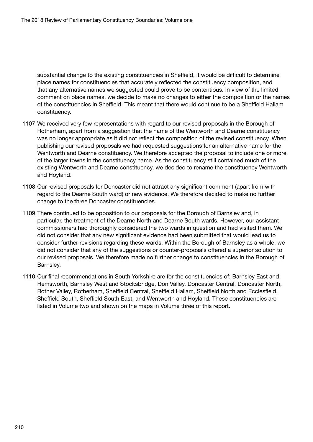substantial change to the existing constituencies in Sheffield, it would be difficult to determine place names for constituencies that accurately reflected the constituency composition, and that any alternative names we suggested could prove to be contentious. In view of the limited comment on place names, we decide to make no changes to either the composition or the names of the constituencies in Sheffield. This meant that there would continue to be a Sheffield Hallam constituency.

- 1107.We received very few representations with regard to our revised proposals in the Borough of Rotherham, apart from a suggestion that the name of the Wentworth and Dearne constituency was no longer appropriate as it did not reflect the composition of the revised constituency. When publishing our revised proposals we had requested suggestions for an alternative name for the Wentworth and Dearne constituency. We therefore accepted the proposal to include one or more of the larger towns in the constituency name. As the constituency still contained much of the existing Wentworth and Dearne constituency, we decided to rename the constituency Wentworth and Hoyland.
- 1108.Our revised proposals for Doncaster did not attract any significant comment (apart from with regard to the Dearne South ward) or new evidence. We therefore decided to make no further change to the three Doncaster constituencies.
- 1109.There continued to be opposition to our proposals for the Borough of Barnsley and, in particular, the treatment of the Dearne North and Dearne South wards. However, our assistant commissioners had thoroughly considered the two wards in question and had visited them. We did not consider that any new significant evidence had been submitted that would lead us to consider further revisions regarding these wards. Within the Borough of Barnsley as a whole, we did not consider that any of the suggestions or counter-proposals offered a superior solution to our revised proposals. We therefore made no further change to constituencies in the Borough of Barnsley.
- 1110.Our final recommendations in South Yorkshire are for the constituencies of: Barnsley East and Hemsworth, Barnsley West and Stocksbridge, Don Valley, Doncaster Central, Doncaster North, Rother Valley, Rotherham, Sheffield Central, Sheffield Hallam, Sheffield North and Ecclesfield, Sheffield South, Sheffield South East, and Wentworth and Hoyland. These constituencies are listed in Volume two and shown on the maps in Volume three of this report.